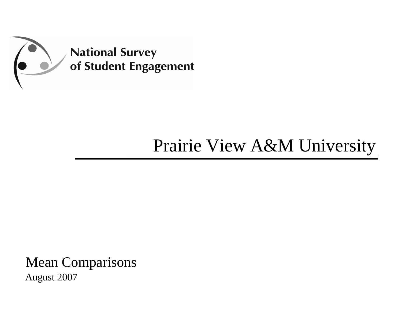

## Prairie View A&M University

Mean Comparisons August 2007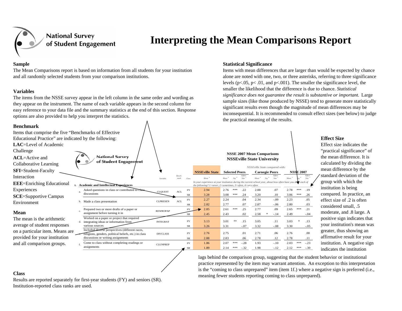

## **Interpreting the Mean Comparisons Report**

The Mean Comparisons report is based on information from all students for your institution and all randomly selected students from your comparison institutions.

#### **Variables**

**Benchmark**

The items from the NSSE survey appear in the left column in the same order and wording as they appear on the instrument. The name of each variable appears in the second column for easy reference to your data file and the summary statistics at the end of this section. Response options are also provided to help you interpret the statistics.

#### **Sample Statistical Significance**

Items with mean differences that are larger than would be expected by chance alone are noted with one, two, or three asterisks, referring to three significance levels ( $p<.05$ ,  $p<.01$ , and  $p<.001$ ). The smaller the significance level, the smaller the likelihood that the difference is due to chance. *Statistical significance does not guarantee the result is substantive or important.* Large sample sizes (like those produced by NSSE) tend to generate more statistically significant results even though the magnitude of mean differences may be inconsequential. It is recommended to consult effect sizes (see below) to judge the practical meaning of the results.

#### Items that comprise the five "Benchmarks of Effective Educational Practice" are indicated by the following: **LAC**=Level of Academic **NSSE 2007 Mean Comparisons National Survey ACL**=Active and **NSSEville State University** of Student Engagement Collaborative Learning *NSSEville State compared with:* **SFI**=Student-Faculty **NSSEville StateSelected PeersCarnegie Peers NSSE 2007***Bench- Mean* <sup>a</sup> *Mean* <sup>a</sup> *Sig* <sup>b</sup> *Effect Size* <sup>c</sup> *Mean* <sup>a</sup> *Sig* <sup>b</sup> *Effect Size* <sup>c</sup> *Mean* <sup>a</sup> *Sig* <sup>b</sup> *Effect Size* <sup>c</sup> *ClassVariablemarkIn your experience at your institution during the current school year, about how often have you do* each of **EEE**=Enriching Educational *the following? 1=never, 2=sometimes, 3=often, 4=very often*  **1. Academic and Intellectual Experiences Experiences** Asked questions in class or contributed FY 2.94 2.76 \*\*\* .22 2.88 .07 2.78 \*\*\* .19 Asked questions in class or contributed to crass CLQUEST<br>discussions ACL a.SR**SCE**=Supportive Campus 3.28 3.08 \*\*\* .24 3.20 .10 3.06 \*\*\* .26 FY 2.27 2.24 .04 2.34 -.09 2.23 .05 ACLEnvironmentb. Made a class presentation CLPRESEN SR 2.82 2.77 .07 2.87 -.06 2.80 .03 Prepared two or more drafts of a paper or FYREWROPAP 2.85 2.61 \*\*\* .25 2.77 .09 2.65 \*\*\* .21 c.assignment before turning it in SR 2.45 2.43 .02 2.58 \* -.14 2.49 -.04 Worked on a paper or project that required The mean is the arithmetic INTEGRATFY 3.13 3.01 \*\* .15 3.05 .11 3.03 \* .13 d. integrating ideas or information from average of student responses various sources SR 3.26 3.31 -.07 3.32 -.08 3.30 -.05 Included diverse perspectives (different races, on a particular item. Means are FYreligions, genders, political beliefs, etc.) in class DIVCLASS 2.76 2.75 .01 2.71 .06 2.76 .00 e.provided for your institution discussions or writing assignments SR 2.88 2.83 .06 2.78 .12 2.78 .11 and all comparison groups. Come to class without completing readings or FY 1.86 2.07 \*\*\* -.28 1.93 -.10 2.03 \*\*\* -.23 f.CLUNPREP assignments 1.89 2.14 \*\*\* -.32 1.98 -.12 2.12 \*\*\* -.30 SR

#### **Effect Size**

Effect size indicates the "practical significance" of the mean difference. It is calculated by dividing the mean difference by the standard deviation of the group with which the institution is being compared. In practice, an effect size of .2 is often considered small, .5 moderate, and .8 large. A positive sign indicates that your institution's mean was greater, thus showing an affirmative result for your institution. A negative sign indicates the institution

lags behind the comparison group, suggesting that the student behavior or institutional practice represented by the item may warrant attention. An exception to this interpretation is the "coming to class unprepared" item (item 1f.) where a negative sign is preferred (i.e., meaning fewer students reporting coming to class unprepared).

#### **Class**

**Mean**

Interaction

Challenge

Results are reported separately for first-year students (FY) and seniors (SR). Institution-reported class ranks are used.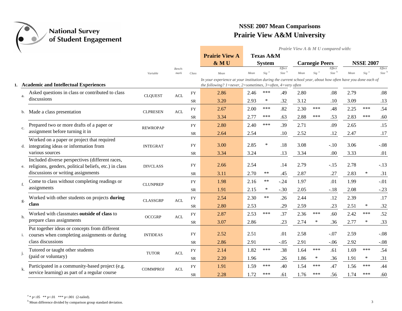

*Prairie View A & M U compared with:*

|                |                                                                                                          |                 |                                  |            | <b>Prairie View A</b>                                                                                                                                                                  |      | <b>Texas A&amp;M</b> |                  |      |                       |                             |      |                  |                             |
|----------------|----------------------------------------------------------------------------------------------------------|-----------------|----------------------------------|------------|----------------------------------------------------------------------------------------------------------------------------------------------------------------------------------------|------|----------------------|------------------|------|-----------------------|-----------------------------|------|------------------|-----------------------------|
|                |                                                                                                          |                 |                                  |            | & MU                                                                                                                                                                                   |      | <b>System</b>        |                  |      | <b>Carnegie Peers</b> |                             |      | <b>NSSE 2007</b> |                             |
|                |                                                                                                          | Variable        | Bench-<br>mark                   | Class      | Mean                                                                                                                                                                                   | Mean | Sig <sup>a</sup>     | Effect<br>Size b | Mean | Sig <sup>a</sup>      | Effect<br>Size <sup>b</sup> | Mean | Sig              | Effect<br>Size <sup>b</sup> |
|                | <b>Academic and Intellectual Experiences</b>                                                             |                 |                                  |            | In your experience at your institution during the current school year, about how often have you done each of<br>the following? $1$ =never, $2$ =sometimes, $3$ =often, $4$ =very often |      |                      |                  |      |                       |                             |      |                  |                             |
| a.             | Asked questions in class or contributed to class                                                         | <b>CLQUEST</b>  | ACL                              | <b>FY</b>  | 2.86                                                                                                                                                                                   | 2.46 | ***                  | .49              | 2.80 |                       | .08                         | 2.79 |                  | .08                         |
|                | discussions                                                                                              |                 |                                  | <b>SR</b>  | 3.20                                                                                                                                                                                   | 2.93 | $\ast$               | .32              | 3.12 |                       | .10                         | 3.09 |                  | .13                         |
| b.             | Made a class presentation                                                                                | <b>CLPRESEN</b> | $\mathbf{A}\mathbf{C}\mathbf{L}$ | <b>FY</b>  | 2.67                                                                                                                                                                                   | 2.00 | ***                  | .82              | 2.30 | ***                   | .48                         | 2.25 | ***              | .54                         |
|                |                                                                                                          |                 |                                  | <b>SR</b>  | 3.34                                                                                                                                                                                   | 2.77 | ***                  | .63              | 2.88 | ***                   | .53                         | 2.83 | ***              | .60                         |
| $\mathbf{c}$ . | Prepared two or more drafts of a paper or                                                                | <b>REWROPAP</b> |                                  | <b>FY</b>  | 2.80                                                                                                                                                                                   | 2.40 | ***                  | .39              | 2.71 |                       | .09                         | 2.65 |                  | .15                         |
|                | assignment before turning it in                                                                          |                 |                                  | <b>SR</b>  | 2.64                                                                                                                                                                                   | 2.54 |                      | .10              | 2.52 |                       | .12                         | 2.47 |                  | .17                         |
| d.             | Worked on a paper or project that required<br>integrating ideas or information from                      | <b>INTEGRAT</b> |                                  | ${\rm FY}$ | 3.00                                                                                                                                                                                   | 2.85 | ∗                    | .18              | 3.08 |                       | $-.10$                      | 3.06 |                  | $-.08$                      |
|                | various sources                                                                                          |                 |                                  | <b>SR</b>  | 3.34                                                                                                                                                                                   | 3.24 |                      | .13              | 3.34 |                       | .00.                        | 3.33 |                  | .01                         |
| e.             | Included diverse perspectives (different races,<br>religions, genders, political beliefs, etc.) in class | <b>DIVCLASS</b> |                                  | <b>FY</b>  | 2.66                                                                                                                                                                                   | 2.54 |                      | .14              | 2.79 |                       | $-.15$                      | 2.78 |                  | $-.13$                      |
|                | discussions or writing assignments                                                                       |                 |                                  | SR         | 3.11                                                                                                                                                                                   | 2.70 | $***$                | .45              | 2.87 |                       | .27                         | 2.83 | $\ast$           | .31                         |
| f.             | Come to class without completing readings or                                                             | <b>CLUNPREP</b> |                                  | <b>FY</b>  | 1.98                                                                                                                                                                                   | 2.16 | $***$                | $-.24$           | 1.97 |                       | .01                         | 1.99 |                  | $-.01$                      |
|                | assignments                                                                                              |                 |                                  | <b>SR</b>  | 1.91                                                                                                                                                                                   | 2.15 | ∗                    | $-.30$           | 2.05 |                       | $-.18$                      | 2.08 |                  | $-.23$                      |
| g.             | Worked with other students on projects during                                                            | <b>CLASSGRP</b> | $\mathbf{A}\mathbf{C}\mathbf{L}$ | <b>FY</b>  | 2.54                                                                                                                                                                                   | 2.30 | $***$                | .26              | 2.44 |                       | .12                         | 2.39 |                  | .17                         |
|                | class                                                                                                    |                 |                                  | <b>SR</b>  | 2.80                                                                                                                                                                                   | 2.53 |                      | .29              | 2.59 |                       | .23                         | 2.51 | $\ast$           | .32                         |
| h.             | Worked with classmates outside of class to                                                               | <b>OCCGRP</b>   | $\mathbf{A}\mathbf{C}\mathbf{L}$ | <b>FY</b>  | 2.87                                                                                                                                                                                   | 2.53 | ***                  | .37              | 2.36 | ***                   | .60                         | 2.42 | ***              | .52                         |
|                | prepare class assignments                                                                                |                 |                                  | <b>SR</b>  | 3.07                                                                                                                                                                                   | 2.86 |                      | .23              | 2.74 | ∗                     | .36                         | 2.77 | $\ast$           | .33                         |
| i.             | Put together ideas or concepts from different<br>courses when completing assignments or during           | <b>INTIDEAS</b> |                                  | <b>FY</b>  | 2.52                                                                                                                                                                                   | 2.51 |                      | .01              | 2.58 |                       | $-.07$                      | 2.59 |                  | $-.08$                      |
|                | class discussions                                                                                        |                 |                                  | <b>SR</b>  | 2.86                                                                                                                                                                                   | 2.91 |                      | $-.05$           | 2.91 |                       | $-.06$                      | 2.92 |                  | $-.08$                      |
| j.             | Tutored or taught other students                                                                         | <b>TUTOR</b>    | $\mathbf{A}\mathbf{C}\mathbf{L}$ | <b>FY</b>  | 2.14                                                                                                                                                                                   | 1.82 | ***                  | .38              | 1.64 | ***                   | .61                         | 1.69 | ***              | .54                         |
|                | (paid or voluntary)                                                                                      |                 |                                  | <b>SR</b>  | 2.20                                                                                                                                                                                   | 1.96 |                      | .26              | 1.86 | $\ast$                | .36                         | 1.91 | $\ast$           | .31                         |
| k.             | Participated in a community-based project (e.g.                                                          | <b>COMMPROJ</b> | ACL                              | FY         | 1.91                                                                                                                                                                                   | 1.59 | ***                  | .40              | 1.54 | ***                   | .47                         | 1.56 | ***              | .44                         |
|                | service learning) as part of a regular course                                                            |                 |                                  | <b>SR</b>  | 2.28                                                                                                                                                                                   | 1.72 | ***                  | .61              | 1.76 | ***                   | .56                         | 1.74 | ***              | .60                         |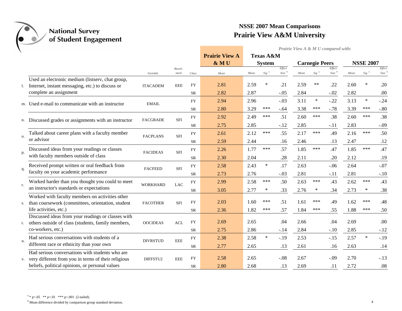

*Prairie View A & M U compared with:*

|    |                                                                                                      |                 |                                  |            | <b>Prairie View A</b> |      | <b>Texas A&amp;M</b> |                  |      |                       |                             |      |                  |                               |
|----|------------------------------------------------------------------------------------------------------|-----------------|----------------------------------|------------|-----------------------|------|----------------------|------------------|------|-----------------------|-----------------------------|------|------------------|-------------------------------|
|    |                                                                                                      |                 |                                  |            | & MU                  |      | <b>System</b>        |                  |      | <b>Carnegie Peers</b> |                             |      | <b>NSSE 2007</b> |                               |
|    |                                                                                                      | Variable        | Bench-<br>mark                   | Class      | Mean                  | Mean | Sig <sup>a</sup>     | Effect<br>Size b | Mean | $Sig^a$               | Effect<br>Size <sup>b</sup> | Mean | Sig <sup>a</sup> | Effect<br>$Size$ <sup>b</sup> |
|    | Used an electronic medium (listserv, chat group,                                                     |                 |                                  |            |                       |      |                      |                  |      |                       |                             |      |                  |                               |
|    | Internet, instant messaging, etc.) to discuss or                                                     | <b>ITACADEM</b> | <b>EEE</b>                       | <b>FY</b>  | 2.81                  | 2.59 | $\ast$               | .21              | 2.59 | $**$                  | .22                         | 2.60 | $\ast$           | .20                           |
|    | complete an assignment                                                                               |                 |                                  | SR         | 2.82                  | 2.87 |                      | $-.05$           | 2.84 |                       | $-.02$                      | 2.82 |                  | .00                           |
|    | m. Used e-mail to communicate with an instructor                                                     | <b>EMAIL</b>    |                                  | <b>FY</b>  | 2.94                  | 2.96 |                      | $-.03$           | 3.11 | $\ast$                | $-.22$                      | 3.13 | $\ast$           | $-.24$                        |
|    |                                                                                                      |                 |                                  | SR         | 2.80                  | 3.29 | ***                  | $-.64$           | 3.38 | ***                   | $-.78$                      | 3.39 | ***              | $-.80$                        |
|    |                                                                                                      |                 | <b>SFI</b>                       | ${\rm FY}$ | 2.92                  | 2.49 | ***                  | .51              | 2.60 | ***                   | .38                         | 2.60 | ***              | .38                           |
|    | n. Discussed grades or assignments with an instructor                                                | <b>FACGRADE</b> |                                  | <b>SR</b>  | 2.75                  | 2.85 |                      | $-.12$           | 2.85 |                       | $-.11$                      | 2.83 |                  | $-.09$                        |
|    | Talked about career plans with a faculty member                                                      |                 |                                  | <b>FY</b>  | 2.61                  | 2.12 | ***                  | .55              | 2.17 | ***                   | .49                         | 2.16 | ***              | .50                           |
| О. | or advisor                                                                                           | <b>FACPLANS</b> | <b>SFI</b>                       | SR         | 2.59                  | 2.44 |                      | .16              | 2.46 |                       | .13                         | 2.47 |                  | .12                           |
|    | Discussed ideas from your readings or classes                                                        |                 |                                  | <b>FY</b>  | 2.26                  | 1.77 | ***                  | .57              | 1.85 | ***                   | .47                         | 1.85 | ***              | .47                           |
| p. | with faculty members outside of class                                                                | <b>FACIDEAS</b> | ${\rm SFI}$                      | <b>SR</b>  | 2.30                  | 2.04 |                      | .28              | 2.11 |                       | .20                         | 2.12 |                  | .19                           |
|    | Received prompt written or oral feedback from                                                        |                 |                                  | <b>FY</b>  | 2.58                  | 2.43 | $\ast$               | .17              | 2.63 |                       | $-.06$                      | 2.64 |                  | $-.07$                        |
| q. | faculty on your academic performance                                                                 | <b>FACFEED</b>  | SFI                              |            |                       |      |                      |                  |      |                       |                             |      |                  |                               |
|    |                                                                                                      |                 |                                  | <b>SR</b>  | 2.73                  | 2.76 |                      | $-.03$           | 2.81 |                       | $-.11$                      | 2.81 |                  | $-.10$                        |
| r. | Worked harder than you thought you could to meet<br>an instructor's standards or expectations        | <b>WORKHARD</b> | LAC                              | <b>FY</b>  | 2.99                  | 2.58 | ***                  | .50              | 2.63 | ***                   | .43                         | 2.62 | ***              | .43                           |
|    |                                                                                                      |                 |                                  | SR         | 3.05                  | 2.77 | $\ast$               | .33              | 2.76 | ∗                     | .34                         | 2.73 | ∗                | .38                           |
|    | Worked with faculty members on activities other<br>than coursework (committees, orientation, student | <b>FACOTHER</b> | <b>SFI</b>                       | <b>FY</b>  | 2.03                  | 1.60 | ***                  | .51              | 1.61 | ***                   | .49                         | 1.62 | ***              | .48                           |
|    | life activities, etc.)                                                                               |                 |                                  | <b>SR</b>  | 2.36                  | 1.82 | ***                  | .57              | 1.84 | ***                   | .55                         | 1.88 | ***              | .50                           |
|    | Discussed ideas from your readings or classes with                                                   |                 |                                  |            |                       |      |                      |                  |      |                       |                             |      |                  |                               |
| t. | others outside of class (students, family members,                                                   | <b>OOCIDEAS</b> | $\mathbf{A}\mathbf{C}\mathbf{L}$ | <b>FY</b>  | 2.69                  | 2.65 |                      | .04              | 2.66 |                       | .04                         | 2.69 |                  | .00                           |
|    | co-workers, etc.)                                                                                    |                 |                                  | SR.        | 2.75                  | 2.86 |                      | $-.14$           | 2.84 |                       | $-.10$                      | 2.85 |                  | $-.12$                        |
| u. | Had serious conversations with students of a                                                         | <b>DIVRSTUD</b> | $\rm EEE$                        | <b>FY</b>  | 2.38                  | 2.58 | $\ast$               | $-.19$           | 2.53 |                       | $-.15$                      | 2.57 | $\ast$           | $-.19$                        |
|    | different race or ethnicity than your own                                                            |                 |                                  | <b>SR</b>  | 2.77                  | 2.65 |                      | .13              | 2.61 |                       | .16                         | 2.63 |                  | .14                           |
|    | Had serious conversations with students who are                                                      |                 |                                  |            |                       |      |                      |                  |      |                       |                             |      |                  |                               |
|    | v. very different from you in terms of their religious                                               | DIFFSTU2        | <b>EEE</b>                       | <b>FY</b>  | 2.58                  | 2.65 |                      | $-.08$           | 2.67 |                       | $-.09$                      | 2.70 |                  | $-.13$                        |
|    | beliefs, political opinions, or personal values                                                      |                 |                                  | SR         | 2.80                  | 2.68 |                      | .13              | 2.69 |                       | .11                         | 2.72 |                  | .08                           |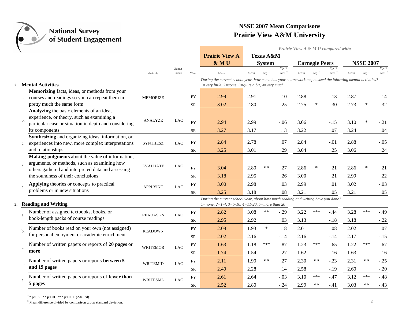

|                                                                                                                                                                                                    |                 |                |                        |                                                                                                                                                                                                     |              |                                       |                             |              |                       | Prairie View A & M U compared with: |              |                  |                             |
|----------------------------------------------------------------------------------------------------------------------------------------------------------------------------------------------------|-----------------|----------------|------------------------|-----------------------------------------------------------------------------------------------------------------------------------------------------------------------------------------------------|--------------|---------------------------------------|-----------------------------|--------------|-----------------------|-------------------------------------|--------------|------------------|-----------------------------|
|                                                                                                                                                                                                    |                 |                |                        | <b>Prairie View A</b><br>& MU                                                                                                                                                                       |              | <b>Texas A&amp;M</b><br><b>System</b> |                             |              | <b>Carnegie Peers</b> |                                     |              | <b>NSSE 2007</b> |                             |
|                                                                                                                                                                                                    | Variable        | Bench-<br>mark | Class                  | Mean                                                                                                                                                                                                | Mean         | $Sig^{-a}$                            | Effect<br>Size <sup>b</sup> | Mean         | $Sig$ <sup>a</sup>    | Effect<br>Size <sup>b</sup>         | Mean         | $Sig^{-a}$       | Effect<br>Size <sup>b</sup> |
| 2. Mental Activities                                                                                                                                                                               |                 |                |                        | During the current school year, how much has your coursework emphasized the following mental activities?<br>$1 = \text{very little}, 2 = \text{some}, 3 = \text{quite a bit}, 4 = \text{very much}$ |              |                                       |                             |              |                       |                                     |              |                  |                             |
| Memorizing facts, ideas, or methods from your<br>courses and readings so you can repeat them in<br>a.                                                                                              | <b>MEMORIZE</b> |                | FY                     | 2.99                                                                                                                                                                                                | 2.91         |                                       | .10                         | 2.88         |                       | .13                                 | 2.87         |                  | .14                         |
| pretty much the same form                                                                                                                                                                          |                 |                | SR                     | 3.02                                                                                                                                                                                                | 2.80         |                                       | .25                         | 2.75         | ∗                     | .30                                 | 2.73         | ∗                | .32                         |
| Analyzing the basic elements of an idea,<br>experience, or theory, such as examining a<br>$b$<br>particular case or situation in depth and considering<br>its components                           | <b>ANALYZE</b>  | <b>LAC</b>     | ${\rm FY}$<br>SR       | 2.94<br>3.27                                                                                                                                                                                        | 2.99<br>3.17 |                                       | $-.06$<br>.13               | 3.06<br>3.22 |                       | $-.15$<br>.07                       | 3.10<br>3.24 | ∗                | $-.21$<br>.04               |
| Synthesizing and organizing ideas, information, or<br>experiences into new, more complex interpretations<br>c.<br>and relationships                                                                | <b>SYNTHESZ</b> | <b>LAC</b>     | ${\rm FY}$<br>SR       | 2.84<br>3.25                                                                                                                                                                                        | 2.78<br>3.01 |                                       | .07<br>.29                  | 2.84<br>3.04 |                       | $-.01$<br>.25                       | 2.88<br>3.06 |                  | $-.05$<br>.24               |
| Making judgments about the value of information,<br>arguments, or methods, such as examining how<br>d.<br>others gathered and interpreted data and assessing<br>the soundness of their conclusions | <b>EVALUATE</b> | <b>LAC</b>     | ${\rm FY}$<br>SR       | 3.04<br>3.18                                                                                                                                                                                        | 2.80<br>2.95 | $***$                                 | .27<br>.26                  | 2.86<br>3.00 | ∗                     | .21<br>.21                          | 2.86<br>2.99 | ∗                | .21<br>.22                  |
| Applying theories or concepts to practical<br>e.<br>problems or in new situations                                                                                                                  | <b>APPLYING</b> | LAC            | <b>FY</b><br>SR        | 3.00<br>3.25                                                                                                                                                                                        | 2.98<br>3.18 |                                       | .03<br>.08                  | 2.99<br>3.21 |                       | .01<br>.05                          | 3.02<br>3.21 |                  | $-.03$<br>.05               |
| 3. Reading and Writing                                                                                                                                                                             |                 |                |                        | During the current school year, about how much reading and writing have you done?<br>1=none, 2=1-4, 3=5-10, 4=11-20, 5=more than 20                                                                 |              |                                       |                             |              |                       |                                     |              |                  |                             |
| Number of assigned textbooks, books, or<br>a.<br>book-length packs of course readings                                                                                                              | <b>READASGN</b> | <b>LAC</b>     | <b>FY</b><br><b>SR</b> | 2.82<br>2.95                                                                                                                                                                                        | 3.08<br>2.92 | $***$                                 | $-.29$<br>.03               | 3.22<br>3.13 | ***                   | $-.44$<br>$-.18$                    | 3.28<br>3.18 | ***              | $-.49$<br>$-.22$            |
| Number of books read on your own (not assigned)<br>b.<br>for personal enjoyment or academic enrichment                                                                                             | <b>READOWN</b>  |                | <b>FY</b><br><b>SR</b> | 2.08<br>2.02                                                                                                                                                                                        | 1.93<br>2.16 | $\ast$                                | .18<br>$-.14$               | 2.01<br>2.16 |                       | .08<br>$-.14$                       | 2.02<br>2.17 |                  | .07<br>$-.15$               |
| Number of written papers or reports of 20 pages or<br>c.<br>more                                                                                                                                   | <b>WRITEMOR</b> | $_{\rm LAC}$   | <b>FY</b><br>SR        | 1.63<br>1.74                                                                                                                                                                                        | 1.18<br>1.54 | ***                                   | .87<br>.27                  | 1.23<br>1.62 | ***                   | .65<br>.16                          | 1.22<br>1.63 | ***              | .67<br>.16                  |
| Number of written papers or reports between 5<br>d.<br>and 19 pages                                                                                                                                | WRITEMID        | $_{\rm LAC}$   | <b>FY</b><br>SR        | 2.11<br>2.40                                                                                                                                                                                        | 1.90<br>2.28 | $***$                                 | .27<br>.14                  | 2.30<br>2.58 | $***$                 | $-.23$<br>$-.19$                    | 2.31<br>2.60 | $***$            | $-.25$<br>$-.20$            |
| Number of written papers or reports of fewer than<br>e.<br>5 pages                                                                                                                                 | <b>WRITESML</b> | LAC            | <b>FY</b><br><b>SR</b> | 2.61<br>2.52                                                                                                                                                                                        | 2.64<br>2.80 |                                       | $-.03$<br>$-.24$            | 3.10<br>2.99 | ***<br>$**$           | $-.47$<br>$-.41$                    | 3.12<br>3.03 | ***<br>$**$      | $-.48$<br>$-.43$            |

 $a * p < .05$  \*\*  $p < .01$  \*\*\*  $p < .001$  (2-tailed).

<sup>b</sup> Mean difference divided by comparison group standard deviation. 5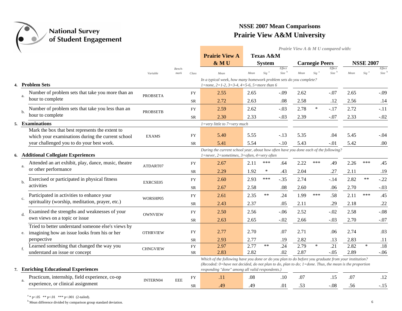

*Prairie View A & M U compared with:*

|    |                                                                                                |                 |                |                        | <b>Prairie View A</b>                                                                                            |      | <b>Texas A&amp;M</b> |                               |      |                       |                             |      |                  |                             |
|----|------------------------------------------------------------------------------------------------|-----------------|----------------|------------------------|------------------------------------------------------------------------------------------------------------------|------|----------------------|-------------------------------|------|-----------------------|-----------------------------|------|------------------|-----------------------------|
|    |                                                                                                |                 |                |                        | & MU                                                                                                             |      | <b>System</b>        |                               |      | <b>Carnegie Peers</b> |                             |      | <b>NSSE 2007</b> |                             |
|    |                                                                                                | Variable        | Bench-<br>mark | Class                  | Mean                                                                                                             | Mean | Sig                  | Effect<br>$Size$ <sup>b</sup> | Mean | Sig                   | Effect<br>Size <sup>b</sup> | Mean | Sig              | Effect<br>Size <sup>b</sup> |
|    | 4. Problem Sets                                                                                |                 |                |                        | In a typical week, how many homework problem sets do you complete?<br>1=none, 2=1-2, 3=3-4, 4=5-6, 5=more than 6 |      |                      |                               |      |                       |                             |      |                  |                             |
|    | Number of problem sets that take you more than an                                              |                 |                | <b>FY</b>              | 2.55                                                                                                             | 2.65 |                      | $-.09$                        | 2.62 |                       | $-.07$                      | 2.65 |                  | $-.09$                      |
|    | a.<br>hour to complete                                                                         | <b>PROBSETA</b> |                | <b>SR</b>              | 2.72                                                                                                             | 2.63 |                      | .08                           | 2.58 |                       | .12                         | 2.56 |                  | .14                         |
|    | Number of problem sets that take you less than an                                              | <b>PROBSETB</b> |                | <b>FY</b>              | 2.59                                                                                                             | 2.62 |                      | $-.03$                        | 2.78 | $\ast$                | $-.17$                      | 2.72 |                  | $-.11$                      |
|    | b.<br>hour to complete                                                                         |                 |                | <b>SR</b>              | 2.30                                                                                                             | 2.33 |                      | $-.03$                        | 2.39 |                       | $-.07$                      | 2.33 |                  | $-.02$                      |
| 5. | <b>Examinations</b>                                                                            |                 |                |                        | $1 = very$ little to $7 = very$ much                                                                             |      |                      |                               |      |                       |                             |      |                  |                             |
|    | Mark the box that best represents the extent to                                                |                 |                | <b>FY</b>              | 5.40                                                                                                             | 5.55 |                      | $-.13$                        | 5.35 |                       | .04                         | 5.45 |                  | $-.04$                      |
|    | which your examinations during the current school<br>year challenged you to do your best work. | <b>EXAMS</b>    |                | <b>SR</b>              | 5.41                                                                                                             | 5.54 |                      | $-.10$                        | 5.43 |                       | $-.01$                      | 5.42 |                  | .00                         |
|    |                                                                                                |                 |                |                        | During the current school year, about how often have you done each of the following?                             |      |                      |                               |      |                       |                             |      |                  |                             |
| 6. | <b>Additional Collegiate Experiences</b>                                                       |                 |                |                        | 1=never, 2=sometimes, 3=often, 4=very often                                                                      |      |                      |                               |      |                       |                             |      |                  |                             |
|    | Attended an art exhibit, play, dance, music, theatre<br>a.                                     | ATDART07        |                | <b>FY</b>              | 2.67                                                                                                             | 2.11 | ***                  | .64                           | 2.22 | ***                   | .49                         | 2.26 | ***              | .45                         |
|    | or other performance                                                                           |                 |                | SR                     | 2.29                                                                                                             | 1.92 | $\ast$               | .43                           | 2.04 |                       | .27                         | 2.11 |                  | .19                         |
|    | Exercised or participated in physical fitness<br>b.                                            | EXRCSE05        |                | <b>FY</b>              | 2.60                                                                                                             | 2.93 | ***                  | $-.35$                        | 2.74 |                       | $-.14$                      | 2.82 | $**$             | $-.22$                      |
|    | activities                                                                                     |                 |                | SR                     | 2.67                                                                                                             | 2.58 |                      | .08                           | 2.60 |                       | .06                         | 2.70 |                  | $-.03$                      |
|    | Participated in activities to enhance your<br>$\mathbf{c}$ .                                   | WORSHP05        |                | <b>FY</b>              | 2.61                                                                                                             | 2.35 | $***$                | .24                           | 1.99 | ***                   | .58                         | 2.11 | ***              | .45                         |
|    | spirituality (worship, meditation, prayer, etc.)                                               |                 |                | SR                     | 2.43                                                                                                             | 2.37 |                      | .05                           | 2.11 |                       | .29                         | 2.18 |                  | .22                         |
|    | Examined the strengths and weaknesses of your<br>d.                                            | <b>OWNVIEW</b>  |                | <b>FY</b>              | 2.50                                                                                                             | 2.56 |                      | $-.06$                        | 2.52 |                       | $-.02$                      | 2.58 |                  | $-.08$                      |
|    | own views on a topic or issue                                                                  |                 |                | SR                     | 2.63                                                                                                             | 2.65 |                      | $-.02$                        | 2.66 |                       | $-.03$                      | 2.70 |                  | $-.07$                      |
|    | Tried to better understand someone else's views by                                             |                 |                |                        | 2.77                                                                                                             | 2.70 |                      | .07                           | 2.71 |                       |                             | 2.74 |                  | .03                         |
|    | imagining how an issue looks from his or her<br>e.<br>perspective                              | <b>OTHRVIEW</b> |                | <b>FY</b><br><b>SR</b> | 2.93                                                                                                             | 2.77 |                      | .19                           | 2.82 |                       | .06<br>.13                  | 2.83 |                  |                             |
|    | Learned something that changed the way you                                                     |                 |                | ${\rm FY}$             | 2.97                                                                                                             | 2.77 | $***$                | .24                           | 2.79 | $\ast$                | .21                         | 2.82 | $\ast$           | .11<br>$\overline{.18}$     |
|    | understand an issue or concept                                                                 | <b>CHNGVIEW</b> |                | SR                     | 2.83                                                                                                             | 2.82 |                      | .02                           | 2.87 |                       | $-.05$                      | 2.89 |                  | $-.06$                      |
|    |                                                                                                |                 |                |                        | Which of the following have you done or do you plan to do before you graduate from your institution?             |      |                      |                               |      |                       |                             |      |                  |                             |
|    |                                                                                                |                 |                |                        | (Recoded: 0=have not decided, do not plan to do, plan to do; 1=done. Thus, the mean is the proportion            |      |                      |                               |      |                       |                             |      |                  |                             |
|    | 7. Enriching Educational Experiences                                                           |                 |                |                        | responding "done" among all valid respondents.)                                                                  |      |                      |                               |      |                       |                             |      |                  |                             |
|    | Practicum, internship, field experience, co-op<br>a.                                           | <b>INTERN04</b> | <b>EEE</b>     | <b>FY</b>              | .11                                                                                                              | .08  |                      | .10                           | .07  |                       | .15                         | .07  |                  | .12                         |
|    | experience, or clinical assignment                                                             |                 |                | SR                     | .49                                                                                                              | .49  |                      | .01                           | .53  |                       | $-.08$                      | .56  |                  | $-.15$                      |

 $a * p < .05$  \*\*  $p < .01$  \*\*\*  $p < .001$  (2-tailed).

<sup>b</sup> Mean difference divided by comparison group standard deviation. 6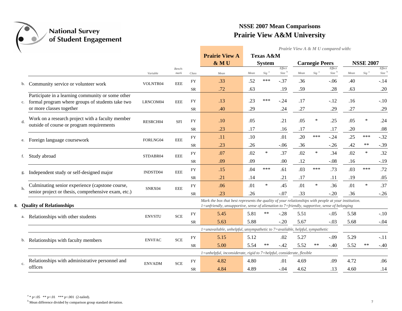

*Prairie View A & M U compared with:*

|             |                                                                                                       |               |                |            | <b>Prairie View A</b>                                                                                                                                                                                 |               | <b>Texas A&amp;M</b> |                             |                       |                    |                             |                  |                  |                             |
|-------------|-------------------------------------------------------------------------------------------------------|---------------|----------------|------------|-------------------------------------------------------------------------------------------------------------------------------------------------------------------------------------------------------|---------------|----------------------|-----------------------------|-----------------------|--------------------|-----------------------------|------------------|------------------|-----------------------------|
|             |                                                                                                       |               |                |            | & MU                                                                                                                                                                                                  | <b>System</b> |                      |                             | <b>Carnegie Peers</b> |                    |                             | <b>NSSE 2007</b> |                  |                             |
|             |                                                                                                       | Variable      | Bench-<br>mark | Class      | Mean                                                                                                                                                                                                  | Mean          | $Sig^{-a}$           | Effect<br>Size <sup>b</sup> | Mean                  | $Sig$ <sup>a</sup> | Effect<br>Size <sup>b</sup> | Mean             | Sig <sup>a</sup> | Effect<br>Size <sup>b</sup> |
| b.          | Community service or volunteer work                                                                   | VOLNTR04      | <b>EEE</b>     | <b>FY</b>  | .33                                                                                                                                                                                                   | .52           | ***                  | $-.37$                      | .36                   |                    | $-.06$                      | .40              |                  | $-.14$                      |
|             |                                                                                                       |               |                | ${\rm SR}$ | .72                                                                                                                                                                                                   | .63           |                      | .19                         | .59                   |                    | .28                         | .63              |                  | .20                         |
| c.          | Participate in a learning community or some other<br>formal program where groups of students take two | LRNCOM04      | <b>EEE</b>     | <b>FY</b>  | .13                                                                                                                                                                                                   | .23           | ***                  | $-.24$                      | .17                   |                    | $-.12$                      | .16              |                  | $-.10$                      |
|             | or more classes together                                                                              |               |                | <b>SR</b>  | .40                                                                                                                                                                                                   | .29           |                      | .24                         | .27                   |                    | .29                         | .27              |                  | .29                         |
| d.          | Work on a research project with a faculty member<br>outside of course or program requirements         | RESRCH04      | <b>SFI</b>     | <b>FY</b>  | .10                                                                                                                                                                                                   | .05           |                      | .21                         | .05                   | $\ast$             | .25                         | .05              | $\ast$           | .24                         |
|             |                                                                                                       |               |                | SR         | .23                                                                                                                                                                                                   | .17           |                      | .16                         | .17                   |                    | .17                         | .20              |                  | .08                         |
| e.          | Foreign language coursework                                                                           | FORLNG04      | <b>EEE</b>     | <b>FY</b>  | .11                                                                                                                                                                                                   | .10           |                      | .01                         | .20                   | ***                | $-.24$                      | .25              | ***              | $-.32$                      |
|             |                                                                                                       |               |                | <b>SR</b>  | .23                                                                                                                                                                                                   | .26           |                      | $-.06$                      | .36                   |                    | $-.26$                      | .42              | $***$            | $-.39$                      |
| f.          | Study abroad                                                                                          | STDABR04      | <b>EEE</b>     | <b>FY</b>  | .07                                                                                                                                                                                                   | .02           | $\ast$               | .37                         | .02                   | $\ast$             | .34                         | .02              | $\ast$           | .32                         |
|             |                                                                                                       |               |                | <b>SR</b>  | .09                                                                                                                                                                                                   | .09           |                      | .00                         | .12                   |                    | $-.08$                      | .16              |                  | $-.19$                      |
| g.          | Independent study or self-designed major                                                              | INDSTD04      | <b>EEE</b>     | <b>FY</b>  | .15                                                                                                                                                                                                   | .04           | ***                  | .61                         | .03                   | ***                | .73                         | .03              | ***              | .72                         |
|             |                                                                                                       |               |                | <b>SR</b>  | .21                                                                                                                                                                                                   | .14           |                      | .21                         | .17                   |                    | .11                         | .19              |                  | .05                         |
| h.          | Culminating senior experience (capstone course,                                                       | SNRX04        | <b>EEE</b>     | ${\rm FY}$ | .06                                                                                                                                                                                                   | .01           | $\ast$               | .45                         | .01                   | $\ast$             | .36                         | .01              | $\ast$           | .37                         |
|             | senior project or thesis, comprehensive exam, etc.)                                                   |               |                | <b>SR</b>  | .23                                                                                                                                                                                                   | .26           |                      | $-.07$                      | .33                   |                    | $-.20$                      | .36              |                  | $-.26$                      |
|             | 8. Quality of Relationships                                                                           |               |                |            | Mark the box that best represents the quality of your relationships with people at your institution.<br>1=unfriendly, unsupportive, sense of alienation to 7=friendly, supportive, sense of belonging |               |                      |                             |                       |                    |                             |                  |                  |                             |
| a.          | Relationships with other students                                                                     | <b>ENVSTU</b> | <b>SCE</b>     | <b>FY</b>  | 5.45                                                                                                                                                                                                  | 5.81          | $***$                | $-.28$                      | 5.51                  |                    | $-.05$                      | 5.58             |                  | $-.10$                      |
|             |                                                                                                       |               |                | SR         | 5.63                                                                                                                                                                                                  | 5.88          |                      | $-.20$                      | 5.67                  |                    | $-.03$                      | 5.68             |                  | $-.04$                      |
|             |                                                                                                       |               |                |            | 1=unavailable, unhelpful, unsympathetic to 7=available, helpful, sympathetic                                                                                                                          |               |                      |                             |                       |                    |                             |                  |                  |                             |
| b.          | Relationships with faculty members                                                                    | <b>ENVFAC</b> | <b>SCE</b>     | ${\rm FY}$ | 5.15                                                                                                                                                                                                  | 5.12          |                      | .02                         | 5.27                  |                    | $-.09$                      | 5.29             |                  | $-.11$                      |
|             |                                                                                                       |               |                | <b>SR</b>  | 5.00                                                                                                                                                                                                  | 5.54          | **                   | $-.42$                      | 5.52                  | $***$              | $-.40$                      | 5.52             | $***$            | $-.40$                      |
|             |                                                                                                       |               |                |            | 1=unhelpful, inconsiderate, rigid to 7=helpful, considerate, flexible                                                                                                                                 |               |                      |                             |                       |                    |                             |                  |                  |                             |
| $c_{\cdot}$ | Relationships with administrative personnel and                                                       | <b>ENVADM</b> | <b>SCE</b>     | ${\rm FY}$ | 4.82                                                                                                                                                                                                  | 4.80          |                      | .01                         | 4.69                  |                    | .09                         | 4.72             |                  | .06                         |
|             | offices                                                                                               |               |                | SR         | 4.84                                                                                                                                                                                                  | 4.89          |                      | $-.04$                      | 4.62                  |                    | .13                         | 4.60             |                  | .14                         |

<sup>&</sup>lt;sup>b</sup> Mean difference divided by comparison group standard deviation. 7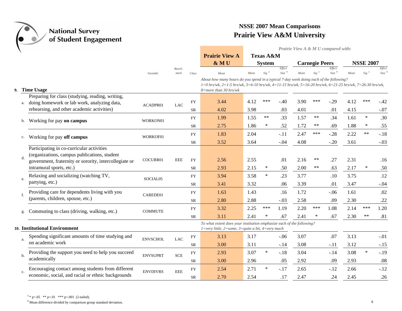

|                                                                                                 |                 |                |            |                                                                                                                                                                                                                                 |      |                      |                             | Prairie View A & M U compared with: |                       |                             |      |                  |                             |
|-------------------------------------------------------------------------------------------------|-----------------|----------------|------------|---------------------------------------------------------------------------------------------------------------------------------------------------------------------------------------------------------------------------------|------|----------------------|-----------------------------|-------------------------------------|-----------------------|-----------------------------|------|------------------|-----------------------------|
|                                                                                                 |                 |                |            | <b>Prairie View A</b>                                                                                                                                                                                                           |      | <b>Texas A&amp;M</b> |                             |                                     |                       |                             |      |                  |                             |
|                                                                                                 |                 |                |            | & MU                                                                                                                                                                                                                            |      | <b>System</b>        |                             |                                     | <b>Carnegie Peers</b> |                             |      | <b>NSSE 2007</b> |                             |
|                                                                                                 | Variable        | Bench-<br>mark | Class      | Mean                                                                                                                                                                                                                            | Mean | $Sig^a$              | Effect<br>Size <sup>b</sup> | Mean                                | Sig <sup>a</sup>      | Effect<br>Size <sup>b</sup> | Mean | $Sig^a$          | Effect<br>Size <sup>b</sup> |
| 9. Time Usage                                                                                   |                 |                |            | About how many hours do you spend in a typical 7-day week doing each of the following?<br>1=0 hrs/wk, 2=1-5 hrs/wk, 3=6-10 hrs/wk, 4=11-15 hrs/wk, 5=16-20 hrs/wk, 6=21-25 hrs/wk, 7=26-30 hrs/wk,<br>$8 = more than 30 hrs/wk$ |      |                      |                             |                                     |                       |                             |      |                  |                             |
| Preparing for class (studying, reading, writing,                                                |                 |                |            |                                                                                                                                                                                                                                 |      |                      |                             |                                     |                       |                             |      |                  |                             |
| doing homework or lab work, analyzing data,<br>a.                                               | ACADPR01        | <b>LAC</b>     | <b>FY</b>  | 3.44                                                                                                                                                                                                                            | 4.12 | ***                  | $-.40$                      | 3.90                                | ***                   | $-.29$                      | 4.12 | ***              | $-.42$                      |
| rehearsing, and other academic activities)                                                      |                 |                | <b>SR</b>  | 4.02                                                                                                                                                                                                                            | 3.98 |                      | .03                         | 4.01                                |                       | .01                         | 4.15 |                  | $-.07$                      |
| Working for pay on campus<br>b.                                                                 | WORKON01        |                | <b>FY</b>  | 1.99                                                                                                                                                                                                                            | 1.55 | $***$                | .33                         | 1.57                                | $***$                 | .34                         | 1.61 | $\ast$           | .30                         |
|                                                                                                 |                 |                | <b>SR</b>  | 2.75                                                                                                                                                                                                                            | 1.86 | $\ast$               | .52                         | 1.72                                | $***$                 | .69                         | 1.88 | ∗                | .55                         |
|                                                                                                 | WORKOF01        |                | ${\rm FY}$ | 1.83                                                                                                                                                                                                                            | 2.04 |                      | $-.11$                      | 2.47                                | ***                   | $-.28$                      | 2.22 | $**$             | $-.18$                      |
| Working for pay off campus<br>c.                                                                |                 |                | SR         | 3.52                                                                                                                                                                                                                            | 3.64 |                      | $-.04$                      | 4.08                                |                       | $-.20$                      | 3.61 |                  | $-.03$                      |
| Participating in co-curricular activities<br>(organizations, campus publications, student<br>d. |                 |                |            |                                                                                                                                                                                                                                 |      |                      |                             |                                     |                       |                             |      |                  |                             |
| government, fraternity or sorority, intercollegiate or                                          | COCURR01        | <b>EEE</b>     | <b>FY</b>  | 2.56                                                                                                                                                                                                                            | 2.55 |                      | .01                         | 2.16                                | $***$                 | .27                         | 2.31 |                  | .16                         |
| intramural sports, etc.)                                                                        |                 |                | <b>SR</b>  | 2.93                                                                                                                                                                                                                            | 2.15 | $\ast$               | .50                         | 2.00                                | $***$                 | .63                         | 2.17 | $\ast$           | .50                         |
| Relaxing and socializing (watching TV,<br>e.                                                    | SOCIAL05        |                | <b>FY</b>  | 3.94                                                                                                                                                                                                                            | 3.58 | $\ast$               | .23                         | 3.77                                |                       | .10                         | 3.75 |                  | .12                         |
| partying, etc.)                                                                                 |                 |                | <b>SR</b>  | 3.41                                                                                                                                                                                                                            | 3.32 |                      | .06                         | 3.39                                |                       | .01                         | 3.47 |                  | $-.04$                      |
| Providing care for dependents living with you                                                   | CAREDE01        |                | <b>FY</b>  | 1.63                                                                                                                                                                                                                            | 1.43 |                      | .16                         | 1.72                                |                       | $-.06$                      | 1.61 |                  | .02                         |
| (parents, children, spouse, etc.)                                                               |                 |                | <b>SR</b>  | 2.80                                                                                                                                                                                                                            | 2.88 |                      | $-.03$                      | 2.58                                |                       | .09                         | 2.30 |                  | .22                         |
| Commuting to class (driving, walking, etc.)                                                     | <b>COMMUTE</b>  |                | ${\rm FY}$ | 3.32                                                                                                                                                                                                                            | 2.25 | ***                  | 1.19                        | 2.20                                | ***                   | 1.08                        | 2.14 | ***              | 1.20                        |
| g.                                                                                              |                 |                | <b>SR</b>  | 3.11                                                                                                                                                                                                                            | 2.41 | ∗                    | .67                         | 2.41                                | ∗                     | .67                         | 2.30 | $***$            | .81                         |
| 10. Institutional Environment                                                                   |                 |                |            | To what extent does your institution emphasize each of the following?<br>$1 = \text{very little}, 2 = \text{some}, 3 = \text{quite a bit}, 4 = \text{very much}$                                                                |      |                      |                             |                                     |                       |                             |      |                  |                             |
| Spending significant amounts of time studying and<br>a.                                         | <b>ENVSCHOL</b> | $_{\rm LAC}$   | <b>FY</b>  | 3.13                                                                                                                                                                                                                            | 3.17 |                      | $-.06$                      | 3.07                                |                       | .07                         | 3.13 |                  | $-.01$                      |
| on academic work                                                                                |                 |                | <b>SR</b>  | 3.00                                                                                                                                                                                                                            | 3.11 |                      | $-.14$                      | 3.08                                |                       | $-.11$                      | 3.12 |                  | $-.15$                      |
| Providing the support you need to help you succeed                                              | <b>ENVSUPRT</b> | <b>SCE</b>     | <b>FY</b>  | 2.93                                                                                                                                                                                                                            | 3.07 | $\ast$               | $-.18$                      | 3.04                                |                       | $-.14$                      | 3.08 | $\ast$           | $-.19$                      |
| academically                                                                                    |                 |                | SR         | 3.00                                                                                                                                                                                                                            | 2.96 |                      | .05                         | 2.92                                |                       | .09                         | 2.93 |                  | .08                         |
| Encouraging contact among students from different                                               | <b>ENVDIVRS</b> | <b>EEE</b>     | <b>FY</b>  | 2.54                                                                                                                                                                                                                            | 2.71 | $\ast$               | $-.17$                      | 2.65                                |                       | $-.12$                      | 2.66 |                  | $-.12$                      |
| economic, social, and racial or ethnic backgrounds                                              |                 |                | SR         | 2.70                                                                                                                                                                                                                            | 2.54 |                      | .17                         | 2.47                                |                       | .24                         | 2.45 |                  | .26                         |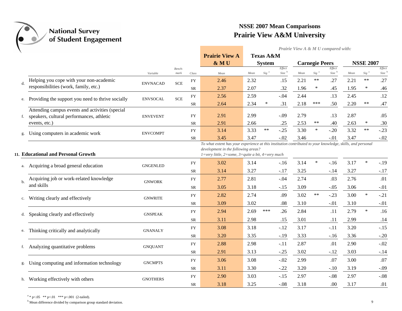

*Prairie View A & M U compared with:*

|    |                                                                                                               |                 |                |                 | <b>Prairie View A</b><br>& MU                                                                                                                                                                                           |              | Texas A&M<br><b>System</b> |                             |              | <b>Carnegie Peers</b> |                             |              | <b>NSSE 2007</b> |                |
|----|---------------------------------------------------------------------------------------------------------------|-----------------|----------------|-----------------|-------------------------------------------------------------------------------------------------------------------------------------------------------------------------------------------------------------------------|--------------|----------------------------|-----------------------------|--------------|-----------------------|-----------------------------|--------------|------------------|----------------|
|    |                                                                                                               | Variable        | Bench-<br>mark | Class           | Mean                                                                                                                                                                                                                    | Mean         | $Sig^a$                    | Effect<br>Size <sup>b</sup> | Mean         | Sig <sup>a</sup>      | Effect<br>Size <sup>b</sup> | Mean         | Sig <sup>a</sup> | Effect<br>Size |
|    | Helping you cope with your non-academic                                                                       |                 | <b>SCE</b>     | <b>FY</b>       | 2.46                                                                                                                                                                                                                    | 2.32         |                            | .15                         | 2.21         | **                    | .27                         | 2.21         | $***$            | .27            |
|    | responsibilities (work, family, etc.)                                                                         | <b>ENVNACAD</b> |                | SR              | 2.37                                                                                                                                                                                                                    | 2.07         |                            | .32                         | 1.96         | ∗                     | .45                         | 1.95         | ∗                | .46            |
|    | Providing the support you need to thrive socially                                                             | <b>ENVSOCAL</b> | <b>SCE</b>     | ${\rm FY}$      | 2.56                                                                                                                                                                                                                    | 2.59         |                            | $-.04$                      | 2.44         |                       | .13                         | 2.45         |                  | .12            |
| e. |                                                                                                               |                 |                | SR              | 2.64                                                                                                                                                                                                                    | 2.34         | $\ast$                     | .31                         | 2.18         | ***                   | .50                         | 2.20         | $***$            | .47            |
|    | Attending campus events and activities (special<br>speakers, cultural performances, athletic<br>events, etc.) | <b>ENVEVENT</b> |                | <b>FY</b><br>SR | 2.91<br>2.91                                                                                                                                                                                                            | 2.99<br>2.66 |                            | $-.09$<br>.25               | 2.79<br>2.53 | $***$                 | .13<br>.40                  | 2.87<br>2.63 | ∗                | .05<br>.30     |
|    |                                                                                                               |                 |                | <b>FY</b>       | 3.14                                                                                                                                                                                                                    | 3.33         | $***$                      | $-.25$                      | 3.30         | $\ast$                | $-.20$                      | 3.32         | $***$            | $-.23$         |
| g. | Using computers in academic work                                                                              | <b>ENVCOMPT</b> |                | SR              | 3.45                                                                                                                                                                                                                    | 3.47         |                            | $-.02$                      | 3.46         |                       | $-.01$                      | 3.47         |                  | $-.02$         |
|    | 11. Educational and Personal Growth                                                                           |                 |                |                 | To what extent has your experience at this institution contributed to your knowledge, skills, and personal<br>development in the following areas?<br>$1 = very$ little, $2 = some$ , $3 = quite$ a bit, $4 = very$ much |              |                            |                             |              |                       |                             |              |                  |                |
| a. | Acquiring a broad general education                                                                           | <b>GNGENLED</b> |                | <b>FY</b>       | 3.02                                                                                                                                                                                                                    | 3.14         |                            | $-.16$                      | 3.14         | $\ast$                | $-.16$                      | 3.17         | $\ast$           | $-.19$         |
|    |                                                                                                               |                 |                | ${\rm SR}$      | 3.14                                                                                                                                                                                                                    | 3.27         |                            | $-.17$                      | 3.25         |                       | $-.14$                      | 3.27         |                  | $-.17$         |
| b. | Acquiring job or work-related knowledge                                                                       | <b>GNWORK</b>   |                | <b>FY</b>       | 2.77                                                                                                                                                                                                                    | 2.81         |                            | $-.04$                      | 2.74         |                       | .03                         | 2.76         |                  | .01            |
|    | and skills                                                                                                    |                 |                | <b>SR</b>       | 3.05                                                                                                                                                                                                                    | 3.18         |                            | $-.15$                      | 3.09         |                       | $-.05$                      | 3.06         |                  | $-.01$         |
| c. | Writing clearly and effectively                                                                               | <b>GNWRITE</b>  |                | ${\rm FY}$      | 2.82                                                                                                                                                                                                                    | 2.74         |                            | .09                         | 3.02         | $***$                 | $-.23$                      | 3.00         | $\ast$           | $-.21$         |
|    |                                                                                                               |                 |                | <b>SR</b>       | 3.09                                                                                                                                                                                                                    | 3.02         |                            | .08                         | 3.10         |                       | $-.01$                      | 3.10         |                  | $-.01$         |
| d. | Speaking clearly and effectively                                                                              | <b>GNSPEAK</b>  |                | FY              | 2.94                                                                                                                                                                                                                    | 2.69         | ***                        | .26                         | 2.84         |                       | .11                         | 2.79         | $\ast$           | .16            |
|    |                                                                                                               |                 |                | ${\rm SR}$      | 3.11                                                                                                                                                                                                                    | 2.98         |                            | .15                         | 3.01         |                       | .11                         | 2.99         |                  | .14            |
| e. | Thinking critically and analytically                                                                          | <b>GNANALY</b>  |                | <b>FY</b>       | 3.08                                                                                                                                                                                                                    | 3.18         |                            | $-.12$                      | 3.17         |                       | $-.11$                      | 3.20         |                  | $-.15$         |
|    |                                                                                                               |                 |                | SR              | 3.20                                                                                                                                                                                                                    | 3.35         |                            | $-.19$                      | 3.33         |                       | $-.16$                      | 3.36         |                  | $-.20$         |
| f. | Analyzing quantitative problems                                                                               | <b>GNQUANT</b>  |                | <b>FY</b>       | 2.88                                                                                                                                                                                                                    | 2.98         |                            | $-.11$                      | 2.87         |                       | .01                         | 2.90         |                  | $-.02$         |
|    |                                                                                                               |                 |                | SR              | 2.91                                                                                                                                                                                                                    | 3.13         |                            | $-.25$                      | 3.02         |                       | $-.12$                      | 3.03         |                  | $-.14$         |
|    | Using computing and information technology                                                                    | <b>GNCMPTS</b>  |                | <b>FY</b>       | 3.06                                                                                                                                                                                                                    | 3.08         |                            | $-.02$                      | 2.99         |                       | .07                         | 3.00         |                  | .07            |
|    |                                                                                                               |                 |                | SR              | 3.11                                                                                                                                                                                                                    | 3.30         |                            | $-.22$                      | 3.20         |                       | $-.10$                      | 3.19         |                  | $-.09$         |
| h. | Working effectively with others                                                                               | <b>GNOTHERS</b> |                | <b>FY</b>       | 2.90                                                                                                                                                                                                                    | 3.03         |                            | $-.15$                      | 2.97         |                       | $-.08$                      | 2.97         |                  | $-.08$         |
|    |                                                                                                               |                 |                | <b>SR</b>       | 3.18                                                                                                                                                                                                                    | 3.25         |                            | $-.08$                      | 3.18         |                       | .00                         | 3.17         |                  | .01            |

 $a * p < .05$  \*\*  $p < .01$  \*\*\*  $p < .001$  (2-tailed).

<sup>b</sup> Mean difference divided by comparison group standard deviation. 9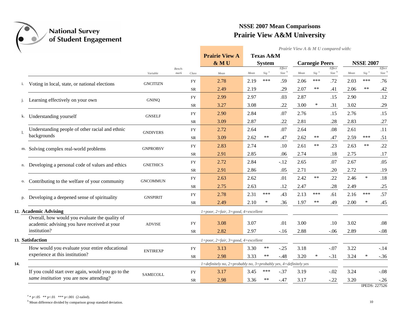

*Prairie View A & M U compared with:*

|     |                                                             |                 |                |            | <b>Prairie View A</b>                                                            |              | <b>Texas A&amp;M</b> |                               |              |                       |                             |              |                  |                             |
|-----|-------------------------------------------------------------|-----------------|----------------|------------|----------------------------------------------------------------------------------|--------------|----------------------|-------------------------------|--------------|-----------------------|-----------------------------|--------------|------------------|-----------------------------|
|     |                                                             |                 |                |            | & MU                                                                             |              | <b>System</b>        |                               |              | <b>Carnegie Peers</b> |                             |              | <b>NSSE 2007</b> |                             |
|     |                                                             | Variable        | Bench-<br>mark | Class      | Mean                                                                             | Mean         | Sig <sup>a</sup>     | Effect<br>$Size$ <sup>b</sup> | Mean         | Sig <sup>a</sup>      | Effect<br>Size <sup>b</sup> | Mean         | Sig <sup>a</sup> | Effect<br>Size <sup>b</sup> |
| i.  | Voting in local, state, or national elections               | <b>GNCITIZN</b> |                | ${\rm FY}$ | 2.78                                                                             | 2.19         | ***                  | .59                           | 2.06         | ***                   | .72                         | 2.03         | ***              | .76                         |
|     |                                                             |                 |                | <b>SR</b>  | 2.49                                                                             | 2.19         |                      | .29                           | 2.07         | $***$                 | .41                         | 2.06         | $***$            | .42                         |
|     | Learning effectively on your own                            | <b>GNINQ</b>    |                | <b>FY</b>  | 2.99                                                                             | 2.97         |                      | .03                           | 2.87         |                       | .15                         | 2.90         |                  | .12                         |
|     |                                                             |                 |                | SR         | 3.27                                                                             | 3.08         |                      | .22                           | 3.00         | $\ast$                | .31                         | 3.02         |                  | .29                         |
| k.  | Understanding yourself                                      | <b>GNSELF</b>   |                | <b>FY</b>  | 2.90                                                                             | 2.84         |                      | .07                           | 2.76         |                       | .15                         | 2.76         |                  | .15                         |
|     |                                                             |                 |                | <b>SR</b>  | 3.09                                                                             | 2.87         |                      | .22                           | 2.81         |                       | .28                         | 2.83         |                  | .27                         |
|     | Understanding people of other racial and ethnic             | <b>GNDIVERS</b> |                | <b>FY</b>  | 2.72                                                                             | 2.64         |                      | .07                           | 2.64         |                       | .08                         | 2.61         |                  | .11                         |
|     | backgrounds                                                 |                 |                | SR         | 3.09                                                                             | 2.62         | $***$                | .47                           | 2.62         | $***$                 | .47                         | 2.59         | ***              | .51                         |
|     | m. Solving complex real-world problems                      | <b>GNPROBSV</b> |                | <b>FY</b>  | 2.83                                                                             | 2.74         |                      | $.10$                         | 2.61         | $***$                 | .23                         | 2.63         | $***$            | .22                         |
|     |                                                             |                 |                | SR         | 2.91                                                                             | 2.85         |                      | .06                           | 2.74         |                       | .18                         | 2.75         |                  | .17                         |
| n.  | Developing a personal code of values and ethics             | <b>GNETHICS</b> |                | ${\rm FY}$ | 2.72                                                                             | 2.84         |                      | $-.12$                        | 2.65         |                       | .07                         | 2.67         |                  | .05                         |
|     |                                                             |                 |                | <b>SR</b>  | 2.91                                                                             | 2.86         |                      | .05                           | 2.71         |                       | .20                         | 2.72         |                  | .19                         |
| 0.  | Contributing to the welfare of your community               | <b>GNCOMMUN</b> |                | <b>FY</b>  | 2.63                                                                             | 2.62         |                      | .01                           | 2.42         | $***$                 | .22                         | 2.46         | $\ast$           | .18                         |
|     |                                                             |                 |                | <b>SR</b>  | 2.75                                                                             | 2.63         |                      | .12                           | 2.47         |                       | .28                         | 2.49         |                  | .25                         |
| p.  | Developing a deepened sense of spirituality                 | <b>GNSPIRIT</b> |                | <b>FY</b>  | 2.78                                                                             | 2.31         | ***                  | .43                           | 2.13         | ***                   | .61                         | 2.16         | ***              | .57                         |
|     |                                                             |                 |                | SR         | 2.49                                                                             | 2.10         | $\ast$               | .36                           | 1.97         | $***$                 | .49                         | 2.00         | $\ast$           | .45                         |
|     | 12. Academic Advising                                       |                 |                |            | $1 = poor$ , $2 = fair$ , $3 = good$ , $4 = excellent$                           |              |                      |                               |              |                       |                             |              |                  |                             |
|     | Overall, how would you evaluate the quality of              |                 |                |            |                                                                                  |              |                      |                               |              |                       |                             |              |                  |                             |
|     | academic advising you have received at your<br>institution? | <b>ADVISE</b>   |                | <b>FY</b>  | 3.08<br>2.82                                                                     | 3.07<br>2.97 |                      | .01                           | 3.00<br>2.88 |                       | .10                         | 3.02<br>2.89 |                  | .08<br>$-.08$               |
|     |                                                             |                 |                | <b>SR</b>  |                                                                                  |              |                      | $-.16$                        |              |                       | $-.06$                      |              |                  |                             |
|     | 13. Satisfaction                                            |                 |                |            | 1=poor, 2=fair, 3=good, 4=excellent                                              |              |                      |                               |              |                       |                             |              |                  |                             |
|     | How would you evaluate your entire educational              | <b>ENTIREXP</b> |                | <b>FY</b>  | 3.13                                                                             | 3.30         | **                   | $-.25$                        | 3.18         |                       | $-.07$                      | 3.22         |                  | $-.14$                      |
|     | experience at this institution?                             |                 |                | <b>SR</b>  | 2.98                                                                             | 3.33         | $***$                | $-.48$                        | 3.20         | $\ast$                | $-.31$                      | 3.24         | ∗                | $-.36$                      |
| 14. |                                                             |                 |                |            | $1 =$ definitely no, $2 =$ probably no, $3 =$ probably yes, $4 =$ definitely yes |              |                      |                               |              |                       |                             |              |                  |                             |
|     | If you could start over again, would you go to the          | <b>SAMECOLL</b> |                | <b>FY</b>  | 3.17                                                                             | 3.45         | ***                  | $-.37$                        | 3.19         |                       | $-.02$                      | 3.24         |                  | $-.08$                      |
|     | same institution you are now attending?                     |                 |                | <b>SR</b>  | 2.98                                                                             | 3.36         | $***$                | $-.47$                        | 3.17         |                       | $-.22$                      | 3.20         |                  | $-.26$                      |

IPEDS: 227526

 $a * p < .05$  \*\*  $p < .01$  \*\*\*  $p < .001$  (2-tailed).

<sup>b</sup> Mean difference divided by comparison group standard deviation. 10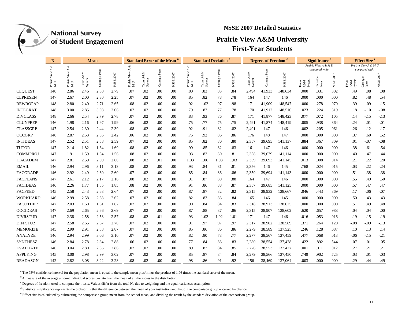

### **NSSE 2007 Detailed Statistics**

### **Prairie View A&M University First-Year Students**

|                 | N                 |                              | Mean          |                |               | <b>Standard Error of the Mean</b> |                          |              |                  | <b>Standard Deviation</b>                                             |                          |                  |               | <b>Degrees of Freedom</b> |                   |                      | <b>Significance</b>                        |                                     |                      | <b>Effect Size<sup>e</sup></b> |                         |           |
|-----------------|-------------------|------------------------------|---------------|----------------|---------------|-----------------------------------|--------------------------|--------------|------------------|-----------------------------------------------------------------------|--------------------------|------------------|---------------|---------------------------|-------------------|----------------------|--------------------------------------------|-------------------------------------|----------------------|--------------------------------|-------------------------|-----------|
|                 | ళ                 | శ                            |               |                |               | ళ<br>$\prec$<br>$\prec$           |                          |              |                  |                                                                       |                          |                  |               |                           |                   | Prairie View A & M U |                                            |                                     | Prairie View A & M U |                                |                         |           |
|                 | ⋖<br>Prairi<br>MU | $\prec$<br>s<br>Prairi<br>MU | A&M<br>System | Carnegie Peers | 2007<br>NSSE: | View<br>Prairi<br>MU              | A&M<br>Texas A<br>System | Carnegie Pee | NSSE 2007        | View<br>$\begin{array}{lcl} \text{Prairie} \\ \text{M U} \end{array}$ | A&M<br>Texas A<br>System | Peer<br>Carnegie | 2007<br>NSSE: | A&M<br>Texas A<br>System  | Peers<br>Carnegie | NSSE 2007            | $\mathbb{A}\&\mathbb{M}$<br>exas<br>Syster | compared with:<br>Carnegie<br>Peers | NSSE 2007            | A&M<br>System                  | compared with:<br>Peers | NSSE 2007 |
| <b>CLOUEST</b>  | 148               | 2.86                         | 2.46          | 2.80           | 2.79          | .07                               | .02                      | .00          | .00              | .80                                                                   | .83                      | .83              | .84           | 2,494                     | 41,933            | 148,634              | .000                                       | .331                                | .302                 | .49                            | .08                     | .08       |
| <b>CLPRESEN</b> | 147               | 2.67                         | 2.00          | 2.30           | 2.25          | .07                               | .02                      | .00          | .00              | .85                                                                   | .82                      | .78              | .78           | 164                       | 147               | 146                  | .000                                       | .000                                | .000                 | .82                            | .48                     | .54       |
| <b>REWROPAP</b> | 148               | 2.80                         | 2.40          | 2.71           | 2.65          | .08                               | .02                      | .00          | .00              | .92                                                                   | 1.02                     | .97              | .98           | 171                       | 41,909            | 148,547              | .000                                       | .278                                | .070                 | .39                            | .09                     | .15       |
| <b>INTEGRAT</b> | 148               | 3.00                         | 2.85          | 3.08           | 3.06          | .07                               | .02                      | .00          | .00              | .79                                                                   | .87                      | .77              | .78           | 170                       | 41,912            | 148,510              | .023                                       | .224                                | .319                 | .18                            | $-.10$                  | $-.08$    |
| <b>DIVCLASS</b> | 148               | 2.66                         | 2.54          | 2.79           | 2.78          | .07                               | .02                      | .00          | .00              | .83                                                                   | .93                      | .86              | .87           | 171                       | 41,877            | 148,423              | .077                                       | .072                                | .105                 | .14                            | $-.15$                  | $-13$     |
| <b>CLUNPREP</b> | 146               | 1.98                         | 2.16          | 1.97           | 1.99          | .06                               | .02                      | .00          | .00              | .75                                                                   | .77                      | .75              | .75           | 2,491                     | 41,874            | 148,419              | .005                                       | .938                                | .864                 | $-0.24$                        | .01                     | $-.01$    |
| <b>CLASSGRP</b> | 147               | 2.54                         | 2.30          | 2.44           | 2.39          | .08                               | .02                      | .00          | .00              | .92                                                                   | .91                      | .82              | .82           | 2,491                     | 147               | 146                  | .002                                       | .205                                | .061                 | .26                            | .12                     | .17       |
| <b>OCCGRP</b>   | 148               | 2.87                         | 2.53          | 2.36           | 2.42          | .06                               | .02                      | .00          | .00              | .75                                                                   | .92                      | .86              | .86           | 176                       | 148               | 147                  | .000                                       | .000                                | .000                 | .37                            | .60                     | .52       |
| <b>INTIDEAS</b> | 147               | 2.52                         | 2.51          | 2.58           | 2.59          | .07                               | .02                      | .00          | .00              | .85                                                                   | .82                      | .80              | .80           | 2,357                     | 39,695            | 141,137              | .884                                       | .367                                | .309                 | .01                            | $-.07$                  | $-.08$    |
| <b>TUTOR</b>    | 147               | 2.14                         | 1.82          | 1.64           | 1.69          | .08                               | .02                      | .00          | .00              | .99                                                                   | .85                      | .82              | .83           | 161                       | 147               | 146                  | .000                                       | .000                                | .000                 | .38                            | .61                     | .54       |
| <b>COMMPROJ</b> | 147               | 1.91                         | 1.59          | 1.54           | 1.56          | .08                               | .02                      | .00          | .00              | .93                                                                   | .82                      | .80              | .81           | 2,358                     | 39,679            | 141,114              | .000                                       | .000                                | .000                 | .40                            | .47                     | .44       |
| <b>ITACADEM</b> | 147               | 2.81                         | 2.59          | 2.59           | 2.60          | .08                               | .02                      | .01          | .00              | 1.03                                                                  | 1.06                     | 1.03             | 1.03          | 2,359                     | 39,693            | 141,145              | .013                                       | .008                                | .014                 | .21                            | .22                     | .20       |
| <b>EMAIL</b>    | 146               | 2.94                         | 2.96          | 3.11           | 3.13          | .08                               | .02                      | .00          | .00              | .93                                                                   | .84                      | .81              | .81           | 2,356                     | 146               | 145                  | .768                                       | .024                                | .015                 | $-.03$                         | $-.22$                  | $-.24$    |
| <b>FACGRADE</b> | 146               | 2.92                         | 2.49          | 2.60           | 2.60          | .07                               | .02                      | .00          | .00              | .85                                                                   | .84                      | .86              | .86           | 2,359                     | 39,694            | 141,143              | .000                                       | .000                                | .000                 | .51                            | .38                     | .38       |
| <b>FACPLANS</b> | 147               | 2.61                         | 2.12          | 2.17           | 2.16          | .08                               | .02                      | .00          | .00              | .91                                                                   | .87                      | .89              | .88           | 164                       | 147               | 146                  | .000                                       | .000                                | .000                 | .55                            | .49                     | .50       |
| <b>FACIDEAS</b> | 146               | 2.26                         | 1.77          | 1.85           | 1.85          | .08                               | .02                      | .00          | .00              | .91                                                                   | .86                      | .88              | .87           | 2,357                     | 39,685            | 141,125              | .000                                       | .000                                | .000                 | .57                            | .47                     | .47       |
| <b>FACFEED</b>  | 145               | 2.58                         | 2.43          | 2.63           | 2.64          | .07                               | .02                      | .00          | .00              | .87                                                                   | .87                      | .82              | .82           | 2,315                     | 38,932            | 138,667              | .046                                       | .443                                | .369                 | .17                            | $-.06$                  | $-0.07$   |
| WORKHARD        | 146               | 2.99                         | 2.58          | 2.63           | 2.62          | .07                               | .02                      | .00          | .00              | .82                                                                   | .83                      | .83              | .84           | 165                       | 146               | 145                  | .000                                       | .000                                | .000                 | .50                            | .43                     | .43       |
| <b>FACOTHER</b> | 147               | 2.03                         | 1.60          | 1.61           | 1.62          | .07                               | .02                      | .00          | .00              | .90                                                                   | .84                      | .84              | .83           | 2,318                     | 38,913            | 138,625              | .000                                       | .000                                | .000                 | .51                            | .49                     | .48       |
| <b>OOCIDEAS</b> | 147               | 2.69                         | 2.65          | 2.66           | 2.69          | .07                               | .02                      | .00          | .00              | .87                                                                   | .88                      | .87              | .86           | 2,315                     | 38,907            | 138,602              | .620                                       | .657                                | .988                 | .04                            | .04                     | .00       |
| <b>DIVRSTUD</b> | 147               | 2.38                         | 2.58          | 2.53           | 2.57          | .08                               | .02                      | .01          | .00              | .93                                                                   | 1.02                     | 1.02             | 1.01          | 171                       | 147               | 146                  | .016                                       | .053                                | .016                 | $-.19$                         | $-.15$                  | $-19$     |
| DIFFSTU2        | 147               | 2.58                         | 2.65          | 2.67           | 2.70          | .07                               | .02                      | .00.         | .00              | .91                                                                   | .97                      | .97              | .97           | 2,317                     | 38,902            | 138,589              | .371                                       | .264                                | .120                 | $-.08$                         | $-.09$                  | $-13$     |
| <b>MEMORIZE</b> | 145               | 2.99                         | 2.91          | 2.88           | 2.87          | .07                               | .02                      | .00          | .00              | .85                                                                   | .86                      | .86              | .86           | 2,279                     | 38,589            | 137,525              | .246                                       | .128                                | .087                 | .10                            | .13                     | .14       |
| <b>ANALYZE</b>  | 146               | 2.94                         | 2.99          | 3.06           | 3.10          | .07                               | .02                      | .00          | .00              | .82                                                                   | .80                      | .78              | .77           | 2,277                     | 38,567            | 137,459              | .477                                       | .068                                | .013                 | $-.06$                         | $-.15$                  | $-.21$    |
| <b>SYNTHESZ</b> | 146               | 2.84                         | 2.78          | 2.84           | 2.88          | .06                               | .02                      | .00          | .00              | .77                                                                   | .84                      | .83              | .83           | 2,280                     | 38,554            | 137,428              | .422                                       | .892                                | .544                 | .07                            | $-.01$                  | $-0.05$   |
| <b>EVALUATE</b> | 146               | 3.04                         | 2.80          | 2.86           | 2.86          | .07                               | .02                      | .00          | .00              | .89                                                                   | .87                      | .84              | .85           | 2,276                     | 38,553            | 137,427              | .001                                       | .011                                | .012                 | .27                            | .21                     | .21       |
| <b>APPLYING</b> | 145               | 3.00                         | 2.98          | 2.99           | 3.02          | .07                               | .02                      | .00          | .00              | .85                                                                   | .87                      | .84              | .84           | 2,279                     | 38,566            | 137,450              | .749                                       | .902                                | .725                 | .03                            | .01                     | $-.03$    |
| <b>READASGN</b> | 142               | 2.82                         | 3.08          | 3.22           | 3.28          | .08                               | .02                      | .00          | .00 <sub>1</sub> | .98                                                                   | .86                      | .91              | .92           | 156                       | 38.469            | 137,064              | .003                                       | .000                                | .000                 | $-.29$                         | $-44$                   | $-.49$    |

<sup>a</sup> The 95% confidence interval for the population mean is equal to the sample mean plus/minus the product of 1.96 times the standard error of the mean.

<sup>b</sup> A measure of the average amount individual scores deviate from the mean of all the scores in the distribution.

 $c$  Degrees of freedom used to compute the t-tests. Values differ from the total Ns due to weighting and the equal variances assumption.

<sup>d</sup> Statistical significance represents the probability that the difference between the mean of your institution and that of the comparison group occurred by chance.

<sup>e</sup> Effect size is calculated by subtracting the comparison group mean from the school mean, and dividing the result by the standard deviation of the comparison group.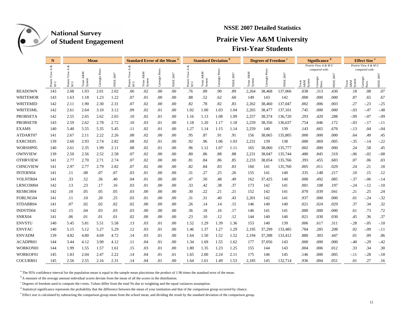

### **NSSE 2007 Detailed Statistics**

### **Prairie View A&M University First-Year Students**

|                 | N                  |                                                                                  |                              | Mean           |           |                                   | <b>Standard Error of the Mean</b> |                |                       | <b>Standard Deviation</b>                                             |                        |          |           | <b>Degrees of Freedom</b> |                     |           | <b>Significance</b>   |                                     |               | <b>Effect Size<sup>e</sup></b> |                                    |           |
|-----------------|--------------------|----------------------------------------------------------------------------------|------------------------------|----------------|-----------|-----------------------------------|-----------------------------------|----------------|-----------------------|-----------------------------------------------------------------------|------------------------|----------|-----------|---------------------------|---------------------|-----------|-----------------------|-------------------------------------|---------------|--------------------------------|------------------------------------|-----------|
|                 | శ                  | ళ                                                                                |                              |                |           |                                   |                                   |                |                       | ళ<br>4                                                                |                        |          |           |                           |                     |           |                       | Prairie View A & M U                |               |                                | Prairie View A & M U               |           |
|                 | ⋖<br>Prairie<br>MU | $\prec$<br>View<br>$\begin{array}{lcl} \text{Prairie} \\ \text{M U} \end{array}$ | z<br>A&<br>Texas A<br>System | Carnegie Peers | NSSE 2007 | ≺<br>View<br>Prairie $_{\rm M~U}$ | A&M<br>Texas<br>System            | Carnegie Peers | 2007<br>$_{\rm NSSE}$ | View<br>$\begin{array}{lcl} \text{Prairie} \\ \text{M U} \end{array}$ | A&M<br>Texas<br>Systen | Carnegie | NSSE 2007 | A&M<br>Texas<br>Systen    | Peers<br>negie<br>ā | NSSE 2007 | A&M<br>Systen<br>exas | compared with:<br>Carnegie<br>Peers | 2007<br>NSSE: | A&M<br>System                  | compared with:<br>'arnegie<br>Peer | NSSE 2007 |
| <b>READOWN</b>  | 143                | 2.08                                                                             | 1.93                         | 2.01           | 2.02      | .06                               | .02                               | .00            | .00                   | .76                                                                   | .89                    | .90      | .89       | 2,264                     | 38,468              | 137,066   | .038                  | .313                                | .430          | .18                            | .08                                | .07       |
| <b>WRITEMOR</b> | 143                | 1.63                                                                             | 1.18                         | 1.23           | 1.22      | .07                               | .01                               | .00            | .00                   | .88                                                                   | .52                    | .62      | .60       | 149                       | 143                 | 142       | .000                  | .000                                | .000          | .87                            | .65                                | .67       |
| <b>WRITEMID</b> | 142                | 2.11                                                                             | 1.90                         | 2.30           | 2.31      | .07                               | .02                               | .00            | .00                   | .82                                                                   | .78                    | .82      | .83       | 2,262                     | 38,460              | 137,047   | .002                  | .006                                | .003          | .27                            | $-.23$                             | $-25$     |
| WRITESML        | 142                | 2.61                                                                             | 2.64                         | 3.10           | 3.12      | .09                               | .02                               | .01            | .00                   | 1.02                                                                  | 1.00                   | 1.03     | 1.04      | 2,265                     | 38,477              | 137,101   | .745                  | .000                                | .000          | $-.03$                         | $-.47$                             | $-48$     |
| <b>PROBSETA</b> | 142                | 2.55                                                                             | 2.65                         | 2.62           | 2.65      | .10                               | .02                               | .01            | .00                   | 1.16                                                                  | 1.13                   | 1.08     | 1.09      | 2,257                     | 38,374              | 136,720   | .293                  | .420                                | .288          | $-.09$                         | $-.07$                             | $-.09$    |
| <b>PROBSETB</b> | 143                | 2.59                                                                             | 2.62                         | 2.78           | 2.72      | .10                               | .03                               | .01            | .00                   | 1.18                                                                  | 1.20                   | 1.17     | 1.18      | 2,259                     | 38,356              | 136,637   | .754                  | .046                                | .172          | $-.03$                         | $-.17$                             | $-.11$    |
| <b>EXAMS</b>    | 140                | 5.40                                                                             | 5.55                         | 5.35           | 5.45      | .11                               | .02                               | .01            | .00                   | 1.27                                                                  | 1.14                   | 1.15     | 1.14      | 2,259                     | 140                 | 139       | .143                  | .665                                | .676          | $-.13$                         | .04                                | $-.04$    |
| ATDART07        | 141                | 2.67                                                                             | 2.11                         | 2.22           | 2.26      | .08                               | .02                               | .00            | $.00\,$               | .95                                                                   | .87                    | .91      | .91       | 156                       | 38,065              | 135,805   | .000                  | .000                                | .000          | .64                            | .49                                | .45       |
| EXRCSE05        | 139                | 2.60                                                                             | 2.93                         | 2.74           | 2.82      | .08                               | .02                               | .01            | .00                   | .92                                                                   | .96                    | 1.06     | 1.03      | 2,231                     | 139                 | 138       | .000                  | .069                                | .005          | $-35$                          | $-.14$                             | $-.22$    |
| WORSHP05        | 140                | 2.61                                                                             | 2.35                         | 1.99           | 2.11      | .08                               | .02                               | .01            | .00                   | .96                                                                   | 1.12                   | 1.07     | 1.11      | 165                       | 38,060              | 135,777   | .002                  | .000                                | .000          | .24                            | .58                                | .45       |
| <b>OWNVIEW</b>  | 139                | 2.50                                                                             | 2.56                         | 2.52           | 2.58      | .07                               | .02                               | .00            | .00                   | .80                                                                   | .86                    | .88      | .88       | 2,231                     | 38,047              | 135,744   | .480                  | .845                                | .319          | $-.06$                         | $-.02$                             | $-.08$    |
| <b>OTHRVIEW</b> | 141                | 2.77                                                                             | 2.70                         | 2.71           | 2.74      | .07                               | .02                               | .00            | .00                   | .81                                                                   | .84                    | .86      | .85       | 2,233                     | 38,054              | 135,766   | .393                  | .455                                | .683          | .07                            | .06                                | .03       |
| <b>CHNGVIEW</b> | 141                | 2.97                                                                             | 2.77                         | 2.79           | 2.82      | .07                               | .02                               | .00            | .00                   | .82                                                                   | .84                    | .83      | .83       | 160                       | 141                 | 135,760   | .005                  | .011                                | .029          | .24                            | .21                                | .18       |
| <b>INTERN04</b> | 141                | .11                                                                              | .08                          | .07            | .07       | .03                               | .01                               | .00            | .00                   | .31                                                                   | .27                    | .25      | .26       | 155                       | 141                 | 140       | .335                  | .148                                | .217          | .10                            | .15                                | .12       |
| VOLNTR04        | 141                | .33                                                                              | .52                          | .36            | .40       | .04                               | .01                               | .00            | .00                   | .47                                                                   | .50                    | .48      | .49       | 162                       | 37,425              | 140       | .000                  | .492                                | .085          | $-.37$                         | $-.06$                             | $-.14$    |
| LRNCOM04        | 142                | .13                                                                              | .23                          | .17            | .16       | .03                               | .01                               | .00            | .00                   | .33                                                                   | .42                    | .38      | .37       | 173                       | 142                 | 141       | .001                  | .108                                | .197          | -.24                           | $-12$                              | $-.10$    |
| RESRCH04        | 142                | .10                                                                              | .05                          | .05            | .05       | .03                               | .00                               | .00            | .00                   | .30                                                                   | .22                    | .21      | .21       | 152                       | 142                 | 141       | .070                  | .039                                | .041          | .21                            | .25                                | .24       |
| FORLNG04        | 141                | .11                                                                              | .10                          | .20            | .25       | .03                               | .01                               | .00            | .00                   | .31                                                                   | .31                    | .40      | .43       | 2,201                     | 142                 | 141       | .937                  | .000                                | .000          | .01                            | $-.24$                             | $-.32$    |
| STDABR04        | 141                | .07                                                                              | .02                          | .02            | .02       | .02                               | .00                               | .00            | .00                   | .26                                                                   | .14                    | .14      | .15       | 146                       | 140                 | 140       | .021                  | .024                                | .029          | .37                            | .34                                | .32       |
| INDSTD04        | 142                | .15                                                                              | .04                          | .03            | .03       | .03                               | .00                               | .00            | .00                   | .36                                                                   | .18                    | .16      | .17       | 146                       | 141                 | 141       | .000                  | .000                                | .000          | .61                            | .73                                | .72       |
| SNRX04          | 141                | .06                                                                              | .01                          | .01            | .01       | .02                               | .00                               | .00            | .00                   | .23                                                                   | .10                    | .12      | .12       | 144                       | 140                 | 140       | .021                  | .030                                | .030          | .45                            | .36                                | .37       |
| <b>ENVSTU</b>   | 140                | 5.45                                                                             | 5.81                         | 5.51           | 5.58      | .13                               | .03                               | .01            | .00                   | 1.52                                                                  | 1.29                   | 1.39     | 1.36      | 153                       | 140                 | 139       | .006                  | .617                                | .311          | $-.28$                         | $-.05$                             | $-.10$    |
| <b>ENVFAC</b>   | 140                | 5.15                                                                             | 5.12                         | 5.27           | 5.29      | .12                               | .03                               | .01            | $.00\,$               | 1.46                                                                  | 1.37                   | 1.27     | 1.29      | 2,195                     | 37,299              | 133,485   | .784                  | .285                                | .208          | .02                            | $-.09$                             | $-.11$    |
| <b>ENVADM</b>   | 139                | 4.82                                                                             | 4.80                         | 4.69           | 4.72      | .14                               | .03                               | .01            | .00                   | 1.64                                                                  | 1.50                   | 1.52     | 1.52      | 2,194                     | 37,288              | 133,412   | .880                  | .303                                | .447          | .01                            | .09                                | .06       |
| ACADPR01        | 144                | 3.44                                                                             | 4.12                         | 3.90           | 4.12      | .11                               | .04                               | .01            | .00                   | 1.34                                                                  | 1.69                   | 1.55     | 1.62      | 177                       | 37,056              | 143       | .000                  | .000                                | .000          | -.40                           | $-.29$                             | $-42$     |
| WORKON01        | 144                | 1.99                                                                             | 1.55                         | 1.57           | 1.61      | .15                               | .03                               | .01            | .00                   | 1.80                                                                  | 1.35                   | 1.23     | 1.25      | 155                       | 144                 | 143       | .004                  | .006                                | .012          | .33                            | .34                                | .30       |
| WORKOF01        | 145                | 1.83                                                                             | 2.04                         | 2.47           | 2.22      | .14                               | .04                               | .01            | .01                   | 1.65                                                                  | 2.00                   | 2.24     | 2.11      | 175                       | 146                 | 145       | .146                  | .000                                | .005          | - 11                           | $-.28$                             | $-.18$    |
| COCURR01        | 145                | 2.56                                                                             | 2.55                         | 2.16           | 2.31      | .14                               | .04                               | .01            | 00.                   | 1.64                                                                  | 1.61                   | 1.49     | 1.53      | 2,185                     | 145                 | 132,714   | .936                  | .004                                | .051          | .01                            | .27                                | .16       |

<sup>a</sup> The 95% confidence interval for the population mean is equal to the sample mean plus/minus the product of 1.96 times the standard error of the mean.

<sup>b</sup> A measure of the average amount individual scores deviate from the mean of all the scores in the distribution.

 $c$  Degrees of freedom used to compute the t-tests. Values differ from the total Ns due to weighting and the equal variances assumption.

<sup>d</sup> Statistical significance represents the probability that the difference between the mean of your institution and that of the comparison group occurred by chance.

<sup>e</sup> Effect size is calculated by subtracting the comparison group mean from the school mean, and dividing the result by the standard deviation of the comparison group.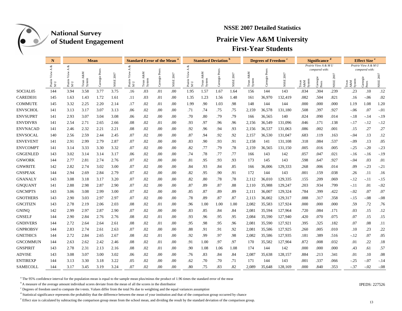

### **NSSE 2007 Detailed Statistics**

### **Prairie View A&M University First-Year Students**

|                      | N                                                       |                        |                          | <b>Mean</b>       |               | <b>Standard Error of the Mean</b> |                          |               |               |                        | <b>Standard Deviation</b> |                  |               |                              | <b>Degrees of Freedom</b> |                                        |                                            | <b>Significance</b> |                                        |               | <b>Effect Size<sup>e</sup></b> |               |
|----------------------|---------------------------------------------------------|------------------------|--------------------------|-------------------|---------------|-----------------------------------|--------------------------|---------------|---------------|------------------------|---------------------------|------------------|---------------|------------------------------|---------------------------|----------------------------------------|--------------------------------------------|---------------------|----------------------------------------|---------------|--------------------------------|---------------|
|                      | శ<br>∢                                                  | శ<br>∢                 |                          |                   |               | ళ<br>÷.<br>⋖                      |                          |               |               |                        |                           |                  |               |                              |                           | Prairie View A & M U<br>compared with: |                                            |                     | Prairie View A & M U<br>compared with: |               |                                |               |
|                      | $\begin{array}{l}{\rm{Pranic}}\\ {\rm{M~U}}\end{array}$ | View<br>Prairie<br>M U | A&M<br>Texas A<br>System | Peers<br>Carnegie | 2007<br>NSSE: | View<br>Prairie<br>M U            | A&M<br>Texas A<br>System | Carnegie Peer | 2007<br>NSSE: | View<br>Prairie<br>M U | A&M<br>Texas A<br>System  | Peer<br>Carnegie | 2007<br>NSSE: | z<br>Å&<br>Texas A<br>System | Peers<br>Carnegie         | NSSE 2007                              | $\mathbf{A}\mathbf{\&M}$<br>Syster<br>exas | Carnegie<br>Peers   | NSSE 2007                              | A&M<br>System | Peers                          | NSSE 2007     |
| SOCIAL <sub>05</sub> | 144                                                     | 3.94                   | 3.58                     | 3.77              | 3.75          | .16                               | .03                      | .01           | .00           | 1.95                   | 1.57                      | 1.67             | 1.64          | 156                          | 144                       | 143                                    | .034                                       | .304                | .239                                   | .23           | .10                            | .12           |
| CAREDE01             | 145                                                     | 1.63                   | 1.43                     | 1.72              | 1.61          | .11                               | .03                      | .01           | .00           | 1.35                   | 1.23                      | 1.56             | 1.48          | 161                          | 36,970                    | 132,419                                | .082                                       | .504                | .821                                   | .16           | $-.06$                         | .02           |
| <b>COMMUTE</b>       | 145                                                     | 3.32                   | 2.25                     | 2.20              | 2.14          | .17                               | .02                      | .01           | .00           | 1.99                   | .90                       | 1.03             | .98           | 148                          | 144                       | 144                                    | .000                                       | .000                | .000                                   | 1.19          | 1.08                           | 1.20          |
| <b>ENVSCHOL</b>      | 141                                                     | 3.13                   | 3.17                     | 3.07              | 3.13          | .06                               | .02                      | .00           | .00           | .71                    | .74                       | .75              | .75           | 2,159                        | 36,578                    | 131,180                                | .508                                       | .397                | .927                                   | $-.06$        | .07                            | $-.01$        |
| <b>ENVSUPRT</b>      | 141                                                     | 2.93                   | 3.07                     | 3.04              | 3.08          | .06                               | .02                      | .00           | .00           | .70                    | .80                       | .79              | .79           | 166                          | 36,565                    | 140                                    | .024                                       | .090                | .014                                   | $-.18$        | $-.14$                         | $-19$         |
| <b>ENVDIVRS</b>      | 141                                                     | 2.54                   | 2.71                     | 2.65              | 2.66          | .08                               | .02                      | .01           | .00           | .93                    | .97                       | .96              | .96           | 2,156                        | 36,549                    | 131,096                                | .046                                       | .171                | .138                                   | $-.17$        | $-.12$                         | $-.12$        |
| <b>ENVNACAD</b>      | 141                                                     | 2.46                   | 2.32                     | 2.21              | 2.21          | .08                               | .02                      | .00           | .00           | .92                    | .96                       | .94              | .93           | 2,156                        | 36,537                    | 131,063                                | .086                                       | .002                | .001                                   | .15           | .27                            | .27           |
| <b>ENVSOCAL</b>      | 140                                                     | 2.56                   | 2.59                     | 2.44              | 2.45          | .07                               | .02                      | .00           | .00           | .87                    | .94                       | .92              | .92           | 2,157                        | 36,530                    | 131,047                                | .683                                       | .119                | .163                                   | $-.04$        | .13                            | .12           |
| <b>ENVEVENT</b>      | 141                                                     | 2.91                   | 2.99                     | 2.79              | 2.87          | .07                               | .02                      | $.00\,$       | .00           | .83                    | .90                       | .93              | .91           | 2,158                        | 141                       | 131,108                                | .318                                       | .084                | .537                                   | $-.09$        | .13                            | .05           |
| <b>ENVCOMPT</b>      | 141                                                     | 3.14                   | 3.33                     | 3.30              | 3.32          | .07                               | .02                      | .00           | .00           | .82                    | .77                       | .79              | .78           | 2,159                        | 36,565                    | 131,150                                | .005                                       | .016                | .005                                   | $-25$         | $-.20$                         | $-.23$        |
| <b>GNGENLED</b>      | 143                                                     | 3.02                   | 3.14                     | 3.14              | 3.17          | .06                               | .02                      | .00           | .00           | .74                    | .78                       | .77              | .77           | 166                          | 143                       | 142                                    | .057                                       | .047                | .021                                   | $-16$         | $-.16$                         | $-.19$        |
| <b>GNWORK</b>        | 144                                                     | 2.77                   | 2.81                     | 2.74              | 2.76          | .07                               | .02                      | .00           | .00           | .81                    | .95                       | .93              | .93           | 173                          | 145                       | 143                                    | .598                                       | .647                | .927                                   | $-.04$        | .03                            | .01           |
| <b>GNWRITE</b>       | 142                                                     | 2.82                   | 2.74                     | 3.02              | 3.00          | .07                               | .02                      | .00           | .00           | .84                    | .93                       | .84              | .85           | 166                          | 36,006                    | 129,333                                | .268                                       | .006                | .014                                   | .09           | $-.23$                         | $-.21$        |
| <b>GNSPEAK</b>       | 144                                                     | 2.94                   | 2.69                     | 2.84              | 2.79          | .07                               | .02                      | .00           | .00           | .82                    | .95                       | .90              | .91           | 172                          | 144                       | 143                                    | .001                                       | .159                | .038                                   | .26           | .11                            | .16           |
| <b>GNANALY</b>       | 143                                                     | 3.08                   | 3.18                     | 3.17              | 3.20          | .07                               | .02                      | .00           | .00           | .82                    | .80                       | .78              | .78           | 2,112                        | 36,010                    | 129,335                                | .155                                       | .209                | .069                                   | $-.12$        | $-.11$                         | $-15$         |
| <b>GNQUANT</b>       | 141                                                     | 2.88                   | 2.98                     | 2.87              | 2.90          | .07                               | .02                      | .00           | .00           | .87                    | .89                       | .87              | .88           | 2,110                        | 35,988                    | 129,247                                | .203                                       | .934                | .799                                   | -.11          | .01                            | $-.02$        |
| <b>GNCMPTS</b>       | 143                                                     | 3.06                   | 3.08                     | 2.99              | 3.00          | .07                               | .02                      | .00           | .00           | .85                    | .87                       | .89              | .89           | 2,111                        | 36,007                    | 129,324                                | .784                                       | .399                | .422                                   | $-.02$        | .07                            | .07           |
| <b>GNOTHERS</b>      | 143                                                     | 2.90                   | 3.03                     | 2.97              | 2.97          | .07                               | .02                      | .00           | .00           | .78                    | .89                       | .87              | .87           | 2,113                        | 36,002                    | 129,317                                | .088                                       | .317                | .358                                   | $-15$         | $-.08$                         | $-.08$        |
| <b>GNCITIZN</b>      | 143                                                     | 2.78                   | 2.19                     | 2.06              | 2.03          | .08                               | .02                      | .01           | .00           | .96                    | 1.00                      | 1.00             | 1.00          | 2,082                        | 35,583                    | 127,924                                | .000                                       | .000                | .000                                   | .59           | .72                            | .76           |
| <b>GNINQ</b>         | 142                                                     | 2.99                   | 2.97                     | 2.87              | 2.90          | .07                               | .02                      | .00           | .00           | .83                    | .85                       | .84              | .84           | 2,081                        | 35,594                    | 127,964                                | .720                                       | .084                | .171                                   | .03           | .15                            | .12           |
| <b>GNSELF</b>        | 144                                                     | 2.90                   | 2.84                     | 2.76              | 2.76          | .08                               | .02                      | .01           | .00           | .93                    | .96                       | .95              | .95           | 2,084                        | 35,590                    | 127,940                                | .420                                       | .070                | .075                                   | .07           | .15                            | .15           |
| <b>GNDIVERS</b>      | 144                                                     | 2.72                   | 2.64                     | 2.64              | 2.61          | .08                               | .02                      | .01           | .00           | .95                    | .98                       | .95              | .96           | 2,081                        | 35,590                    | 127,921                                | .395                                       | .325                | .182                                   | .07           | .08                            | .11           |
| <b>GNPROBSV</b>      | 144                                                     | 2.83                   | 2.74                     | 2.61              | 2.63          | .07                               | .02                      | .00           | .00           | .88                    | .91                       | .91              | .92           | 2,081                        | 35,586                    | 127,925                                | .260                                       | .005                | .010                                   | .10           | .23                            | <sup>22</sup> |
| <b>GNETHICS</b>      | 144                                                     | 2.72                   | 2.84                     | 2.65              | 2.67          | .08                               | .02                      | .01           | .00           | .92                    | .99                       | .97              | .98           | 2,082                        | 35,586                    | 127,935                                | .181                                       | .389                | .516                                   | $-12$         | .07                            | .05           |
| <b>GNCOMMUN</b>      | 144                                                     | 2.63                   | 2.62                     | 2.42              | 2.46          | .08                               | .02                      | .01           | .00           | .91                    | 1.00                      | .97              | .97           | 170                          | 35,582                    | 127,904                                | .872                                       | .008                | .032                                   | .01           | .22                            | .18           |
| <b>GNSPIRIT</b>      | 143                                                     | 2.78                   | 2.31                     | 2.13              | 2.16          | .08                               | .02                      | .01           | .00           | .90                    | 1.08                      | 1.06             | 1.08          | 174                          | 144                       | 142                                    | .000                                       | .000                | .000                                   | .43           | .61                            | .57           |
| <b>ADVISE</b>        | 143                                                     | 3.08                   | 3.07                     | 3.00              | 3.02          | .06                               | .02                      | .00           | .00           | .76                    | .83                       | .84              | .84           | 2,087                        | 35,638                    | 128,157                                | .884                                       | .213                | .341                                   | .01           | .10                            | .08           |
| <b>ENTIREXP</b>      | 144                                                     | 3.13                   | 3.30                     | 3.18              | 3.22          | .05                               | .02                      | $.00\,$       | .00           | .62                    | .70                       | .70              | .71           | 171                          | 144                       | 143                                    | .001                                       | .337                | .066                                   | $-25$         | $-.07$                         | $-14$         |
| <b>SAMECOLL</b>      | 144                                                     | 3.17                   | 3.45                     | 3.19              | 3.24          | .07                               | .02                      | .00           | .00           | .80                    | .75                       | .83              | .82           | 2.089                        | 35,648                    | 128,169                                | .000                                       | .840                | .353                                   | $-.37$        | $-.02$                         | $-.08$        |

<sup>a</sup> The 95% confidence interval for the population mean is equal to the sample mean plus/minus the product of 1.96 times the standard error of the mean

b A measure of the average amount individual scores deviate from the mean of all the scores in the distribution IPEDS: 227526

<sup>c</sup> Degrees of freedom used to compute the t-tests. Values differ from the total Ns due to weighting and the equal variances assumption

<sup>d</sup> Statistical significance represents the probability that the difference between the mean of your institution and that of the comparison group occurred by chance

<sup>e</sup> Effect size is calculated by subtracting the comparison group mean from the school mean, and dividing the result by the standard deviation of the comparison group.

**IPEDS: 227526**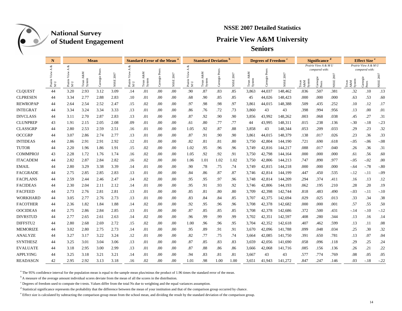

#### **NSSE 2007 Detailed Statistics**

## **Prairie View A&M University**

**Seniors**

|                 | N                 |                     |                          | <b>Mean</b> |                       |                             | <b>Standard Error of the Mean</b> |          |           | <b>Standard Deviation</b>           |                          |          |                       | <b>Degrees of Freedom</b> |                   |           | <b>Significance</b>    |                                     |           | <b>Effect Size</b> <sup>e</sup>                      |                                   |           |
|-----------------|-------------------|---------------------|--------------------------|-------------|-----------------------|-----------------------------|-----------------------------------|----------|-----------|-------------------------------------|--------------------------|----------|-----------------------|---------------------------|-------------------|-----------|------------------------|-------------------------------------|-----------|------------------------------------------------------|-----------------------------------|-----------|
|                 | ళ                 | త                   |                          |             |                       |                             |                                   |          |           | ళ                                   |                          |          |                       |                           |                   |           |                        | Prairie View A & M U                |           |                                                      | Prairie View A & M U              |           |
|                 | ⋖<br>Prairi<br>MU | ≺<br>Prairie<br>M U | A&M<br>Texas A<br>System | Carnegie    | 2007<br>$_{\rm NSSE}$ | ≺<br>View<br>Prairie<br>M U | A&M<br>Texas<br>System            | Carnegie | NSSE 2007 | $\prec$<br>View<br>Prairie '<br>M U | A&M<br>Texas A<br>System | Carnegie | 2007<br>$\Xi$<br>NSSI | Σ<br>Texas A<br>System    | Peers<br>Carnegie | NSSE 2007 | System<br>Texas<br>A&M | compared with:<br>Carnegie<br>Peers | NSSE 2007 | $\frac{\text{A} \& \text{M}}{\text{System}}$<br>exas | compared with:<br>arnegie<br>Peer | NSSE 2007 |
| <b>CLOUEST</b>  | 44                | 3.20                | 2.93                     | 3.12        | 3.09                  | .14                         | .01                               | .00      | .00       | .90                                 | .87                      | .83      | .85                   | 3,863                     | 44,037            | 148,462   | .036                   | .507                                | .381      | .32                                                  | .10                               | .13       |
| <b>CLPRESEN</b> | 44                | 3.34                | 2.77                     | 2.88        | 2.83                  | .10                         | .01                               | .00      | .00       | .68                                 | .90                      | .85      | .85                   | 45                        | 44,026            | 148,423   | .000                   | .000                                | .000      | .63                                                  | .53                               | .60       |
| <b>REWROPAP</b> | 44                | 2.64                | 2.54                     | 2.52        | 2.47                  | .15                         | .02                               | .00      | .00       | .97                                 | .98                      | .98      | .97                   | 3,861                     | 44,015            | 148,388   | .509                   | .435                                | .252      | .10                                                  | .12                               | .17       |
| <b>INTEGRAT</b> | 44                | 3.34                | 3.24                     | 3.34        | 3.33                  | .13                         | .01                               | .00      | .00       | .86                                 | .76                      | .72      | .73                   | 3,860                     | 43                | 43        | .398                   | .994                                | .956      | .13                                                  | .00                               | .01       |
| <b>DIVCLASS</b> | 44                | 3.11                | 2.70                     | 2.87        | 2.83                  | .13                         | .01                               | .00      | .00       | .87                                 | .92                      | .90      | .90                   | 3,856                     | 43,992            | 148,262   | .003                   | .068                                | .038      | .45                                                  | .27                               | .31       |
| <b>CLUNPREP</b> | 43                | 1.91                | 2.15                     | 2.05        | 2.08                  | .09                         | .01                               | .00      | .00       | .61                                 | .80                      | .77      | .77                   | 44                        | 43,995            | 148,311   | .015                   | .238                                | .136      | $-.30$                                               | $-.18$                            | $-.23$    |
| <b>CLASSGRP</b> | 44                | 2.80                | 2.53                     | 2.59        | 2.51                  | .16                         | .01                               | .00      | .00       | 1.05                                | .92                      | .87      | .88                   | 3,858                     | 43                | 148,344   | .053                   | .209                                | .033      | .29                                                  | .23                               | .32       |
| <b>OCCGRP</b>   | 44                | 3.07                | 2.86                     | 2.74        | 2.77                  | .13                         | .01                               | .00      | .00       | .87                                 | .91                      | .90      | .90                   | 3,861                     | 44,015            | 148,379   | .138                   | .017                                | .026      | .23                                                  | .36                               | .33       |
| <b>INTIDEAS</b> | 44                | 2.86                | 2.91                     | 2.91        | 2.92                  | .12                         | .01                               | .00      | .00       | .82                                 | .81                      | .81      | .80                   | 3,750                     | 42,804            | 144,190   | .721                   | .690                                | .618      | $-.05$                                               | $-.06$                            | $-.08$    |
| <b>TUTOR</b>    | 44                | 2.20                | 1.96                     | 1.86        | 1.91                  | .15                         | .02                               | .00      | .00       | 1.02                                | .95                      | .96      | .96                   | 3,749                     | 42,816            | 144,217   | .088                   | .017                                | .040      | .26                                                  | .36                               | .31       |
| <b>COMMPROJ</b> | 43                | 2.28                | 1.72                     | 1.76        | 1.74                  | .16                         | .02                               | .00      | .00       | 1.05                                | .92                      | .92      | .91                   | 3,750                     | 42,798            | 144,164   | .000                   | .000                                | .000      | .61                                                  | .56                               | .60       |
| <b>ITACADEM</b> | 44                | 2.82                | 2.87                     | 2.84        | 2.82                  | .16                         | .02                               | .00      | .00       | 1.06                                | 1.01                     | 1.02     | 1.02                  | 3,750                     | 42,806            | 144,213   | .747                   | .890                                | .977      | $-0.05$                                              | $-.02$                            | .00       |
| <b>EMAIL</b>    | 44                | 2.80                | 3.29                     | 3.38        | 3.39                  | .14                         | .01                               | .00      | .00       | .90                                 | .78                      | .75      | .74                   | 3,749                     | 42,815            | 144,218   | .000                   | .000                                | .000      | $-.64$                                               | $-.78$                            | $-0.80$   |
| <b>FACGRADE</b> | 44                | 2.75                | 2.85                     | 2.85        | 2.83                  | .13                         | .01                               | .00      | .00       | .84                                 | .86                      | .87      | .87                   | 3,746                     | 42,814            | 144,199   | .447                   | .450                                | .535      | $-.12$                                               | $-.11$                            | $-0.09$   |
| <b>FACPLANS</b> | 44                | 2.59                | 2.44                     | 2.46        | 2.47                  | .14                         | .02                               | .00      | .00       | .95                                 | .95                      | .97      | .96                   | 3,748                     | 42,814            | 144,209   | .294                   | .374                                | .411      | .16                                                  | .13                               | .12       |
| <b>FACIDEAS</b> | 44                | 2.30                | 2.04                     | 2.11        | 2.12                  | .14                         | .01                               | .00      | .00       | .95                                 | .91                      | .93      | .92                   | 3,746                     | 42,806            | 144,193   | .062                   | .195                                | .210      | .28                                                  | .20                               | .19       |
| <b>FACFEED</b>  | 44                | 2.73                | 2.76                     | 2.81        | 2.81                  | .13                         | .01                               | .00      | .00       | .85                                 | .81                      | .80      | .80                   | 3,709                     | 42,398            | 142,744   | .818                   | .483                                | .490      | $-.03$                                               | $-.11$                            | $-.10$    |
| <b>WORKHARD</b> | 44                | 3.05                | 2.77                     | 2.76        | 2.73                  | .13                         | .01                               | .00      | .00       | .83                                 | .84                      | .84      | .85                   | 3,707                     | 42,375            | 142,694   | .029                   | .025                                | .013      | .33                                                  | .34                               | .38       |
| <b>FACOTHER</b> | 44                | 2.36                | 1.82                     | 1.84        | 1.88                  | .14                         | .02                               | .00      | .00       | .92                                 | .95                      | .96      | .96                   | 3,708                     | 42,378            | 142,682   | .000                   | .000                                | .001      | .57                                                  | .55                               | .50       |
| <b>OOCIDEAS</b> | 44                | 2.75                | 2.86                     | 2.84        | 2.85                  | .13                         | .01                               | .00      | .00       | .87                                 | .85                      | .85      | .85                   | 3,708                     | 42,378            | 142,686   | .372                   | .500                                | .431      | $-.14$                                               | $-.10$                            | $-.12$    |
| <b>DIVRSTUD</b> | 44                | 2.77                | 2.65                     | 2.61        | 2.63                  | .14                         | .02                               | .00      | .00       | .96                                 | .99                      | .99      | .99                   | 3,702                     | 42,351            | 142,597   | .408                   | .280                                | .344      | .13                                                  | .16                               | .14       |
| DIFFSTU2        | 44                | 2.80                | 2.68                     | 2.69        | 2.72                  | .15                         | .02                               | .00      | .00       | 1.00                                | .96                      | .96      | .95                   | 3,704                     | 42,352            | 142,618   | .407                   | .462                                | .599      | .13                                                  | .11                               | .08       |
| <b>MEMORIZE</b> | 44                | 3.02                | 2.80                     | 2.75        | 2.73                  | .14                         | .01                               | .00      | .00       | .95                                 | .89                      | .91      | .91                   | 3,670                     | 42,096            | 141,788   | .099                   | .048                                | .034      | .25                                                  | .30                               | .32       |
| <b>ANALYZE</b>  | 44                | 3.27                | 3.17                     | 3.22        | 3.24                  | .12                         | .01                               | .00      | .00       | .82                                 | .77                      | .75      | .74                   | 3,664                     | 42,085            | 141,750   | .391                   | .650                                | .781      | .13                                                  | .07                               | .04       |
| <b>SYNTHESZ</b> | 44                | 3.25                | 3.01                     | 3.04        | 3.06                  | .13                         | .01                               | .00      | .00       | .87                                 | .85                      | .83      | .83                   | 3,659                     | 42,056            | 141,690   | .058                   | .096                                | .118      | .29                                                  | .25                               | .24       |
| <b>EVALUATE</b> | 44                | 3.18                | 2.95                     | 3.00        | 2.99                  | .13                         | .01                               | .00      | .00       | .87                                 | .88                      | .86      | .86                   | 3,666                     | 42,068            | 141,716   | .085                   | .156                                | .136      | .26                                                  | .21                               | .22       |
| <b>APPLYING</b> | 44                | 3.25                | 3.18                     | 3.21        | 3.21                  | .14                         | .01                               | .00      | .00       | .94                                 | .83                      | .81      | .81                   | 3,667                     | 43                | 43        | .577                   | .774                                | .769      | .08                                                  | .05                               | .05       |
| <b>READASGN</b> | 42                | 2.95                | 2.92                     | 3.13        | 3.18                  | .16                         | .02                               | .00      | .00       | 1.01                                | .98                      | 1.00     | 1.00                  | 3.651                     | 41.943            | 141.272   | .847                   | .247                                | .146      | .03                                                  | $-.18$                            | $-.22$    |

<sup>a</sup> The 95% confidence interval for the population mean is equal to the sample mean plus/minus the product of 1.96 times the standard error of the mean.

<sup>b</sup> A measure of the average amount individual scores deviate from the mean of all the scores in the distribution.

 $c$  Degrees of freedom used to compute the t-tests. Values differ from the total Ns due to weighting and the equal variances assumption.

<sup>d</sup> Statistical significance represents the probability that the difference between the mean of your institution and that of the comparison group occurred by chance.

<sup>&</sup>lt;sup>e</sup> Effect size is calculated by subtracting the comparison group mean from the school mean, and dividing the result by the standard deviation of the comparison group.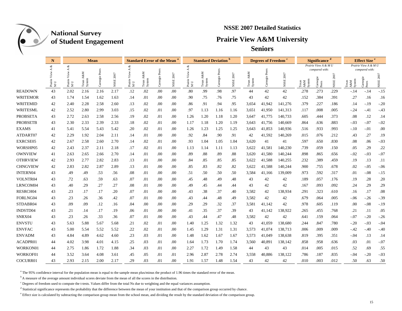

### **NSSE 2007 Detailed Statistics**

## **Prairie View A&M University**

**Seniors**

|                 | N              |                           |                                     | <b>Mean</b>     |                       |                                                                         |                          | <b>Standard Error of the Mean</b> |                       |                       | <b>Standard Deviation</b> |                   |                      |                                   | <b>Degrees of Freedom</b>    |               |                                    | <b>Significance</b>                 |           |                                         | Effect Size <sup>e</sup>          |               |
|-----------------|----------------|---------------------------|-------------------------------------|-----------------|-----------------------|-------------------------------------------------------------------------|--------------------------|-----------------------------------|-----------------------|-----------------------|---------------------------|-------------------|----------------------|-----------------------------------|------------------------------|---------------|------------------------------------|-------------------------------------|-----------|-----------------------------------------|-----------------------------------|---------------|
|                 | ళ<br>≺         | ళ<br>$\blacktriangleleft$ |                                     |                 |                       | $\prec$                                                                 |                          |                                   |                       | 4                     |                           |                   |                      |                                   |                              |               |                                    | Prairie View A & M U                |           |                                         | Prairie View A & M U              |               |
|                 | Prairie<br>M U | Prairie $_{\rm M\,U}$     | <b>A&amp;M</b><br>Texas A<br>System | Pee<br>Carnegie | 2007<br>$_{\rm NSSE}$ | View<br>$\begin{array}{c} \mathrm{Prairie} \\ \mathrm{M~U} \end{array}$ | A&M<br>Texas .<br>System | Peers<br>Carnegie                 | 2007<br>$_{\rm NSSE}$ | View<br>Prairie<br>MU | A&M<br>Texas A<br>System  | Peers<br>Carnegie | 2007<br>${\tt NSSE}$ | <b>A&amp;M</b><br>Texas<br>Systen | ${\mbox{Peers}}$<br>Carnegie | 2007<br>NSSE: | System<br>$\mathbb{A}\&\mathbb{M}$ | compared with:<br>Carnegie<br>Peers | NSSE 2007 | $\frac{\mathsf{A\&M}}{\mathsf{System}}$ | compared with:<br>arnegi<br>Peers | 2007<br>NSSE: |
| <b>READOWN</b>  | 43             | 2.02                      | 2.16                                | 2.16            | 2.17                  | .12                                                                     | .02                      | .00                               | .00                   | .80                   | .99                       | .98               | .97                  | 44                                | 42                           | 42            | .278                               | .273                                | .229      | -.14                                    | $-.14$                            | $-15$         |
| <b>WRITEMOR</b> | 43             | 1.74                      | 1.54                                | 1.62            | 1.63                  | .14                                                                     | .01                      | .00                               | .00                   | .90                   | .75                       | .76               | .75                  | 43                                | 42                           | 42            | .152                               | .384                                | .391      | .27                                     | .16                               | .16           |
| WRITEMID        | 42             | 2.40                      | 2.28                                | 2.58            | 2.60                  | .13                                                                     | .02                      | .00                               | .00                   | .86                   | .91                       | .94               | .95                  | 3,654                             | 41,942                       | 141,276       | .379                               | .227                                | .186      | .14                                     | $-.19$                            | $-.20$        |
| <b>WRITESML</b> | 42             | 2.52                      | 2.80                                | 2.99            | 3.03                  | .15                                                                     | .02                      | .01                               | .00                   | .97                   | 1.13                      | 1.16              | 1.16                 | 3,651                             | 41,950                       | 141,313       | .117                               | .008                                | .005      | $-24$                                   | $-.41$                            | $-.43$        |
| <b>PROBSETA</b> | 43             | 2.72                      | 2.63                                | 2.58            | 2.56                  | .19                                                                     | .02                      | .01                               | .00                   | 1.26                  | 1.20                      | 1.18              | 1.20                 | 3,647                             | 41,775                       | 140,733       | .605                               | .444                                | .373      | .08                                     | .12                               | .14           |
| <b>PROBSETB</b> | 43             | 2.30                      | 2.33                                | 2.39            | 2.33                  | .18                                                                     | .02                      | .01                               | .00                   | 1.17                  | 1.18                      | 1.20              | 1.19                 | 3,643                             | 41.756                       | 140.669       | .864                               | .636                                | .883      | $-.03$                                  | $-.07$                            | $-.02$        |
| <b>EXAMS</b>    | 41             | 5.41                      | 5.54                                | 5.43            | 5.42                  | .20                                                                     | .02                      | .01                               | .00                   | 1.26                  | 1.23                      | 1.25              | 1.25                 | 3,643                             | 41,853                       | 140,936       | .516                               | .933                                | .993      | $-.10$                                  | $-.01$                            | .00           |
| ATDART07        | 42             | 2.29                      | 1.92                                | 2.04            | 2.11                  | .14                                                                     | .01                      | .00                               | .00                   | .92                   | .84                       | .90               | .91                  | 42                                | 41,592                       | 140,269       | .015                               | .076                                | .212      | .43                                     | .27                               | .19           |
| EXRCSE05        | 42             | 2.67                      | 2.58                                | 2.60            | 2.70                  | .14                                                                     | .02                      | .01                               | .00                   | .93                   | 1.04                      | 1.05              | 1.04                 | 3,620                             | 41                           | 41            | .597                               | .650                                | .830      | .08                                     | .06                               | $-.03$        |
| WORSHP05        | 42             | 2.43                      | 2.37                                | 2.11            | 2.18                  | .17                                                                     | .02                      | .01                               | .00                   | 1.13                  | 1.14                      | 1.11              | 1.13                 | 3,622                             | 41,581                       | 140,230       | .739                               | .059                                | .150      | .05                                     | .29                               | .22           |
| <b>OWNVIEW</b>  | 41             | 2.63                      | 2.65                                | 2.66            | 2.70                  | .14                                                                     | .01                      | .00                               | .00                   | .89                   | .88                       | .89               | .88                  | 3,620                             | 41,580                       | 140,244       | .898                               | .865                                | .656      | $-.02$                                  | $-.03$                            | $-0.07$       |
| <b>OTHRVIEW</b> | 42             | 2.93                      | 2.77                                | 2.82            | 2.83                  | .13                                                                     | .01                      | .00                               | .00                   | .84                   | .85                       | .85               | .85                  | 3,622                             | 41,588                       | 140,255       | .232                               | .389                                | .459      | .19                                     | .13                               | .11           |
| <b>CHNGVIEW</b> | 42             | 2.83                      | 2.82                                | 2.87            | 2.89                  | .13                                                                     | .01                      | .00                               | .00                   | .85                   | .83                       | .82               | .82                  | 3,622                             | 41,588                       | 140,244       | .900                               | .755                                | .678      | .02                                     | $-.05$                            | $-06$         |
| <b>INTERN04</b> | 43             | .49                       | .49                                 | .53             | .56                   | .08                                                                     | .01                      | .00                               | .00                   | .51                   | .50                       | .50               | .50                  | 3,584                             | 41,166                       | 139,009       | .973                               | .592                                | .317      | .01                                     | $-.08$                            | $-15$         |
| VOLNTR04        | 43             | .72                       | .63                                 | .59             | .63                   | .07                                                                     | .01                      | .00                               | .00                   | .45                   | .48                       | .49               | .48                  | 43                                | 42                           | 42            | .189                               | .057                                | .176      | .19                                     | .28                               | .20           |
| LRNCOM04        | 43             | .40                       | .29                                 | .27             | .27                   | .08                                                                     | .01                      | .00                               | .00                   | .49                   | .45                       | .44               | .44                  | 43                                | 42                           | 42            | .167                               | .093                                | .092      | .24                                     | .29                               | .29           |
| RESRCH04        | 43             | .23                       | .17                                 | .17             | .20                   | .07                                                                     | .01                      | .00                               | .00                   | .43                   | .38                       | .37               | .40                  | 3,582                             | 42                           | 138,934       | .291                               | .323                                | .610      | .16                                     | .17                               | .08           |
| FORLNG04        | 43             | .23                       | .26                                 | .36             | .42                   | .07                                                                     | .01                      | .00                               | .00                   | .43                   | .44                       | .48               | .49                  | 3,582                             | 42                           | 42            | .679                               | .064                                | .005      | $-.06$                                  | $-.26$                            | $-.39$        |
| STDABR04        | 43             | .09                       | .09                                 | .12             | .16                   | .04                                                                     | .00                      | .00                               | .00                   | .29                   | .29                       | .32               | .37                  | 3,581                             | 41,142                       | 42            | .978                               | .605                                | .119      | .00                                     | $-.08$                            | $-19$         |
| INDSTD04        | 43             | .21                       | .14                                 | .17             | .19                   | .06                                                                     | .01                      | .00                               | .00                   | .41                   | .35                       | .37               | .39                  | 43                                | 41,142                       | 138,922       | .265                               | .455                                | .768      | .21                                     | .11                               | .05           |
| SNRX04          | 43             | .23                       | .26                                 | .33             | .36                   | .07                                                                     | .01                      | .00                               | .00                   | .43                   | .44                       | .47               | .48                  | 3,582                             | 42                           | 42            | .641                               | .159                                | .064      | $-.07$                                  | $-.20$                            | $-.26$        |
| <b>ENVSTU</b>   | 43             | 5.63                      | 5.88                                | 5.67            | 5.68                  | .21                                                                     | .02                      | .01                               | .00                   | 1.40                  | 1.25                      | 1.32              | 1.32                 | 43                                | 41,059                       | 138,680       | .244                               | .847                                | .780      | $-.20$                                  | $-.03$                            | $-.04$        |
| <b>ENVFAC</b>   | 43             | 5.00                      | 5.54                                | 5.52            | 5.52                  | .22                                                                     | .02                      | .01                               | .00                   | 1.45                  | 1.29                      | 1.31              | 1.31                 | 3,573                             | 41,074                       | 138,713       | .006                               | .009                                | .009      | $-42$                                   | $-.40$                            | $-40$         |
| <b>ENVADM</b>   | 43             | 4.84                      | 4.89                                | 4.62            | 4.60                  | .23                                                                     | .03                      | .01                               | .00                   | 1.48                  | 1.62                      | 1.67              | 1.67                 | 3,573                             | 41,049                       | 138,638       | .819                               | .395                                | .351      | $-0.04$                                 | .13                               | .14           |
| ACADPR01        | 44             | 4.02                      | 3.98                                | 4.01            | 4.15                  | .25                                                                     | .03                      | .01                               | .00                   | 1.64                  | 1.73                      | 1.70              | 1.74                 | 3,560                             | 40,891                       | 138,142       | .858                               | .958                                | .636      | .03                                     | .01                               | $-.07$        |
| WORKON01        | 44             | 2.75                      | 1.86                                | 1.72            | 1.88                  | .34                                                                     | .03                      | .01                               | .00.                  | 2.27                  | 1.72                      | 1.49              | 1.58                 | 44                                | 43                           | 43            | .014                               | .005                                | .015      | .52                                     | .69                               | .55           |
| WORKOF01        | 44             | 3.52                      | 3.64                                | 4.08            | 3.61                  | .45                                                                     | .05                      | .01                               | .01                   | 2.96                  | 2.87                      | 2.78              | 2.74                 | 3,558                             | 40,886                       | 138,122       | .786                               | .187                                | .835      | $-04$                                   | $-.20$                            | $-.03$        |
| COCURR01        | 43             | 2.93                      | 2.15                                | 2.00            | 2.17                  | .29                                                                     | .03                      | .01                               | .00                   | 1.91                  | 1.57                      | 1.48              | 1.54                 | 43                                | 42                           | 42            | .010                               | .003                                | .012      | .50                                     | .63                               | .50           |

<sup>a</sup> The 95% confidence interval for the population mean is equal to the sample mean plus/minus the product of 1.96 times the standard error of the mean.

<sup>b</sup> A measure of the average amount individual scores deviate from the mean of all the scores in the distribution.

 $c$  Degrees of freedom used to compute the t-tests. Values differ from the total Ns due to weighting and the equal variances assumption.

<sup>d</sup> Statistical significance represents the probability that the difference between the mean of your institution and that of the comparison group occurred by chance.

<sup>e</sup> Effect size is calculated by subtracting the comparison group mean from the school mean, and dividing the result by the standard deviation of the comparison group.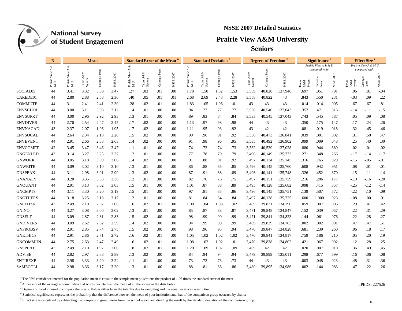

### **NSSE 2007 Detailed Statistics**

## **Prairie View A&M University**

**Seniors**

|                 | N                      |                        | <b>Mean</b>              |                      |               | <b>Standard Error of the Mean</b>                                         |                          |              | <b>Standard Deviation</b> |                       |                                     |                 | <b>Degrees of Freedom</b> |                               |                        | <b>Significance</b> |               |                                    | <b>Effect Size<sup>e</sup></b> |                       |                                   |           |
|-----------------|------------------------|------------------------|--------------------------|----------------------|---------------|---------------------------------------------------------------------------|--------------------------|--------------|---------------------------|-----------------------|-------------------------------------|-----------------|---------------------------|-------------------------------|------------------------|---------------------|---------------|------------------------------------|--------------------------------|-----------------------|-----------------------------------|-----------|
|                 | శ                      | x<br>$\prec$           |                          |                      |               |                                                                           |                          |              |                           | A &                   |                                     |                 |                           |                               |                        |                     |               | Prairie View A & M U               |                                |                       | Prairie View A & M U              |           |
|                 | ≺<br>Prairie $\tt M U$ | View<br>Prairie<br>M U | A&M<br>Texas A<br>System | Ľ<br>Pee<br>Carnegie | 2007<br>NSSE: | ⋖<br>View<br>$\begin{array}{ll} \text{Prairie} \\ \text{M U} \end{array}$ | A&M<br>Texas A<br>System | Carnegie Pee | 2007<br>NSSE:             | View<br>Prairie<br>MU | <b>A&amp;M</b><br>Texas /<br>System | Pee<br>Carnegie | 2007<br>NSSE:             | z<br>A&.<br>Texas A<br>System | Peers<br>rnegie l<br>් | NSSE 2007           | System<br>A&M | compared with:<br>Camegie<br>Peers | NSSE 2007                      | A&M<br>System<br>exas | compared with:<br>arnegi<br>Peers | NSSE 2007 |
| SOCIAL05        | 44                     | 3.41                   | 3.32                     | 3.39                 | 3.47          | .27                                                                       | .03                      | .01          | .00                       | 1.78                  | 1.50                                | 1.52            | 1.53                      | 3,559                         | 40,828                 | 137,946             | .697          | .951                               | .791                           | .06                   | .01                               | $-0.04$   |
| CAREDE01        | 44                     | 2.80                   | 2.88                     | 2.58                 | 2.30          | .40                                                                       | .05                      | .01          | .01                       | 2.68                  | 2.69                                | 2.43            | 2.28                      | 3,558                         | 40,822                 | 43                  | .843          | .550                               | .231                           | $-03$                 | .09                               | .22       |
| <b>COMMUTE</b>  | 44                     | 3.11                   | 2.41                     | 2.41                 | 2.30          | .28                                                                       | .02                      | .01          | .00                       | 1.83                  | 1.05                                | 1.06            | 1.01                      | 43                            | 43                     | 43                  | .014          | .014                               | .005                           | .67                   | .67                               | .81       |
| <b>ENVSCHOL</b> | 44                     | 3.00                   | 3.11                     | 3.08                 | 3.12          | .14                                                                       | .01                      | .00          | .00                       | .94                   | .77                                 | .77             | .77                       | 3,536                         | 40,540                 | 137,043             | .357          | .471                               | .316                           | $-.14$                | -.11                              | $-.15$    |
| <b>ENVSUPRT</b> | 44                     | 3.00                   | 2.96                     | 2.92                 | 2.93          | .13                                                                       | .01                      | .00          | .00                       | .89                   | .83                                 | .84             | .84                       | 3,533                         | 40,545                 | 137,043             | .743          | .545                               | .587                           | .05                   | .09                               | .08       |
| <b>ENVDIVRS</b> | 44                     | 2.70                   | 2.54                     | 2.47                 | 2.45          | .17                                                                       | .02                      | .00          | .00                       | 1.13                  | .97                                 | .98             | .98                       | 44                            | 43                     | 43                  | .350          | .175                               | .147                           | .17                   | .24                               | .26       |
| <b>ENVNACAD</b> | 43                     | 2.37                   | 2.07                     | 1.96                 | 1.95          | .17                                                                       | .02                      | .00          | .00                       | 1.11                  | .95                                 | .93             | .92                       | 43                            | 42                     | 42                  | .081          | .019                               | .018                           | .32                   | .45                               | .46       |
| <b>ENVSOCAL</b> | 44                     | 2.64                   | 2.34                     | 2.18                 | 2.20          | .15                                                                       | .02                      | .00          | .00                       | .99                   | .96                                 | .91             | .92                       | 3,530                         | 40,473                 | 136,841             | .039          | .001                               | .002                           | .31                   | .50                               | .47       |
| <b>ENVEVENT</b> | 44                     | 2.91                   | 2.66                     | 2.53                 | 2.63          | .14                                                                       | .02                      | .00          | .00                       | .91                   | .98                                 | .96             | .95                       | 3,535                         | 40,492                 | 136,902             | .099          | .009                               | .048                           | .25                   | .40                               | .30       |
| <b>ENVCOMPT</b> | 42                     | 3.45                   | 3.47                     | 3.46                 | 3.47          | .11                                                                       | .01                      | .00          | .00                       | .74                   | .73                                 | .74             | .73                       | 3,532                         | 40,539                 | 137,028             | .880          | .944                               | .889                           | $-0.02$               | $-.01$                            | $-.02$    |
| <b>GNGENLED</b> | 43                     | 3.14                   | 3.27                     | 3.25                 | 3.27          | .12                                                                       | .01                      | .00          | .00                       | .77                   | .78                                 | .79             | .79                       | 3.496                         | 40,149                 | 135,773             | .271          | .348                               | .266                           | $-.17$                | $-14$                             | $-.17$    |
| <b>GNWORK</b>   | 44                     | 3.05                   | 3.18                     | 3.09                 | 3.06          | .14                                                                       | .02                      | .00          | .00                       | .91                   | .88                                 | .91             | .92                       | 3,497                         | 40,134                 | 135,745             | .316          | .765                               | .929                           | $-15$                 | $-.05$                            | $-.01$    |
| <b>GNWRITE</b>  | 44                     | 3.09                   | 3.02                     | 3.10                 | 3.10          | .13                                                                       | .01                      | .00          | .00                       | .86                   | .88                                 | .85             | .85                       | 3,496                         | 40,145                 | 135,760             | .608          | .942                               | .951                           | .08                   | $-.01$                            | $-.01$    |
| <b>GNSPEAK</b>  | 44                     | 3.11                   | 2.98                     | 3.01                 | 2.99          | .13                                                                       | .02                      | .00          | .00                       | .87                   | .91                                 | .88             | .89                       | 3,496                         | 40,141                 | 135,748             | .326          | .452                               | .370                           | .15                   | .11                               | .14       |
| <b>GNANALY</b>  | 44                     | 3.20                   | 3.35                     | 3.33                 | 3.36          | .12                                                                       | .01                      | .00          | .00                       | .82                   | .76                                 | .76             | .75                       | 3,497                         | 40,151                 | 135,759             | .216          | .286                               | .177                           | $-.19$                | $-.16$                            | $-.20$    |
| <b>GNQUANT</b>  | 44                     | 2.91                   | 3.13                     | 3.02                 | 3.03          | .15                                                                       | .01                      | .00          | .00                       | 1.01                  | .87                                 | .88             | .89                       | 3,495                         | 40,128                 | 135,682             | .098          | .415                               | .357                           | $-25$                 | $-.12$                            | $-.14$    |
| <b>GNCMPTS</b>  | 44                     | 3.11                   | 3.30                     | 3.20                 | 3.19          | .15                                                                       | .01                      | .00          | .00                       | .97                   | .81                                 | .85             | .86                       | 3,496                         | 40,145                 | 135,751             | .139          | .507                               | .572                           | $-.22$                | $-.10$                            | $-.09$    |
| <b>GNOTHERS</b> | 44                     | 3.18                   | 3.25                     | 3.18                 | 3.17          | .12                                                                       | .01                      | .00          | $_{.00}$                  | .81                   | .84                                 | .84             | .84                       | 3.497                         | 40,138                 | 135,725             | .600          | 1.000                              | .923                           | $-.08$                | .00                               | .01       |
| <b>GNCITIZN</b> | 43                     | 2.49                   | 2.19                     | 2.07                 | 2.06          | .16                                                                       | .02                      | .01          | .00                       | 1.08                  | 1.04                                | 1.03            | 1.02                      | 3,469                         | 39,831                 | 134,790             | .059          | .007                               | .006                           | .29                   | .41                               | .42       |
| <b>GNINQ</b>    | 44                     | 3.27                   | 3.08                     | 3.00                 | 3.02          | .13                                                                       | .01                      | .00          | $_{.00}$                  | .85                   | .87                                 | .88             | .87                       | 3,471                         | 39,848                 | 134,847             | .152          | .039                               | .057                           | .22                   | .31                               | .29       |
| <b>GNSELF</b>   | 44                     | 3.09                   | 2.87                     | 2.81                 | 2.83          | .15                                                                       | .02                      | .00          | .00                       | .98                   | .99                                 | .99             | .99                       | 3,471                         | 39,841                 | 134,823             | .144          | .061                               | .076                           | .22                   | .28                               | .27       |
| <b>GNDIVERS</b> | 44                     | 3.09                   | 2.62                     | 2.62                 | 2.59          | .14                                                                       | .02                      | .00          | .00                       | .94                   | .99                                 | .99             | .99                       | 3,469                         | 39,839                 | 134,783             | .002          | .002                               | .001                           | .47                   | .47                               | .51       |
| <b>GNPROBSV</b> | 44                     | 2.91                   | 2.85                     | 2.74                 | 2.75          | .15                                                                       | .02                      | .00          | .00                       | .98                   | .96                                 | .95             | .94                       | 3,470                         | 39,847                 | 134,828             | .681          | .239                               | .260                           | .06                   | .18                               | .17       |
| <b>GNETHICS</b> | 44                     | 2.91                   | 2.86                     | 2.71                 | 2.72          | .16                                                                       | .02                      | .01          | .00                       | 1.05                  | 1.02                                | 1.02            | 1.02                      | 3,470                         | 39,841                 | 134,817             | .759          | .186                               | .210                           | .05                   | .20                               | .19       |
| <b>GNCOMMUN</b> | 44                     | 2.75                   | 2.63                     | 2.47                 | 2.49          | .16                                                                       | .02                      | .01          | .00                       | 1.08                  | 1.02                                | 1.02            | 1.01                      | 3,470                         | 39,838                 | 134,802             | .421          | .067                               | .092                           | .12                   | .28                               | .25       |
| <b>GNSPIRIT</b> | 43                     | 2.49                   | 2.10                     | 1.97                 | 2.00          | .18                                                                       | .02                      | .01          | $_{.00}$                  | 1.20                  | 1.09                                | 1.07            | 1.09                      | 3,469                         | 42                     | 42                  | .020          | .007                               | .010                           | .36                   | .49                               | .45       |
| <b>ADVISE</b>   | 44                     | 2.82                   | 2.97                     | 2.88                 | 2.89          | .13                                                                       | .02                      | .00          | .00                       | .84                   | .94                                 | .94             | .94                       | 3,479                         | 39,899                 | 135,011             | .298          | .677                               | .599                           | $-16$                 | $-.06$                            | $-.08$    |
| <b>ENTIREXP</b> | 44                     | 2.98                   | 3.33                     | 3.20                 | 3.24          | .11                                                                       | .01                      | $.00\,$      | $_{.00}$                  | .73                   | .72                                 | .73             | .73                       | 44                            | 43                     | 43                  | .003          | .048                               | .023                           | $-48$                 | $-.31$                            | $-36$     |
| <b>SAMECOLL</b> | 44                     | 2.98                   | 3.36                     | 3.17                 | 3.20          | .13                                                                       | .01                      | .00          | .00                       | .88                   | .81                                 | .86             | .86                       | 3,480                         | 39,895                 | 134,986             | .002          | .144                               | .083                           | $-47$                 | $-.22$                            | $-.26$    |

<sup>a</sup> The 95% confidence interval for the population mean is equal to the sample mean plus/minus the product of 1.96 times the standard error of the mean

b A measure of the average amount individual scores deviate from the mean of all the scores in the distribution IPEDS: 227526

<sup>c</sup> Degrees of freedom used to compute the t-tests. Values differ from the total Ns due to weighting and the equal variances assumption

<sup>d</sup> Statistical significance represents the probability that the difference between the mean of your institution and that of the comparison group occurred by chance

<sup>e</sup> Effect size is calculated by subtracting the comparison group mean from the school mean, and dividing the result by the standard deviation of the comparison group.

**IPEDS: 227526**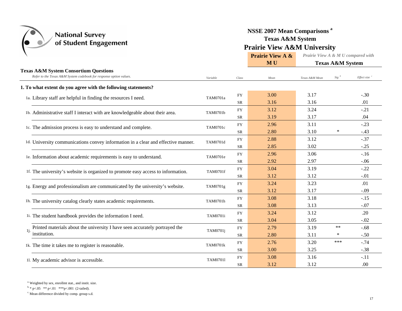

## **NSSE 2007 Mean Comparisons <sup>a</sup> Texas A&M System Prairie View A&M University**

|                                                                                                                        |                 |            | <b>Prairie View A &amp;</b> | Prairie View A & M U compared with |                             |             |
|------------------------------------------------------------------------------------------------------------------------|-----------------|------------|-----------------------------|------------------------------------|-----------------------------|-------------|
|                                                                                                                        |                 |            | MU                          |                                    | <b>Texas A&amp;M System</b> |             |
| <b>Texas A&amp;M System Consortium Questions</b><br>Refer to the Texas A&M System codebook for response option values. | Variable        | Class      | Mean                        | Texas A&M Mean                     | $Sig^b$                     | Effect size |
| 1. To what extent do you agree with the following statements?                                                          |                 |            |                             |                                    |                             |             |
| 1a. Library staff are helpful in finding the resources I need.                                                         | TAM0701a        | <b>FY</b>  | 3.00                        | 3.17                               |                             | $-.30$      |
|                                                                                                                        |                 | <b>SR</b>  | 3.16                        | 3.16                               |                             | .01         |
| 1b. Administrative staff I interact with are knowledgeable about their area.                                           | TAM0701b        | <b>FY</b>  | 3.12                        | 3.24                               |                             | $-.21$      |
|                                                                                                                        |                 | <b>SR</b>  | 3.19                        | 3.17                               |                             | .04         |
| 1c. The admission process is easy to understand and complete.                                                          | TAM0701c        | <b>FY</b>  | 2.96                        | 3.11                               |                             | $-.23$      |
|                                                                                                                        |                 | <b>SR</b>  | 2.80                        | 3.10                               | $\ast$                      | $-.43$      |
| 1d. University communications convey information in a clear and effective manner.                                      | TAM0701d        | ${\rm FY}$ | 2.88                        | 3.12                               |                             | $-.37$      |
|                                                                                                                        |                 | <b>SR</b>  | 2.85                        | 3.02                               |                             | $-.25$      |
| le. Information about academic requirements is easy to understand.                                                     | TAM0701e        | <b>FY</b>  | 2.96                        | 3.06                               |                             | $-.16$      |
|                                                                                                                        |                 | <b>SR</b>  | 2.92                        | 2.97                               |                             | $-.06$      |
| 1f. The university's website is organized to promote easy access to information.                                       | <b>TAM0701f</b> | <b>FY</b>  | 3.04                        | 3.19                               |                             | $-.22$      |
|                                                                                                                        |                 | <b>SR</b>  | 3.12                        | 3.12                               |                             | $-.01$      |
| 1g. Energy and professionalism are communicated by the university's website.                                           | TAM0701g        | FY         | 3.24                        | 3.23                               |                             | .01         |
|                                                                                                                        |                 | <b>SR</b>  | 3.12                        | 3.17                               |                             | $-.09$      |
| 1h. The university catalog clearly states academic requirements.                                                       | TAM0701h        | <b>FY</b>  | 3.08                        | 3.18                               |                             | $-.15$      |
|                                                                                                                        |                 | <b>SR</b>  | 3.08                        | 3.13                               |                             | $-.07$      |
| 1i. The student handbook provides the information I need.                                                              | TAM0701i        | <b>FY</b>  | 3.24                        | 3.12                               |                             | .20         |
|                                                                                                                        |                 | <b>SR</b>  | 3.04                        | 3.05                               |                             | $-.02$      |
| Printed materials about the university I have seen accurately portrayed the<br>1i.                                     | TAM0701j        | FY         | 2.79                        | 3.19                               | **                          | $-.68$      |
| institution.                                                                                                           |                 | <b>SR</b>  | 2.80                        | 3.11                               | *                           | $-.50$      |
| 1k. The time it takes me to register is reasonable.                                                                    | <b>TAM0701k</b> | <b>FY</b>  | 2.76                        | 3.20                               | ***                         | $-.74$      |
|                                                                                                                        |                 | <b>SR</b>  | 3.00                        | 3.25                               |                             | $-.38$      |
| 11. My academic advisor is accessible.                                                                                 | TAM07011        | <b>FY</b>  | 3.08                        | 3.16                               |                             | $-.11$      |
|                                                                                                                        |                 | <b>SR</b>  | 3.12                        | 3.12                               |                             | .00         |

a. Weighted by sex, enrollmt stat., and instit. size.

 $b * p < .05$  \*\*  $p < .01$  \*\*\*  $p < .001$  (2-tailed).

c. Mean difference divided by comp. group s.d.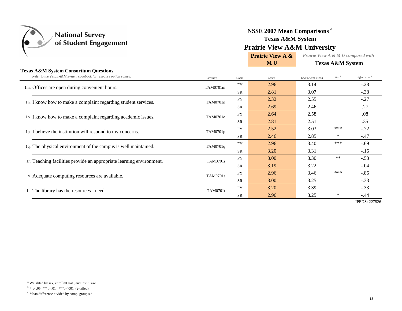

## **NSSE 2007 Mean Comparisons <sup>a</sup> Texas A&M System Prairie View A&M University**

**Prairie View A & M U***Prairie View A & M U compared with* **Texas A&M System**

#### **Texas A&M System Consortium Questions**

 $\overline{\phantom{a}}$ 

|  | Refer to the Texas A&M System codebook for response option values.   | Variable        | Class     | Mean | Texas A&M Mean | $Sig^{-b}$ | Effect size <sup>c</sup> |
|--|----------------------------------------------------------------------|-----------------|-----------|------|----------------|------------|--------------------------|
|  | 1m. Offices are open during convenient hours.                        | TAM0701m        | <b>FY</b> | 2.96 | 3.14           |            | $-.28$                   |
|  |                                                                      |                 | <b>SR</b> | 2.81 | 3.07           |            | $-.38$                   |
|  | 1n. I know how to make a complaint regarding student services.       | TAM0701n        | <b>FY</b> | 2.32 | 2.55           |            | $-.27$                   |
|  |                                                                      |                 | <b>SR</b> | 2.69 | 2.46           |            | .27                      |
|  | 10. I know how to make a complaint regarding academic issues.        | TAM0701o        | <b>FY</b> | 2.64 | 2.58           |            | .08                      |
|  |                                                                      |                 | <b>SR</b> | 2.81 | 2.51           |            | .35                      |
|  | 1p. I believe the institution will respond to my concerns.           | TAM0701p        | <b>FY</b> | 2.52 | 3.03           | ***        | $-.72$                   |
|  |                                                                      |                 | <b>SR</b> | 2.46 | 2.85           | ∗          | $-.47$                   |
|  | 1q. The physical environment of the campus is well maintained.       | TAM0701q        | <b>FY</b> | 2.96 | 3.40           | ***        | $-.69$                   |
|  |                                                                      |                 | <b>SR</b> | 3.20 | 3.31           |            | $-.16$                   |
|  | 1r. Teaching facilities provide an appropriate learning environment. | TAM0701r        | <b>FY</b> | 3.00 | 3.30           | $\ast\ast$ | $-.53$                   |
|  |                                                                      |                 | <b>SR</b> | 3.19 | 3.22           |            | $-.04$                   |
|  | 1s. Adequate computing resources are available.                      | <b>TAM0701s</b> | <b>FY</b> | 2.96 | 3.46           | ***        | $-.86$                   |
|  |                                                                      |                 | <b>SR</b> | 3.00 | 3.25           |            | $-.33$                   |
|  | 1t. The library has the resources I need.                            | <b>TAM0701t</b> | <b>FY</b> | 3.20 | 3.39           |            | $-.33$                   |
|  |                                                                      |                 | <b>SR</b> | 2.96 | 3.25           | $\ast$     | $-.44$                   |
|  |                                                                      |                 |           |      |                |            | $MDPDA-22752$            |

IPEDS: 227526

c. Mean difference divided by comp. group s.d.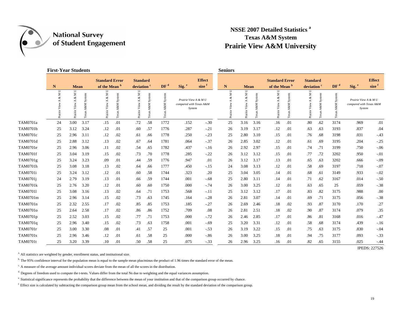$\left(\begin{matrix} \bullet & \bullet \\ \bullet & \bullet \end{matrix}\right)$ 

### **NSSE 2007 Detailed Statistics <sup>a</sup> Texas A&M System Prairie View A&M University**

|          | <b>First-Year Students</b> |                                     |             |                                     |              |                                            |               |                            |                                                           |                   | <b>Seniors</b>      |                                                |      |                                     |               |                                |                        |                 |                                                           |                   |
|----------|----------------------------|-------------------------------------|-------------|-------------------------------------|--------------|--------------------------------------------|---------------|----------------------------|-----------------------------------------------------------|-------------------|---------------------|------------------------------------------------|------|-------------------------------------|---------------|--------------------------------|------------------------|-----------------|-----------------------------------------------------------|-------------------|
|          |                            |                                     |             | <b>Standard Error</b>               |              | <b>Standard</b>                            |               |                            |                                                           | <b>Effect</b>     |                     |                                                |      | <b>Standard Error</b>               |               | <b>Standard</b>                |                        |                 |                                                           | <b>Effect</b>     |
|          | $\mathbf N$                | <b>Mean</b>                         |             | of the Mean b                       |              | deviation <sup>c</sup>                     |               | DF <sup>d</sup>            | Sig. <sup>e</sup>                                         | size <sup>1</sup> | $\mathbf N$         | <b>Mean</b>                                    |      | of the Mean b                       |               | deviation <sup>c</sup>         |                        | DF <sup>d</sup> | Sig. <sup>e</sup>                                         | size <sup>f</sup> |
|          | Þ<br>z                     | Þ<br>Σ<br>శ<br>≺<br>View<br>Prairie | System<br>Σ | コ<br>Σ<br>శ<br>∢<br>View<br>Prairie | System<br>۴ë | Þ<br>$\& M$<br>$\prec$<br>View.<br>Prairie | System<br>Tex | System<br>z<br>A&1<br>Texa | Prairie View A & M U<br>compared with Texas A&M<br>System |                   | Þ<br>z<br>∛<br>View | $\Box$<br>N,<br>ళ<br>$\prec$<br>View<br>Prairi |      | U<br>Z<br>z<br>⋖<br>View<br>Prairie | System<br>A&. | Z<br>శ<br>∢<br>View<br>Prairie | System<br>A&M<br>Texas | System<br>ê     | Prairie View A & M U<br>compared with Texas A&M<br>System |                   |
| TAM0701a | 24                         | 3.00                                | 3.17        | .15                                 | .01          | .72                                        | .58           | 1772                       | .152                                                      | $-.30$            | 25                  | 3.16                                           | 3.16 | .16                                 | .01           | .80                            | .62                    | 3174            | .969                                                      | .01               |
| TAM0701b | 25                         | 3.12                                | 3.24        | .12                                 | .01          | .60                                        | .57           | 1776                       | .287                                                      | $-.21$            | 26                  | 3.19                                           | 3.17 | .12                                 | .01           | .63                            | .63                    | 3193            | .837                                                      | .04               |
| TAM0701c | 25                         | 2.96                                | 3.11        | .12                                 | .02          | .61                                        | .66           | 1778                       | .250                                                      | $-.23$            | 25                  | 2.80                                           | 3.10 | .15                                 | .01           | .76                            | .68                    | 3198            | .031                                                      | $-43$             |
| TAM0701d | 25                         | 2.88                                | 3.12        | .13                                 | .02          | .67                                        | .64           | 1781                       | .064                                                      | $-.37$            | 26                  | 2.85                                           | 3.02 | .12                                 | .01           | .61                            | .69                    | 3195            | .204                                                      | $-.25$            |
| TAM0701e | 25                         | 2.96                                | 3.06        | .11                                 | .02          | .54                                        | .65           | 1782                       | .437                                                      | $-16$             | 26                  | 2.92                                           | 2.97 | .15                                 | .01           | .74                            | .71                    | 3199            | .750                                                      | $-.06$            |
| TAM0701f | 25                         | 3.04                                | 3.19        | .15                                 | .02          | .73                                        | .70           | 1778                       | .285                                                      | $-.22$            | 26                  | 3.12                                           | 3.12 | .15                                 | .01           | .77                            | .72                    | 3202            | .950                                                      | $-.01$            |
| TAM0701g | 25                         | 3.24                                | 3.23        | .09                                 | .01          | .44                                        | .59           | 1776                       | .947                                                      | .01               | 26                  | 3.12                                           | 3.17 | .13                                 | .01           | .65                            | .63                    | 3202            | .666                                                      | $-.09$            |
| TAM0701h | 25                         | 3.08                                | 3.18        | .13                                 | .02          | .64                                        | .66           | 1777                       | .450                                                      | $-.15$            | 24                  | 3.08                                           | 3.13 | .12                                 | .01           | .58                            | .69                    | 3197            | .718                                                      | $-.07$            |
| TAM0701i | 25                         | 3.24                                | 3.12        | .12                                 | .01          | .60                                        | .58           | 1744                       | .323                                                      | .20               | 25                  | 3.04                                           | 3.05 | .14                                 | .01           | .68                            | .61                    | 3149            | .933                                                      | $-.02$            |
| TAM0701j | 24                         | 2.79                                | 3.19        | .13                                 | .01          | .66                                        | .59           | 1744                       | .001                                                      | $-.68$            | 25                  | 2.80                                           | 3.11 | .14                                 | .01           | .71                            | .62                    | 3167            | .014                                                      | $-.50$            |
| TAM0701k | 25                         | 2.76                                | 3.20        | .12                                 | .01          | .60                                        | .60           | 1750                       | .000                                                      | $-.74$            | 26                  | 3.00                                           | 3.25 | .12                                 | .01           | .63                            | .65                    | 25              | .059                                                      | $-.38$            |
| TAM07011 | 25                         | 3.08                                | 3.16        | .13                                 | .02          | .64                                        | .71           | 1753                       | .568                                                      | $-.11$            | 25                  | 3.12                                           | 3.12 | .17                                 | .01           | .83                            | .82                    | 3175            | .988                                                      | .00               |
| TAM0701m | 25                         | 2.96                                | 3.14        | .15                                 | .02          | .73                                        | .63           | 1745                       | .164                                                      | $-.28$            | 26                  | 2.81                                           | 3.07 | .14                                 | .01           | .69                            | .71                    | 3175            | .056                                                      | $-.38$            |
| TAM0701n | 25                         | 2.32                                | 2.55        | .17                                 | .02          | .85                                        | .85           | 1753                       | .185                                                      | $-27$             | 26                  | 2.69                                           | 2.46 | .18                                 | .02           | .93                            | .87                    | 3170            | .170                                                      | .27               |
| TAM0701o | 25                         | 2.64                                | 2.58        | .17                                 | .02          | .86                                        | .86           | 1752                       | .709                                                      | .08               | 26                  | 2.81                                           | 2.51 | .18                                 | .02           | .90                            | .87                    | 3174            | .079                                                      | .35               |
| TAM0701p | 25                         | 2.52                                | 3.03        | .15                                 | .02          | .77                                        | .71           | 1753                       | .000                                                      | $-0.72$           | 26                  | 2.46                                           | 2.85 | .17                                 | .01           | .86                            | .81                    | 3168            | .016                                                      | $-.47$            |
| TAM0701q | 25                         | 2.96                                | 3.40        | .15                                 | .02          | .73                                        | .63           | 1758                       | .001                                                      | $-.69$            | 25                  | 3.20                                           | 3.31 | .12                                 | .01           | .58                            | .68                    | 3174            | .439                                                      | $-16$             |
| TAM0701r | 25                         | 3.00                                | 3.30        | .08                                 | .01          | .41                                        | .57           | 25                         | .001                                                      | $-.53$            | 26                  | 3.19                                           | 3.22 | .15                                 | .01           | .75                            | .63                    | 3175            | .830                                                      | $-.04$            |
| TAM0701s | 25                         | 2.96                                | 3.46        | .12                                 | .01          | .61                                        | .58           | 25                         | .000                                                      | $-86$             | 26                  | 3.00                                           | 3.25 | .18                                 | .01           | .94                            | .75                    | 3177            | .093                                                      | $-.33$            |
| TAM0701t | 25                         | 3.20                                | 3.39        | .10                                 | .01          | .50                                        | .58           | 25                         | .075                                                      | $-.33$            | 26                  | 2.96                                           | 3.25 | .16                                 | .01           | .82                            | .65                    | 3155            | .025                                                      | $-44$             |

<sup>a.</sup> All statistics are weighted by gender, enrollment status, and institutional size.

<sup>b.</sup> The 95% confidence interval for the population mean is equal to the sample mean plus/minus the product of 1.96 times the standard error of the mean.

 $\epsilon$ . A measure of the average amount individual scores deviate from the mean of all the scores in the distribution.

d. Degrees of freedom used to compute the t-tests. Values differ from the total Ns due to weighting and the equal variances assumption.

e. Statistical significance represents the probability that the difference between the mean of your institution and that of the comparison group occurred by chance.

f. Effect size is calculated by subtracting the comparison group mean from the school mean, and dividing the result by the standard deviation of the comparison group.

IPEDS: 227526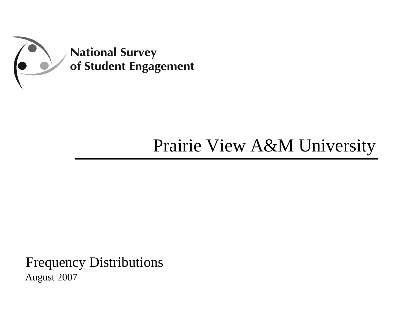

# Prairie View A&M University

Frequency Distributions August 2007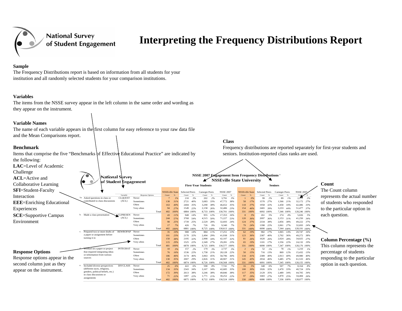

## **Interpreting the Frequency Distributions Report**

#### **Sample**

The Frequency Distributions report is based on information from all students for your institution and all randomly selected students for your comparison institutions.

#### **Variables**

The items from the NSSE survey appear in the left column in the same order and wording as they appear on the instrument.

#### **Variable Names**

The name of each variable appears in the first column for easy reference to your raw data file and the Mean Comparisons report.

#### **Benchmark**

Items that comprise the five "Benchmarks of Effective Educational Practice" are indicated by the following: **LAC**=Level of Academic Challenge **NSSE 2007 Engagement Item Frequency Distributions National Survey** 

Asked questions in class or CLQUEST Never

outed to class discussions

Prepared two or more drafts of REWROPAP Never

REWROPAP

CLQUEST (ACL)

of Student Engagement

INTEGRAT

DIVCLASS

Worked on a paper or project INTEGRAT Never

Included diverse perspectives DIVCLASS Never

(different races, religions) genders, political beliefs, etc.) in class discussions or assignments

a paper or assignment before turning it in

that required integrating ideas or information from various

Sometimes

Sometimes

Sometimes

Sometimes

Sometime

Often

Often

Often

Often

Very often 94 *27%*

Very often 17 *7%*

r 35

Very often 115 *29%*

10 and 10 and 10 and 10 and 10 and 10 and 10 and 10 and 10 and 10 and 10 and 10 and 10 and 10 and 10 and 10 an

Total

186 *46%*

Total 402*100%*

172 *39%*

Total

Very often 71 *22%*

Very often 130 *35%*

r 25

Total 402*100%*

101 *23%*

Never 43

Total

402 *100%*

 244*57%*

 150*38%*

401 *100%*

 76*16%*

 134*33%*

402 *100%*

 98*25%*

*10%*

*3%*

*6%*

*11%*

Often

**ACL**=Active and Collaborative Learning

**SFI**=Student-Faculty

Interaction

**EEE**=Enriching Educational

Experiences

 $SCE=$ 

Environment

**Response Options**

| Supportive Campus |  |
|-------------------|--|
| ∩nment            |  |

b. Made a class presentation CLPRESEN Never CLPRESEN (ACL)

1a.

c.

d.

e.

sources

Variable Response Options Count % Count % Count % Count % Count % Count % Count % Count % Count % r 7 *1%* 138 *31%* 163 *40%***First-Year Students**NSSEville State Selected Peers Carnegie Peers NSSE 2007 NSSEville State NSSE 2007 NSSEville State

K

 210 *3%* 202 *2%* 3,791 *3%* 1 *0%* 99 *2%* 89 *1%* 2,111 *2%* 2721 *40%* 3,083 *33%* 47,772 *38%* 58 *17%* 1570 *27%* 1,566 *21%* 32,172 *27%* 2404 *35%* 3,290 *38%* 46,652 *35%* 118 *37%* 1958 *32%* 2,458 *34%* 42,486 *33%* 1549 *22%* 2,158 *26%* 32,486 *23%* 154 *46%* 2465 *39%* 3,233 *44%* 51,477 *37%* 6884 *100%* 8,733 *100%* 130,701 *100%* 331 *100%* 6092 *100%* 7,346 *100%* 128,246 *100%* 948 *14%* 955 *12%* 17,353 *16%* 8 *3%* 261 *5%* 274 *4%* 5,026 *5%* 3768 *54%* 4,515 *50%* 71,227 *53%* 120 *36%* 2097 *36%* 2,153 *31%* 41,250 *34%* 1739 *25%* 2,529 *28%* 32,693 *24%* 124 *37%* 2334 *38%* 2,856 *38%* 49,222 *37%* 426 *7%* 726 *9%* 9,340 *7%* 79 *24%* 1398 *22%* 2,061 *27%* 32,693 *24%* 6881 *100%* 8,725 *100%* 130,613 *100%* 331 *100%* 6090 *100%* 7,344 *100%* 128,191 *100%* 988 *14%* 884 *11%* 17,251 *13%* 62 *19%* 982 *17%* 1,065 *14%* 20,747 *16%* 2170 *32%* 2,494 *29%* 41,938 *31%* 123 *36%* 2387 *40%* 2,702 *36%* 49,272 *38%* 2195 *32%* 2,998 *34%* 42,107 *32%* 81 *26%* 1620 *26%* 2,024 *28%* 34,025 *27%* 1525 *22%* 2,349 *27%* 29,281 *23%* 65 *19%* 1101 *17%* 1,556 *22%* 24,132 *19%* 6878 *100%* 8,725 *100%* 130,577 *100%* 331 *100%* 6090 *100%* 7,347 *100%* 128,176 *100%*

157 *2%* 179 *3%* 2,737 *3%* 2 *1%* 52 *1%* 78 *1%* 1,210 *1%*

1536 *22%* 1,758 *21%* 28,128 *22%* 50 *15%* 716 *13%* 869 *12%* 15,432 *13%*

3174 *46%* 3,963 *45%* 58,796 *44%* 134 *41%* 2389 *40%* 2,913 *40%* 49,980 *40%*

6874 *100%* 8,726 *100%* 130,568 *100%* 331 *100%* 6091 *100%* 7,345 *100%* 128,155 *100%*

2613 *38%* 3,246 *38%* 49,846 *38%* 117 *35%* 2129 *35%* 2,489 *34%* 44,705 *34%*

1497 *22%* 1,771 *21%* 30,252 *22%* 97 *29%* 1683 *27%* 1,870 *25%* 34,484 *26%*

2007 *29%* 2,826 *31%* 40,907 *31%* 145 *43%* 2934 *46%* 3,485 *47%* 61,533 *46%*

422 *6%* 598 *8%* 7,741 *7%* 16 *5%* 348 *6%* 507 *7%* 8,164 *8%*

2343 *34%* 3,107 *34%* 42,685 *33%* 100 *30%* 1926 *32%* 2,470 *33%* 40,724 *33%*

6875 *100%* 8,722 *100%* 130,524 *100%* 330 *100%* 6086 *100%* 7,336 *100%* 128,077 *100%*

**Class**

**NSSEville State University**

#### **Count**

2%

NSSE 2007

Frequency distributions are reported separately for first-year students and

seniors. Institution-reported class ranks are used.

Selected Peers

Carnegie Peers

**Seniors**

The Count column represents the actual number of students who responded to the particular option in each question.

#### **Column Percentage (%)** This column represents the percentage of students responding to the particular option in each question.



Response options appear in the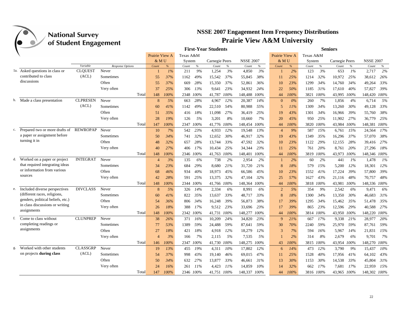|    |                                   | o.              | ō                       |                |       |           |           | <b>First-Year Students</b> |      |                  |      |                |       |           |           | <b>Seniors</b> |       |                  |        |
|----|-----------------------------------|-----------------|-------------------------|----------------|-------|-----------|-----------|----------------------------|------|------------------|------|----------------|-------|-----------|-----------|----------------|-------|------------------|--------|
|    |                                   |                 |                         | Prairie View A |       | Texas A&M |           |                            |      |                  |      | Prairie View A |       | Texas A&M |           |                |       |                  |        |
|    |                                   |                 |                         | & M U          |       | System    |           | Carnegie Peers             |      | <b>NSSE 2007</b> |      | & MU           |       | System    |           | Carnegie Peers |       | <b>NSSE 2007</b> |        |
|    |                                   | Variable        | <b>Response Options</b> | Count          | %     | Count     | $\%$      | Count                      | $\%$ | Count            | $\%$ | Count          | $\%$  | Count     | $\%$      | Count          | $\%$  | Count            | $\%$   |
|    | 1a. Asked questions in class or   | <b>CLOUEST</b>  | Never                   |                | $1\%$ | 211       | 9%        | 1.254                      | 3%   | 4.850            | 3%   |                | 2%    | 123       | 3%        | 653            | $1\%$ | 2,717            | 2%     |
|    | contributed to class              | (ACL)           | Sometimes               | 55             | 37%   | 1162      | 49%       | 15,542                     | 37%  | 55,845           | 38%  | 11             | 25%   | 1214      | 32%       | 10,972         | 25%   | 38,612           | 26%    |
|    | discussions                       |                 | Often                   | 55             | 37%   | 669       | 28%       | 15,350                     | 37%  | 52,861           | 36%  | 10             | 23%   | 1299      | 34%       | 14,760         | 34%   | 49,264           | 33%    |
|    |                                   |                 | Very often              | 37             | 25%   | 306       | 13%       | 9.641                      | 23%  | 34,932           | 24%  | 22             | 50%   | 1185      | 31%       | 17.610         | 40%   | 57.827           | 39%    |
|    |                                   |                 | Total                   | 148            | 100%  |           | 2348 100% | 41,787 100%                |      | 148,488          | 100% | 44             | 100%  | 3821      | 100%      | 43,995 100%    |       | 148,420 100%     |        |
|    | b. Made a class presentation      | <b>CLPRESEN</b> | Never                   | 8              | 5%    | 663       | 28%       | 4,967                      | 12%  | 20,387           | 14%  | $\mathbf{0}$   | $0\%$ | 260       | 7%        | 1,856          | 4%    | 6,714            | 5%     |
|    |                                   | (ACL)           | Sometimes               | 60             | 41%   | 1142      | 49%       | 22,510                     | 54%  | 80,988           | 55%  | 5              | 11%   | 1309      | 34%       | 13,260         | 30%   | 49,128           | 33%    |
|    |                                   |                 | Often                   | 51             | 35%   | 416       | 18%       | 11,098                     | 27%  | 36,419           | 25%  | 19             | 43%   | 1301      | 34%       | 16,966         | 39%   | 55,760           | 38%    |
|    |                                   |                 | Very often              | 28             | 19%   | 126       | 5%        | 3,201                      | 8%   | 10.660           | 7%   | 20             | 45%   | 950       | 25%       | 11,902         | 27%   | 36,779           | 25%    |
|    |                                   |                 | Total                   | 147            | 100%  |           | 2347 100% | 41,776                     | 100% | 148,454          | 100% | 44             | 100%  | 3820      | 100%      | 43,984         | 100%  | 148,381          | 100%   |
| c. | Prepared two or more drafts of    | <b>REWROPAP</b> | Never                   | 10             | 7%    | 542       | 23%       | 4,933                      | 12%  | 19,548           | 13%  | $\overline{4}$ | 9%    | 587       | 15%       | 6,761          | 15%   | 24,564           | 17%    |
|    | a paper or assignment before      |                 | Sometimes               | 50             | 34%   | 741       | 32%       | 12,652                     | 30%  | 46,917           | 32%  | 19             | 43%   | 1349      | 35%       | 16,296         | 37%   | 57,070           | 38%    |
|    | turning it in                     |                 | Often                   | 48             | 32%   | 657       | 28%       | 13,744                     | 33%  | 47,592           | 32%  | 10             | 23%   | 1122      | 29%       | 12,155         | 28%   | 39,416           | 27%    |
|    |                                   |                 | Very often              | 40             | 27%   | 406       | 17%       | 10,434                     | 25%  | 34,344           | 23%  | 11             | 25%   | 761       | 20%       | 8.761          | 20%   | 27,296           | 18%    |
|    |                                   |                 | Total                   | 148            | 100%  |           | 2346 100% | 41,763 100%                |      | 148,401          | 100% | 44             | 100%  | 3819      | 100%      | 43,973         | 100%  | 148,346 100%     |        |
|    | d. Worked on a paper or project   | <b>INTEGRAT</b> | Never                   | $\overline{4}$ | 3%    | 135       | 6%        | 738                        | 2%   | 2,954            | 2%   | 1              | 2%    | 60        | 2%        | 441            | 1%    | 1,478            | $1\%$  |
|    | that required integrating ideas   |                 | Sometimes               | 34             | 23%   | 684       | 29%       | 8,680                      | 21%  | 31,720           | 21%  | 8              | 18%   | 579       | 15%       | 5.200          | 12%   | 18,301           | 12%    |
|    | or information from various       |                 | Often                   | 68             | 46%   | 934       | 40%       | 18,973                     | 45%  | 66,586           | 45%  | 10             | 23%   | 1552      | 41%       | 17,224         | 39%   | 57,800           | 39%    |
|    | sources                           |                 | Very often              | 42             | 28%   | 591       | 25%       | 13,375                     | 32%  | 47,104           | 32%  | 25             | 57%   | 1627      | 43%       | 21,116         | 48%   | 70,757           | 48%    |
|    |                                   |                 | Total                   | 148            | 100%  |           | 2344 100% | 41,766 100%                |      | 148,364          | 100% | 44             | 100%  | 3818      | 100%      | 43,981         | 100%  | 148,336 100%     |        |
| e. | Included diverse perspectives     | <b>DIVCLASS</b> | Never                   | 8              | 5%    | 326       | 14%       | 2,334                      | 6%   | 8.991            | 6%   | $\overline{2}$ | 5%    | 354       | 9%        | 2,542          | 6%    | 9,471            | 6%     |
|    | (different races, religions,      |                 | Sometimes               | 60             | 41%   | 822       | 35%       | 13,637                     | 33%  | 48,717           | 33%  | 8              | 18%   | 1300      | 34%       | 13,350         | 30%   | 46.683           | 31%    |
|    | genders, political beliefs, etc.) |                 | Often                   | 54             | 36%   | 806       | 34%       | 16,248                     | 39%  | 56,873           | 38%  | 17             | 39%   | 1295      | 34%       | 15,462         | 35%   | 51,478           | 35%    |
|    | in class discussions or writing   |                 | Very often              | 26             | 18%   | 388       | 17%       | 9,512                      | 23%  | 33,696           | 23%  | 17             | 39%   | 865       | 23%       | 12,596         | 29%   | 40,588           | 27%    |
|    | assignments                       |                 | Total                   | 148            | 100%  |           | 2342 100% | 41,731 100%                |      | 148,277          | 100% | 44             | 100%  | 3814      | 100%      | 43,950         | 100%  | 148,220 100%     |        |
| f. | Come to class without             | <b>CLUNPREP</b> | Never                   | 38             | 26%   | 371       | 16%       | 10,209                     | 24%  | 34,820           | 23%  | 9              | 21%   | 667       | 17%       | 9,338          | 21%   | 28,977           | 20%    |
|    | completing readings or            |                 | Sometimes               | 77             | 53%   | 1389      | 59%       | 24,488                     | 59%  | 87,641           | 59%  | 30             | 70%   | 2240      | 59%       | 25,970         | 59%   | 87,761           | 59%    |
|    | assignments                       |                 | Often                   | 27             | 18%   | 421       | 18%       | 4,918                      | 12%  | 18,279           | 12%  | 3              | 7%    | 594       | 16%       | 5,967          | 14%   | 21,831           | 15%    |
|    |                                   |                 | Very often              | $\overline{4}$ | 3%    | 166       | 7%        | 2,115                      | 5%   | 7,535            | 5%   |                | 2%    | 314       | 8%        | 2,679          | 6%    | 9,701            | 7%     |
|    |                                   |                 | Total                   | 146            | 100%  |           | 2347 100% | 41,730                     | 100% | 148,275          | 100% | 43             | 100%  | 3815      | 100%      | 43,954         | 100%  | 148,270          | 100%   |
|    | Worked with other students        | <b>CLASSGRP</b> | Never                   | 19             | 13%   | 455       | 19%       |                            | 10%  | 17,802           | 12%  |                | 14%   | 473       | 12%       | 3,790          | 9%    |                  | $10\%$ |
|    | on projects during class          | (ACL)           | Sometimes               |                | 37%   | 998       | 43%       | 4,311                      |      |                  | 47%  | 6              | 25%   |           | 40%       |                |       | 15,437           | 43%    |
|    |                                   |                 | Often                   | 54             |       |           |           | 19,140                     | 46%  | 69,015           |      | 11             |       | 1528      |           | 17,956         | 41%   | 64,102           |        |
|    |                                   |                 |                         | 50             | 34%   | 632       | 27%       | 13,877                     | 33%  | 46,661           | 31%  | 13             | 30%   | 1153      | 30%       | 14,538         | 33%   | 45,804           | 31%    |
|    |                                   |                 | Very often              | 24             | 16%   | 261       | 11%       | 4,423                      | 11%  | 14,859           | 10%  | 14             | 32%   | 662       | 17%       | 7,681          | 17%   | 22,959           | 15%    |
|    |                                   |                 | Total                   | 147            | 100%  |           | 2346 100% | 41.751 100%                |      | 148,337          | 100% | 44             | 100%  |           | 3816 100% | 43.965 100%    |       | 148.302 100%     |        |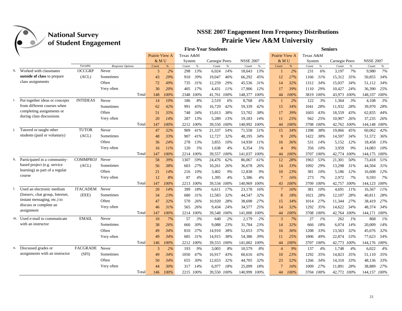|    |                                  | o               |                  |                |            |           |                 | <b>First-Year Students</b> |      |                  |            |                 |            |           |            | <b>Seniors</b>                |                    |
|----|----------------------------------|-----------------|------------------|----------------|------------|-----------|-----------------|----------------------------|------|------------------|------------|-----------------|------------|-----------|------------|-------------------------------|--------------------|
|    |                                  |                 |                  | Prairie View A |            | Texas A&M |                 |                            |      |                  |            | Prairie View A  |            | Texas A&M |            |                               |                    |
|    |                                  |                 |                  | & MU           |            | System    |                 | Carnegie Peers             |      | <b>NSSE 2007</b> |            | & MU            |            | System    |            | Carnegie Peers                | <b>NSSE 2007</b>   |
|    |                                  | Variable        | Response Options | Count          | %          | Count     | $\%$            | Count                      | $\%$ | Count            | $\%$       | Count           | %          | Count     | $\%$       | Count<br>$\%$                 | Count<br>$\%$      |
|    | h. Worked with classmates        | <b>OCCGRP</b>   | Never            | 3              | 2%         | 298       | 13%             | 6,024                      | 14%  | 18,643           | 13%        |                 | 2%         | 231       | 6%         | 7%<br>3,197                   | 7%<br>9.980        |
|    | outside of class to prepare      | (ACL)           | Sometimes        | 43             | 29%        | 910       | 39%             | 19,047                     | 46%  | 66,292           | 45%        | 12              | 27%        | 1166      | 31%        | 35%<br>15,312                 | 34%<br>50,855      |
|    | class assignments                |                 | Often            | 72             | 49%        | 735       | 31%             | 12,259                     | 29%  | 45,536           | 31%        | 14              | 32%        | 1312      | 34%        | 15,037<br>34%                 | 34%<br>51,112      |
|    |                                  |                 | Very often       | 30             | 20%        | 405       | 17%             | 4,431                      | 11%  | 17,906           | 12%        | 17              | 39%        | 1110      | 29%        | 10,427<br>24%                 | 36,390<br>25%      |
|    |                                  |                 | Total            | 148            | 100%       |           | 2348 100%       | 41,761                     | 100% | 148,377          | 100%       | 44              | 100%       | 3819      | 100%       | 43,973<br>100%                | 148,337<br>100%    |
| i. | Put together ideas or concepts   | <b>INTIDEAS</b> | Never            | 14             | 10%        | 186       | 8%              | 2,519                      | 6%   | 8,768            | 6%         | -1              | 2%         | 122       | 3%         | 1,364<br>3%                   | 3%<br>4,108        |
|    | from different courses when      |                 | Sometimes        | 62             | 42%        | 991       | 45%             | 16,729                     | 42%  | 59,339           | 42%        | 15              | 34%        | 1041      | 28%        | 11,932<br>28%                 | 28%<br>39,970      |
|    | completing assignments or        |                 | Often            | 51             | 35%        | 748       | 34%             | 15,013                     | 38%  | 53,702           | 38%        | 17              | 39%        | 1603      | 43%        | 43%<br>18,559                 | 44%<br>62,835      |
|    | during class discussions         |                 | Very often       | 20             | 14%        | 287       | 13%             | 5,289                      | 13%  | 19,183           | 14%        | 11              | 25%        | 942       | 25%        | 10,907<br>26%                 | 26%<br>37.235      |
|    |                                  |                 | Total            | 147            | 100%       | 2212 100% |                 | 39,550 100%                |      | 140,992          | 100%       | 44              | 100%       | 3708      | 100%       | 100%<br>42,762                | 144.148 100%       |
|    | Tutored or taught other          | <b>TUTOR</b>    | Never            | 47             | 32%        | 909       | 41%             | 21,337                     | 54%  | 71,558           | 51%        | 15              | 34%        | 1398      | 38%        | 45%<br>19,066                 | 42%<br>60,062      |
|    | students (paid or voluntary)     | (ACL)           | Sometimes        | 48             | 33%        | 907       | 41%             | 12,727                     | 32%  | 48.195           | 34%        | $\mathbf{Q}$    | 20%        | 1422      | 38%        | 14,597<br>34%                 | 36%<br>51,572      |
|    |                                  |                 | Often            | 36             | 24%        | 278       | 13%             | 3,855                      | 10%  | 14,930           | 11%        | 16              | 36%        | 531       | 14%        | 5,152<br>12%                  | 13%<br>18,458      |
|    |                                  |                 | Very often       | 16             | 11%        | 120       | 5%              | 1,638                      | 4%   | 6,354            | 5%         | $\overline{4}$  | 9%         | 356       | 10%        | 9%<br>3,959                   | 10%<br>14,083      |
|    |                                  |                 | Total            | 147            | 100%       | 2214 100% |                 | 39,557 100%                |      | 141,037          | 100%       | 44              | 100%       | 3707      | 100%       | 42,774<br>100%                | 144,175 100%       |
| k. | Participated in a community-     | <b>COMMPROJ</b> | Never            | 58             | 39%        | 1307      | 59%             | 24,476                     | 62%  | 86,067           | 61%        | 12              | 28%        | 1963      | 53%        | 21,301<br>50%                 | 51%<br>73,418      |
|    | based project (e.g. service      | (ACL)           | Sometimes        | 56             | 38%        | 603       | 27%             | 10,261                     | 26%  | 36,678           | 26%        | 14              | 33%        | 1092      | 29%        | 13,298<br>31%                 | 44,504<br>31%      |
|    | learning) as part of a regular   |                 | Often            | 21             | 14%        | 216       | 10%             | 3,402                      | 9%   | 12,838           | 9%         | 10              | 23%        | 381       | 10%        | 5,186<br>12%                  | 16,608<br>12%      |
|    | course                           |                 | Very often       | 12             | 8%         | 87        | 4%              | 1,395                      | 4%   | 5,386            | 4%         | $\overline{7}$  | 16%        | 273       | 7%         | 2,972<br>7%                   | 9,593<br>7%        |
|    |                                  |                 | Total            | 147            | 100%       | 2213 100% |                 | 39,534 100%                |      | 140,969          | 100%       | 43              | $100\%$    | 3709      | 100%       | 42,757<br>100%                | 144,123 100%       |
|    | Used an electronic medium        | <b>ITACADEM</b> | Never            | 20             | 14%        | 399       | 18%             | 6,611                      | 17%  | 23.178           | 16%        | $7\phantom{.0}$ | 16%        | 381       | 10%        | 4,691<br>11%                  | 11%<br>16,567      |
|    | (listserv, chat group, Internet, | (EEE)           | Sometimes        | 34             | 23%        | 680       | 31%             | 12,583                     | 32%  | 44,547           | 32%        | 8               | 18%        | 1021      | 28%        | 28%<br>12,107                 | 28%<br>40,811      |
|    | instant messaging, etc.) to      |                 | Often            | 47             | 32%        | 570       | 26%             | 10,920                     | 28%  | 38,698           | 27%        | 15              | 34%        | 1014      | 27%        | 27%<br>11,344                 | 27%<br>38,419      |
|    | discuss or complete an           |                 | Very often       | 46             | 31%        | 565       | 26%             | 9.434                      | 24%  | 34,577           | 25%        | 14              | 32%        | 1292      | 35%        | 14.622<br>34%                 | 34%<br>48.374      |
|    | assignment                       |                 | Total            | 147            | 100%       |           | 2214 100%       | 39,548 100%                |      | 141,000          | 100%       | 44              | 100%       | 3708      | 100%       | 100%<br>42,764                | 144,171 100%       |
| m. | Used e-mail to communicate       | <b>EMAIL</b>    | Never            | 10             | 7%         | 57        | 3%              | 640                        | 2%   | 2,179            | 2%         | 3               | 7%         | 27        | 1%         | 262<br>$1\%$                  | $1\%$<br>868       |
|    | with an instructor               |                 | Sometimes        | 38             | 26%        | 660       | 30%             | 9.088                      | 23%  | 31,784           | 23%        | 14              | 32%        | 666       | 18%        | 6.074<br>14%                  | 14%<br>20,009      |
|    |                                  |                 | Often            | 49             | 34%        | 810       | 37%             | 14,910                     | 38%  | 52,653           | 37%        | 16              | 36%        | 1208      | 33%        | 32%<br>13,563                 | 32%<br>45,676      |
|    |                                  |                 | Very often       | 49             | 34%        | 685       | 31%             | 14,915                     | 38%  | 54,386           | 39%        | 11              | 25%        | 1806      | 49%        | 22,874<br>53%                 | 54%<br>77,623      |
|    |                                  |                 |                  |                |            |           |                 |                            |      |                  |            |                 |            |           |            |                               |                    |
|    | Discussed grades or              | FACGRADE        | Total<br>Never   | 146            | 100%<br>2% |           | 2212 100%<br>9% | 39,553 100%                | 8%   | 141,002          | 100%<br>8% | 44              | 100%<br>9% | 3707      | 100%<br>4% | 42,773<br>100%<br>1,748<br>4% | 144,176 100%<br>4% |
|    | assignments with an instructor   | (SFI)           |                  | 3              |            | 193       |                 | 3,003                      |      | 10,579           |            | $\overline{4}$  |            | 137       |            |                               | 6,022              |
|    |                                  |                 | Sometimes        | 49             | 34%        | 1050      | 47%             | 16,917                     | 43%  | 60,616           | 43%        | 10              | 23%        | 1292      | 35%        | 14,823<br>35%                 | 35%<br>51.110      |
|    |                                  |                 | Often            | 50             | 34%        | 655       | 30%             | 12,653                     | 32%  | 44,705           | 32%        | 23              | 52%        | 1266      | 34%        | 14,310<br>33%                 | 33%<br>48,136      |
|    |                                  |                 | Very often       | 44             | 30%        | 317       | 14%             | 6,977                      | 18%  | 25,099           | 18%        | $\overline{7}$  | 16%        | 1009      | 27%        | 11,891<br>28%                 | 27%<br>38,889      |
|    |                                  |                 | Total            | 146            | 100%       | 2215 100% |                 | 39,550 100%                |      | 140,999          | 100%       | 44              | 100%       | 3704 100% |            | 42,772 100%                   | 144,157 100%       |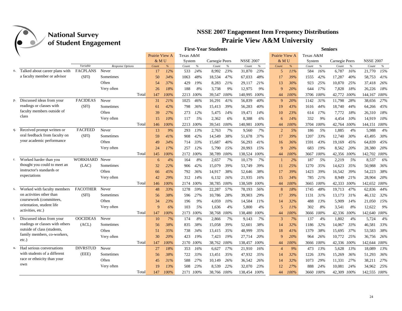|    |                                 | ־ס              | ס                |                |      |           |           | <b>First-Year Students</b> |      |                  |      |                |      |           |         | <b>Seniors</b> |      |                  |      |
|----|---------------------------------|-----------------|------------------|----------------|------|-----------|-----------|----------------------------|------|------------------|------|----------------|------|-----------|---------|----------------|------|------------------|------|
|    |                                 |                 |                  | Prairie View A |      | Texas A&M |           |                            |      |                  |      | Prairie View A |      | Texas A&M |         |                |      |                  |      |
|    |                                 |                 |                  | & MU           |      | System    |           | Carnegie Peers             |      | <b>NSSE 2007</b> |      | & MU           |      | System    |         | Carnegie Peers |      | <b>NSSE 2007</b> |      |
|    |                                 | Variable        | Response Options | Count          | %    | Count     | $\%$      | $Count$                    | $\%$ | Count            | $\%$ | Count          | %    | Count     | $\%$    | Count          | $\%$ | Count            | $\%$ |
| о. | Talked about career plans with  | <b>FACPLANS</b> | Never            | 17             | 12%  | 533       | 24%       | 8.992                      | 23%  | 31.870           | 23%  | 5              | 11%  | 584       | 16%     | 6,787          | 16%  | 21.770           | 15%  |
|    | a faculty member or advisor     | (SFI)           | Sometimes        | 50             | 34%  | 1063      | 48%       | 18,534                     | 47%  | 67,033           | 48%  | 17             | 39%  | 1555      | 42%     | 17,287         | 40%  | 58,753           | 41%  |
|    |                                 |                 | Often            | 54             | 37%  | 429       | 19%       | 8.283                      | 21%  | 29.117           | 21%  | 13             | 30%  | 923       | 25%     | 10,870         | 25%  | 37,418           | 26%  |
|    |                                 |                 | Very often       | 26             | 18%  | 188       | 8%        | 3.738                      | 9%   | 12,975           | 9%   | 9              | 20%  | 644       | 17%     | 7,828          | 18%  | 26,226           | 18%  |
|    |                                 |                 | Total            | 147            | 100% |           | 2213 100% | 39,547 100%                |      | 140,995          | 100% | 44             | 100% | 3706 100% |         | 42,772 100%    |      | 144,167          | 100% |
| p. | Discussed ideas from your       | <b>FACIDEAS</b> | Never            | 31             | 21%  | 1025      | 46%       | 16,291                     | 41%  | 56,839           | 40%  | 9              | 20%  | 1142      | 31%     | 11,798         | 28%  | 38,656           | 27%  |
|    | readings or classes with        | (SFI)           | Sometimes        | 61             | 42%  | 798       | 36%       | 15,413                     | 39%  | 56,283           | 40%  | 19             | 43%  | 1616      | 44%     | 18,740         | 44%  | 64,266           | 45%  |
|    | faculty members outside of      |                 | Often            | 39             | 27%  | 273       | 12%       | 5,475                      | 14%  | 19,471           | 14%  | 10             | 23%  | 614       | 17%     | 7,772          | 18%  | 26,310           | 18%  |
|    | class                           |                 | Very often       | 15             | 10%  | 117       | 5%        | 2,362                      | 6%   | 8,388            | 6%   | 6              | 14%  | 332       | 9%      | 4,454          | 10%  | 14,919           | 10%  |
|    |                                 |                 | Total            | 146            | 100% |           | 2213 100% | 39,541 100%                |      | 140,981          | 100% | 44             | 100% | 3704      | 100%    | 42,764         | 100% | 144,151          | 100% |
| q. | Received prompt written or      | <b>FACFEED</b>  | Never            | 13             | 9%   | 293       | 13%       | 2,763                      | 7%   | 9.560            | 7%   | $\overline{2}$ | 5%   | 186       | 5%      | 1,885          | 4%   | 5,988            | 4%   |
|    | oral feedback from faculty on   | (SFI)           | Sometimes        | 59             | 41%  | 908       | 42%       | 14,549                     | 38%  | 51,678           | 37%  | 17             | 39%  | 1207      | 33%     | 12,740         | 30%  | 43,495           | 30%  |
|    | your academic performance       |                 | Often            | 49             | 34%  | 714       | 33%       | 15,687                     | 40%  | 56,293           | 41%  | 16             | 36%  | 1591      | 43%     | 19,169         | 45%  | 64,839           | 45%  |
|    |                                 |                 | Very often       | 24             | 17%  | 257       | 12%       | 5,790                      | 15%  | 20.993           | 15%  | 9              | 20%  | 683       | 19%     | 8,562          | 20%  | 28,380           | 20%  |
|    |                                 |                 | Total            | 145            | 100% |           | 2172 100% | 38,789 100%                |      | 138,524          | 100% | 44             | 100% | 3667      | 100%    | 42,356 100%    |      | 142,702          | 100% |
| r. | Worked harder than you          | <b>WORKHARD</b> | Never            | 6              | 4%   | 164       | 8%        | 2,657                      | 7%   | 10.179           | 7%   | $\overline{1}$ | 2%   | 187       | 5%      | 2,219          | 5%   | 8,537            | 6%   |
|    | thought you could to meet an    | (LAC)           | Sometimes        | 32             | 22%  | 906       | 42%       | 15,079                     | 39%  | 53,749           | 39%  | 11             | 25%  | 1270      | 35%     | 14,623         | 35%  | 50,988           | 36%  |
|    | instructor's standards or       |                 | Often            | 66             | 45%  | 792       | 36%       | 14,917                     | 38%  | 52,646           | 38%  | 17             | 39%  | 1423      | 39%     | 16,542         | 39%  | 54,223           | 38%  |
|    | expectations                    |                 | Very often       | 42             | 29%  | 312       | 14%       | 6,132                      | 16%  | 21,935           | 16%  | 15             | 34%  | 785       | 21%     | 8,949          | 21%  | 28,904           | 20%  |
|    |                                 |                 | Total            | 146            | 100% |           | 2174 100% | 38,785 100%                |      | 138,509          | 100% | 44             | 100% | 3665      | 100%    | 42,333 100%    |      | 142,652 100%     |      |
| S. | Worked with faculty members     | <b>FACOTHER</b> | Never            | 48             | 33%  | 1278      | 59%       | 22,287                     | 57%  | 78,193           | 56%  | 8              | 18%  | 1745      | 48%     | 19,713         | 47%  | 62,836           | 44%  |
|    | on activities other than        | (SFD)           | Sometimes        | 56             | 38%  | 596       | 27%       | 10.786                     | 28%  | 39.903           | 29%  | 17             | 39%  | 1131      | 31%     | 13.173         | 31%  | 46,132           | 32%  |
|    | coursework (committees,         |                 | Often            | 34             | 23%  | 196       | 9%        | 4,059                      | 10%  | 14,584           | 11%  | 14             | 32%  | 488       | 13%     | 5,909          | 14%  | 21,050           | 15%  |
|    | orientation, student life       |                 | Very often       | $\mathbf{Q}$   | 6%   | 103       | 5%        | 1,636                      | 4%   | 5,800            | 4%   | 5              | 11%  | 302       | 8%      | 3,541          | 8%   | 12,622           | 9%   |
|    | activities, etc.)               |                 | Total            | 147            | 100% | 2173      | 100%      | 38,768                     | 100% | 138,480          | 100% | 44             | 100% | 3666      | 100%    | 42,336         | 100% | 142,640 100%     |      |
| t. | Discussed ideas from your       | <b>OOCIDEAS</b> | Never            | 10             | 7%   | 174       | 8%        | 2,866                      | 7%   | 9,143            | 7%   | 3              | 7%   | 137       | 4%      | 1,802          | 4%   | 5,724            | 4%   |
|    | readings or classes with others | (ACL)           | Sometimes        | 56             | 38%  | 835       | 38%       | 15,058                     | 39%  | 52,601           | 38%  | 14             | 32%  | 1186      | 32%     | 14,067         | 33%  | 46,581           | 33%  |
|    | outside of class (students,     |                 | Often            | 51             | 35%  | 738       | 34%       | 13,415                     | 35%  | 48,999           | 35%  | 18             | 41%  | 1379      | 38%     | 15,695         | 37%  | 53,583           | 38%  |
|    | family members, co-workers,     |                 | Very often       | 30             | 20%  | 423       | 19%       | 7,423                      | 19%  | 27,714           | 20%  | 9              | 20%  | 964       | 26%     | 10,772         | 25%  | 36,756           | 26%  |
|    | $etc.$ )                        |                 | Total            | 147            | 100% |           | 2170 100% | 38,762 100%                |      | 138,457          | 100% | 44             | 100% | 3666      | $100\%$ | 42,336 100%    |      | 142,644          | 100% |
|    | Had serious conversations       | <b>DIVRSTUD</b> | Never            | 27             | 18%  | 353       | 16%       | 6,627                      | 17%  | 21,910           | 16%  | $\overline{4}$ | 9%   | 473       | 13%     | 5,628          | 13%  | 18,089           | 13%  |
|    | with students of a different    | (EEE)           | Sometimes        | 56             | 38%  | 722       | 33%       | 13,451                     | 35%  | 47,932           | 35%  | 14             | 32%  | 1226      | 33%     | 15,269         | 36%  | 51,293           | 36%  |
|    | race or ethnicity than your     |                 | Often            |                |      |           |           |                            |      |                  | 26%  |                | 32%  |           | 29%     |                |      |                  | 27%  |
|    | own                             |                 |                  | 45             | 31%  | 588       | 27%       | 10,149                     | 26%  | 36,542           |      | 14             |      | 1073      |         | 11,331         | 27%  | 38,211           |      |
|    |                                 |                 | Very often       | 19             | 13%  | 508       | 23%       | 8,539                      | 22%  | 32,070           | 23%  | 12             | 27%  | 888       | 24%     | 10,081         | 24%  | 34,962           | 25%  |
|    |                                 |                 | Total            | 147            | 100% |           | 2171 100% | 38,766 100%                |      | 138,454          | 100% | 44             | 100% | 3660      | 100%    | 42,309 100%    |      | 142,555 100%     |      |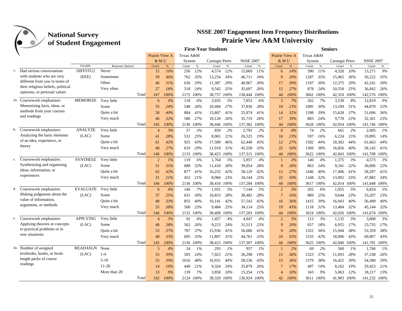|    |                                                                    | ס־ס             |                         |                |      |           |           | <b>First-Year Students</b> |      |                  |      |                |       |           |      | <b>Seniors</b> |      |                  |      |
|----|--------------------------------------------------------------------|-----------------|-------------------------|----------------|------|-----------|-----------|----------------------------|------|------------------|------|----------------|-------|-----------|------|----------------|------|------------------|------|
|    |                                                                    |                 |                         | Prairie View A |      | Texas A&M |           |                            |      |                  |      | Prairie View A |       | Texas A&M |      |                |      |                  |      |
|    |                                                                    |                 |                         | & MU           |      | System    |           | Carnegie Peers             |      | <b>NSSE 2007</b> |      | & MU           |       | System    |      | Carnegie Peers |      | <b>NSSE 2007</b> |      |
|    |                                                                    | Variable        | <b>Response Options</b> | Count          | %    | Count     | $\%$      | Count                      | $\%$ | Count            | $\%$ | Count          | %     | Count     | $\%$ | Count          | $\%$ | Count            | $\%$ |
| V. | Had serious conversations                                          | DIFFSTU2        | Never                   | 15             | 10%  | 256       | 12%       | 4,574                      | 12%  | 15,069           | 11%  | 6              | 14%   | 390       | 11%  | 4,320          | 10%  | 13,271           | 9%   |
|    | with students who are very                                         | (EEE)           | Sometimes               | 59             | 40%  | 762       | 35%       | 13,254                     | 34%  | 46,711           | 34%  | 9              | 20%   | 1287      | 35%  | 15,065         | 36%  | 50,222           | 35%  |
|    | different from you in terms of                                     |                 | Often                   | 46             | 31%  | 636       | 29%       | 11,387                     | 29%  | 40,967           | 30%  | 17             | 39%   | 1107      | 30%  | 12,375         | 29%  | 42,241           | 30%  |
|    | their religious beliefs, political<br>opinions, or personal values |                 | Very often              | 27             | 18%  | 518       | 24%       | 9,542                      | 25%  | 35,697           | 26%  | 12             | 27%   | 878       | 24%  | 10,550         | 25%  | 36,842           | 26%  |
|    |                                                                    |                 | Total                   | 147            | 100% |           | 2172 100% | 38,757 100%                |      | 138,444          | 100% | 44             | 100%  | 3662      | 100% | 42,310         | 100% | 142,576 100%     |      |
|    | 2a. Coursework emphasizes:                                         | <b>MEMORIZE</b> | Very little             | 6              | 4%   | 118       | 6%        | 2,035                      | 5%   | 7,853            | 6%   | 3              | 7%    | 262       | 7%   | 3.539          | 8%   | 12,819           | 9%   |
|    | Memorizing facts, ideas, or                                        |                 | Some                    | 35             | 24%  | 548       | 26%       | 10,484                     | 27%  | 37,836           | 28%  | 10             | 23%   | 1085      | 30%  | 13,109         | 31%  | 44,870           | 32%  |
|    | methods from your courses                                          |                 | Ouite a bit             | 58             | 40%  | 884       | 41%       | 15,807                     | 41%  | 55,974           | 41%  | 14             | 32%   | 1398      | 39%  | 15,628         | 37%  | 51,696           | 36%  |
|    | and readings                                                       |                 | Very much               | 46             | 32%  | 586       | 27%       | 10,120                     | 26%  | 35,719           | 26%  | 17             | 39%   | 883       | 24%  | 9,778          | 23%  | 32,361           | 23%  |
|    |                                                                    |                 | Total                   | 145            | 100% |           | 2136 100% | 38,446 100%                |      | 137,382          | 100% | 44             | 100%  | 3628      | 100% | 42,054 100%    |      | 141,746 100%     |      |
| b. | Coursework emphasizes:                                             | <b>ANALYZE</b>  | Very little             | $\overline{4}$ | 3%   | 57        | 3%        | 850                        | 2%   | 2,792            | 2%   | $\mathbf{0}$   | $0\%$ | 74        | 2%   | 661            | 2%   | 2,005            | 1%   |
|    | Analyzing the basic elements                                       | (LAC)           | Some                    | 41             | 28%  | 532       | 25%       | 8,065                      | 21%  | 26,525           | 19%  | 10             | 23%   | 597       | 16%  | 6,224          | 15%  | 19,895           | 14%  |
|    | of an idea, experience, or                                         |                 | Ouite a bit             | 61             | 42%  | 925       | 43%       | 17.589                     | 46%  | 62,440           | 45%  | 12             | 27%   | 1582      | 44%  | 18,302         | 44%  | 61.663           | 44%  |
|    | theory                                                             |                 | Very much               | 40             | 27%  | 619       | 29%       | 11.919                     | 31%  | 45,558           | 33%  | 22             | 50%   | 1369      | 38%  | 16,856         | 40%  | 58,145           | 41%  |
|    |                                                                    |                 | Total                   | 146            | 100% |           | 2133 100% | 38,423 100%                |      | 137,315          | 100% | 44             | 100%  | 3622      | 100% | 42,043         | 100% | 141,708 100%     |      |
| c. | Coursework emphasizes:                                             | <b>SYNTHESZ</b> | Very little             | $\overline{2}$ | 1%   | 119       | 6%        | 1,764                      | 5%   | 5,957            | 4%   | $\overline{1}$ | 2%    | 140       | 4%   | 1,375          | 3%   | 4,573            | 3%   |
|    | Synthesizing and organizing                                        | (LAC)           | Some                    | 51             | 35%  | 688       | 32%       | 11,410                     | 30%  | 39,054           | 28%  | 9              | 20%   | 863       | 24%  | 9,341          | 22%  | 30,896           | 22%  |
|    | ideas, information, or                                             |                 | Ouite a bit             | 62             | 42%  | 877       | 41%       | 16,252                     | 42%  | 58,129           | 42%  | 12             | 27%   | 1446      | 40%  | 17,406         | 41%  | 58,297           | 41%  |
|    | experiences                                                        |                 | Very much               | 31             | 21%  | 452       | 21%       | 8,984                      | 23%  | 34,144           | 25%  | 22             | 50%   | 1168      | 32%  | 13,892         | 33%  | 47,882           | 34%  |
|    |                                                                    |                 | Total                   | 146            | 100% |           | 2136 100% | 38,410 100%                |      | 137,284          | 100% | 44             | 100%  | 3617      | 100% | 42,014 100%    |      | 141,648 100%     |      |
| d. | Coursework emphasizes:                                             | <b>EVALUATE</b> | Very little             | 6              | 4%   | 146       | 7%        | 1,931                      | 5%   | 7,144            | 5%   | 2              | 5%    | 202       | 6%   | 1,955          | 5%   | 6,824            | 5%   |
|    | Making judgments about the                                         | (LAC)           | Some                    | 37             | 25%  | 631       | 30%       | 10,853                     | 28%  | 38,482           | 28%  | $\overline{7}$ | 16%   | 889       | 25%  | 9.644          | 23%  | 33,207           | 23%  |
|    | value of information,                                              |                 | Ouite a bit             | 48             | 33%  | 855       | 40%       | 16,141                     | 42%  | 57,543           | 42%  | 16             | 36%   | 1415      | 39%  | 16,943         | 40%  | 56,499           | 40%  |
|    | arguments, or methods                                              |                 | Very much               | 55             | 38%  | 500       | 23%       | 9,484                      | 25%  | 34,114           | 25%  | 19             | 43%   | 1118      | 31%  | 13,484         | 32%  | 45,144           | 32%  |
|    |                                                                    |                 | Total                   | 146            | 100% |           | 2132 100% | 38,409 100%                |      | 137,283          | 100% | 44             | 100%  | 3624      | 100% | 42,026 100%    |      | 141,674 100%     |      |
|    | e. Coursework emphasizes:                                          | <b>APPLYING</b> | Very little             | $\overline{4}$ | 3%   | 92        | 4%        | 1,457                      | 4%   | 4,947            | 4%   | $\overline{c}$ | 5%    | 113       | 3%   | 1,135          | 3%   | 3,800            | 3%   |
|    | Applying theories or concepts                                      | (LAC)           | Some                    | 40             | 28%  | 562       | 26%       | 9,223                      | 24%  | 31,513           | 23%  | 9              | 20%   | 657       | 18%  | 6,955          | 17%  | 23,735           | 17%  |
|    | to practical problems or in                                        |                 | Ouite a bit             | 53             | 37%  | 787       | 37%       | 15,936                     | 41%  | 56,086           | 41%  | 9              | 20%   | 1322      | 36%  | 15,944         | 38%  | 53,359           | 38%  |
|    | new situations                                                     |                 | Very much               | 48             | 33%  | 695       | 33%       | 11,807                     | 31%  | 44,761           | 33%  | 24             | 55%   | 1533      | 42%  | 18,006         | 43%  | 60,807           | 43%  |
|    |                                                                    |                 | Total                   | 145            | 100% | 2136      | 100%      | 38,423                     | 100% | 137,307          | 100% | 44             | 100%  | 3625      | 100% | 42,040         | 100% | 141,701          | 100% |
|    | 3a. Number of assigned                                             | <b>READASGN</b> | None                    | 5              | 4%   | 24        | 1%        | 293                        | 1%   | 957              | 1%   | $\overline{1}$ | 2%    | 69        | 2%   | 560            | 1%   | 1,766            | 1%   |
|    | textbooks, books, or book-                                         | (LAC)           | $1-4$                   | 55             | 39%  | 505       | 24%       | 7,923                      | 21%  | 26,298           | 19%  | 15             | 36%   | 1323      | 37%  | 11,693         | 28%  | 37,238           | 26%  |
|    | length packs of course                                             |                 | $5-10$                  | 55             | 39%  | 1016      | 48%       | 16,931                     | 44%  | 58,536           | 43%  | 15             | 36%   | 1379      | 38%  | 16,425         | 39%  | 54,588           | 39%  |
|    | readings                                                           |                 | $11 - 20$               | 14             | 10%  | 440       | 21%       | 9,324                      | 24%  | 35,879           | 26%  | $\overline{7}$ | 17%   | 497       | 14%  | 8,162          | 19%  | 29,423           | 21%  |
|    |                                                                    |                 | More than 20            | 13             | 9%   | 139       | 7%        | 3,858                      | 10%  | 15,254           | 11%  | $\overline{4}$ | 10%   | 343       | 9%   | 5,063          | 12%  | 18,217           | 13%  |
|    |                                                                    |                 | Total                   | 142            | 100% |           | 2124 100% | 38,329 100%                |      | 136,924          | 100% | 42             | 100%  | 3611 100% |      | 41.903         | 100% | 141,232 100%     |      |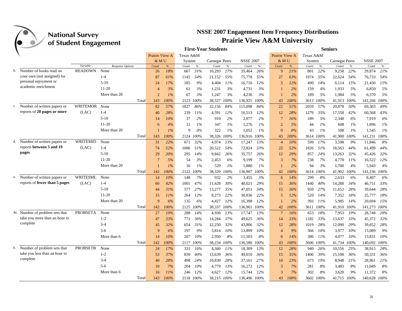

|    |                                                      | o               |                  |                |       |           |           | <b>First-Year Students</b> |       |                  |       |                |      |           |           | <b>Seniors</b> |        |                  |
|----|------------------------------------------------------|-----------------|------------------|----------------|-------|-----------|-----------|----------------------------|-------|------------------|-------|----------------|------|-----------|-----------|----------------|--------|------------------|
|    |                                                      |                 |                  | Prairie View A |       | Texas A&M |           |                            |       |                  |       | Prairie View A |      | Texas A&M |           |                |        |                  |
|    |                                                      |                 |                  | & MU           |       | System    |           | Carnegie Peers             |       | <b>NSSE 2007</b> |       | & MU           |      | System    |           | Carnegie Peers |        | <b>NSSE 2007</b> |
|    |                                                      | Variable        | Response Options | Count          | $\%$  | Count     | $\%$      | Count                      | $\%$  | Count            | $\%$  | Count          | $\%$ | Count     | $\%$      | Count          | $\%$   | Count<br>$\%$    |
| b. | Number of books read on                              | <b>READOWN</b>  | None             | 26             | 18%   | 667       | 31%       | 10,293                     | 27%   | 35,464           | 26%   | 9              | 21%  | 801       | 22%       | 9,258          | 22%    | 21%<br>29,874    |
|    | your own (not assigned) for<br>personal enjoyment or |                 | $1 - 4$          | 87             | 61%   | 1143      | 54%       | 21,152                     | 55%   | 75,778           | 55%   | 27             | 63%  | 1974      | 55%       | 22,624         | 54%    | 76,733<br>54%    |
|    | academic enrichment                                  |                 | $5-10$           | 24             | 17%   | 185       | 9%        | 4,404                      | 11%   | 16,716           | 12%   | 5              | 12%  | 490       | 14%       | 6,114          | 15%    | 15%<br>21,430    |
|    |                                                      |                 | $11 - 20$        | $\overline{4}$ | 3%    | 61        | 3%        | 1,231                      | 3%    | 4,731            | 3%    |                | 2%   | 159       | 4%        | 1,933          | 5%     | 6,859<br>5%      |
|    |                                                      |                 | More than 20     | $\overline{2}$ | $1\%$ | 67        | 3%        | 1,247                      | 3%    | 4,236            | 3%    |                | 2%   | 189       | 5%        | 1,984          | 5%     | 5%<br>6,370      |
|    |                                                      |                 | Total            | 143            | 100%  | 2123      | 100%      | 38,327                     | 100%  | 136,925          | 100%  | 43             | 100% | 3613      | 100%      | 41,913         | 100%   | 141,266<br>100%  |
|    | c. Number of written papers or                       | WRITEMOR        | None             | 82             | 57%   | 1827      | 86%       | 32,156                     | 84%   | 115,098          | 84%   | 22             | 51%  | 2059      | 57%       | 20,878         | 50%    | 69,303<br>49%    |
|    | reports of 20 pages or more                          | (LAC)           | $1 - 4$          | 40             | 28%   | 239       | 11%       | 4,591                      | 12%   | 16,513           | 12%   | 12             | 28%  | 1279      | 35%       | 17,558         | 42%    | 60,568<br>43%    |
|    |                                                      |                 | $5-10$           | 14             | 10%   | 37        | 2%        | 910                        | 2%    | 2,977            | 2%    | $\overline{7}$ | 16%  | 189       | 5%        | 2,348          | 6%     | 6%<br>7,919      |
|    |                                                      |                 | $11-20$          | 6              | 4%    | 12        | 1%        | 347                        | 1%    | 1,276            | 1%    | $\overline{2}$ | 5%   | 44        | 1%        | 608            | 1%     | 1%<br>1,896      |
|    |                                                      |                 | More than 20     |                | $1\%$ | 9         | $0\%$     | 322                        | $1\%$ | 1,052            | $1\%$ | $\Omega$       | 0%   | 43        | $1\%$     | 508            | 1%     | 1,545<br>$1\%$   |
|    |                                                      |                 | Total            | 143            | 100%  | 2124      | $100\%$   | 38,326 100%                |       | 136,916          | 100%  | 43             | 100% | 3614      | 100%      | 41,900         | 100%   | 141,231<br>100%  |
| d. | Number of written papers or                          | <b>WRITEMID</b> | None             | 31             | 22%   | 671       | 32%       | 4,974                      | 13%   | 17,247           | 13%   | $\overline{4}$ | 10%  | 599       | 17%       | 3,598          | 9%     | 11,846<br>8%     |
|    | reports between 5 and 19                             | (LAC)           | $1-4$            | 74             | 52%   | 1086      | 51%       | 20,522                     | 54%   | 72,824           | 53%   | 22             | 52%  | 1826      | 51%       | 18,563         | 44%    | 44%<br>61.499    |
|    | pages                                                |                 | $5-10$           | 29             | 20%   | 295       | 14%       | 9,842                      | 26%   | 35,757           | 26%   | 12             | 29%  | 857       | 24%       | 13,263         | 32%    | 32%<br>45,426    |
|    |                                                      |                 | 11-20            | $\overline{7}$ | 5%    | 54        | 3%        | 2,453                      | 6%    | 9,199            | 7%    | 3              | 7%   | 238       | 7%        | 4,778          | 11%    | 16,522<br>12%    |
|    |                                                      |                 | More than 20     |                | $1\%$ | 16        | 1%        | 529                        | 1%    | 1,880            | 1%    |                | 2%   | 94        | 3%        | 1,700          | 4%     | 4%<br>5,943      |
|    |                                                      |                 | Total            | 142            | 100%  | 2122      | 100%      | 38,320                     | 100%  | 136,907          | 100%  | 42             | 100% | 3614      | 100%      | 41,902 100%    |        | 141,236 100%     |
|    | e. Number of written papers or                       | <b>WRITESML</b> | None             | 14             | 10%   | 148       | 7%        | 932                        | 2%    | 3,455            | 3%    | 6              | 14%  | 299       | 8%        | 2,633          | 6%     | 8,407<br>6%      |
|    | reports of fewer than 5 pages                        | (LAC)           | $1 - 4$          | 60             | 42%   | 1001      | 47%       | 11,428                     | 30%   | 40,021           | 29%   | 15             | 36%  | 1440      | 40%       | 14,288         | 34%    | 46,751<br>33%    |
|    |                                                      |                 | $5-10$           | 44             | 31%   | 577       | 27%       | 13,277                     | 35%   | 47.051           | 34%   | 15             | 36%  | 959       | 27%       | 11,652         | 28%    | 28%<br>39,644    |
|    |                                                      |                 | $11-20$          | 15             | 11%   | 264       | 12%       | 8,273                      | 22%   | 30,036           | 22%   | 5              | 12%  | 520       | 14%       | 7,352          | 18%    | 25,777<br>18%    |
|    |                                                      |                 | More than 20     | $\mathbf{Q}$   | 6%    | 135       | 6%        | 4,427                      | 12%   | 16.398           | 12%   |                | 2%   | 393       | 11%       | 5.985          | 14%    | 20.694<br>15%    |
|    |                                                      |                 | Total            | 142            | 100%  |           | 2125 100% | 38,337 100%                |       | 136,961          | 100%  | 42             | 100% |           | 3611 100% | 41,910 100%    |        | 141,273 100%     |
|    | 4a. Number of problem sets that                      | <b>PROBSETA</b> | None             | 27             | 19%   | 288       | 14%       | 4,936                      | 13%   | 17,747           | 13%   | $\overline{7}$ | 16%  | 653       | 18%       | 7,953          | 19%    | 20%<br>28,748    |
|    | take you more than an hour to                        |                 | $1 - 2$          | 47             | 33%   | 771       | 36%       | 14,284                     | 37%   | 49,625           | 36%   | 14             | 33%  | 1182      | 33%       | 13,637         | 33%    | 45,372<br>32%    |
|    | complete                                             |                 | $3-4$            | 45             | 32%   | 654       | 31%       | 12,250                     | 32%   | 43,806           | 32%   | 12             | 28%  | 1019      | 28%       | 12,090         | 29%    | 28%<br>39,652    |
|    |                                                      |                 | $5 - 6$          | -9             | 6%    | 197       | 9%        | 3,814                      | 10%   | 13,899           | 10%   | $\overline{4}$ | 9%   | 366       | 10%       | 3,977          | 10%    | 9%<br>13,089     |
|    |                                                      |                 | More than 6      | 14             | 10%   | 207       | 10%       | 2,950                      | 8%    | 11,503           | 8%    | 6              | 14%  | 386       | 11%       | 4,077          | $10\%$ | 10%<br>13,831    |
|    |                                                      |                 | Total            | 142            | 100%  |           | 2117 100% | 38,234 100%                |       | 136,580          | 100%  | 43             | 100% | 3606      | $100\%$   | 41,734 100%    |        | 140,692 100%     |
| b. | Number of problem sets that                          | <b>PROBSETB</b> | None             | 24             | 17%   | 331       | 16%       | 4,340                      | 11%   | 18,309           | 13%   | 12             | 28%  | 940       | 26%       | 10,556         | 25%    | 28%<br>38,915    |
|    | take you less than an hour to                        |                 | $1 - 2$          | 53             | 37%   | 839       | 40%       | 13,639                     | 36%   | 49,010           | 36%   | 15             | 35%  | 1406      | 39%       | 15,108         | 36%    | 50,331<br>36%    |
|    | complete                                             |                 | $3-4$            | 40             | 28%   | 498       | 24%       | 10,830                     | 28%   | 37,161           | 27%   | 10             | 23%  | 673       | 19%       | 8,948          | 21%    | 28,961<br>21%    |
|    |                                                      |                 | $5-6$            | 10             | 7%    | 204       | 10%       | 4,779                      | 13%   | 16,272           | 12%   | 3              | 7%   | 281       | 8%        | 3,483          | 8%     | 8%<br>11,049     |
|    |                                                      |                 | More than 6      | 16             | 11%   | 246       | 12%       | 4,627                      | 12%   | 15,744           | 12%   | 3              | 7%   | 302       | 8%        | 3,620          | 9%     | 11,372<br>8%     |
|    |                                                      |                 | Total            | 143            | 100%  |           | 2118 100% | 38,215 100%                |       | 136,496 100%     |       | 43             | 100% |           | 3602 100% | 41,715 100%    |        | 140,628 100%     |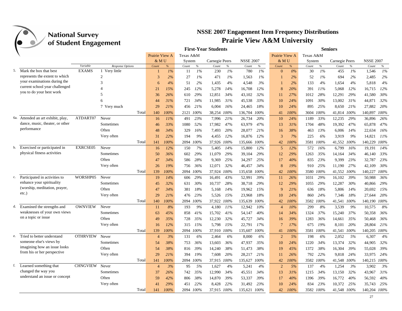| Prairie View A<br>Prairie View A<br>Texas A&M<br>Texas A&M<br><b>NSSE 2007</b><br><b>NSSE 2007</b><br>& MU<br>System<br>Carnegie Peers<br>& MU<br>Carnegie Peers<br>System<br>$\%$<br>Variable<br>Response Options<br>Count<br>$\%$<br>$\%$<br>$\%$<br>Count<br>$\%$<br>Count<br>$\%$<br>Count<br>$\%$<br>Count<br>Count<br>Count<br>$\%$<br>Count<br><b>EXAMS</b><br>5. Mark the box that best<br>1 Very little<br>1%<br>1%<br>1%<br>1%<br>$0\%$<br>1%<br>1%<br>1%<br>11<br>230<br>780<br>30<br>455<br>1,546<br>$\Omega$<br>represents the extent to which<br>$\overline{2}$<br>2%<br>27<br>$1\%$<br>1%<br>1%<br>2%<br>52<br>1%<br>694<br>2%<br>2,485<br>2%<br>3<br>471<br>1,563<br>your examinations during the<br>3<br>4%<br>4%<br>4%<br>2%<br>1,435<br>4%<br>4.548<br>3%<br>2%<br>133<br>4%<br>1,654<br>5,818<br>6<br>51<br>current school year challenged<br>15%<br>12%<br>5,278<br>14%<br>16,708<br>12%<br>20%<br>391<br>11%<br>5,068<br>12%<br>16,715<br>12%<br>21<br>245<br>8<br>you to do your best work<br>29%<br>30%<br>5<br>26%<br>29%<br>12,851<br>34%<br>43,102<br>32%<br>27%<br>28%<br>12,291<br>41,580<br>36<br>610<br>1012<br>11<br>33%<br>30%<br>31%<br>32%<br>31%<br>721<br>34%<br>11,985<br>31%<br>45,538<br>24%<br>1091<br>13,002<br>44,871<br>44<br>10<br>7 Very much<br>29<br>21%<br>18%<br>21%<br>27,882<br>20%<br>456<br>21%<br>6,004<br>16%<br>24,465<br>10<br>24%<br>895<br>25%<br>8,650<br>Total<br>100%<br>2121 100%<br>38,254 100%<br>100%<br>100%<br>41,814 100%<br>140,897 100%<br>140<br>136,704<br>41<br>100%<br>3604<br>Attended an art exhibit, play,<br>ATDART07<br>Never<br>23%<br>21%<br>20%<br>33%<br>12,235<br>29%<br>36,896<br>26%<br>6а.<br>11%<br>491<br>7,996<br>26,734<br>10<br>24%<br>1189<br>16<br>dance, music, theater, or other<br>47%<br>47%<br>Sometimes<br>33%<br>1080<br>52%<br>17,982<br>47%<br>63,979<br>13<br>31%<br>48%<br>19,392<br>47%<br>65,878<br>1704<br>46<br>performance<br>Often<br>34%<br>16%<br>16%<br>329<br>7,493<br>20%<br>21%<br>38%<br>463<br>13%<br>6,006<br>14%<br>22,634<br>48<br>28,077<br>16<br>Very often<br>22%<br>9%<br>12%<br>3<br>7%<br>6%<br>9%<br>14,821<br>11%<br>31<br>194<br>4,455<br>12%<br>16,876<br>225<br>3,919<br>Total<br>100%<br>37,926 100%<br>100%<br>100%<br>41,552 100%<br>140,229<br>100%<br>141<br>2094 100%<br>135,666<br>42<br>100%<br>3581<br>Exercised or participated in<br>EXRCSE05<br>Never<br>12%<br>150<br>7%<br>14%<br>12%<br>5<br>12%<br>572<br>16%<br>6,799<br>16%<br>19,191<br>14%<br>b.<br>16<br>5,405<br>15,800<br>physical fitness activities<br>Sometimes<br>33%<br>36%<br>602<br>29%<br>11,079<br>29%<br>39,104<br>29%<br>12<br>29%<br>1263<br>35%<br>14,164<br>34%<br>46,140<br>50<br>Often<br>34%<br>28%<br>25%<br>25%<br>40%<br>23%<br>9,399<br>23%<br>23%<br>586<br>9,369<br>34,297<br>17<br>835<br>32,787<br>47<br>30%<br>Very often<br>26<br>19%<br>36%<br>12,071<br>32%<br>46,457<br>34%<br>8<br>25%<br>11,190<br>27%<br>42,109<br>756<br>19%<br>910<br>Total<br>100%<br>2094 100%<br>100%<br>100%<br>41,552 100%<br>140,227 100%<br>139<br>37,924 100%<br>135,658<br>42<br>100%<br>3580<br>Participated in activities to<br>WORSHP05<br>Never<br>14%<br>39%<br>39%<br>36%<br>c.<br>19<br>606<br>29%<br>16,491<br>43%<br>52,991<br>26%<br>1031<br>29%<br>16,102<br>50,988<br>11<br>enhance your spirituality<br>Sometimes<br>32%<br>30%<br>10,737<br>28%<br>29%<br>29%<br>29%<br>12,287<br>30%<br>40,866<br>29%<br>45<br>631<br>38,718<br>12<br>1055<br>(worship, meditation, prayer,<br>Often<br>18%<br>15%<br>18%<br>14%<br>15%<br>34%<br>381<br>5,168<br>14%<br>19.962<br>$\mathbf{Q}$<br>21%<br>636<br>5,806<br>20,692<br>47<br>etc.)<br>23%<br>18%<br>24%<br>18%<br>20%<br>Very often<br>29<br>21%<br>476<br>5,526<br>15%<br>23,968<br>10<br>24%<br>860<br>7,346<br>27,644<br>100%<br>2094 100%<br>37,922 100%<br>100%<br>42<br>100%<br>3582<br>100%<br>41,541 100%<br>140,190 100%<br>Total<br>140<br>135,639<br>Examined the strengths and<br><b>OWNVIEW</b><br>Never<br>8%<br>193<br>9%<br>11%<br>10%<br>10%<br>8%<br>3,539<br>9%<br>10,575<br>8%<br>d.<br>4,180<br>12.942<br>299<br>11<br>$\overline{4}$<br>weaknesses of your own views<br>45%<br>40%<br>37%<br>37%<br>50,358<br>36%<br>Sometimes<br>63<br>858<br>41%<br>15,702<br>41%<br>54,147<br>34%<br>1324<br>15,240<br>14<br>on a topic or issue<br>Often<br>36%<br>35%<br>728<br>35%<br>12,230<br>32%<br>45,727<br>34%<br>39%<br>1283<br>36%<br>14,661<br>35%<br>50,468<br>49<br>16<br>12%<br>15%<br>15%<br>17%<br>$\overline{7}$<br>19%<br>20%<br>28,804<br>21%<br>Very often<br>315<br>5,798<br>22,791<br>17%<br>675<br>8,101<br>16<br>100%<br>41,541 100%<br>140,205 100%<br>Total<br>139<br>2094<br>100%<br>37,910<br>100%<br>135,607<br>100%<br>41<br>100%<br>3581<br>100%<br>Tried to better understand<br><b>OTHRVIEW</b><br>4%<br>Never<br>3%<br>131<br>6%<br>6%<br>6%<br>$\overline{2}$<br>5%<br>198<br>6%<br>2,052<br>5%<br>6,307<br>2,464<br>8.000<br>e.<br>$\overline{4}$<br>someone else's views by<br>38%<br>35%<br>24%<br>32%<br>32%<br>Sometimes<br>54<br>753<br>36%<br>13,603<br>36%<br>47,937<br>10<br>1220<br>34%<br>13,374<br>44,905<br>imagining how an issue looks<br>39%<br>Often<br>38%<br>39%<br>14,240<br>38%<br>38%<br>19<br>45%<br>1372<br>38%<br>16,304<br>39%<br>55,028<br>54<br>816<br>51,473<br>from his or her perspective<br>21%<br>33,975 24%<br>Very often<br>29<br>394<br>19%<br>7,608<br>20%<br>28,217<br>21%<br>26%<br>792<br>22%<br>9,818<br>24%<br>11<br>2094 100%<br>$100\%$<br>100%<br>41,548 100%<br>140,215 100%<br>Total<br>37,915 100% |  |  |     |      |  | <b>First-Year Students</b> |         |    |      |      | <b>Seniors</b> |  |  |
|---------------------------------------------------------------------------------------------------------------------------------------------------------------------------------------------------------------------------------------------------------------------------------------------------------------------------------------------------------------------------------------------------------------------------------------------------------------------------------------------------------------------------------------------------------------------------------------------------------------------------------------------------------------------------------------------------------------------------------------------------------------------------------------------------------------------------------------------------------------------------------------------------------------------------------------------------------------------------------------------------------------------------------------------------------------------------------------------------------------------------------------------------------------------------------------------------------------------------------------------------------------------------------------------------------------------------------------------------------------------------------------------------------------------------------------------------------------------------------------------------------------------------------------------------------------------------------------------------------------------------------------------------------------------------------------------------------------------------------------------------------------------------------------------------------------------------------------------------------------------------------------------------------------------------------------------------------------------------------------------------------------------------------------------------------------------------------------------------------------------------------------------------------------------------------------------------------------------------------------------------------------------------------------------------------------------------------------------------------------------------------------------------------------------------------------------------------------------------------------------------------------------------------------------------------------------------------------------------------------------------------------------------------------------------------------------------------------------------------------------------------------------------------------------------------------------------------------------------------------------------------------------------------------------------------------------------------------------------------------------------------------------------------------------------------------------------------------------------------------------------------------------------------------------------------------------------------------------------------------------------------------------------------------------------------------------------------------------------------------------------------------------------------------------------------------------------------------------------------------------------------------------------------------------------------------------------------------------------------------------------------------------------------------------------------------------------------------------------------------------------------------------------------------------------------------------------------------------------------------------------------------------------------------------------------------------------------------------------------------------------------------------------------------------------------------------------------------------------------------------------------------------------------------------------------------------------------------------------------------------------------------------------------------------------------------------------------------------------------------------------------------------------------------------------------------------------------------------------------------------------------------------------------------------------------------------------------------------------------------------------------------------------------------------------------------------------------------------------------------------------------------------------------------------------------------------------------------------------------------------------------------------------------------------------------------------------------------------------------------------------------------------------------------------------------------------------------------------------------------------------------------------------------------------------------------------------------------------------------------------------------------------------------------------------------------------------------------------------------------------------------------------------------------------------------------------------------------------------------------------------------------------------------------------------------------------------------------|--|--|-----|------|--|----------------------------|---------|----|------|------|----------------|--|--|
|                                                                                                                                                                                                                                                                                                                                                                                                                                                                                                                                                                                                                                                                                                                                                                                                                                                                                                                                                                                                                                                                                                                                                                                                                                                                                                                                                                                                                                                                                                                                                                                                                                                                                                                                                                                                                                                                                                                                                                                                                                                                                                                                                                                                                                                                                                                                                                                                                                                                                                                                                                                                                                                                                                                                                                                                                                                                                                                                                                                                                                                                                                                                                                                                                                                                                                                                                                                                                                                                                                                                                                                                                                                                                                                                                                                                                                                                                                                                                                                                                                                                                                                                                                                                                                                                                                                                                                                                                                                                                                                                                                                                                                                                                                                                                                                                                                                                                                                                                                                                                                                                                                                                                                                                                                                                                                                                                                                                                                                                                                                                                                                       |  |  |     |      |  |                            |         |    |      |      |                |  |  |
|                                                                                                                                                                                                                                                                                                                                                                                                                                                                                                                                                                                                                                                                                                                                                                                                                                                                                                                                                                                                                                                                                                                                                                                                                                                                                                                                                                                                                                                                                                                                                                                                                                                                                                                                                                                                                                                                                                                                                                                                                                                                                                                                                                                                                                                                                                                                                                                                                                                                                                                                                                                                                                                                                                                                                                                                                                                                                                                                                                                                                                                                                                                                                                                                                                                                                                                                                                                                                                                                                                                                                                                                                                                                                                                                                                                                                                                                                                                                                                                                                                                                                                                                                                                                                                                                                                                                                                                                                                                                                                                                                                                                                                                                                                                                                                                                                                                                                                                                                                                                                                                                                                                                                                                                                                                                                                                                                                                                                                                                                                                                                                                       |  |  |     |      |  |                            |         |    |      |      |                |  |  |
|                                                                                                                                                                                                                                                                                                                                                                                                                                                                                                                                                                                                                                                                                                                                                                                                                                                                                                                                                                                                                                                                                                                                                                                                                                                                                                                                                                                                                                                                                                                                                                                                                                                                                                                                                                                                                                                                                                                                                                                                                                                                                                                                                                                                                                                                                                                                                                                                                                                                                                                                                                                                                                                                                                                                                                                                                                                                                                                                                                                                                                                                                                                                                                                                                                                                                                                                                                                                                                                                                                                                                                                                                                                                                                                                                                                                                                                                                                                                                                                                                                                                                                                                                                                                                                                                                                                                                                                                                                                                                                                                                                                                                                                                                                                                                                                                                                                                                                                                                                                                                                                                                                                                                                                                                                                                                                                                                                                                                                                                                                                                                                                       |  |  |     |      |  |                            |         |    |      |      |                |  |  |
|                                                                                                                                                                                                                                                                                                                                                                                                                                                                                                                                                                                                                                                                                                                                                                                                                                                                                                                                                                                                                                                                                                                                                                                                                                                                                                                                                                                                                                                                                                                                                                                                                                                                                                                                                                                                                                                                                                                                                                                                                                                                                                                                                                                                                                                                                                                                                                                                                                                                                                                                                                                                                                                                                                                                                                                                                                                                                                                                                                                                                                                                                                                                                                                                                                                                                                                                                                                                                                                                                                                                                                                                                                                                                                                                                                                                                                                                                                                                                                                                                                                                                                                                                                                                                                                                                                                                                                                                                                                                                                                                                                                                                                                                                                                                                                                                                                                                                                                                                                                                                                                                                                                                                                                                                                                                                                                                                                                                                                                                                                                                                                                       |  |  |     |      |  |                            |         |    |      |      |                |  |  |
|                                                                                                                                                                                                                                                                                                                                                                                                                                                                                                                                                                                                                                                                                                                                                                                                                                                                                                                                                                                                                                                                                                                                                                                                                                                                                                                                                                                                                                                                                                                                                                                                                                                                                                                                                                                                                                                                                                                                                                                                                                                                                                                                                                                                                                                                                                                                                                                                                                                                                                                                                                                                                                                                                                                                                                                                                                                                                                                                                                                                                                                                                                                                                                                                                                                                                                                                                                                                                                                                                                                                                                                                                                                                                                                                                                                                                                                                                                                                                                                                                                                                                                                                                                                                                                                                                                                                                                                                                                                                                                                                                                                                                                                                                                                                                                                                                                                                                                                                                                                                                                                                                                                                                                                                                                                                                                                                                                                                                                                                                                                                                                                       |  |  |     |      |  |                            |         |    |      |      |                |  |  |
|                                                                                                                                                                                                                                                                                                                                                                                                                                                                                                                                                                                                                                                                                                                                                                                                                                                                                                                                                                                                                                                                                                                                                                                                                                                                                                                                                                                                                                                                                                                                                                                                                                                                                                                                                                                                                                                                                                                                                                                                                                                                                                                                                                                                                                                                                                                                                                                                                                                                                                                                                                                                                                                                                                                                                                                                                                                                                                                                                                                                                                                                                                                                                                                                                                                                                                                                                                                                                                                                                                                                                                                                                                                                                                                                                                                                                                                                                                                                                                                                                                                                                                                                                                                                                                                                                                                                                                                                                                                                                                                                                                                                                                                                                                                                                                                                                                                                                                                                                                                                                                                                                                                                                                                                                                                                                                                                                                                                                                                                                                                                                                                       |  |  |     |      |  |                            |         |    |      |      |                |  |  |
|                                                                                                                                                                                                                                                                                                                                                                                                                                                                                                                                                                                                                                                                                                                                                                                                                                                                                                                                                                                                                                                                                                                                                                                                                                                                                                                                                                                                                                                                                                                                                                                                                                                                                                                                                                                                                                                                                                                                                                                                                                                                                                                                                                                                                                                                                                                                                                                                                                                                                                                                                                                                                                                                                                                                                                                                                                                                                                                                                                                                                                                                                                                                                                                                                                                                                                                                                                                                                                                                                                                                                                                                                                                                                                                                                                                                                                                                                                                                                                                                                                                                                                                                                                                                                                                                                                                                                                                                                                                                                                                                                                                                                                                                                                                                                                                                                                                                                                                                                                                                                                                                                                                                                                                                                                                                                                                                                                                                                                                                                                                                                                                       |  |  |     |      |  |                            |         |    |      |      |                |  |  |
|                                                                                                                                                                                                                                                                                                                                                                                                                                                                                                                                                                                                                                                                                                                                                                                                                                                                                                                                                                                                                                                                                                                                                                                                                                                                                                                                                                                                                                                                                                                                                                                                                                                                                                                                                                                                                                                                                                                                                                                                                                                                                                                                                                                                                                                                                                                                                                                                                                                                                                                                                                                                                                                                                                                                                                                                                                                                                                                                                                                                                                                                                                                                                                                                                                                                                                                                                                                                                                                                                                                                                                                                                                                                                                                                                                                                                                                                                                                                                                                                                                                                                                                                                                                                                                                                                                                                                                                                                                                                                                                                                                                                                                                                                                                                                                                                                                                                                                                                                                                                                                                                                                                                                                                                                                                                                                                                                                                                                                                                                                                                                                                       |  |  |     |      |  |                            |         |    |      |      |                |  |  |
|                                                                                                                                                                                                                                                                                                                                                                                                                                                                                                                                                                                                                                                                                                                                                                                                                                                                                                                                                                                                                                                                                                                                                                                                                                                                                                                                                                                                                                                                                                                                                                                                                                                                                                                                                                                                                                                                                                                                                                                                                                                                                                                                                                                                                                                                                                                                                                                                                                                                                                                                                                                                                                                                                                                                                                                                                                                                                                                                                                                                                                                                                                                                                                                                                                                                                                                                                                                                                                                                                                                                                                                                                                                                                                                                                                                                                                                                                                                                                                                                                                                                                                                                                                                                                                                                                                                                                                                                                                                                                                                                                                                                                                                                                                                                                                                                                                                                                                                                                                                                                                                                                                                                                                                                                                                                                                                                                                                                                                                                                                                                                                                       |  |  |     |      |  |                            |         |    |      |      |                |  |  |
|                                                                                                                                                                                                                                                                                                                                                                                                                                                                                                                                                                                                                                                                                                                                                                                                                                                                                                                                                                                                                                                                                                                                                                                                                                                                                                                                                                                                                                                                                                                                                                                                                                                                                                                                                                                                                                                                                                                                                                                                                                                                                                                                                                                                                                                                                                                                                                                                                                                                                                                                                                                                                                                                                                                                                                                                                                                                                                                                                                                                                                                                                                                                                                                                                                                                                                                                                                                                                                                                                                                                                                                                                                                                                                                                                                                                                                                                                                                                                                                                                                                                                                                                                                                                                                                                                                                                                                                                                                                                                                                                                                                                                                                                                                                                                                                                                                                                                                                                                                                                                                                                                                                                                                                                                                                                                                                                                                                                                                                                                                                                                                                       |  |  |     |      |  |                            |         |    |      |      |                |  |  |
|                                                                                                                                                                                                                                                                                                                                                                                                                                                                                                                                                                                                                                                                                                                                                                                                                                                                                                                                                                                                                                                                                                                                                                                                                                                                                                                                                                                                                                                                                                                                                                                                                                                                                                                                                                                                                                                                                                                                                                                                                                                                                                                                                                                                                                                                                                                                                                                                                                                                                                                                                                                                                                                                                                                                                                                                                                                                                                                                                                                                                                                                                                                                                                                                                                                                                                                                                                                                                                                                                                                                                                                                                                                                                                                                                                                                                                                                                                                                                                                                                                                                                                                                                                                                                                                                                                                                                                                                                                                                                                                                                                                                                                                                                                                                                                                                                                                                                                                                                                                                                                                                                                                                                                                                                                                                                                                                                                                                                                                                                                                                                                                       |  |  |     |      |  |                            |         |    |      |      |                |  |  |
|                                                                                                                                                                                                                                                                                                                                                                                                                                                                                                                                                                                                                                                                                                                                                                                                                                                                                                                                                                                                                                                                                                                                                                                                                                                                                                                                                                                                                                                                                                                                                                                                                                                                                                                                                                                                                                                                                                                                                                                                                                                                                                                                                                                                                                                                                                                                                                                                                                                                                                                                                                                                                                                                                                                                                                                                                                                                                                                                                                                                                                                                                                                                                                                                                                                                                                                                                                                                                                                                                                                                                                                                                                                                                                                                                                                                                                                                                                                                                                                                                                                                                                                                                                                                                                                                                                                                                                                                                                                                                                                                                                                                                                                                                                                                                                                                                                                                                                                                                                                                                                                                                                                                                                                                                                                                                                                                                                                                                                                                                                                                                                                       |  |  |     |      |  |                            |         |    |      |      |                |  |  |
|                                                                                                                                                                                                                                                                                                                                                                                                                                                                                                                                                                                                                                                                                                                                                                                                                                                                                                                                                                                                                                                                                                                                                                                                                                                                                                                                                                                                                                                                                                                                                                                                                                                                                                                                                                                                                                                                                                                                                                                                                                                                                                                                                                                                                                                                                                                                                                                                                                                                                                                                                                                                                                                                                                                                                                                                                                                                                                                                                                                                                                                                                                                                                                                                                                                                                                                                                                                                                                                                                                                                                                                                                                                                                                                                                                                                                                                                                                                                                                                                                                                                                                                                                                                                                                                                                                                                                                                                                                                                                                                                                                                                                                                                                                                                                                                                                                                                                                                                                                                                                                                                                                                                                                                                                                                                                                                                                                                                                                                                                                                                                                                       |  |  |     |      |  |                            |         |    |      |      |                |  |  |
|                                                                                                                                                                                                                                                                                                                                                                                                                                                                                                                                                                                                                                                                                                                                                                                                                                                                                                                                                                                                                                                                                                                                                                                                                                                                                                                                                                                                                                                                                                                                                                                                                                                                                                                                                                                                                                                                                                                                                                                                                                                                                                                                                                                                                                                                                                                                                                                                                                                                                                                                                                                                                                                                                                                                                                                                                                                                                                                                                                                                                                                                                                                                                                                                                                                                                                                                                                                                                                                                                                                                                                                                                                                                                                                                                                                                                                                                                                                                                                                                                                                                                                                                                                                                                                                                                                                                                                                                                                                                                                                                                                                                                                                                                                                                                                                                                                                                                                                                                                                                                                                                                                                                                                                                                                                                                                                                                                                                                                                                                                                                                                                       |  |  |     |      |  |                            |         |    |      |      |                |  |  |
|                                                                                                                                                                                                                                                                                                                                                                                                                                                                                                                                                                                                                                                                                                                                                                                                                                                                                                                                                                                                                                                                                                                                                                                                                                                                                                                                                                                                                                                                                                                                                                                                                                                                                                                                                                                                                                                                                                                                                                                                                                                                                                                                                                                                                                                                                                                                                                                                                                                                                                                                                                                                                                                                                                                                                                                                                                                                                                                                                                                                                                                                                                                                                                                                                                                                                                                                                                                                                                                                                                                                                                                                                                                                                                                                                                                                                                                                                                                                                                                                                                                                                                                                                                                                                                                                                                                                                                                                                                                                                                                                                                                                                                                                                                                                                                                                                                                                                                                                                                                                                                                                                                                                                                                                                                                                                                                                                                                                                                                                                                                                                                                       |  |  |     |      |  |                            |         |    |      |      |                |  |  |
|                                                                                                                                                                                                                                                                                                                                                                                                                                                                                                                                                                                                                                                                                                                                                                                                                                                                                                                                                                                                                                                                                                                                                                                                                                                                                                                                                                                                                                                                                                                                                                                                                                                                                                                                                                                                                                                                                                                                                                                                                                                                                                                                                                                                                                                                                                                                                                                                                                                                                                                                                                                                                                                                                                                                                                                                                                                                                                                                                                                                                                                                                                                                                                                                                                                                                                                                                                                                                                                                                                                                                                                                                                                                                                                                                                                                                                                                                                                                                                                                                                                                                                                                                                                                                                                                                                                                                                                                                                                                                                                                                                                                                                                                                                                                                                                                                                                                                                                                                                                                                                                                                                                                                                                                                                                                                                                                                                                                                                                                                                                                                                                       |  |  |     |      |  |                            |         |    |      |      |                |  |  |
|                                                                                                                                                                                                                                                                                                                                                                                                                                                                                                                                                                                                                                                                                                                                                                                                                                                                                                                                                                                                                                                                                                                                                                                                                                                                                                                                                                                                                                                                                                                                                                                                                                                                                                                                                                                                                                                                                                                                                                                                                                                                                                                                                                                                                                                                                                                                                                                                                                                                                                                                                                                                                                                                                                                                                                                                                                                                                                                                                                                                                                                                                                                                                                                                                                                                                                                                                                                                                                                                                                                                                                                                                                                                                                                                                                                                                                                                                                                                                                                                                                                                                                                                                                                                                                                                                                                                                                                                                                                                                                                                                                                                                                                                                                                                                                                                                                                                                                                                                                                                                                                                                                                                                                                                                                                                                                                                                                                                                                                                                                                                                                                       |  |  |     |      |  |                            |         |    |      |      |                |  |  |
|                                                                                                                                                                                                                                                                                                                                                                                                                                                                                                                                                                                                                                                                                                                                                                                                                                                                                                                                                                                                                                                                                                                                                                                                                                                                                                                                                                                                                                                                                                                                                                                                                                                                                                                                                                                                                                                                                                                                                                                                                                                                                                                                                                                                                                                                                                                                                                                                                                                                                                                                                                                                                                                                                                                                                                                                                                                                                                                                                                                                                                                                                                                                                                                                                                                                                                                                                                                                                                                                                                                                                                                                                                                                                                                                                                                                                                                                                                                                                                                                                                                                                                                                                                                                                                                                                                                                                                                                                                                                                                                                                                                                                                                                                                                                                                                                                                                                                                                                                                                                                                                                                                                                                                                                                                                                                                                                                                                                                                                                                                                                                                                       |  |  |     |      |  |                            |         |    |      |      |                |  |  |
|                                                                                                                                                                                                                                                                                                                                                                                                                                                                                                                                                                                                                                                                                                                                                                                                                                                                                                                                                                                                                                                                                                                                                                                                                                                                                                                                                                                                                                                                                                                                                                                                                                                                                                                                                                                                                                                                                                                                                                                                                                                                                                                                                                                                                                                                                                                                                                                                                                                                                                                                                                                                                                                                                                                                                                                                                                                                                                                                                                                                                                                                                                                                                                                                                                                                                                                                                                                                                                                                                                                                                                                                                                                                                                                                                                                                                                                                                                                                                                                                                                                                                                                                                                                                                                                                                                                                                                                                                                                                                                                                                                                                                                                                                                                                                                                                                                                                                                                                                                                                                                                                                                                                                                                                                                                                                                                                                                                                                                                                                                                                                                                       |  |  |     |      |  |                            |         |    |      |      |                |  |  |
|                                                                                                                                                                                                                                                                                                                                                                                                                                                                                                                                                                                                                                                                                                                                                                                                                                                                                                                                                                                                                                                                                                                                                                                                                                                                                                                                                                                                                                                                                                                                                                                                                                                                                                                                                                                                                                                                                                                                                                                                                                                                                                                                                                                                                                                                                                                                                                                                                                                                                                                                                                                                                                                                                                                                                                                                                                                                                                                                                                                                                                                                                                                                                                                                                                                                                                                                                                                                                                                                                                                                                                                                                                                                                                                                                                                                                                                                                                                                                                                                                                                                                                                                                                                                                                                                                                                                                                                                                                                                                                                                                                                                                                                                                                                                                                                                                                                                                                                                                                                                                                                                                                                                                                                                                                                                                                                                                                                                                                                                                                                                                                                       |  |  |     |      |  |                            |         |    |      |      |                |  |  |
|                                                                                                                                                                                                                                                                                                                                                                                                                                                                                                                                                                                                                                                                                                                                                                                                                                                                                                                                                                                                                                                                                                                                                                                                                                                                                                                                                                                                                                                                                                                                                                                                                                                                                                                                                                                                                                                                                                                                                                                                                                                                                                                                                                                                                                                                                                                                                                                                                                                                                                                                                                                                                                                                                                                                                                                                                                                                                                                                                                                                                                                                                                                                                                                                                                                                                                                                                                                                                                                                                                                                                                                                                                                                                                                                                                                                                                                                                                                                                                                                                                                                                                                                                                                                                                                                                                                                                                                                                                                                                                                                                                                                                                                                                                                                                                                                                                                                                                                                                                                                                                                                                                                                                                                                                                                                                                                                                                                                                                                                                                                                                                                       |  |  |     |      |  |                            |         |    |      |      |                |  |  |
|                                                                                                                                                                                                                                                                                                                                                                                                                                                                                                                                                                                                                                                                                                                                                                                                                                                                                                                                                                                                                                                                                                                                                                                                                                                                                                                                                                                                                                                                                                                                                                                                                                                                                                                                                                                                                                                                                                                                                                                                                                                                                                                                                                                                                                                                                                                                                                                                                                                                                                                                                                                                                                                                                                                                                                                                                                                                                                                                                                                                                                                                                                                                                                                                                                                                                                                                                                                                                                                                                                                                                                                                                                                                                                                                                                                                                                                                                                                                                                                                                                                                                                                                                                                                                                                                                                                                                                                                                                                                                                                                                                                                                                                                                                                                                                                                                                                                                                                                                                                                                                                                                                                                                                                                                                                                                                                                                                                                                                                                                                                                                                                       |  |  |     |      |  |                            |         |    |      |      |                |  |  |
|                                                                                                                                                                                                                                                                                                                                                                                                                                                                                                                                                                                                                                                                                                                                                                                                                                                                                                                                                                                                                                                                                                                                                                                                                                                                                                                                                                                                                                                                                                                                                                                                                                                                                                                                                                                                                                                                                                                                                                                                                                                                                                                                                                                                                                                                                                                                                                                                                                                                                                                                                                                                                                                                                                                                                                                                                                                                                                                                                                                                                                                                                                                                                                                                                                                                                                                                                                                                                                                                                                                                                                                                                                                                                                                                                                                                                                                                                                                                                                                                                                                                                                                                                                                                                                                                                                                                                                                                                                                                                                                                                                                                                                                                                                                                                                                                                                                                                                                                                                                                                                                                                                                                                                                                                                                                                                                                                                                                                                                                                                                                                                                       |  |  |     |      |  |                            |         |    |      |      |                |  |  |
|                                                                                                                                                                                                                                                                                                                                                                                                                                                                                                                                                                                                                                                                                                                                                                                                                                                                                                                                                                                                                                                                                                                                                                                                                                                                                                                                                                                                                                                                                                                                                                                                                                                                                                                                                                                                                                                                                                                                                                                                                                                                                                                                                                                                                                                                                                                                                                                                                                                                                                                                                                                                                                                                                                                                                                                                                                                                                                                                                                                                                                                                                                                                                                                                                                                                                                                                                                                                                                                                                                                                                                                                                                                                                                                                                                                                                                                                                                                                                                                                                                                                                                                                                                                                                                                                                                                                                                                                                                                                                                                                                                                                                                                                                                                                                                                                                                                                                                                                                                                                                                                                                                                                                                                                                                                                                                                                                                                                                                                                                                                                                                                       |  |  |     |      |  |                            |         |    |      |      |                |  |  |
|                                                                                                                                                                                                                                                                                                                                                                                                                                                                                                                                                                                                                                                                                                                                                                                                                                                                                                                                                                                                                                                                                                                                                                                                                                                                                                                                                                                                                                                                                                                                                                                                                                                                                                                                                                                                                                                                                                                                                                                                                                                                                                                                                                                                                                                                                                                                                                                                                                                                                                                                                                                                                                                                                                                                                                                                                                                                                                                                                                                                                                                                                                                                                                                                                                                                                                                                                                                                                                                                                                                                                                                                                                                                                                                                                                                                                                                                                                                                                                                                                                                                                                                                                                                                                                                                                                                                                                                                                                                                                                                                                                                                                                                                                                                                                                                                                                                                                                                                                                                                                                                                                                                                                                                                                                                                                                                                                                                                                                                                                                                                                                                       |  |  |     |      |  |                            |         |    |      |      |                |  |  |
|                                                                                                                                                                                                                                                                                                                                                                                                                                                                                                                                                                                                                                                                                                                                                                                                                                                                                                                                                                                                                                                                                                                                                                                                                                                                                                                                                                                                                                                                                                                                                                                                                                                                                                                                                                                                                                                                                                                                                                                                                                                                                                                                                                                                                                                                                                                                                                                                                                                                                                                                                                                                                                                                                                                                                                                                                                                                                                                                                                                                                                                                                                                                                                                                                                                                                                                                                                                                                                                                                                                                                                                                                                                                                                                                                                                                                                                                                                                                                                                                                                                                                                                                                                                                                                                                                                                                                                                                                                                                                                                                                                                                                                                                                                                                                                                                                                                                                                                                                                                                                                                                                                                                                                                                                                                                                                                                                                                                                                                                                                                                                                                       |  |  |     |      |  |                            |         |    |      |      |                |  |  |
|                                                                                                                                                                                                                                                                                                                                                                                                                                                                                                                                                                                                                                                                                                                                                                                                                                                                                                                                                                                                                                                                                                                                                                                                                                                                                                                                                                                                                                                                                                                                                                                                                                                                                                                                                                                                                                                                                                                                                                                                                                                                                                                                                                                                                                                                                                                                                                                                                                                                                                                                                                                                                                                                                                                                                                                                                                                                                                                                                                                                                                                                                                                                                                                                                                                                                                                                                                                                                                                                                                                                                                                                                                                                                                                                                                                                                                                                                                                                                                                                                                                                                                                                                                                                                                                                                                                                                                                                                                                                                                                                                                                                                                                                                                                                                                                                                                                                                                                                                                                                                                                                                                                                                                                                                                                                                                                                                                                                                                                                                                                                                                                       |  |  |     |      |  |                            |         |    |      |      |                |  |  |
|                                                                                                                                                                                                                                                                                                                                                                                                                                                                                                                                                                                                                                                                                                                                                                                                                                                                                                                                                                                                                                                                                                                                                                                                                                                                                                                                                                                                                                                                                                                                                                                                                                                                                                                                                                                                                                                                                                                                                                                                                                                                                                                                                                                                                                                                                                                                                                                                                                                                                                                                                                                                                                                                                                                                                                                                                                                                                                                                                                                                                                                                                                                                                                                                                                                                                                                                                                                                                                                                                                                                                                                                                                                                                                                                                                                                                                                                                                                                                                                                                                                                                                                                                                                                                                                                                                                                                                                                                                                                                                                                                                                                                                                                                                                                                                                                                                                                                                                                                                                                                                                                                                                                                                                                                                                                                                                                                                                                                                                                                                                                                                                       |  |  |     |      |  |                            |         |    |      |      |                |  |  |
|                                                                                                                                                                                                                                                                                                                                                                                                                                                                                                                                                                                                                                                                                                                                                                                                                                                                                                                                                                                                                                                                                                                                                                                                                                                                                                                                                                                                                                                                                                                                                                                                                                                                                                                                                                                                                                                                                                                                                                                                                                                                                                                                                                                                                                                                                                                                                                                                                                                                                                                                                                                                                                                                                                                                                                                                                                                                                                                                                                                                                                                                                                                                                                                                                                                                                                                                                                                                                                                                                                                                                                                                                                                                                                                                                                                                                                                                                                                                                                                                                                                                                                                                                                                                                                                                                                                                                                                                                                                                                                                                                                                                                                                                                                                                                                                                                                                                                                                                                                                                                                                                                                                                                                                                                                                                                                                                                                                                                                                                                                                                                                                       |  |  |     |      |  |                            |         |    |      |      |                |  |  |
|                                                                                                                                                                                                                                                                                                                                                                                                                                                                                                                                                                                                                                                                                                                                                                                                                                                                                                                                                                                                                                                                                                                                                                                                                                                                                                                                                                                                                                                                                                                                                                                                                                                                                                                                                                                                                                                                                                                                                                                                                                                                                                                                                                                                                                                                                                                                                                                                                                                                                                                                                                                                                                                                                                                                                                                                                                                                                                                                                                                                                                                                                                                                                                                                                                                                                                                                                                                                                                                                                                                                                                                                                                                                                                                                                                                                                                                                                                                                                                                                                                                                                                                                                                                                                                                                                                                                                                                                                                                                                                                                                                                                                                                                                                                                                                                                                                                                                                                                                                                                                                                                                                                                                                                                                                                                                                                                                                                                                                                                                                                                                                                       |  |  |     |      |  |                            |         |    |      |      |                |  |  |
|                                                                                                                                                                                                                                                                                                                                                                                                                                                                                                                                                                                                                                                                                                                                                                                                                                                                                                                                                                                                                                                                                                                                                                                                                                                                                                                                                                                                                                                                                                                                                                                                                                                                                                                                                                                                                                                                                                                                                                                                                                                                                                                                                                                                                                                                                                                                                                                                                                                                                                                                                                                                                                                                                                                                                                                                                                                                                                                                                                                                                                                                                                                                                                                                                                                                                                                                                                                                                                                                                                                                                                                                                                                                                                                                                                                                                                                                                                                                                                                                                                                                                                                                                                                                                                                                                                                                                                                                                                                                                                                                                                                                                                                                                                                                                                                                                                                                                                                                                                                                                                                                                                                                                                                                                                                                                                                                                                                                                                                                                                                                                                                       |  |  |     |      |  |                            |         |    |      |      |                |  |  |
|                                                                                                                                                                                                                                                                                                                                                                                                                                                                                                                                                                                                                                                                                                                                                                                                                                                                                                                                                                                                                                                                                                                                                                                                                                                                                                                                                                                                                                                                                                                                                                                                                                                                                                                                                                                                                                                                                                                                                                                                                                                                                                                                                                                                                                                                                                                                                                                                                                                                                                                                                                                                                                                                                                                                                                                                                                                                                                                                                                                                                                                                                                                                                                                                                                                                                                                                                                                                                                                                                                                                                                                                                                                                                                                                                                                                                                                                                                                                                                                                                                                                                                                                                                                                                                                                                                                                                                                                                                                                                                                                                                                                                                                                                                                                                                                                                                                                                                                                                                                                                                                                                                                                                                                                                                                                                                                                                                                                                                                                                                                                                                                       |  |  |     |      |  |                            |         |    |      |      |                |  |  |
|                                                                                                                                                                                                                                                                                                                                                                                                                                                                                                                                                                                                                                                                                                                                                                                                                                                                                                                                                                                                                                                                                                                                                                                                                                                                                                                                                                                                                                                                                                                                                                                                                                                                                                                                                                                                                                                                                                                                                                                                                                                                                                                                                                                                                                                                                                                                                                                                                                                                                                                                                                                                                                                                                                                                                                                                                                                                                                                                                                                                                                                                                                                                                                                                                                                                                                                                                                                                                                                                                                                                                                                                                                                                                                                                                                                                                                                                                                                                                                                                                                                                                                                                                                                                                                                                                                                                                                                                                                                                                                                                                                                                                                                                                                                                                                                                                                                                                                                                                                                                                                                                                                                                                                                                                                                                                                                                                                                                                                                                                                                                                                                       |  |  |     |      |  |                            |         |    |      |      |                |  |  |
|                                                                                                                                                                                                                                                                                                                                                                                                                                                                                                                                                                                                                                                                                                                                                                                                                                                                                                                                                                                                                                                                                                                                                                                                                                                                                                                                                                                                                                                                                                                                                                                                                                                                                                                                                                                                                                                                                                                                                                                                                                                                                                                                                                                                                                                                                                                                                                                                                                                                                                                                                                                                                                                                                                                                                                                                                                                                                                                                                                                                                                                                                                                                                                                                                                                                                                                                                                                                                                                                                                                                                                                                                                                                                                                                                                                                                                                                                                                                                                                                                                                                                                                                                                                                                                                                                                                                                                                                                                                                                                                                                                                                                                                                                                                                                                                                                                                                                                                                                                                                                                                                                                                                                                                                                                                                                                                                                                                                                                                                                                                                                                                       |  |  |     |      |  |                            |         |    |      |      |                |  |  |
|                                                                                                                                                                                                                                                                                                                                                                                                                                                                                                                                                                                                                                                                                                                                                                                                                                                                                                                                                                                                                                                                                                                                                                                                                                                                                                                                                                                                                                                                                                                                                                                                                                                                                                                                                                                                                                                                                                                                                                                                                                                                                                                                                                                                                                                                                                                                                                                                                                                                                                                                                                                                                                                                                                                                                                                                                                                                                                                                                                                                                                                                                                                                                                                                                                                                                                                                                                                                                                                                                                                                                                                                                                                                                                                                                                                                                                                                                                                                                                                                                                                                                                                                                                                                                                                                                                                                                                                                                                                                                                                                                                                                                                                                                                                                                                                                                                                                                                                                                                                                                                                                                                                                                                                                                                                                                                                                                                                                                                                                                                                                                                                       |  |  |     |      |  |                            |         |    |      |      |                |  |  |
|                                                                                                                                                                                                                                                                                                                                                                                                                                                                                                                                                                                                                                                                                                                                                                                                                                                                                                                                                                                                                                                                                                                                                                                                                                                                                                                                                                                                                                                                                                                                                                                                                                                                                                                                                                                                                                                                                                                                                                                                                                                                                                                                                                                                                                                                                                                                                                                                                                                                                                                                                                                                                                                                                                                                                                                                                                                                                                                                                                                                                                                                                                                                                                                                                                                                                                                                                                                                                                                                                                                                                                                                                                                                                                                                                                                                                                                                                                                                                                                                                                                                                                                                                                                                                                                                                                                                                                                                                                                                                                                                                                                                                                                                                                                                                                                                                                                                                                                                                                                                                                                                                                                                                                                                                                                                                                                                                                                                                                                                                                                                                                                       |  |  | 141 | 100% |  |                            | 135,627 | 42 | 100% | 3582 |                |  |  |
| Learned something that<br><b>CHNGVIEW</b><br>Never<br>5%<br>1,254<br>3%<br>3%<br>f.<br>3%<br>95<br>1,627<br>4%<br>5.241<br>4%<br>$\overline{2}$<br>5%<br>137<br>4%<br>3.902<br>$\overline{4}$                                                                                                                                                                                                                                                                                                                                                                                                                                                                                                                                                                                                                                                                                                                                                                                                                                                                                                                                                                                                                                                                                                                                                                                                                                                                                                                                                                                                                                                                                                                                                                                                                                                                                                                                                                                                                                                                                                                                                                                                                                                                                                                                                                                                                                                                                                                                                                                                                                                                                                                                                                                                                                                                                                                                                                                                                                                                                                                                                                                                                                                                                                                                                                                                                                                                                                                                                                                                                                                                                                                                                                                                                                                                                                                                                                                                                                                                                                                                                                                                                                                                                                                                                                                                                                                                                                                                                                                                                                                                                                                                                                                                                                                                                                                                                                                                                                                                                                                                                                                                                                                                                                                                                                                                                                                                                                                                                                                         |  |  |     |      |  |                            |         |    |      |      |                |  |  |
| changed the way you<br>742<br>35%<br>12,990<br>34%<br>34%<br>31%<br>1215<br>34%<br>32%<br>31%<br>Sometimes<br>37<br>26%<br>45,551<br>13<br>13,150<br>43,967                                                                                                                                                                                                                                                                                                                                                                                                                                                                                                                                                                                                                                                                                                                                                                                                                                                                                                                                                                                                                                                                                                                                                                                                                                                                                                                                                                                                                                                                                                                                                                                                                                                                                                                                                                                                                                                                                                                                                                                                                                                                                                                                                                                                                                                                                                                                                                                                                                                                                                                                                                                                                                                                                                                                                                                                                                                                                                                                                                                                                                                                                                                                                                                                                                                                                                                                                                                                                                                                                                                                                                                                                                                                                                                                                                                                                                                                                                                                                                                                                                                                                                                                                                                                                                                                                                                                                                                                                                                                                                                                                                                                                                                                                                                                                                                                                                                                                                                                                                                                                                                                                                                                                                                                                                                                                                                                                                                                                           |  |  |     |      |  |                            |         |    |      |      |                |  |  |
| understand an issue or concept<br>Often<br>42%<br>38%<br>14,870<br>39%<br>39%<br>40%<br>39%<br>40%<br>56,592<br>40%<br>59<br>806<br>53,337<br>17<br>1396<br>16,772                                                                                                                                                                                                                                                                                                                                                                                                                                                                                                                                                                                                                                                                                                                                                                                                                                                                                                                                                                                                                                                                                                                                                                                                                                                                                                                                                                                                                                                                                                                                                                                                                                                                                                                                                                                                                                                                                                                                                                                                                                                                                                                                                                                                                                                                                                                                                                                                                                                                                                                                                                                                                                                                                                                                                                                                                                                                                                                                                                                                                                                                                                                                                                                                                                                                                                                                                                                                                                                                                                                                                                                                                                                                                                                                                                                                                                                                                                                                                                                                                                                                                                                                                                                                                                                                                                                                                                                                                                                                                                                                                                                                                                                                                                                                                                                                                                                                                                                                                                                                                                                                                                                                                                                                                                                                                                                                                                                                                    |  |  |     |      |  |                            |         |    |      |      |                |  |  |
| 25%<br>Very often<br>29%<br>22%<br>8,428<br>22%<br>31,492<br>23%<br>10<br>24%<br>834<br>23%<br>10,372<br>25%<br>35,743<br>41<br>451                                                                                                                                                                                                                                                                                                                                                                                                                                                                                                                                                                                                                                                                                                                                                                                                                                                                                                                                                                                                                                                                                                                                                                                                                                                                                                                                                                                                                                                                                                                                                                                                                                                                                                                                                                                                                                                                                                                                                                                                                                                                                                                                                                                                                                                                                                                                                                                                                                                                                                                                                                                                                                                                                                                                                                                                                                                                                                                                                                                                                                                                                                                                                                                                                                                                                                                                                                                                                                                                                                                                                                                                                                                                                                                                                                                                                                                                                                                                                                                                                                                                                                                                                                                                                                                                                                                                                                                                                                                                                                                                                                                                                                                                                                                                                                                                                                                                                                                                                                                                                                                                                                                                                                                                                                                                                                                                                                                                                                                   |  |  |     |      |  |                            |         |    |      |      |                |  |  |
| Total<br>100%<br>2094 100%<br>37.915 100%<br>135,621<br>100%<br>42<br>100%<br>3582 100%<br>41,548 100%<br>140.204 100%<br>141                                                                                                                                                                                                                                                                                                                                                                                                                                                                                                                                                                                                                                                                                                                                                                                                                                                                                                                                                                                                                                                                                                                                                                                                                                                                                                                                                                                                                                                                                                                                                                                                                                                                                                                                                                                                                                                                                                                                                                                                                                                                                                                                                                                                                                                                                                                                                                                                                                                                                                                                                                                                                                                                                                                                                                                                                                                                                                                                                                                                                                                                                                                                                                                                                                                                                                                                                                                                                                                                                                                                                                                                                                                                                                                                                                                                                                                                                                                                                                                                                                                                                                                                                                                                                                                                                                                                                                                                                                                                                                                                                                                                                                                                                                                                                                                                                                                                                                                                                                                                                                                                                                                                                                                                                                                                                                                                                                                                                                                         |  |  |     |      |  |                            |         |    |      |      |                |  |  |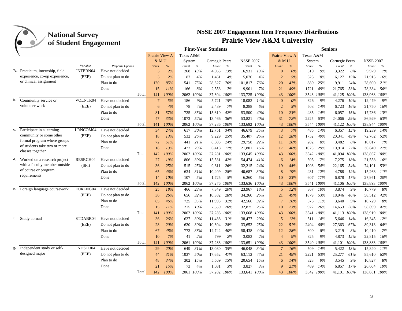|    |                                              | ס־ס             |                   |                |      |           |           | <b>First-Year Students</b> |      |                  |      |                 |       |           |      | <b>Seniors</b> |      |                  |      |
|----|----------------------------------------------|-----------------|-------------------|----------------|------|-----------|-----------|----------------------------|------|------------------|------|-----------------|-------|-----------|------|----------------|------|------------------|------|
|    |                                              |                 |                   | Prairie View A |      | Texas A&M |           |                            |      |                  |      | Prairie View A  |       | Texas A&M |      |                |      |                  |      |
|    |                                              |                 |                   | & MU           |      | System    |           | Carnegie Peers             |      | <b>NSSE 2007</b> |      | & MU            |       | System    |      | Carnegie Peers |      | <b>NSSE 2007</b> |      |
|    |                                              | Variable        | Response Options  | Count          | $\%$ | Count     | $\%$      | Count                      | $\%$ | Count            | $\%$ | Count           | %     | Count     | $\%$ | Count          | $\%$ | Count            | $\%$ |
|    | 7a. Practicum, internship, field             | <b>INTERN04</b> | Have not decided  | 3              | 2%   | 268       | 13%       | 4.963                      | 13%  | 16.931           | 13%  | $\mathbf{0}$    | 0%    | 310       | 9%   | 3.322          | 8%   | 9.979            | 7%   |
|    | experience, co-op experience,                | (EEE)           | Do not plan to do | 3              | 2%   | 87        | 4%        | 1,461                      | 4%   | 5,076            | 4%   | $\overline{2}$  | 5%    | 623       | 18%  | 6,127          | 15%  | 21,915           | 16%  |
|    | or clinical assignment                       |                 | Plan to do        | 120            | 85%  | 1541      | 75%       | 28,327                     | 76%  | 101,817          | 76%  | 20              | 47%   | 889       | 25%  | 9.911          | 24%  | 28,690           | 21%  |
|    |                                              |                 | Done              | 15             | 11%  | 166       | 8%        | 2,553                      | 7%   | 9.901            | 7%   | 21              | 49%   | 1721      | 49%  | 21,765         | 53%  | 78,384           | 56%  |
|    |                                              |                 | Total             | 141            | 100% |           | 2062 100% | 37,304 100%                |      | 133,725          | 100% | 43              | 100%  | 3543      | 100% | 41,125 100%    |      | 138,968 100%     |      |
|    | b. Community service or                      | VOLNTR04        | Have not decided  | $\overline{7}$ | 5%   | 186       | 9%        | 5,721                      | 15%  | 18,083           | 14%  | $\mathbf{0}$    | $0\%$ | 326       | 9%   | 4,276          | 10%  | 12,479           | 9%   |
|    | volunteer work                               | (EEE)           | Do not plan to do | 6              | 4%   | 78        | 4%        | 2,489                      | 7%   | 8,288            | 6%   | $\overline{2}$  | 5%    | 508       | 14%  | 6,723          | 16%  | 21,750           | 16%  |
|    |                                              |                 | Plan to do        | 81             | 57%  | 725       | 35%       | 15,610                     | 42%  | 53,500           | 40%  | 10              | 23%   | 485       | 14%  | 6,057          | 15%  | 17,786           | 13%  |
|    |                                              |                 | Done              | 47             | 33%  | 1073      | 52%       | 13.466                     | 36%  | 53,821           | 40%  | 31              | 72%   | 2225      | 63%  | 24.066         | 59%  | 86.929           | 63%  |
|    |                                              |                 | Total             | 141            | 100% | 2062      | 100%      | 37,286                     | 100% | 133,692          | 100% | 43              | 100%  | 3544      | 100% | 41,122         | 100% | 138,944 100%     |      |
|    | c. Participate in a learning                 | LRNCOM04        | Have not decided  | 34             | 24%  | 617       | 30%       | 12,751                     | 34%  | 46,679           | 35%  | 3               | 7%    | 485       | 14%  | 6,357          | 15%  | 19,239           | 14%  |
|    | community or some other                      | (EEE)           | Do not plan to do | 18             | 13%  | 532       | 26%       | 9,229                      | 25%  | 35,407           | 26%  | 12              | 28%   | 1752      | 49%  | 20,341         | 49%  | 72,762           | 52%  |
|    | formal program where groups                  |                 | Plan to do        | 72             | 51%  | 441       | 21%       | 8.883                      | 24%  | 29,758           | 22%  | 11              | 26%   | 282       | 8%   | 3,482          | 8%   | 10,017           | 7%   |
|    | of students take two or more                 |                 | Done              | 18             | 13%  | 472       | 23%       | 6,418                      | 17%  | 21,801           | 16%  | 17              | 40%   | 1023      | 29%  | 10.914         | 27%  | 36,849           | 27%  |
|    | classes together                             |                 | Total             | 142            | 100% |           | 2062 100% | 37,281 100%                |      | 133,645          | 100% | 43              | 100%  | 3542 100% |      | 41,094         | 100% | 138,867 100%     |      |
|    | d. Worked on a research project              | RESRCH04        | Have not decided  | 27             | 19%  | 806       | 39%       | 15,531                     | 42%  | 54,474           | 41%  | 6               | 14%   | 595       | 17%  | 7,275          | 18%  | 21,558           | 16%  |
|    | with a faculty member outside                | (SFI)           | Do not plan to do | 36             | 25%  | 515       | 25%       | 9,611                      | 26%  | 32,215           | 24%  | 19              | 44%   | 1908      | 54%  | 22,165         | 54%  | 74,101           | 53%  |
|    | of course or program                         |                 | Plan to do        | 65             | 46%  | 634       | 31%       | 10,409                     | 28%  | 40,687           | 30%  | 8               | 19%   | 431       | 12%  | 4,788          | 12%  | 15,263           | 11%  |
|    | requirements                                 |                 | Done              | 14             | 10%  | 107       | 5%        | 1,725                      | 5%   | 6,260            | 5%   | 10              | 23%   | 607       | 17%  | 6,878          | 17%  | 27,971           | 20%  |
|    |                                              |                 | Total             | 142            | 100% |           | 2062 100% | 37,276 100%                |      | 133,636          | 100% | 43              | 100%  | 3541      | 100% | 41,106 100%    |      | 138,893 100%     |      |
|    | e. Foreign language coursework               | FORLNG04        | Have not decided  | 25             | 18%  | 466       | 23%       | 7,349                      | 20%  | 23,967           | 18%  | 5               | 12%   | 367       | 10%  | 3,874          | 9%   | 10,779           | 8%   |
|    |                                              | (EEE)           | Do not plan to do | 36             | 26%  | 656       | 32%       | 10,382                     | 28%  | 34,260           | 26%  | 21              | 49%   | 1879      | 53%  | 18,946         | 46%  | 58,512           | 42%  |
|    |                                              |                 | Plan to do        | 65             | 46%  | 725       | 35%       | 11,993                     | 32%  | 42,566           | 32%  | $7\phantom{.0}$ | 16%   | 373       | 11%  | 3,640          | 9%   | 10,729           | 8%   |
|    |                                              |                 | Done              | 15             | 11%  | 215       | 10%       | 7,559                      | 20%  | 32,875           | 25%  | 10              | 23%   | 922       | 26%  | 14,653         | 36%  | 58,899           | 42%  |
|    |                                              |                 | Total             | 141            | 100% |           | 2062 100% | 37,283                     | 100% | 133,668          | 100% | 43              | 100%  | 3541      | 100% | 41,113         | 100% | 138,919 100%     |      |
|    | f. Study abroad                              | STDABR04        | Have not decided  | 36             | 26%  | 627       | 30%       | 11,438                     | 31%  | 38,477           | 29%  | 5               | 12%   | 511       | 14%  | 5,646          | 14%  | 16,345           | 12%  |
|    |                                              | (EEE)           | Do not plan to do | 28             | 20%  | 620       | 30%       | 10,304                     | 28%  | 33,653           | 25%  | 22              | 51%   | 2404      | 68%  | 27,363         | 67%  | 89,313           | 64%  |
|    |                                              |                 | Plan to do        | 67             | 48%  | 773       | 38%       | 14,742                     | 40%  | 58,438           | 44%  | 12              | 28%   | 300       | 8%   |                | 8%   |                  | 7%   |
|    |                                              |                 | Done              |                | 7%   |           | 2%        |                            | 2%   |                  | 2%   |                 |       |           | 9%   | 3,219          | 12%  | 10,410           | 16%  |
|    |                                              |                 |                   | 10             |      | 41        |           | 799                        |      | 3,083            |      | $\overline{4}$  | 9%    | 325       |      | 4,873          |      | 22,815           |      |
|    |                                              | INDSTD04        | Total             | 141            | 100% | 2061      | 100%      | 37,283                     | 100% | 133,651          | 100% | 43              | 100%  | 3540      | 100% | 41,101         | 100% | 138,883          | 100% |
| g. | Independent study or self-<br>designed major |                 | Have not decided  | 29             | 20%  | 649       | 31%       | 13,030                     | 35%  | 46,048           | 34%  | $7\phantom{.0}$ | 16%   | 509       | 14%  | 5,422          | 13%  | 15,840           | 11%  |
|    |                                              | (EEE)           | Do not plan to do | 44             | 31%  | 1037      | 50%       | 17,652                     | 47%  | 63,112           | 47%  | 21              | 49%   | 2221      | 63%  | 25,277         | 61%  | 85,610           | 62%  |
|    |                                              |                 | Plan to do        | 48             | 34%  | 302       | 15%       | 5,569                      | 15%  | 20,654           | 15%  | 6               | 14%   | 323       | 9%   | 3,545          | 9%   | 10,827           | 8%   |
|    |                                              |                 | Done              | 21             | 15%  | 73        | 4%        | 1,031                      | 3%   | 3,827            | 3%   | $\mathbf{Q}$    | 21%   | 489       | 14%  | 6,857          | 17%  | 26,604           | 19%  |
|    |                                              |                 | Total             | 142            | 100% |           | 2061 100% | 37,282 100%                |      | 133,641          | 100% | 43              | 100%  | 3542 100% |      | 41.101 100%    |      | 138.881 100%     |      |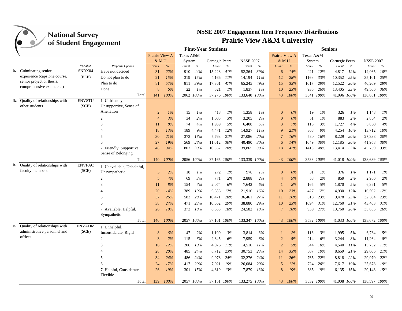|    |                                                           |               |                           |                |          |           |           | <b>First-Year Students</b> |        |                  |       |                |       |           |           | <b>Seniors</b> |       |                  |       |
|----|-----------------------------------------------------------|---------------|---------------------------|----------------|----------|-----------|-----------|----------------------------|--------|------------------|-------|----------------|-------|-----------|-----------|----------------|-------|------------------|-------|
|    |                                                           |               |                           | Prairie View A |          | Texas A&M |           |                            |        |                  |       | Prairie View A |       | Texas A&M |           |                |       |                  |       |
|    |                                                           |               |                           | & M U          |          | System    |           | Carnegie Peers             |        | <b>NSSE 2007</b> |       | & M U          |       | System    |           | Carnegie Peers |       | <b>NSSE 2007</b> |       |
|    |                                                           | Variable      | Response Options          | Count          | $\%$     | Count     | $\%$      | Count                      | $\%$   | Count            | $\%$  | Count          | $\%$  | Count     | $\%$      | Count          | $\%$  | Count            | $\%$  |
|    | h. Culminating senior                                     | SNRX04        | Have not decided          | 31             | 22%      | 910       | 44%       | 15,228                     | 41%    | 52,364           | 39%   | 6              | 14%   | 421       | 12%       | 4,817          | 12%   | 14,065           | 10%   |
|    | experience (capstone course,<br>senior project or thesis, | (EEE)         | Do not plan to do         | 21             | 15%      | 319       | 15%       | 4,166                      | $11\%$ | 14,194           | 11%   | 12             | 28%   | 1168      | 33%       | 10,352         | 25%   | 35,101           | 25%   |
|    | comprehensive exam, etc.)                                 |               | Plan to do                | 81             | 57%      | 811       | 39%       | 17,361                     | 47%    | 65,245           | 49%   | 15             | 35%   | 1017      | 29%       | 12,522         | 30%   | 40,209           | 29%   |
|    |                                                           |               | Done                      | 8              | 6%       | 22        | 1%        | 521                        | $1\%$  | 1,837            | 1%    | 10             | 23%   | 935       | 26%       | 13,405         | 33%   | 49,506           | 36%   |
|    |                                                           |               | Total                     | 141            | 100%     |           | 2062 100% | 37,276 100%                |        | 133,640 100%     |       | 43             | 100%  |           | 3541 100% | 41,096 100%    |       | 138,881 100%     |       |
|    | 8a. Quality of relationships with                         | <b>ENVSTU</b> | 1 Unfriendly,             |                |          |           |           |                            |        |                  |       |                |       |           |           |                |       |                  |       |
|    | other students                                            | (SCE)         | Unsupportive, Sense of    |                |          |           |           |                            |        |                  |       |                |       |           |           |                |       |                  |       |
|    |                                                           |               | Alienation                | $\overline{2}$ | $1\%$    | 15        | 1%        | 413                        | 1%     | 1,358            | 1%    | $\mathbf{0}$   | $0\%$ | 19        | $1\%$     | 326            | $1\%$ | 1,148            | $1\%$ |
|    |                                                           |               | $\overline{2}$            | $\overline{4}$ | 3%       | 34        | 2%        | 1,005                      | 3%     | 3,205            | 2%    | $\mathbf{0}$   | 0%    | 51        | 1%        | 883            | 2%    | 2,864            | 2%    |
|    |                                                           |               | 3                         | 11             | 8%       | 74        | 4%        | 1,939                      | 5%     | 6,408            | 5%    | 3              | 7%    | 113       | 3%        | 1,727          | 4%    | 5,860            | 4%    |
|    |                                                           |               |                           | 18             | 13%      | 189       | 9%        | 4,471                      | 12%    | 14,927           | 11%   | 9              | 21%   | 308       | 9%        | 4,254          | 10%   | 13,712           | 10%   |
|    |                                                           |               | 5                         | 30             | 21%      | 373       | 18%       | 7,763                      | 21%    | 27,086           | 20%   | $\overline{7}$ | 16%   | 580       | 16%       | 8,229          | 20%   | 27,338           | 20%   |
|    |                                                           |               | 6                         | 27             | 19%      | 569       | 28%       | 11,012                     | 30%    | 40,490           | 30%   | 6              | 14%   | 1049      | 30%       | 12,185         | 30%   | 41,958           | 30%   |
|    |                                                           |               | 7 Friendly, Supportive,   | 48             | 34%      | 802       | 39%       | 10,562                     | 28%    | 39,865           | 30%   | 18             | 42%   | 1413      | 40%       | 13,414         | 33%   | 45,759           | 33%   |
|    |                                                           |               | Sense of Belonging        |                |          |           |           |                            |        |                  |       |                |       |           |           |                |       |                  |       |
|    |                                                           |               | Total                     |                | 140 100% |           | 2056 100% | 37,165 100%                |        | 133,339 100%     |       | 43             | 100%  |           | 3533 100% | 41,018 100%    |       | 138,639 100%     |       |
| b. | Quality of relationships with                             | <b>ENVFAC</b> | 1 Unavailable, Unhelpful, |                |          |           |           |                            |        |                  |       |                |       |           |           |                |       |                  |       |
|    | faculty members                                           | (SCE)         | Unsympathetic             | 3              | 2%       | 18        | 1%        | 272                        | 1%     | 978              | $1\%$ | $\mathbf{0}$   | 0%    | 31        | $1\%$     | 376            | $1\%$ | 1,171            | $1\%$ |
|    |                                                           |               | $\mathfrak{D}$            | 5              | 4%       | 69        | 3%        | 771                        | 2%     | 2,888            | 2%    | $\overline{4}$ | 9%    | 58        | 2%        | 859            | 2%    | 2,986            | 2%    |
|    |                                                           |               | 3                         | 11             | 8%       | 154       | 7%        | 2,074                      | 6%     | 7,642            | 6%    | $\overline{1}$ | 2%    | 165       | 5%        | 1,870          | 5%    | 6,361            | 5%    |
|    |                                                           |               | $\overline{4}$            | 20             | 14%      | 389       | 19%       | 6,358                      | 17%    | 21,916           | 16%   | 10             | 23%   | 427       | 12%       | 4,930          | 12%   | 16,592           | 12%   |
|    |                                                           |               | $\overline{\phantom{1}}$  | 37             | 26%      | 583       | 28%       | 10,471                     | 28%    |                  | 27%   | 11             | 26%   | 818       | 23%       | 9,478          | 23%   | 32,304           | 23%   |
|    |                                                           |               |                           |                |          |           |           |                            |        | 36,461           |       |                |       |           |           |                |       |                  |       |
|    |                                                           |               |                           | 38             | 27%      | 471       | 23%       | 10,662                     | 29%    | 38,880           | 29%   | 10             | 23%   | 1094      | 31%       | 12,760         | 31%   | 43,403           | 31%   |
|    |                                                           |               | 7 Available, Helpful,     | 26             | 19%      | 373       | 18%       | 6,553                      | 18%    | 24,582           | 18%   | $\overline{7}$ | 16%   | 939       | 27%       | 10,760         | 26%   | 35,855 26%       |       |
|    |                                                           |               | Sympathetic<br>Total      |                |          |           |           |                            |        |                  |       |                |       |           |           |                |       |                  |       |
| c. | Quality of relationships with                             | <b>ENVADM</b> |                           | 140            | 100%     |           | 2057 100% | 37,161 100%                |        | 133,347 100%     |       | 43             | 100%  |           | 3532 100% | 41,033 100%    |       | 138,672 100%     |       |
|    | administrative personnel and                              | (SCE)         | 1 Unhelpful,              |                |          |           |           |                            |        |                  |       |                |       |           |           |                |       |                  |       |
|    | offices                                                   |               | Inconsiderate, Rigid      | 8              | 6%       | 47        | 2%        | 1,100                      | 3%     | 3,814            | 3%    | 1              | 2%    | 113       | 3%        | 1,995          | 5%    | 6,784            | 5%    |
|    |                                                           |               | 2                         | 3              | 2%       | 115       | 6%        | 2,345                      | 6%     | 7,959            | 6%    | $\overline{2}$ | 5%    | 214       | 6%        | 3,244          | 8%    | 11,264           | 8%    |
|    |                                                           |               | $\mathcal{R}$             | 16             | 12%      | 206       | 10%       | 4,076                      | 11%    | 14,510           | 11%   | 2              | 5%    | 344       | 10%       | 4,540          | 11%   | 15,752           | 11%   |
|    |                                                           |               | 4                         | 28             | 20%      | 485       | 24%       | 8,712                      | 23%    | 30,753           | 23%   | 14             | 33%   | 687       | 19%       | 8,659          | 21%   | 29,006           | 21%   |
|    |                                                           |               | $\overline{5}$            | 34             | 24%      | 486       | 24%       | 9,078                      | 24%    | 32,276           | 24%   | 11             | 26%   | 765       | 22%       | 8,818          | 22%   | 29,970           | 22%   |
|    |                                                           |               | 6                         | 24             | 17%      | 417       | 20%       | 7,021                      | 19%    | 26,084           | 20%   | 5              | 12%   | 724       | 20%       | 7,617          | 19%   | 25,678           | 19%   |
|    |                                                           |               | 7 Helpful, Considerate,   | 26             | 19%      | 301       | 15%       | 4,819                      | 13%    | 17,879           | 13%   | 8              | 19%   | 685       | 19%       | 6,135          | 15%   | 20,143           | 15%   |
|    |                                                           |               | Flexible                  |                |          |           |           |                            |        |                  |       |                |       |           |           |                |       |                  |       |
|    |                                                           |               | Total                     | 139            | 100%     |           | 2057 100% | 37,151 100%                |        | 133,275 100%     |       | 43             | 100%  |           | 3532 100% | 41,008 100%    |       | 138,597 100%     |       |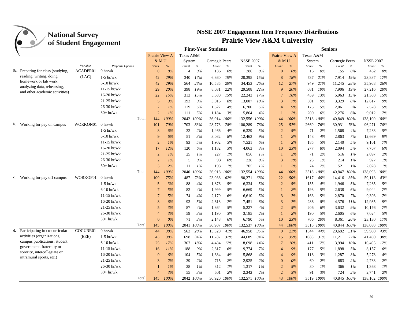

|    |                                                               | $\mathbf{\sigma}$    |                  |                |       |           |           | <b>First-Year Students</b> |         |                  |       |                |       |           |           | <b>Seniors</b> |       |                  |       |
|----|---------------------------------------------------------------|----------------------|------------------|----------------|-------|-----------|-----------|----------------------------|---------|------------------|-------|----------------|-------|-----------|-----------|----------------|-------|------------------|-------|
|    |                                                               |                      |                  | Prairie View A |       | Texas A&M |           |                            |         |                  |       | Prairie View A |       | Texas A&M |           |                |       |                  |       |
|    |                                                               |                      |                  | & MU           |       | System    |           | Carnegie Peers             |         | <b>NSSE 2007</b> |       | & MU           |       | System    |           | Carnegie Peers |       | <b>NSSE 2007</b> |       |
|    |                                                               | Variable<br>ACADPR01 | Response Options | Count          | $\%$  | Count     | $\%$      | Count                      | $\%$    | Count            | $\%$  | Count          | %     | Count     | $\%$      | Count          | $\%$  | Count            | $\%$  |
|    | 9a. Preparing for class (studying,<br>reading, writing, doing |                      | 0 h r/wk         | $\Omega$       | $0\%$ | 4         | $0\%$     | 136                        | $0\%$   | 386              | $0\%$ | $\Omega$       | $0\%$ | 16        | $0\%$     | 155            | $0\%$ | 462              | $0\%$ |
|    | homework or lab work,                                         | (LAC)                | $1-5$ hr/wk      | 42             | 29%   | 340       | 17%       | 6,860                      | 19%     | 20,395           | 15%   | 8              | 18%   | 737       | 21%       | 7,914          | 19%   | 23,887           | 17%   |
|    | analyzing data, rehearsing,                                   |                      | $6-10$ hr/wk     | 42             | 29%   | 564       | 28%       | 10,585                     | 29%     | 34,453           | 26%   | 12             | 27%   | 949       | 27%       | 11,245         | 28%   | 35,968           | 26%   |
|    | and other academic activities)                                |                      | $11-15$ hr/wk    | 29             | 20%   | 398       | 19%       | 8,031                      | 22%     | 29,508           | 22%   | $\mathbf{Q}$   | 20%   | 681       | 19%       | 7,906          | 19%   | 27,216           | 20%   |
|    |                                                               |                      | $16-20$ hr/wk    | 22             | 15%   | 313       | 15%       | 5,580                      | 15%     | 22,243           | 17%   | $\overline{7}$ | 16%   | 459       | 13%       | 5,963          | 15%   | 21,360           | 15%   |
|    |                                                               |                      | $21-25$ hr/wk    | 5              | 3%    | 193       | 9%        | 3,016                      | 8%      | 13.007           | 10%   | 3              | 7%    | 301       | 9%        | 3,329          | 8%    | 12,617           | 9%    |
|    |                                                               |                      | 26-30 hr/wk      | $\overline{2}$ | $1\%$ | 119       | 6%        | 1,522                      | 4%      | 6,700            | 5%    | $\overline{4}$ | 9%    | 175       | 5%        | 2,061          | 5%    | 7,578            | 5%    |
|    |                                                               |                      | $30+hr/wk$       | $\overline{2}$ | 1%    | 111       | 5%        | 1,184                      | 3%      | 5,864            | 4%    |                | 2%    | 200       | 6%        | 2,276          | 6%    | 9,012            | 7%    |
|    |                                                               |                      | Total            | 144            | 100%  | 2042      | 100%      | 36,914                     | 100%    | 132,556          | 100%  | 44             | 100%  | 3518      | 100%      | 40,849         | 100%  | 138,100          | 100%  |
|    | b. Working for pay on campus                                  | WORKON01             | $0$ hr/wk        | 101            | 70%   | 1703      | 83%       | 28,773                     | 78%     | 100,289          | 76%   | 25             | 57%   | 2669      | 76%       | 30,931         | 76%   | 96,271           | 70%   |
|    |                                                               |                      | $1-5$ hr/wk      | 8              | 6%    | 32        | 2%        | 1,466                      | 4%      | 6,329            | 5%    | $\overline{2}$ | 5%    | 71        | 2%        | 1,568          | 4%    | 7,233            | 5%    |
|    |                                                               |                      | $6-10$ hr/wk     | q              | 6%    | 51        | 3%        | 3,082                      | 8%      | 12.463           | 9%    |                | 2%    | 148       | 4%        | 2,863          | 7%    | 12,669           | 9%    |
|    |                                                               |                      | $11-15$ hr/wk    | $\mathcal{D}$  | $1\%$ | 93        | 5%        | 1,902                      | 5%      | 7,521            | 6%    |                | 2%    | 185       | 5%        | 2,140          | 5%    | 9,101            | $7\%$ |
|    |                                                               |                      | $16-20$ hr/wk    | 17             | 12%   | 120       | 6%        | 1,182                      | 3%      | 4.063            | 3%    | 10             | 23%   | 277       | 8%        | 2,094          | 5%    | 7,767            | 6%    |
|    |                                                               |                      | $21-25$ hr/wk    | $\overline{2}$ | $1\%$ | 25        | 1%        | 227                        | 1%      | 856              | 1%    |                | 2%    | 71        | 2%        | 516            | 1%    | 2,097            | 2%    |
|    |                                                               |                      | 26-30 hr/wk      | $\overline{2}$ | $1\%$ | 5         | 0%        | 93                         | 0%      | 328              | 0%    | 3              | 7%    | 23        | $1\%$     | 214            | 1%    | 927              | 1%    |
|    |                                                               |                      | $30+hr/wk$       | $\overline{3}$ | 2%    | 11        | $1\%$     | 193                        | $1\%$   | 705              | 1%    |                | 2%    | 74        | 2%        | 521            | 1%    | 2.028            | 1%    |
|    |                                                               |                      | Total            | 144            | 100%  | 2040      | 100%      | 36,918                     | 100%    | 132,554          | 100%  | 44             | 100%  | 3518      | 100%      | 40,847         | 100%  | 138,093          | 100%  |
| c. | Working for pay off campus                                    | WORKOF01             | $0$ hr/wk        | 109            | 75%   | 1487      | 73%       | 23,038                     | 62%     | 90,271           | 68%   | 22             | 50%   | 1617      | 46%       | 14,416         | 35%   | 59,113           | 43%   |
|    |                                                               |                      | $1-5$ hr/wk      | 5              | 3%    | 88        | 4%        | 1,876                      | 5%      | 6,334            | 5%    | $\overline{2}$ | 5%    | 155       | 4%        | 1,946          | 5%    | 7,265            | 5%    |
|    |                                                               |                      | $6-10$ hr/wk     | $\overline{7}$ | 5%    | 82        | 4%        | 1,999                      | 5%      | 6,669            | 5%    |                | 2%    | 193       | 5%        | 2,638          | 6%    | 9,044            | 7%    |
|    |                                                               |                      | $11-15$ hr/wk    | 7              | 5%    | 74        | 4%        | 2,179                      | 6%      | 6.610            | 5%    | 3              | 7%    | 163       | 5%        | 2,870          | 7%    | 9.393            | 7%    |
|    |                                                               |                      | $16-20$ hr/wk    | 8              | 6%    | 93        | .5%       | 2,613                      | 7%      | 7.451            | 6%    | 3              | 7%    | 286       | 8%        | 4,376          | 11%   | 12,935           | 9%    |
|    |                                                               |                      | $21-25$ hr/wk    | 5              | 3%    | 87        | 4%        | 1,864                      | 5%      | 5,227            | 4%    | $\overline{2}$ | 5%    | 206       | 6%        | 3,632          | 9%    | 10,176           | 7%    |
|    |                                                               |                      | 26-30 hr/wk      | $\overline{4}$ | 3%    | 59        | 3%        | 1,190                      | 3%      | 3,185            | 2%    |                | 2%    | 190       | 5%        | 2,605          | 6%    | 7,024            | 5%    |
|    |                                                               |                      | $30+hr/wk$       | $\overline{0}$ | 0%    | 71        | 3%        | 2,148                      | 6%      | 6,790            | 5%    | 10             | 23%   | 706       | 20%       | 8,361          | 20%   | 23,130           | 17%   |
|    |                                                               |                      | Total            | 145            | 100%  | 2041      | 100%      | 36,907                     | $100\%$ | 132,537          | 100%  | 44             | 100%  | 3516      | 100%      | 40,844         | 100%  | 138,080          | 100%  |
| d. | Participating in co-curricular                                | COCURR01             | 0 h r/wk         | 44             | 30%   | 563       | 28%       | 15,320                     | 41%     | 46,958           | 35%   | $\mathbf Q$    | 21%   | 1544      | 44%       | 20,682         | 51%   | 59,960           | 43%   |
|    | activities (organizations.                                    | (EEE)                | $1-5$ hr/wk      | 43             | 30%   | 698       | 34%       | 11,787                     | 32%     | 44,689           | 34%   | 15             | 35%   | 1088      | 31%       | 11,211         | 27%   | 41,460           | 30%   |
|    | campus publications, student                                  |                      | $6-10$ hr/wk     | 25             | 17%   | 367       | 18%       | 4,484                      | 12%     | 18,698           | 14%   | $\overline{7}$ | 16%   | 411       | 12%       | 3,994          | 10%   | 16,405           | 12%   |
|    | government, fraternity or                                     |                      | $11-15$ hr/wk    | 16             | 11%   | 188       | 9%        | 2,317                      | 6%      | 9,774            | 7%    | $\overline{4}$ | 9%    | 177       | 5%        | 1,898          | 5%    | 8,157            | 6%    |
|    | sorority, intercollegiate or<br>intramural sports, etc.)      |                      | $16-20$ hr/wk    | 9              | 6%    | 104       | 5%        | 1,384                      | 4%      | 5,868            | 4%    | $\overline{4}$ | 9%    | 118       | 3%        | 1,287          | 3%    | 5,278            | 4%    |
|    |                                                               |                      | $21-25$ hr/wk    | 3              | 2%    | 39        | 2%        | 715                        | 2%      | 2,925            | 2%    | $\Omega$       | 0%    | 60        | 2%        | 683            | 2%    | 2,733            | 2%    |
|    |                                                               |                      | 26-30 hr/wk      |                | $1\%$ | 28        | 1%        | 312                        | 1%      | 1,317            | 1%    | $\overline{2}$ | 5%    | 30        | 1%        | 366            | $1\%$ | 1,368            | 1%    |
|    |                                                               |                      | $30+hr/wk$       | $\overline{4}$ | 3%    | 55        | 3%        | 601                        | 2%      | 2,342            | 2%    | $\overline{2}$ | 5%    | 91        | 3%        | 724            | 2%    | 2,741            | 2%    |
|    |                                                               |                      | Total            | 145            | 100%  |           | 2042 100% | 36,920 100%                |         | 132,571 100%     |       | 43             | 100%  |           | 3519 100% | 40,845 100%    |       | 138,102 100%     |       |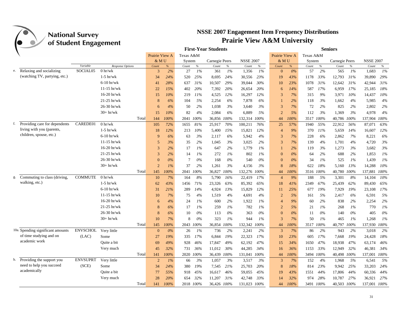

|    |                                   |                 |                   |                |      |           |           | <b>First-Year Students</b> |       |                  |       |                |       |           |       | <b>Seniors</b> |       |                  |       |
|----|-----------------------------------|-----------------|-------------------|----------------|------|-----------|-----------|----------------------------|-------|------------------|-------|----------------|-------|-----------|-------|----------------|-------|------------------|-------|
|    |                                   |                 |                   | Prairie View A |      | Texas A&M |           |                            |       |                  |       | Prairie View A |       | Texas A&M |       |                |       |                  |       |
|    |                                   |                 |                   | & MU           |      | System    |           | Carnegie Peers             |       | <b>NSSE 2007</b> |       | $&$ MU         |       | System    |       | Carnegie Peers |       | <b>NSSE 2007</b> |       |
|    |                                   | Variable        | Response Options  | Count          | $\%$ | Count     | $\%$      | Count                      | $\%$  | Count            | $\%$  | Count          | %     | Count     | $\%$  | Count          | $\%$  | Count            | $\%$  |
|    | e. Relaxing and socializing       | SOCIAL05        | $0 \frac{hr}{wk}$ | 3              | 2%   | 27        | 1%        | 361                        | 1%    | 1.356            | 1%    | $\Omega$       | $0\%$ | 57        | 2%    | 565            | $1\%$ | 1.683            | 1%    |
|    | (watching TV, partying, etc.)     |                 | $1-5$ hr/wk       | 34             | 24%  | 520       | 25%       | 8,695                      | 24%   | 30,556           | 23%   | 19             | 43%   | 1178      | 33%   | 12,793         | 31%   | 39,890           | 29%   |
|    |                                   |                 | $6-10$ hr/wk      | 41             | 28%  | 637       | 31%       | 10,507                     | 29%   | 39,044           | 30%   | 10             | 23%   | 1078      | 31%   | 12,642         | 31%   | 42,944           | 31%   |
|    |                                   |                 | $11-15$ hr/wk     | 22             | 15%  | 402       | 20%       | 7,392                      | 20%   | 26,654           | 20%   | 6              | 14%   | 587       | 17%   | 6,959          | 17%   | 25,185           | 18%   |
|    |                                   |                 | $16-20$ hr/wk     | 15             | 10%  | 219       | 11%       | 4,525                      | 12%   | 16,297           | 12%   | 3              | 7%    | 315       | 9%    | 3,971          | 10%   | 14,437           | 10%   |
|    |                                   |                 | $21-25$ hr/wk     | 8              | 6%   | 104       | 5%        | 2,254                      | 6%    | 7,878            | 6%    |                | 2%    | 118       | 3%    | 1,662          | 4%    | 5,985            | 4%    |
|    |                                   |                 | 26-30 hr/wk       | 6              | 4%   | 50        | 2%        | 1,038                      | 3%    | 3,640            | 3%    | 3              | 7%    | 72        | 2%    | 825            | 2%    | 2,802            | 2%    |
|    |                                   |                 | $30+hr/wk$        | 15             | 10%  | 82        | 4%        | 2,084                      | 6%    | 6,889            | 5%    | $\overline{2}$ | .5%   | 112       | 3%    | 1,369          | 3%    | 4,978            | 4%    |
|    |                                   |                 | Total             | 144            | 100% | 2041      | 100%      | 36,856 100%                |       | 132,314          | 100%  | 44             | 100%  | 3517      | 100%  | 40,786         | 100%  | 137,904          | 100%  |
| f. | Providing care for dependents     | CAREDE01        | 0 hr/wk           | 105            | 72%  | 1655      | 81%       | 25,917                     | 70%   | 100,211          | 76%   | 25             | 57%   | 1940      | 55%   | 22,912         | 56%   | 87,071           | 63%   |
|    | living with you (parents,         |                 | $1-5$ hr/wk       | 18             | 12%  | 213       | 10%       | 5,400                      | 15%   | 15,821           | 12%   | $\overline{4}$ | 9%    | 370       | 11%   | 5,659          | 14%   | 16,607           | 12%   |
|    | children, spouse, etc.)           |                 | $6-10$ hr/wk      | 9              | 6%   | 63        | 3%        | 2,117                      | 6%    | 5,942            | 4%    | 3              | 7%    | 228       | 6%    | 2,862          | 7%    | 8,221            | 6%    |
|    |                                   |                 | $11-15$ hr/wk     | 5              | 3%   | 35        | 2%        | 1,045                      | 3%    | 3,025            | 2%    | 3              | 7%    | 139       | 4%    | 1.701          | 4%    | 4,720            | 3%    |
|    |                                   |                 | $16-20$ hr/wk     | 3              | 2%   | 17        | $1\%$     | 647                        | 2%    | 1.779            | 1%    |                | 2%    | 119       | 3%    | 1,273          | 3%    | 3,682            | 3%    |
|    |                                   |                 | $21-25$ hr/wk     | 3              | 2%   | 14        | $1\%$     | 272                        | $1\%$ | 802              | $1\%$ | $\Omega$       | $0\%$ | 64        | 2%    | 688            | 2%    | 1,853            | $1\%$ |
|    |                                   |                 | 26-30 hr/wk       | $\Omega$       | 0%   | $\tau$    | $0\%$     | 168                        | $0\%$ | 540              | $0\%$ | $\Omega$       | $0\%$ | 34        | $1\%$ | 525            | 1%    | 1,439            | $1\%$ |
|    |                                   |                 | $30+hr/wk$        | $\overline{2}$ | 1%   | 37        | 2%        | 1,261                      | 3%    | 4,156            | 3%    | 8              | 18%   | 622       | 18%   | 5,160          | 13%   | 14,288           | 10%   |
|    |                                   |                 | Total             | 145            | 100% | 2041      | 100%      | 36,827                     | 100%  | 132,276          | 100%  | 44             | 100%  | 3516      | 100%  | 40,780         | 100%  | 137,881          | 100%  |
| g. | Commuting to class (driving,      | <b>COMMUTE</b>  | 0 h r/wk          | 10             | 7%   | 164       | 8%        | 5,790                      | 16%   | 22,419           | 17%   | $\overline{4}$ | 9%    | 188       | 5%    | 3,301          | 8%    | 14,104           | 10%   |
|    | walking, etc.)                    |                 | $1-5$ hr/wk       | 62             | 43%  | 1456      | 71%       | 23,326                     | 63%   | 85.392           | 65%   | 18             | 41%   | 2349      | 67%   | 25,439         | 62%   | 89,430           | 65%   |
|    |                                   |                 | $6-10$ hr/wk      | 31             | 21%  | 289       | 14%       | 4,924                      | 13%   | 15,829           | 12%   | 11             | 25%   | 677       | 19%   | 7,929          | 19%   | 23,108           | 17%   |
|    |                                   |                 | $11-15$ hr/wk     | 10             | 7%   | 75        | 4%        | 1,519                      | 4%    | 4,691            | 4%    | $\overline{2}$ | 5%    | 161       | 5%    | 2,417          | 6%    | 6,591            | 5%    |
|    |                                   |                 | $16-20$ hr/wk     | 6              | 4%   | 24        | 1%        | 600                        | 2%    | 1,922            | 1%    | $\overline{4}$ | 9%    | 60        | 2%    | 838            | 2%    | 2,254            | 2%    |
|    |                                   |                 | $21-25$ hr/wk     | 8              | 6%   | 17        | 1%        | 259                        | 1%    | 782              | 1%    | $\overline{2}$ | 5%    | 21        | $1\%$ | 268            | $1\%$ | 770              | 1%    |
|    |                                   |                 | 26-30 hr/wk       | 8              | 6%   | 10        | $0\%$     | 113                        | $0\%$ | 363              | $0\%$ | $\theta$       | 0%    | 11        | $0\%$ | 140            | $0\%$ | 405              | 0%    |
|    |                                   |                 | $30+hr/wk$        | 10             | 7%   | 8         | 0%        | 323                        | 1%    | 944              | 1%    | 3              | 7%    | 50        | 1%    | 465            | 1%    | 1,268            | 1%    |
|    |                                   |                 | Total             | 145            | 100% | 2043      | 100%      | 36,854                     | 100%  | 132,342          | 100%  | 44             | 100%  | 3517      | 100%  | 40,797         | 100%  | 137,930 100%     |       |
|    | 10a. Spending significant amounts | <b>ENVSCHOL</b> | Very little       | $\theta$       | 0%   | 26        | 1%        | 736                        | 2%    | 2.241            | 2%    | 3              | 7%    | 86        | 2%    | 943            | 2%    | 3,018            | 2%    |
|    | of time studying and on           | (LAC)           | Some              | 27             | 19%  | 335       | 17%       | 6,844                      | 19%   | 22,323           | 17%   | 10             | 23%   | 605       | 17%   | 7,668          | 19%   | 24,428           | 18%   |
|    | academic work                     |                 | Quite a bit       | 69             | 49%  | 928       | 46%       | 17,847                     | 49%   | 62,192           | 47%   | 15             | 34%   | 1650      | 47%   | 18,938         | 47%   | 63,174           | 46%   |
|    |                                   |                 | Very much         | 45             | 32%  | 731       | 36%       | 11.012                     | 30%   | 44,285           | 34%   | 16             | 36%   | 1153      | 33%   | 12.949         | 32%   | 46,381           | 34%   |
|    |                                   |                 | Total             | 141            | 100% | 2020      | 100%      | 36,439                     | 100%  | 131,041          | 100%  | 44             | 100%  | 3494      | 100%  | 40,498         | 100%  | 137,001          | 100%  |
| b. | Providing the support you         | <b>ENVSUPRT</b> | Very little       | $\overline{2}$ | 1%   | 66        | 3%        | 1,057                      | 3%    | 3,517            | 3%    | 3              | 7%    | 152       | 4%    | 1,968          | 5%    | 6,541            | 5%    |
|    | need to help you succeed          | (SCE)           | Some              | 34             | 24%  | 380       | 19%       | 7,545                      | 21%   | 25,703           | 20%   | 8              | 18%   | 814       | 23%   | 9,942          | 25%   | 33,203           | 24%   |
|    | academically                      |                 | Quite a bit       | 77             | 55%  | 918       | 45%       | 16,617                     | 46%   | 59,055           | 45%   | 19             | 43%   | 1551      | 44%   | 17,806         | 44%   | 60,336           | 44%   |
|    |                                   |                 | Very much         | 28             | 20%  | 654       | 32%       | 11,207                     | 31%   | 42,748           | 33%   | 14             | 32%   | 974       | 28%   | 10,787         | 27%   | 36,921           | 27%   |
|    |                                   |                 | Total             | 141            | 100% |           | 2018 100% | 36,426 100%                |       | 131,023          | 100%  | 44             | 100%  | 3491 100% |       | 40,503 100%    |       | 137,001          | 100%  |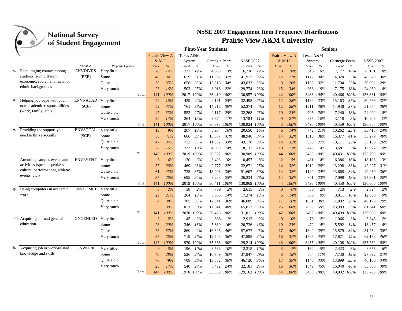|    |                                                       | ס־ס             |                  |                |      |           |           | <b>First-Year Students</b> |      |                  |      |                |       |           |      | <b>Seniors</b> |        |                  |      |
|----|-------------------------------------------------------|-----------------|------------------|----------------|------|-----------|-----------|----------------------------|------|------------------|------|----------------|-------|-----------|------|----------------|--------|------------------|------|
|    |                                                       |                 |                  | Prairie View A |      | Texas A&M |           |                            |      |                  |      | Prairie View A |       | Texas A&M |      |                |        |                  |      |
|    |                                                       |                 |                  | & M U          |      | System    |           | Carnegie Peers             |      | <b>NSSE 2007</b> |      | & M U          |       | System    |      | Carnegie Peers |        | <b>NSSE 2007</b> |      |
|    |                                                       | Variable        | Response Options | Count          | %    | Count     | $\%$      | $Count$                    | $\%$ | Count            | $\%$ | Count          | $\%$  | Count     | $\%$ | Count          | $\%$   | Count            | $\%$ |
| c. | Encouraging contact among                             | <b>ENVDIVRS</b> | Very little      | 20             | 14%  | 237       | 12%       | 4,589                      | 13%  | 16.238           | 12%  | 8              | 18%   | 546       | 16%  | 7,177          | 18%    | 25.161           | 18%  |
|    | students from different                               | (EEE)           | Some             | 48             | 34%  | 619       | 31%       | 11,592                     | 32%  | 41,912           | 32%  | 12             | 27%   | 1172      | 34%  | 14,320         | 35%    | 48,679           | 36%  |
|    | economic, social, and racial or<br>ethnic backgrounds |                 | Ouite a bit      | 50             | 35%  | 658       | 33%       | 12,213                     | 34%  | 43,033           | 33%  | 9              | 20%   | 1102      | 32%  | 11,794         | 29%    | 39,002           | 28%  |
|    |                                                       |                 | Very much        | 23             | 16%  | 503       | 25%       | 8,016                      | 22%  | 29,774           | 23%  | 15             | 34%   | 668       | 19%  | 7,175          | 18%    | 24,039           | 18%  |
|    |                                                       |                 | Total            | 141            | 100% |           | 2017 100% | 36,410 100%                |      | 130,957          | 100% | 44             | 100%  | 3488 100% |      | 40,466 100%    |        | 136,881          | 100% |
| d. | Helping you cope with your                            | <b>ENVNACAD</b> | Very little      | 22             | 16%  | 439       | 22%       | 9,191                      | 25%  | 32,498           | 25%  | 12             | 28%   | 1139      | 33%  | 15,163         | 37%    | 50,766           | 37%  |
|    | non-academic responsibilities                         | (SCE)           | Some             | 52             | 37%  | 761       | 38%       | 14,216                     | 39%  | 52,374           | 40%  | 12             | 28%   | 1311      | 38%  | 14,938         | 37%    | 51,874           | 38%  |
|    | (work, family, etc.)                                  |                 | Ouite a bit      | 47             | 33%  | 553       | 27%       | 9.117                      | 25%  | 32,268           | 25%  | 10             | 23%   | 705       | 20%  | 7,240          | 18%    | 24,022           | 18%  |
|    |                                                       |                 | Very much        | 20             | 14%  | 264       | 13%       | 3,874                      | 11%  | 13,784           | 11%  | 9              | 21%   | 335       | 10%  | 3,118          | 8%     | 10,203           | 7%   |
|    |                                                       |                 | Total            | 141            | 100% |           | 2017 100% | 36,398                     | 100% | 130,924          | 100% | 43             | 100%  | 3490      | 100% | 40,459         | 100%   | 136,865          | 100% |
|    | Providing the support you                             | <b>ENVSOCAL</b> | Very little      | 13             | 9%   | 267       | 13%       | 5,934                      | 16%  | 20,650           | 16%  | 6              | 14%   | 742       | 21%  | 10,262         | 25%    | 33,413           | 24%  |
|    | need to thrive socially                               | (SCE)           | Some             | 58             | 41%  | 666       | 33%       | 13,637                     | 37%  | 48,948           | 37%  | 14             | 32%   | 1310      | 38%  | 16,377         | 41%    | 55,279           | 40%  |
|    |                                                       |                 | Ouite a bit      | 47             | 34%  | 713       | 35%       | 11,852                     | 33%  | 43.178           | 33%  | 14             | 32%   | 958       | 27%  | 10,111         | 25%    | 35.180           | 26%  |
|    |                                                       |                 | Very much        | 22             | 16%  | 373       | 18%       | 4,969                      | 14%  | 18,133           | 14%  | 10             | 23%   | 478       | 14%  | 3,681          | 9%     | 12,927           | 9%   |
|    |                                                       |                 | Total            | 140            | 100% |           | 2019 100% | 36,392 100%                |      | 130,909          | 100% | 44             | 100%  | 3488 100% |      | 40,431 100%    |        | 136,799 100%     |      |
| f. | Attending campus events and                           | <b>ENVEVENT</b> | Very little      | 6              | 4%   | 120       | 6%        | 3,498                      | 10%  | 10,457           | 8%   | $\overline{c}$ | 5%    | 481       | 14%  | 6,386          | 16%    | 18,193           | 13%  |
|    | activities (special speakers,                         |                 | Some             | 37             | 26%  | 469       | 23%       | 9,777                      | 27%  | 32,671           | 25%  | 14             | 32%   | 1012      | 29%  | 13,298         | 33%    | 42,227           | 31%  |
|    | cultural performances, athletic                       |                 | Quite a bit      | 61             | 43%  | 735       | 36%       | 13,908                     | 38%  | 51,607           | 39%  | 14             | 32%   | 1199      | 34%  | 13,668         | 34%    | 49,059           | 36%  |
|    | events, etc.)                                         |                 | Very much        | 37             | 26%  | 695       | 34%       | 9,228                      | 25%  | 36,234           | 28%  | 14             | 32%   | 801       | 23%  | 7,098          | 18%    | 27,381           | 20%  |
|    |                                                       |                 | Total            | 141            | 100% |           | 2019 100% | 36,411 100%                |      | 130,969          | 100% | 44             | 100%  | 3493      | 100% | 40,450 100%    |        | 136,860 100%     |      |
| g. | Using computers in academic                           | <b>ENVCOMPT</b> | Very little      | 3              | 2%   | 38        | 2%        | 789                        | 2%   | 2,615            | 2%   | $\mathbf{0}$   | $0\%$ | 60        | 2%   | 713            | 2%     | 2,324            | 2%   |
|    | work                                                  |                 | Some             | 29             | 21%  | 264       | 13%       | 5,055                      | 14%  | 17,374           | 13%  | 6              | 14%   | 306       | 9%   | 3.911          | $10\%$ | 12,850           | 9%   |
|    |                                                       |                 | Quite a bit      | 54             | 38%  | 705       | 35%       | 12,941                     | 36%  | 46,009           | 35%  | 11             | 26%   | 1061      | 30%  | 11,892         | 29%    | 40.173           | 29%  |
|    |                                                       |                 | Very much        | 55             | 39%  | 1013      | 50%       | 17,641                     | 48%  | 65,013           | 50%  | 25             | 60%   | 2065      | 59%  | 23,983         | 59%    | 81,641           | 60%  |
|    |                                                       |                 | Total            | 141            | 100% | 2020      | 100%      | 36,426 100%                |      | 131,011          | 100% | 42             | 100%  | 3492      | 100% | 40,499         | 100%   | 136.988 100%     |      |
|    | 11a. Acquiring a broad general                        | <b>GNGENLED</b> | Very little      | 3              | 2%   | 45        | 2%        | 838                        | 2%   | 2,913            | 2%   | $\mathbf{0}$   | $0\%$ | 78        | 2%   | 1,066          | 3%     | 3,343            | 2%   |
|    | education                                             |                 | Some             | 28             | 20%  | 346       | 18%       | 5,889                      | 16%  | 20,736           | 16%  | 10             | 23%   | 472       | 14%  | 5,592          | 14%    | 18,457           | 14%  |
|    |                                                       |                 | Quite a bit      | 75             | 52%  | 860       | 44%       | 16,396                     | 46%  | 57,677           | 45%  | 17             | 40%   | 1340      | 39%  | 15,579         | 39%    | 51,754           | 38%  |
|    |                                                       |                 | Very much        | 37             | 26%  | 719       | 36%       | 12,745                     | 36%  | 47,888           | 37%  | 16             | 37%   | 1565      | 45%  | 17,871         | 45%    | 62,178           | 46%  |
|    |                                                       |                 | Total            | 143            | 100% |           | 1970 100% | 35,868 100%                |      | 129,214          | 100% | 43             | 100%  | 3455      | 100% | 40,108         | 100%   | 135,732 100%     |      |
| b. | Acquiring job or work-related                         | <b>GNWORK</b>   | Very little      | 9              | 6%   | 196       | 10%       | 3,536                      | 10%  | 12,315           | 10%  | $\overline{3}$ | 7%    | 162       | 5%   | 2,423          | 6%     | 8,655            | 6%   |
|    | knowledge and skills                                  |                 | Some             | 40             | 28%  | 526       | 27%       | 10,749                     | 30%  | 37,947           | 29%  | 8              | 18%   | 604       | 17%  | 7,730          | 19%    | 27,892           | 21%  |
|    |                                                       |                 | Quite a bit      | 70             | 49%  | 708       | 36%       | 13,082                     | 36%  | 46,720           | 36%  | 17             | 39%   | 1140      | 33%  | 13,899         | 35%    | 46,100           | 34%  |
|    |                                                       |                 | Very much        | 25             | 17%  | 540       | 27%       | 8,492                      | 24%  | 32,181           | 25%  | 16             | 36%   | 1549      | 45%  | 16,040         | 40%    | 53,056           | 39%  |
|    |                                                       |                 | Total            | 144            | 100% |           | 1970 100% | 35,859 100%                |      | 129,163          | 100% | 44             | 100%  | 3455 100% |      | 40,092 100%    |        | 135,703 100%     |      |
|    |                                                       |                 |                  |                |      |           |           |                            |      |                  |      |                |       |           |      |                |        |                  |      |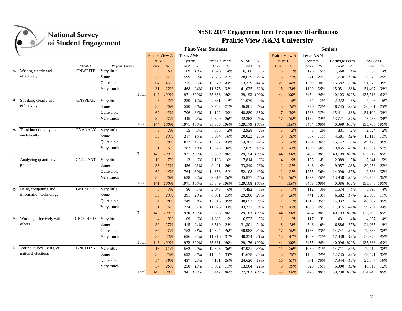

|    |                            |                 |                  |                |      |           |           | <b>First-Year Students</b> |         |                  |      |                |      |           |           | Seniors        |      |                  |      |
|----|----------------------------|-----------------|------------------|----------------|------|-----------|-----------|----------------------------|---------|------------------|------|----------------|------|-----------|-----------|----------------|------|------------------|------|
|    |                            |                 |                  | Prairie View A |      | Texas A&M |           |                            |         |                  |      | Prairie View A |      | Texas A&M |           |                |      |                  |      |
|    |                            |                 |                  | & M U          |      | System    |           | Carnegie Peers             |         | <b>NSSE 2007</b> |      | & M U          |      | System    |           | Carnegie Peers |      | <b>NSSE 2007</b> |      |
|    |                            | Variable        | Response Options | Count          | %    | Count     | $\%$      | Count                      | $\%$    | Count            | $\%$ | Count          | %    | Count     | $\%$      | Count          | $\%$ | Count            | $\%$ |
| c. | Writing clearly and        | <b>GNWRITE</b>  | Very little      | 9              | 6%   | 189       | 10%       | 1,526                      | 4%      | 6,160            | 5%   | 3              | 7%   | 175       | 5%        | 1,660          | 4%   | 5,559            | 4%   |
|    | effectively                |                 | Some             | 38             | 27%  | 599       | 30%       | 7,686                      | 21%     | 28,629           | 22%  | 5              | 11%  | 771       | 22%       | 7,710          | 19%  | 26,873           | 20%  |
|    |                            |                 | Quite a bit      | 64             | 45%  | 715       | 36%       | 15,279                     | 43%     | 53,379           | 41%  | 21             | 48%  | 1309      | 38%       | 15,682         | 39%  | 51,879           | 38%  |
|    |                            |                 | Very much        | 31             | 22%  | 468       | 24%       | 11,375                     | 32%     | 41,025           | 32%  | 15             | 34%  | 1199      | 35%       | 15,051         | 38%  | 51,407           | 38%  |
|    |                            |                 | Total            | 142            | 100% |           | 1971 100% | 35,866 100%                |         | 129,193          | 100% | 44             | 100% | 3454      | 100%      | 40,103         | 100% | 135,718 100%     |      |
|    | d. Speaking clearly and    | <b>GNSPEAK</b>  | Very little      | 5              | 3%   | 230       | 12%       | 2,661                      | 7%      | 11,070           | 9%   | $\overline{2}$ | 5%   | 234       | 7%        | 2,222          | 6%   | 7,948            | 6%   |
|    | effectively                |                 | Some             | 38             | 26%  | 590       | 30%       | 9,742                      | 27%     | 36,861           | 29%  | 8              | 18%  | 770       | 22%       | 8,745          | 22%  | 30,861           | 23%  |
|    |                            |                 | Quite a bit      | 62             | 43%  | 706       | 36%       | 14,122                     | 39%     | 48,880           | 38%  | 17             | 39%  | 1288      | 37%       | 15,411         | 38%  | 51,109           | 38%  |
|    |                            |                 | Very much        | 39             | 27%  | 445       | 23%       | 9,340                      | 26%     | 32,368           | 25%  | 17             | 39%  | 1162      | 34%       | 13,721         | 34%  | 45,788           | 34%  |
|    |                            |                 | Total            | 144            | 100% |           | 1971 100% | 35,865 100%                |         | 129,179          | 100% | 44             | 100% |           | 3454 100% | 40,099         | 100% | 135,706 100%     |      |
| e. | Thinking critically and    | <b>GNANALY</b>  | Very little      | 3              | 2%   | 55        | 3%        | 855                        | 2%      | 2,928            | 2%   | -1             | 2%   | 75        | 2%        | 831            | 2%   | 2,524            | 2%   |
|    | analytically               |                 | Some             | 33             | 23%  | 317       | 16%       | 5,904                      | 16%     | 20,022           | 15%  | 8              | 18%  | 387       | 11%       | 4,681          | 12%  | 15,110           | 11%  |
|    |                            |                 | Quite a bit      | 56             | 39%  | 812       | 41%       | 15,537                     | 43%     | 54,205           | 42%  | 16             | 36%  | 1254      | 36%       | 15,142         | 38%  | 49,426           | 36%  |
|    |                            |                 | Very much        | 51             | 36%  | 787       | 40%       | 13,573                     | 38%     | 52,039           | 40%  | 19             | 43%  | 1739      | 50%       | 19,455         | 49%  | 68,657           | 51%  |
|    |                            |                 | Total            | 143            | 100% |           | 1971 100% | 35,869                     | 100%    | 129,194          | 100% | 44             | 100% | 3455      | 100%      | 40,109         | 100% | 135,717 100%     |      |
| f. | Analyzing quantitative     | <b>GNOUANT</b>  | Very little      | 10             | 7%   | 113       | 6%        | 2,183                      | 6%      | 7,814            | 6%   | $\overline{4}$ | 9%   | 155       | 4%        | 2,089          | 5%   | 7,041            | 5%   |
|    | problems                   |                 | Some             | 33             | 23%  | 456       | 23%       | 9,491                      | 26%     | 33,349           | 26%  | 12             | 27%  | 646       | 19%       | 9,057          | 23%  | 30,258           | 22%  |
|    |                            |                 | Quite a bit      | 62             | 44%  | 764       | 39%       | 14,858                     | 41%     | 52,108           | 40%  | 12             | 27%  | 1255      | 36%       | 14,990         | 37%  | 49,588           | 37%  |
|    |                            |                 | Very much        | 36             | 26%  | 638       | 32%       | 9.317                      | 26%     | 35,837           | 28%  | 16             | 36%  | 1397      | 40%       | 13,950         | 35%  | 48,753           | 36%  |
|    |                            |                 | Total            | 141            | 100% |           | 1971 100% | 35,849                     | $100\%$ | 129,108          | 100% | 44             | 100% | 3453      | 100%      | 40,086         | 100% | 135,640 100%     |      |
| g. | Using computing and        | <b>GNCMPTS</b>  | Very little      | 5              | 3%   | 96        | 5%        | 2,043                      | 6%      | 7,492            | 6%   | 3              | 7%   | 112       | 3%        | 1,574          | 4%   | 5,395            | 4%   |
|    | information technology     |                 | Some             | 33             | 23%  | 391       | 20%       | 8,081                      | 23%     | 29,268           | 23%  | 9              | 20%  | 441       | 13%       | 6,682          | 17%  | 23,593           | 17%  |
|    |                            |                 | Quite a bit      | 54             | 38%  | 749       | 38%       | 13,816                     | 39%     | 48,692           | 38%  | 12             | 27%  | 1213      | 35%       | 14,032         | 35%  | 46,987           | 35%  |
|    |                            |                 | Very much        | 51             | 36%  | 734       | 37%       | 11,926                     | 33%     | 43,731           | 34%  | 20             | 45%  | 1688      | 49%       | 17,815         | 44%  | 59,734           | 44%  |
|    |                            |                 | Total            | 143            | 100% |           | 1970 100% | 35,866 100%                |         | 129,183          | 100% | 44             | 100% |           | 3454 100% | 40,103         | 100% | 135,709          | 100% |
| h. | Working effectively with   | <b>GNOTHERS</b> | Very little      | $\overline{4}$ | 3%   | 109       | 6%        | 1,802                      | 5%      | 6,533            | 5%   |                | 2%   | 117       | 3%        | 1,431          | 4%   | 4,857            | 4%   |
|    | others                     |                 | Some             | 39             | 27%  | 415       | 21%       | 8,519                      | 24%     | 31,301           | 24%  | 8              | 18%  | 546       | 16%       | 6,886          | 17%  | 24,265           | 18%  |
|    |                            |                 | Quite a bit      | 67             | 47%  | 752       | 38%       | 14,324                     | 40%     | 50,988           | 39%  | 17             | 39%  | 1153      | 33%       | 14,741         | 37%  | 49,583           | 37%  |
|    |                            |                 | Very much        | 33             | 23%  | 696       | 35%       | 11,216                     | 31%     | 40,354           | 31%  | 18             | 41%  | 1639      | 47%       | 17,038         | 42%  | 56,978           | 42%  |
|    |                            |                 | Total            | 143            | 100% |           | 1972 100% | 35,861 100%                |         | 129,176          | 100% | 44             | 100% | 3455      | 100%      | 40.096 100%    |      | 135,683 100%     |      |
|    | Voting in local, state, or | <b>GNCITIZN</b> | Very little      | 16             | 11%  | 562       | 29%       | 12,825                     | 36%     | 47,921           | 38%  | 11             | 26%  | 1069      | 31%       | 14,711         | 37%  | 49.712           | 37%  |
|    | national elections         |                 | Some             | 36             | 25%  | 692       | 36%       | 11,544                     | 33%     | 41,678           | 33%  | 8              | 19%  | 1168      | 34%       | 12,735         | 32%  | 43,471           | 32%  |
|    |                            |                 | Quite a bit      | 54             | 38%  | 437       | 23%       | 7,181                      | 20%     | 24,620           | 19%  | 16             | 37%  | 671       | 20%       | 7,344          | 18%  | 25,047           | 19%  |
|    |                            |                 | Very much        | 37             | 26%  | 250       | 13%       | 3,892                      | 11%     | 13,564           | 11%  | 8              | 19%  | 520       | 15%       | 5,000          | 13%  | 16,519           | 12%  |
|    |                            |                 | Total            | 143            | 100% |           | 1941 100% | 35,442 100%                |         | 127,783          | 100% | 43             | 100% |           | 3428 100% | 39,790 100%    |      | 134,749 100%     |      |
|    |                            |                 |                  |                |      |           |           |                            |         |                  |      |                |      |           |           |                |      |                  |      |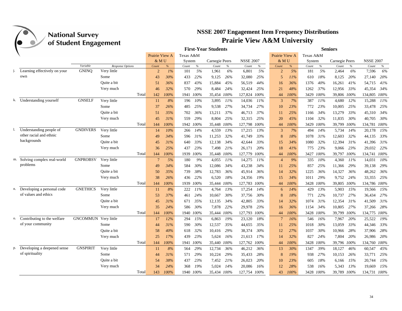

|    |                               | ס־ס                  |                  |                 |       |           |           | <b>First-Year Students</b> |      |                  |      |                |      |           |         | <b>Seniors</b> |      |                  |        |
|----|-------------------------------|----------------------|------------------|-----------------|-------|-----------|-----------|----------------------------|------|------------------|------|----------------|------|-----------|---------|----------------|------|------------------|--------|
|    |                               |                      |                  | Prairie View A  |       | Texas A&M |           |                            |      |                  |      | Prairie View A |      | Texas A&M |         |                |      |                  |        |
|    |                               |                      |                  | & MU            |       | System    |           | Carnegie Peers             |      | <b>NSSE 2007</b> |      | & MU           |      | System    |         | Carnegie Peers |      | <b>NSSE 2007</b> |        |
|    |                               | Variable             | Response Options | Count           | %     | Count     | $\%$      | Count                      | $\%$ | Count            | $\%$ | Count          | $\%$ | Count     | $\%$    | Count          | $\%$ | Count            | $\%$   |
|    | Learning effectively on your  | <b>GNINO</b>         | Very little      | $\overline{2}$  | $1\%$ | 101       | 5%        | 1.961                      | 6%   | 6,801            | 5%   | $\overline{2}$ | 5%   | 181       | 5%      | 2,464          | 6%   | 7,596            | 6%     |
|    | own                           |                      | Some             | 43              | 30%   | 433       | 22%       | 9,125                      | 26%  | 32,080           | 25%  | 5              | 11%  | 610       | 18%     | 8,125          | 20%  | 27,140           | 20%    |
|    |                               |                      | Quite a bit      | 51              | 36%   | 837       | 43%       | 15,884                     | 45%  | 56,519           | 44%  | 16             | 36%  | 1376      | 40%     | 16,261         | 41%  | 54,715           | 41%    |
|    |                               |                      | Very much        | 46              | 32%   | 570       | 29%       | 8.484                      | 24%  | 32,424           | 25%  | 21             | 48%  | 1262      | 37%     | 12,956         | 33%  | 45.354           | 34%    |
|    |                               |                      | Total            | 142             | 100%  |           | 1941 100% | 35,454 100%                |      | 127,824          | 100% | 44             | 100% | 3429      | $100\%$ | 39,806 100%    |      | 134,805          | 100%   |
|    | k. Understanding yourself     | <b>GNSELF</b>        | Very little      | 11              | 8%    | 196       | 10%       | 3,895                      | 11%  | 14,036           | 11%  | 3              | 7%   | 387       | 11%     | 4,680          | 12%  | 15,288           | 11%    |
|    |                               |                      | Some             | 37              | 26%   | 485       | 25%       | 9,538                      | 27%  | 34,734           | 27%  | 10             | 23%  | 772       | 23%     | 10,005         | 25%  | 33,478           | 25%    |
|    |                               |                      | Quite a bit      | 51              | 35%   | 702       | 36%       | 13,211                     | 37%  | 46,713           | 37%  | 11             | 25%  | 1166      | 34%     | 13,279         | 33%  | 45,310           | 34%    |
|    |                               |                      | Very much        | 45              | 31%   | 559       | 29%       | 8,804                      | 25%  | 32,315           | 25%  | 20             | 45%  | 1104      | 32%     | 11,835         | 30%  | 40.705           | 30%    |
|    |                               |                      | Total            | 144             | 100%  |           | 1942 100% | 35,448 100%                |      | 127,798          | 100% | 44             | 100% | 3429      | 100%    | 39,799         | 100% | 134,781          | 100%   |
|    | Understanding people of       | <b>GNDIVERS</b>      | Very little      | 14              | 10%   | 266       | 14%       | 4,559                      | 13%  | 17,215           | 13%  | 3              | 7%   | 494       | 14%     | 5,734          | 14%  | 20,178           | 15%    |
|    | other racial and ethnic       |                      | Some             | 49              | 34%   | 596       | 31%       | 11,253                     | 32%  | 41,749           | 33%  | 8              | 18%  | 1078      | 31%     | 12,603         | 32%  | 44,135           | 33%    |
|    | backgrounds                   |                      | Quite a bit      | 45              | 31%   | 640       | 33%       | 12,138                     | 34%  | 42,644           | 33%  | 15             | 34%  | 1080      | 32%     | 12,394         | 31%  | 41,396           | 31%    |
|    |                               |                      | Very much        | 36              | 25%   | 437       | 23%       | 7,498                      | 21%  | 26,171           | 20%  | 18             | 41%  | 775       | 23%     | 9,066          | 23%  | 29,032           | 22%    |
|    |                               |                      | Total            | 144             | 100%  |           | 1939 100% | 35,448 100%                |      | 127,779          | 100% | 44             | 100% | 3427 100% |         | 39,797         | 100% | 134,741 100%     |        |
|    | m. Solving complex real-world | <b>GNPROBSV</b>      | Very little      | $7\phantom{.0}$ | 5%    | 180       | 9%        | 4,055                      | 11%  | 14,275           | 11%  | $\overline{4}$ | 9%   | 335       | 10%     | 4,360          | 11%  | 14,031           | $10\%$ |
|    | problems                      |                      | Some             | 49              | 34%   | 584       | 30%       | 12,086                     | 34%  | 43,238           | 34%  | 11             | 25%  | 857       | 25%     | 11,366         | 29%  | 39,138           | 29%    |
|    |                               |                      | Quite a bit      | 50              | 35%   | 739       | 38%       | 12,783                     | 36%  | 45,914           | 36%  | 14             | 32%  | 1225      | 36%     | 14,327         | 36%  | 48,262           | 36%    |
|    |                               |                      | Very much        | 38              | 26%   | 436       | 22%       | 6,520                      | 18%  | 24,356           | 19%  | 15             | 34%  | 1011      | 29%     | 9,752          | 24%  | 33,355           | 25%    |
|    |                               |                      | Total            | 144             | 100%  |           | 1939 100% | 35,444 100%                |      | 127,783          | 100% | 44             | 100% | 3428      | 100%    | 39,805 100%    |      | 134,786 100%     |        |
| n. | Developing a personal code    | <b>GNETHICS</b>      | Very little      | 11              | 8%    | 222       | 11%       | 4,764                      | 13%  | 17,254           | 14%  | 6              | 14%  | 429       | 13%     | 5,903          | 15%  | 19,566           | 15%    |
|    | of values and ethics          |                      | Some             | 53              | 37%   | 461       | 24%       | 10.667                     | 30%  | 37,756           | 30%  | 8              | 18%  | 771       | 22%     | 10,737         | 27%  | 36,434           | 27%    |
|    |                               |                      | Quite a bit      | 45              | 31%   | 671       | 35%       | 12,135                     | 34%  | 42,805           | 33%  | 14             | 32%  | 1074      | 31%     | 12,354         | 31%  | 41,509           | 31%    |
|    |                               |                      | Very much        | 35              | 24%   | 586       | 30%       | 7,878                      | 22%  | 29,978           | 23%  | 16             | 36%  | 1154      | 34%     | 10,805         | 27%  | 37,266           | 28%    |
|    |                               |                      | Total            | 144             | 100%  |           | 1940 100% | 35,444 100%                |      | 127,793          | 100% | 44             | 100% | 3428      | 100%    | 39,799         | 100% | 134,775 100%     |        |
| о. | Contributing to the welfare   | GNCOMMUN Very little |                  | 17              | 12%   | 294       | 15%       | 6,863                      | 19%  | 23,120           | 18%  | $\overline{7}$ | 16%  | 546       | 16%     | 7,967          | 20%  | 25,522           | 19%    |
|    | of your community             |                      | Some             | 44              | 31%   | 590       | 30%       | 12,537                     | 35%  | 44,655           | 35%  | 11             | 25%  | 1018      | 30%     | 13,059         | 33%  | 44,346           | 33%    |
|    |                               |                      | Quite a bit      | 58              | 40%   | 618       | 32%       | 10,416                     | 29%  | 38,374           | 30%  | 12             | 27%  | 1037      | 30%     | 10,966         | 28%  | 37,906           | 28%    |
|    |                               |                      | Very much        | 25              | 17%   | 439       | 23%       | 5,624                      | 16%  | 21,613           | 17%  | 14             | 32%  | 827       | 24%     | 7,804          | 20%  | 26,986           | 20%    |
|    |                               |                      | Total            | 144             | 100%  |           | 1941 100% | 35,440 100%                |      | 127,762          | 100% | 44             | 100% | 3428      | 100%    | 39,796 100%    |      | 134,760          | 100%   |
| p. | Developing a deepened sense   | <b>GNSPIRIT</b>      | Very little      | 11              | 8%    | 564       | 29%       | 12,734                     | 36%  | 46,212           | 36%  | 13             | 30%  | 1347      | 39%     | 18,127         | 46%  | 60,547           | 45%    |
|    | of spirituality               |                      | Some             | 44              | 31%   | 571       | 29%       | 10,224                     | 29%  | 35,433           | 28%  | 8              | 19%  | 938       | 27%     | 10,153         | 26%  | 33,771           | 25%    |
|    |                               |                      | Quite a bit      | 54              | 38%   | 437       | 23%       | 7,452                      | 21%  | 26,023           | 20%  | 10             | 23%  | 605       | 18%     | 6,166          | 15%  | 20,744           | 15%    |
|    |                               |                      | Very much        | 34              | 24%   | 368       | 19%       | 5,024                      | 14%  | 20,086           | 16%  | 12             | 28%  | 538       | 16%     | 5,343          | 13%  | 19,669           | 15%    |
|    |                               |                      | Total            | 143             | 100%  |           | 1940 100% | 35,434 100%                |      | 127,754 100%     |      | 43             | 100% | 3428 100% |         | 39,789 100%    |      | 134,731 100%     |        |
|    |                               |                      |                  |                 |       |           |           |                            |      |                  |      |                |      |           |         |                |      |                  |        |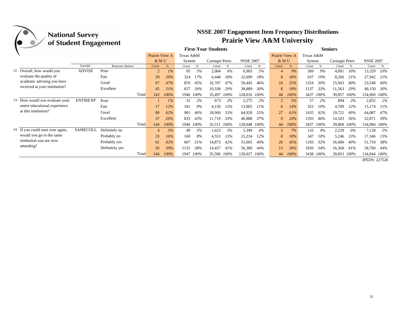## **NSSE 2007 Engagement Item Frequency Distributions Prairie View A&M University**

|                                    | <b>National Survey</b><br>of Student Engagement |                  |                |       |           |      | <b>NSSE 2007 Engagement Item Frequency Distributions</b> |      | <b>Prairie View A&amp;M University</b> |      |                |      |           |        |                |        |                  |         |
|------------------------------------|-------------------------------------------------|------------------|----------------|-------|-----------|------|----------------------------------------------------------|------|----------------------------------------|------|----------------|------|-----------|--------|----------------|--------|------------------|---------|
|                                    |                                                 |                  |                |       |           |      | <b>First-Year Students</b>                               |      |                                        |      |                |      |           |        | <b>Seniors</b> |        |                  |         |
|                                    |                                                 |                  | Prairie View A |       | Texas A&M |      |                                                          |      |                                        |      | Prairie View A |      | Texas A&M |        |                |        |                  |         |
|                                    |                                                 |                  | $&$ MU         |       | System    |      | Carnegie Peers                                           |      | <b>NSSE 2007</b>                       |      | & MU           |      | System    |        | Carnegie Peers |        | <b>NSSE 2007</b> |         |
|                                    | Variable                                        | Response Options | Count          | $\%$  | Count     | $\%$ | Count                                                    | $\%$ | Count                                  | $\%$ | Count          | $\%$ | Count     | %      | Count          | %      | Count            | %       |
| 12. Overall, how would you         | <b>ADVISE</b>                                   | Poor             | $\overline{2}$ | $1\%$ | 95        | 5%   | 2,004                                                    | 6%   | 6,983                                  | 5%   | 4              | 9%   | 309       | 9%     | 4,091          | $10\%$ | 13,329           | 10%     |
| evaluate the quality of            |                                                 | Fair             | 29             | 20%   | 324       | 17%  | 6,448                                                    | 18%  | 22,699                                 | 18%  | 8              | 18%  | 637       | 19%    | 8,260          | 21%    | 27,942           | 21%     |
| academic advising you have         |                                                 | Good             | 67             | 47%   | 870       | 45%  | 16,707                                                   | 47%  | 59,445                                 | 46%  | 24             | 55%  | 1354      | 39%    | 15,943         | 40%    | 53,548           | 40%     |
| received at your institution?      |                                                 | Excellent        | 45             | 31%   | 657       | 34%  | 10,338                                                   | 29%  | 38,889                                 | 30%  | 8              | 18%  | 1137      | 33%    | 11,563         | 29%    | 40,150           | 30%     |
|                                    |                                                 | Total            | 143            | 100%  | 1946 100% |      | 35,497                                                   | 100% | 128,016                                | 100% | 44             | 100% | 3437      | 100%   | 39,857         | 100%   | 134,969          | $100\%$ |
| 13. How would you evaluate your    | <b>ENTIREXP</b>                                 | Poor             |                | $1\%$ | 31        | 2%   | 673                                                      | 2%   | 2,275                                  | 2%   | $\overline{2}$ | 5%   | 57        | 2%     | 894            | 2%     | 2,852            | 2%      |
| entire educational experience      |                                                 | Fair             | 17             | 12%   | 181       | 9%   | 4,150                                                    | 12%  | 13,965                                 | 11%  | 6              | 14%  | 352       | $10\%$ | 4,709          | 12%    | 15,174           | $11\%$  |
| at this institution?               |                                                 | Good             | 89             | 62%   | 901       | 46%  | 18,969                                                   | 53%  | 64,920                                 | 51%  | 27             | 61%  | 1435      | 42%    | 19,722         | 49%    | 64,087           | 47%     |
|                                    |                                                 | Excellent        | 37             | 26%   | 833       | 43%  | 11,719                                                   | 33%  | 46,888                                 | 37%  | 9              | 20%  | 1593      | 46%    | 14,543         | 36%    | 52,871           | 39%     |
|                                    |                                                 | Total            | 144            | 100%  | 1946 100% |      | 35,511 100%                                              |      | 128,048                                | 100% | 44             | 100% | 3437      | 100%   | 39,868 100%    |        | 134,984 100%     |         |
| 14. If you could start over again, | <b>SAMECOLL</b>                                 | Definitely no    | $\overline{4}$ | 3%    | 49        | 3%   | 1,623                                                    | 5%   | 5,399                                  | 4%   | 3              | 7%   | 132       | 4%     | 2,239          | 6%     | 7,128            | 5%      |
| would you go to the same           |                                                 | Probably no      | 23             | 16%   | 160       | 8%   | 4,553                                                    | 13%  | 15,234                                 | 12%  | 8              | 18%  | 347       | $10\%$ | 5,246          | 13%    | 17,346           | 13%     |
| institution you are now            |                                                 | Probably yes     | 61             | 42%   | 607       | 31%  | 14,873                                                   | 42%  | 51,005                                 | 40%  | 20             | 45%  | 1103      | 32%    | 16,000         | 40%    | 51,710           | 38%     |
| attending?                         |                                                 | Definitely yes   | 56             | 39%   | 1131      | 58%  | 14,457                                                   | 41%  | 56,389                                 | 44%  | 13             | 30%  | 1856      | 54%    | 16,368         | 41%    | 58,760           | 44%     |
|                                    |                                                 | Total            | 144            | 100%  | 1947      | 100% | 35,506 100%                                              |      | 128,027                                | 100% | 44             | 100% | 3438 100% |        | 39,853         | 100%   | 134,944 100%     |         |

IPEDS: 227526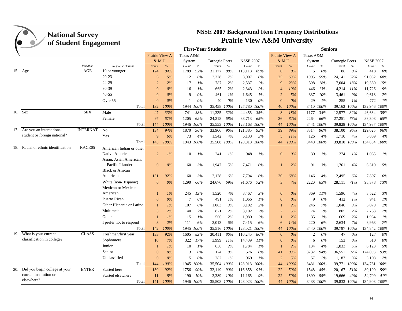

|     |                                   | $\mathbf{\sigma}$ |                          |                |       |           |       | <b>First-Year Students</b> |       |                  |       |                |        |           |       | <b>Seniors</b> |       |                  |       |
|-----|-----------------------------------|-------------------|--------------------------|----------------|-------|-----------|-------|----------------------------|-------|------------------|-------|----------------|--------|-----------|-------|----------------|-------|------------------|-------|
|     |                                   |                   |                          | Prairie View A |       | Texas A&M |       |                            |       |                  |       | Prairie View A |        | Texas A&M |       |                |       |                  |       |
|     |                                   |                   |                          | & MU           |       | System    |       | Carnegie Peers             |       | <b>NSSE 2007</b> |       | & MU           |        | System    |       | Carnegie Peers |       | <b>NSSE 2007</b> |       |
|     |                                   | Variable          | Response Options         | Count          | $\%$  | Count     | $\%$  | Count                      | $\%$  | Count            | $\%$  | Count          | $\%$   | Count     | $\%$  | Count          | $\%$  | Count            | $\%$  |
|     | 15. Age                           | $\mathbf{AGE}$    | 19 or younger            | 124            | 94%   | 1789      | 92%   | 31,177                     | 88%   | 113,118          | 89%   | $\overline{0}$ | 0%     | 5         | $0\%$ | 88             | $0\%$ | 418              | $0\%$ |
|     |                                   |                   | $20 - 23$                | 6              | 5%    | 112       | 6%    | 2,328                      | 7%    | 8,007            | 6%    | 25             | 63%    | 1995      | 59%   | 24,141         | 62%   | 91,052           | 68%   |
|     |                                   |                   | 24-29                    | $\overline{2}$ | 2%    | 17        | 1%    | 787                        | 2%    | 2,537            | 2%    | 9              | 23%    | 598       | 18%   | 7,004          | 18%   | 19,360           | 15%   |
|     |                                   |                   | 30-39                    | $\Omega$       | $0\%$ | 16        | 1%    | 665                        | 2%    | 2,343            | 2%    | 4              | 10%    | 446       | 13%   | 4,214          | 11%   | 11,726           | 9%    |
|     |                                   |                   | $40 - 55$                | $\Omega$       | $0\%$ | 9         | $0\%$ | 461                        | $1\%$ | 1,645            | $1\%$ | $\overline{2}$ | 5%     | 337       | 10%   | 3,461          | 9%    | 9,618            | 7%    |
|     |                                   |                   | Over 55                  | $\Omega$       | $0\%$ |           | $0\%$ | 40                         | $0\%$ | 130              | 0%    | $\Omega$       | 0%     | 29        | $1\%$ | 255            | $1\%$ | 772              | 1%    |
|     |                                   |                   | Total                    | 132            | 100%  | 1944 100% |       | 35,458 100%                |       | 127,780          | 100%  | 40             | 100%   | 3410 100% |       | 39,163 100%    |       | 132,946 100%     |       |
|     | 16. Sex                           | <b>SEX</b>        | Male                     | 47             | 33%   | 741       | 38%   | 11,335                     | 32%   | 44,455           | 35%   | 8              | 18%    | 1177      | 34%   | 12,577         | 32%   | 46,634           | 35%   |
|     |                                   |                   | Female                   | 97             | 67%   | 1205      | 62%   | 24,218                     | 68%   | 83,713           | 65%   | 36             | 82%    | 2264      | 66%   | 27,251         | 68%   | 88,303           | 65%   |
|     |                                   |                   | Total                    | 144            | 100%  | 1946 100% |       | 35,553 100%                |       | 128,168 100%     |       | 44             | 100%   | 3441      | 100%  | 39,828 100%    |       | 134,937          | 100%  |
|     | 17. Are you an international      | <b>INTERNAT</b>   | No                       | 134            | 94%   | 1870      | 96%   | 33,966                     | 96%   | 121,885          | 95%   | 39             | 89%    | 3314      | 96%   | 38,100         | 96%   | 129,025          | 96%   |
|     | student or foreign national?      |                   | Yes                      | 9              | 6%    | 73        | 4%    | 1,542                      | 4%    | 6,133            | 5%    | 5              | $11\%$ | 126       | 4%    | 1,710          | 4%    | 5,859            | 4%    |
|     |                                   |                   | Total                    | 143            | 100%  | 1943 100% |       | 35,508 100%                |       | 128,018 100%     |       | 44             | 100%   | 3440 100% |       | 39,810 100%    |       | 134,884 100%     |       |
| 18. | Racial or ethnic identification   | RACE05            | American Indian or other |                |       |           |       |                            |       |                  |       |                |        |           |       |                |       |                  |       |
|     |                                   |                   | Native American          | $\overline{2}$ | $1\%$ | 10        | 1%    | 241                        | $1\%$ | 948              | $1\%$ | $\overline{0}$ | 0%     | 30        | 1%    | 274            | $1\%$ | 1,035            | $1\%$ |
|     |                                   |                   | Asian, Asian American,   |                |       |           |       |                            |       |                  |       |                |        |           |       |                |       |                  |       |
|     |                                   |                   | or Pacific Islander      | $\overline{0}$ | 0%    | 60        | 3%    | 1,947                      | 5%    | 7,471            | 6%    |                | 2%     | 91        | 3%    | 1,761          | 4%    | 6,310            | 5%    |
|     |                                   |                   | <b>Black or African</b>  |                |       |           |       |                            |       |                  |       |                |        |           |       |                |       |                  |       |
|     |                                   |                   | American                 | 131            | 92%   | 60        | 3%    | 2,128                      | 6%    | 7,794            | 6%    | 30             | 68%    | 146       | 4%    | 2,495          | 6%    | 7,897            | 6%    |
|     |                                   |                   | White (non-Hispanic)     | $\overline{0}$ | $0\%$ | 1290      | 66%   | 24,676                     | 69%   | 91,676           | 72%   | 3              | 7%     | 2220      | 65%   | 28,111         | 71%   | 98,378           | 73%   |
|     |                                   |                   | Mexican or Mexican       |                |       |           |       |                            |       |                  |       |                |        |           |       |                |       |                  |       |
|     |                                   |                   | American                 |                | 1%    | 245       | 13%   | 1,520                      | 4%    | 3,467            | 3%    | $\Omega$       | 0%     | 369       | 11%   | 1,596          | 4%    | 3,522            | 3%    |
|     |                                   |                   | Puerto Rican             | $\overline{0}$ | 0%    | 7         | 0%    | 491                        | 1%    | 1,066            | 1%    | $\theta$       | 0%     | 9         | 0%    | 412            | $1\%$ | 941              | 1%    |
|     |                                   |                   | Other Hispanic or Latino |                | $1\%$ | 107       | 6%    | 1,063                      | 3%    | 3,102            | 2%    |                | 2%     | 246       | 7%    | 1,040          | 3%    | 3,079            | 2%    |
|     |                                   |                   | Multiracial              | 3              | 2%    | 40        | 2%    | 871                        | 2%    | 3,102            | 2%    | $\overline{2}$ | 5%     | 74        | 2%    | 805            | 2%    | 2,733            | 2%    |
|     |                                   |                   | Other                    |                | $1\%$ | 15        | 1%    | 566                        | 2%    | 1,980            | 2%    |                | 2%     | 35        | 1%    | 669            | 2%    | 1,984            | 1%    |
|     |                                   |                   | I prefer not to respond  | 3              | 2%    | 111       | 6%    | 2,013                      | 6%    | 7,415            | 6%    | 6              | 14%    | 220       | 6%    | 2,634          | 7%    | 8,963            | 7%    |
|     |                                   |                   | Total                    | 142            | 100%  | 1945 100% |       | 35,516 100%                |       | 128,021          | 100%  | 44             | 100%   | 3440 100% |       | 39,797 100%    |       | 134,842 100%     |       |
| 19. | What is your current              | <b>CLASS</b>      | Freshman/first year      | 133            | 92%   | 1605      | 83%   | 30,411                     | 86%   | 110,245          | 86%   | $\Omega$       | 0%     | 2         | 0%    | 47             | $0\%$ | 127              | 0%    |
|     | classification in college?        |                   | Sophomore                | 10             | 7%    | 322       | 17%   | 3,999                      | 11%   | 14,439           | 11%   | $\Omega$       | 0%     | 6         | $0\%$ | 153            | $0\%$ | 510              | $0\%$ |
|     |                                   |                   | Junior                   |                | $1\%$ | 10        | 1%    | 638                        | 2%    | 1,784            | 1%    |                | 2%     | 134       | 4%    | 1,833          | 5%    | 6,123            | 5%    |
|     |                                   |                   | Senior                   | $\Omega$       | $0\%$ | 3         | $0\%$ | 174                        | $0\%$ | 576              | $0\%$ | 41             | 93%    | 3232      | 94%   | 36,551         | 92%   | 124,893          | 93%   |
|     |                                   |                   | Unclassified             | $\theta$       | $0\%$ | 5         | 0%    | 282                        | $1\%$ | 969              | $1\%$ | $\overline{2}$ | 5%     | 57        | 2%    | 1,187          | 3%    | 3,108            | 2%    |
|     |                                   |                   | Total                    | 144            | 100%  | 1945 100% |       | 35,504 100%                |       | 128,013          | 100%  | 44             | 100%   | 3431      | 100%  | 39,771 100%    |       | 134,761          | 100%  |
|     | 20. Did you begin college at your | <b>ENTER</b>      | Started here             | 130            | 92%   | 1756      | 90%   | 32,119                     | 90%   | 116,858          | 91%   | 22             | 50%    | 1548      | 45%   | 20,167         | 51%   | 80,199           | 59%   |
|     | current institution or            |                   | Started elsewhere        | 11             | 8%    | 190       | 10%   | 3,389                      | 10%   | 11,165           | 9%    | 22             | 50%    | 1890      | 55%   | 19,666         | 49%   | 54,709           | 41%   |
|     | elsewhere?                        |                   | Total                    | 141            | 100%  | 1946 100% |       | 35,508 100%                |       | 128,023 100%     |       | 44             | 100%   | 3438 100% |       | 39,833 100%    |       | 134,908 100%     |       |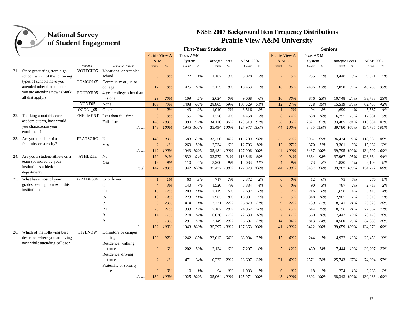|     |                                                                  |                 |                                   |                |       |           |           | <b>First-Year Students</b> |      |                  |       |                |      |           |       | <b>Seniors</b> |      |                  |       |
|-----|------------------------------------------------------------------|-----------------|-----------------------------------|----------------|-------|-----------|-----------|----------------------------|------|------------------|-------|----------------|------|-----------|-------|----------------|------|------------------|-------|
|     |                                                                  |                 |                                   | Prairie View A |       | Texas A&M |           |                            |      |                  |       | Prairie View A |      | Texas A&M |       |                |      |                  |       |
|     |                                                                  |                 |                                   | & MU           |       | System    |           | Carnegie Peers             |      | <b>NSSE 2007</b> |       | & MU           |      | System    |       | Carnegie Peers |      | <b>NSSE 2007</b> |       |
|     |                                                                  | Variable        | Response Options                  | Count          | $\%$  | Count     | $\%$      | Count                      | $\%$ | Count            | $\%$  | Count          | $\%$ | Count     | $\%$  | Count          | $\%$ | Count            | $\%$  |
|     | 21. Since graduating from high<br>school, which of the following | VOTECH05        | Vocational or technical<br>school | $\overline{0}$ | $0\%$ | 22        | 1%        | 1,182                      | 3%   | 3,878            | 3%    | $\overline{2}$ | 5%   | 255       | 7%    | 3,448          | 8%   | 9,671            | 7%    |
|     | types of schools have you                                        | COMCOL05        | Community or junior               |                |       |           |           |                            |      |                  |       |                |      |           |       |                |      |                  |       |
|     | attended other than the one                                      |                 | college                           | 12             | 8%    | 425       | 18%       | 3,155                      | 8%   | 10,463           | 7%    | 16             | 36%  | 2406      | 63%   | 17,050         | 39%  | 48,289           | 33%   |
|     | you are attending now? (Mark                                     | FOURYR05        | 4-year college other than         |                |       |           |           |                            |      |                  |       |                |      |           |       |                |      |                  |       |
|     | all that apply.)                                                 |                 | this one                          | 29             | 20%   | 109       | 5%        | 2,624                      | 6%   | 9.068            | 6%    | 16             | 36%  | 876       | 23%   | 10,748         | 24%  | 33,788           | 23%   |
|     |                                                                  | NONE05          | None                              | 103            | 70%   | 1408      | 60%       | 28,865                     | 69%  | 105,629          | 71%   | 12             | 27%  | 728       | 19%   | 15,519         | 35%  | 62,460           | 42%   |
|     |                                                                  | OCOL1 05        | Other                             | 3              | 2%    | 49        | 2%        | 1,040                      | 2%   | 3,516            | 2%    | $\overline{1}$ | 2%   | 94        | 2%    | 1,690          | 4%   | 5,587            | 4%    |
| 22. | Thinking about this current                                      | <b>ENRLMENT</b> | Less than full-time               | $\mathbf{0}$   | $0\%$ | 55        | 3%        | 1,378                      | 4%   | 4,458            | 3%    | 6              | 14%  | 608       | 18%   | 6,295          | 16%  | 17,901           | 13%   |
|     | academic term, how would                                         |                 | Full-time                         | 143            | 100%  | 1890      | 97%       | 34,116                     | 96%  | 123,519          | 97%   | 38             | 86%  | 2827      | 82%   | 33,485         | 84%  | 116,884          | 87%   |
|     | you characterize your<br>enrollment?                             |                 | Total                             | 143            | 100%  |           | 1945 100% | 35,494 100%                |      | 127,977 100%     |       | 44             | 100% | 3435 100% |       | 39,780 100%    |      | 134,785 100%     |       |
|     | 23. Are you member of a                                          | <b>FRATSORO</b> | No                                | 140            | 99%   | 1683      | 87%       | 33,250                     | 94%  | 115,200          | 90%   | 32             | 73%  | 3067      | 89%   | 36,434         | 92%  | 118,835          | 88%   |
|     | fraternity or sorority?                                          |                 | Yes                               | $\overline{2}$ | $1\%$ | 260       | 13%       | 2,234                      | 6%   | 12,706           | 10%   | 12             | 27%  | 370       | - 11% | 3,361          | 8%   | 15,962           | 12%   |
|     |                                                                  |                 | Total                             | 142            | 100%  |           | 1943 100% | 35,484 <i>100%</i>         |      | 127,906 100%     |       | 44             | 100% | 3437      | 100%  | 39,795 100%    |      | 134,797          | 100%  |
|     | 24. Are you a student-athlete on a                               | <b>ATHLETE</b>  | No                                | 129            | 91%   | 1832      | 94%       | 32,272                     | 91%  | 113,846          | 89%   | 40             | 91%  | 3364      | 98%   | 37,967         | 95%  | 126,664          | 94%   |
|     | team sponsored by your                                           |                 | Yes                               | 13             | 9%    | 110       | 6%        | 3,200                      | 9%   | 14,033           | 11%   | $\overline{4}$ | 9%   | 73        | 2%    | 1,820          | 5%   | 8,108            | 6%    |
|     | institution's athletics<br>department?                           |                 | Total                             | 142            | 100%  |           | 1942 100% | 35,472 100%                |      | 127,879 100%     |       | 44             | 100% | 3437      | 100%  | 39,787 100%    |      | 134,772 100%     |       |
|     | 25. What have most of your                                       | GRADES04        | C- or lower                       |                | $1\%$ | 60        | 3%        | 717                        | 2%   | 2,372            | 2%    | $\overline{0}$ | 0%   | 12        | $0\%$ | 73             | 0%   | 276              | $0\%$ |
|     | grades been up to now at this                                    |                 | $\mathbf C$                       |                | 3%    | 140       | 7%        | 1,520                      | 4%   | 5,384            | 4%    | $\theta$       | 0%   | 90        | 3%    | 787            | 2%   | 2,718            | $2\%$ |
|     | institution?                                                     |                 | $C+$                              | 16             | 12%   | 208       | 11%       | 2,119                      | 6%   | 7,637            | 6%    | 3              | 7%   | 216       | 6%    | 1,650          | 4%   | 5,418            | 4%    |
|     |                                                                  |                 | $B -$                             | 18             | 14%   | 223       | 11%       | 2,983                      | 8%   | 10,901           | 9%    | $\overline{2}$ | 5%   | 348       | 10%   | 2,905          | 7%   | 9,818            | 7%    |
|     |                                                                  |                 | B                                 | 26             | 20%   | 414       | 21%       | 7,771                      | 22%  | 26,870           | 21%   | $\mathbf{Q}$   | 22%  | 739       | 22%   | 8,141          | 21%  | 26,823           | 20%   |
|     |                                                                  |                 | $B+$                              | 28             | 21%   | 333       | 17%       | 7,102                      | 20%  | 24,962           | 20%   | 6              | 15%  | 644       | 19%   | 8,156          | 21%  | 27,862           | 21%   |
|     |                                                                  |                 | A-                                | 14             | 11%   | 274       | 14%       | 6,036                      | 17%  | 22,630           | 18%   |                | 17%  | 560       | 16%   | 7,447          | 19%  | 26,470           | 20%   |
|     |                                                                  |                 | A                                 | 25             | 19%   | 291       | 15%       | 7,149                      | 20%  | 26,607           | 21%   | 14             | 34%  | 813       | 24%   | 10,500         | 26%  | 34,888           | 26%   |
|     |                                                                  |                 | Total                             | 132            | 100%  |           | 1943 100% | 35,397 100%                |      | 127,363          | 100%  | 41             | 100% | 3422 100% |       | 39,659 100%    |      | 134,273 100%     |       |
|     | 26. Which of the following best                                  | <b>LIVENOW</b>  | Dormitory or campus               |                |       |           |           |                            |      |                  |       |                |      |           |       |                |      |                  |       |
|     | describes where you are living                                   |                 | housing                           | 128            | 92%   | 1242      | 65%       | 22,613                     | 64%  | 88,984           | 71%   | 17             | 40%  | 244       | 7%    | 4,932          | 13%  | 23,459 18%       |       |
|     | now while attending college?                                     |                 | Residence, walking                |                |       |           |           |                            |      |                  |       |                |      |           |       |                |      |                  |       |
|     |                                                                  |                 | distance                          | 9              | 6%    | 202       | 10%       | 2,134                      | 6%   | 7,207            | 6%    | 5              | 12%  | 469       | 14%   | 7,444          | 19%  | 30,297           | 23%   |
|     |                                                                  |                 | Residence, driving                |                |       |           |           |                            |      |                  |       |                |      |           |       |                |      |                  |       |
|     |                                                                  |                 | distance                          | 2              | $1\%$ | 471       | 24%       | 10,223                     | 29%  | 28,697           | 23%   | 21             | 49%  | 2571      | 78%   | 25,743         | 67%  | 74,094 57%       |       |
|     |                                                                  |                 | Fraternity or sorority            |                |       |           |           |                            |      |                  |       |                |      |           |       |                |      |                  |       |
|     |                                                                  |                 | house                             | $\Omega$       | 0%    | 10        | $1\%$     | 94                         | 0%   | 1,083            | $1\%$ | $\Omega$       | 0%   | 18        | $1\%$ | 224            | 1%   | 2.236            | 2%    |
|     |                                                                  |                 | Total                             | 139            | 100%  |           | 1925 100% | 35,064 100%                |      | 125,971          | 100%  | 43             | 100% | 3302 100% |       | 38,343 100%    |      | 130,086 100%     |       |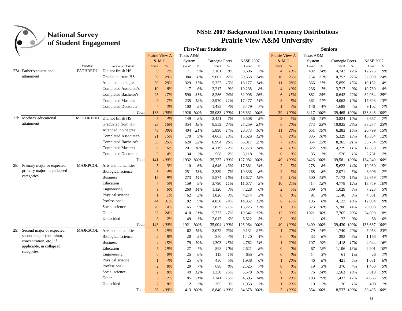

|     |                               | $\mathbf{\sigma}$ |                            |                |       |           |          | <b>First-Year Students</b> |      |                  |      |                |       |           |          | <b>Seniors</b> |       |                  |       |
|-----|-------------------------------|-------------------|----------------------------|----------------|-------|-----------|----------|----------------------------|------|------------------|------|----------------|-------|-----------|----------|----------------|-------|------------------|-------|
|     |                               |                   |                            | Prairie View A |       | Texas A&M |          |                            |      |                  |      | Prairie View A |       | Texas A&M |          |                |       |                  |       |
|     |                               |                   |                            | & MU           |       | System    |          | Carnegie Peers             |      | <b>NSSE 2007</b> |      | & MU           |       | System    |          | Carnegie Peers |       | <b>NSSE 2007</b> |       |
|     |                               | Variable          | Response Options           | Count          | $\%$  | Count     | $\%$     | Count                      | $\%$ | Count            | $\%$ | Count          | $\%$  | Count     | $\%$     | Count          | $\%$  | Count            | $\%$  |
|     | 27a. Father's educational     | <b>FATHREDU</b>   | Did not finish HS          | 9              | 7%    | 171       | 9%       | 3,161                      | 9%   | 8,606            | 7%   | $\overline{4}$ | 10%   | 492       | 14%      | 4,743          | 12%   | 12,275           | 9%    |
|     | attainment                    |                   | Graduated from HS          | 39             | 29%   | 384       | 20%      | 9,607                      | 27%  | 30,658           | 24%  | 10             | 26%   | 754       | 22%      | 10,752         | 27%   | 32,000           | 24%   |
|     |                               |                   | Attended, no degree        | 39             | 29%   | 329       | 17%      | 5,357                      | 15%  | 18,177           | 14%  | 11             | 28%   | 566       | 17%      | 5,859          | 15%   | 19,152           | 14%   |
|     |                               |                   | Completed Associate's      | 10             | 8%    | 117       | 6%       | 3,217                      | 9%   | 10,238           | 8%   | $\overline{4}$ | 10%   | 236       | 7%       | 3,717          | 9%    | 10,780           | 8%    |
|     |                               |                   | Completed Bachelor's       | 23             | 17%   | 590       | 31%      | 8,286                      | 24%  | 32,996           | 26%  | 6              | 15%   | 862       | 25%      | 8,643          | 22%   | 32,934           | 25%   |
|     |                               |                   | Completed Master's         | 9              | 7%    | 235       | 12%      | 3,970                      | 11%  | 17,477           | 14%  | 3              | 8%    | 361       | 11%      | 4,063          | 10%   | 17,603           | 13%   |
|     |                               |                   | Completed Doctorate        | $\overline{4}$ | 3%    | 100       | 5%       | 1,485                      | 4%   | 8,479            | 7%   |                | 3%    | 146       | 4%       | 1,688          | 4%    | 9,102            | 7%    |
|     |                               |                   | Total                      | 133            | 100%  | 1926      | 100%     | 35,083                     | 100% | 126,631          | 100% | 39             | 100%  | 3417      | 100%     | 39,465         | 100%  | 133,846 100%     |       |
|     | 27b. Mother's educational     | <b>MOTHREDU</b>   | Did not finish HS          | 5              | 4%    | 149       | 8%       | 2,451                      | 7%   | 6,508            | 5%   | $\overline{2}$ | 5%    | 456       | 13%      | 3,824          | 10%   | 9,657            | 7%    |
|     | attainment                    |                   | Graduated from HS          | 23             | 16%   | 354       | 18%      | 8,552                      | 24%  | 27,259           | 21%  | 8              | 20%   | 773       | 23%      | 10,925         | 28%   | 33,277           | 25%   |
|     |                               |                   | Attended, no degree        | 43             | 30%   | 404       | 21%      | 5,890                      | 17%  | 20,373           | 16%  | 11             | 28%   | 651       | 19%      | 6,383          | 16%   | 20,799           | 15%   |
|     |                               |                   | Completed Associate's      | 21             | 15%   | 170       | 9%       | 4,663                      | 13%  | 15,629           | 12%  | 8              | 20%   | 335       | 10%      | 5,329          | 13%   | 16,304           | 12%   |
|     |                               |                   | Completed Bachelor's       | 35             | 25%   | 620       | 32%      | 8,994                      | 26%  | 36,917           | 29%  | $\overline{7}$ | 18%   | 854       | 25%      | 8,365          | 21%   | 33,784           | 25%   |
|     |                               |                   | Completed Master's         | 9              | 6%    | 201       | 10%      | 4,119                      | 12%  | 17,278           | 14%  | $\overline{4}$ | 10%   | 322       | 9%       | 4,229          | 11%   | 17,638           | 13%   |
|     |                               |                   | <b>Completed Doctorate</b> | 5              | 4%    | 34        | 2%       | 568                        | 2%   | 3,118            | 2%   | $\Omega$       | 0%    | 35        | 1%       | 526            | $1\%$ | 2,781            | 2%    |
|     |                               |                   | Total                      | 141            | 100%  | 1932      | 100%     | 35,237                     | 100% | 127,082          | 100% | 40             | 100%  | 3426      | 100%     | 39,581         | 100%  | 134,240          | 100%  |
|     | 28. Primary major or expected | <b>MAJRPCOL</b>   | Arts and humanities        | 5              | 3%    | 110       | 6%       | 4,646                      | 13%  | 17,881           | 14%  | $\overline{2}$ | 5%    | 278       | 8%       | 5,622          | 14%   | 19,930           | 15%   |
|     | primary major, in collapsed   |                   | <b>Biological science</b>  | 6              | 4%    | 251       | 13%      | 2,339                      | 7%   | 10,336           | 8%   | $\overline{2}$ | 5%    | 268       | 8%       | 2,071          | 5%    | 8,906            | 7%    |
|     | categories                    |                   | <b>Business</b>            | 13             | 9%    | 273       | 14%      | 5,574                      | 16%  | 18,627           | 15%  | 5              | 13%   | 500       | 15%      | 7,173          | 18%   | 22,659           | 17%   |
|     |                               |                   | Education                  | $\overline{7}$ | 5%    | 159       | 8%       | 3,790                      | 11%  | 11,677           | 9%   | 10             | 25%   | 414       | 12%      | 4,778          | 12%   | 13,759           | 10%   |
|     |                               |                   | Engineering                | $\mathbf{Q}$   | 6%    | 260       | 14%      | 1,126                      | 3%   | 7,228            | 6%   | $\overline{2}$ | 5%    | 309       | 9%       | 1,029          | 3%    | 7,223            | 5%    |
|     |                               |                   | Physical science           |                | $1\%$ | 62        | 3%       | 1,026                      | 3%   | 4,274            | 3%   | $\Omega$       | 0%    | 91        | 3%       | 1,140          | 3%    | 4,331            | 3%    |
|     |                               |                   | Professional               | 44             | 31%   | 182       | 9%       | 4,850                      | 14%  | 14,852           | 12%  | 6              | 15%   | 195       | 6%       | 4,123          | 10%   | 12,094           | 9%    |
|     |                               |                   | Social science             | 20             | 14%   | 165       | 9%       | 3,859                      | 11%  | 15,225           | 12%  |                | 3%    | 323       | 10%      | 5,706          | 14%   | 20,008           | 15%   |
|     |                               |                   | Other                      | 35             | 24%   | 410       | 21%      | 5,777                      | 17%  | 19,342           | 15%  | 12             | 30%   | 1021      | 30%      | 7,765          | 20%   | 24,699           | 18%   |
|     |                               |                   | Undecided                  | $\overline{3}$ | 2%    | 49        | 3%       | 2,017                      | 6%   | 6,622            | 5%   | $\theta$       | 0%    |           | 0%       | 23             | 0%    | 58               | $0\%$ |
|     |                               |                   | Total                      | 143            | 100%  | 1921      | 100%     | 35,004                     | 100% | 126,064 100%     |      | 40             | 100%  | 3400      | 100%     | 39,430 100%    |       | 133,667          | 100%  |
| 29. | Second major or expected      | <b>MAJRSCOL</b>   | Arts and humanities        | 5              | 19%   | 62        | 15%      | 2,072                      | 23%  | 9,131            | 27%  |                | 20%   | 79        | 14%      | 1,740          | 20%   | 7,053            | 23%   |
|     | second major (not minor,      |                   | <b>Biological science</b>  | $\overline{2}$ | 8%    | 20        | 5%       | 350                        | 4%   | 1,420            | 4%   | $\Omega$       | $0\%$ | 33        | 6%       | 293            | 3%    | 1,156            | 4%    |
|     | concentration, etc.) if       |                   | <b>Business</b>            | 4              | 15%   | 79        | 19%      | 1,303                      | 15%  | 4,762            | 14%  |                | 20%   | 107       | 19%      | 1.418          | 17%   | 4.944            | 16%   |
|     | applicable, in collapsed      |                   | Education                  | $\overline{5}$ | 19%   | 27        | 7%       | 898                        | 10%  | 2,621            | 8%   | $\Omega$       | $0\%$ | 67        | 12%      | 1,106          | 13%   | 2,901            | 10%   |
|     | categories                    |                   | Engineering                | $\Omega$       | $0\%$ | 25        | 6%       | 113                        | 1%   | 655              | 2%   | $\Omega$       | 0%    | 14        | 3%       | 61             | 1%    | 426              | 1%    |
|     |                               |                   | Physical science           |                | 4%    | 25        | 6%       | 430                        | 5%   | 1,938            | 6%   |                | 20%   | 46        | 8%       | 421            | 5%    | 1,681            | 6%    |
|     |                               |                   | Professional               | $\overline{2}$ | 8%    | 29        | 7%       | 698                        | 8%   | 2.525            | 7%   | $\Omega$       | 0%    | 19        | 3%       | 376            | 4%    | 1,450            | 5%    |
|     |                               |                   | Social science             | $\mathcal{D}$  | 8%    | 49        | 12%      | 1,330                      | 15%  | 5,578            | 16%  | $\Omega$       | 0%    | 76        | 14%      | 1,563          | 18%   | 5,819            | 19%   |
|     |                               |                   | Other                      | 3              | 12%   | 85        | 21%      | 1,341                      | 15%  | 4,695            | 14%  |                | 20%   | 103       | 19%      | 1,433          | 17%   | 4,665            | 15%   |
|     |                               |                   | Undecided                  | $\mathcal{D}$  | 8%    | 12        | 3%       | 305                        | 3%   | 1,053            | 3%   |                | 20%   | 10        | 2%       | 126            | 1%    | 400              | 1%    |
|     |                               |                   | Total                      | 26             | 100%  |           | 413 100% | 8.840 100%                 |      | 34,378           | 100% | $\overline{5}$ | 100%  |           | 554 100% | 8.537 100%     |       | 30.495 100%      |       |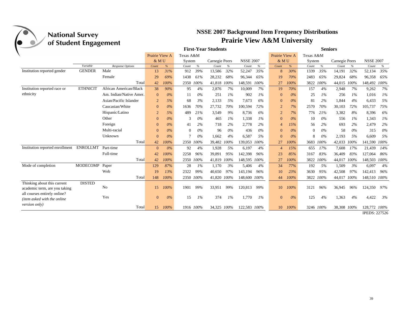| <b>National Survey</b>                   |                       |                         |                |               |           |               |                            |       |                                        |               |                          |               | <b>NSSE 2007 Background Item Frequency Distributions</b> |           |                |       |                  |       |
|------------------------------------------|-----------------------|-------------------------|----------------|---------------|-----------|---------------|----------------------------|-------|----------------------------------------|---------------|--------------------------|---------------|----------------------------------------------------------|-----------|----------------|-------|------------------|-------|
|                                          | of Student Engagement |                         |                |               |           |               |                            |       | <b>Prairie View A&amp;M University</b> |               |                          |               |                                                          |           |                |       |                  |       |
|                                          |                       |                         |                |               |           |               | <b>First-Year Students</b> |       |                                        |               |                          |               |                                                          |           | <b>Seniors</b> |       |                  |       |
|                                          |                       |                         | Prairie View A |               | Texas A&M |               |                            |       |                                        |               | Prairie View A           |               | Texas A&M                                                |           |                |       |                  |       |
|                                          |                       |                         | & MU           |               | System    |               | Carnegie Peers             |       | <b>NSSE 2007</b>                       |               | & MU                     |               | System                                                   |           | Carnegie Peers |       | <b>NSSE 2007</b> |       |
|                                          | Variable              | Response Options        | Count          | $\frac{9}{6}$ | Count     | $\frac{9}{6}$ | Count                      | $\%$  | Count                                  | $\frac{9}{6}$ | Count                    | $\frac{9}{6}$ | Count                                                    | $\%$      | Count          | $\%$  | Count            | $\%$  |
| Institution reported gender              | <b>GENDER</b>         | Male                    | 13             | 31%           | 912       | 39%           | 13,586                     | 32%   | 52,247                                 | 35%           | 8                        | 30%           | 1339                                                     | 35%       | 14,191         | 32%   | 52,134           | 35%   |
|                                          |                       | Female                  | 29             | 69%           | 1438      | 61%           | 28,232                     | 68%   | 96,344                                 | 65%           | 19                       | 70%           | 2483                                                     | 65%       | 29,824         | 68%   | 96,358           | 65%   |
|                                          |                       | Total                   | 42             | 100%          |           | 2350 100%     | 41,818                     | 100%  | 148,591                                | 100%          | 27                       | 100%          | 3822                                                     | 100%      | 44,015 100%    |       | 148,492 100%     |       |
| Institution reported race or             | <b>ETHNICIT</b>       | African American/Black  | 38             | 90%           | 95        | 4%            | 2,876                      | 7%    | 10,009                                 | 7%            | 19                       | 70%           | 157                                                      | 4%        | 2,948          | 7%    | 9,262            | 7%    |
| ethnicity                                |                       | Am. Indian/Native Amer. | $\Omega$       | 0%            | 11        | $0\%$         | 251                        | $1\%$ | 902                                    | 1%            | $\mathbf{0}$             | 0%            | 25                                                       | $1\%$     | 256            | $1\%$ | 1.016            | $1\%$ |
|                                          |                       | Asian/Pacific Islander  | $\overline{2}$ | 5%            | 68        | 3%            | 2,133                      | .5%   | 7,673                                  | 6%            | $\Omega$                 | $0\%$         | 81                                                       | 2%        | 1,844          | 4%    | 6,433            | 5%    |
|                                          |                       | Caucasian/White         | $\Omega$       | $0\%$         | 1636      | 70%           | 27,732                     | 70%   | 100,594                                | 72%           | $\overline{2}$           | 7%            | 2570                                                     | 70%       | 30.103         | 72%   | 105,737          | 75%   |
|                                          |                       | Hispanic/Latino         | $\overline{2}$ | 5%            | 489       | 21%           | 3,549                      | 9%    | 8,736                                  | 6%            | $\overline{2}$           | 7%            | 776                                                      | 21%       | 3,382          | 8%    | 8,396            | 6%    |
|                                          |                       | Other                   | $\Omega$       | $0\%$         | 3         | $0\%$         | 465                        | $1\%$ | 1,338                                  | 1%            | $\Omega$                 | $0\%$         | 10                                                       | $0\%$     | 556            | $1\%$ | 1,343            | $1\%$ |
|                                          |                       | Foreign                 | $\Omega$       | 0%            | 41        | 2%            | 718                        | 2%    | 2.778                                  | 2%            | $\overline{\mathcal{A}}$ | 15%           | 56                                                       | 2%        | 693            | 2%    | 2,479            | 2%    |
|                                          |                       | Multi-racial            | $\Omega$       | 0%            | $\Omega$  | 0%            | 96                         | $0\%$ | 436                                    | 0%            | $\Omega$                 | 0%            | $\Omega$                                                 | 0%        | 58             | 0%    | 315              | 0%    |
|                                          |                       | Unknown                 | $\Omega$       | 0%            | 7         | $0\%$         | 1.662                      | 4%    | 6,587                                  | 5%            | $\Omega$                 | 0%            | 8                                                        | $0\%$     | 2,193          | 5%    | 6.609            | 5%    |
|                                          |                       | Total                   | 42             | 100%          | 2350      | 100%          | 39,482                     | 100%  | 139,053                                | 100%          | 27                       | 100%          |                                                          | 3683 100% | 42,033         | 100%  | 141,590 100%     |       |
| Institution reported enrollment ENROLLMT |                       | Part-time               | $\mathbf{0}$   | $0\%$         | 92        | 4%            | 1,928                      | 5%    | 6,197                                  | 4%            | $\overline{4}$           | 15%           | 655                                                      | 17%       | 7,608          | 17%   | 21.439           | 14%   |
|                                          |                       | Full-time               | 42             | 100%          | 2258      | 96%           | 39,891                     | 95%   | 142,398                                | 96%           | 23                       | 85%           | 3167                                                     | 83%       | 36,409         | 83%   | 127,064          | 86%   |
|                                          |                       | Total                   | 42             | 100%          |           | 2350 100%     | 41.819                     | 100%  | 148.595                                | 100%          | 27                       | 100%          | 3822                                                     | 100%      | 44,017 100%    |       | 148.503          | 100%  |
| Mode of completion                       | MODECOMP              | Paper                   | 129            | 87%           | 28        | 1%            | 1,170                      | 3%    | 5,406                                  | 4%            | 34                       | 77%           | 192                                                      | 5%        | 1,509          | 3%    | 6,097            | 4%    |
|                                          |                       | Web                     | 19             | 13%           | 2322      | 99%           | 40,650                     | 97%   | 143,194                                | 96%           | 10                       | 23%           | 3630                                                     | 95%       | 42,508         | 97%   | 142,413          | 96%   |
|                                          |                       | Total                   | 148            | 100%          |           | 2350 100%     | 41,820 100%                |       | 148,600 100%                           |               | 44                       | 100%          |                                                          | 3822 100% | 44,017 100%    |       | 148,510 100%     |       |
| Thinking about this current              | <b>DISTED</b>         |                         |                |               |           |               |                            |       |                                        |               |                          |               |                                                          |           |                |       |                  |       |
| academic term, are you taking            |                       | N <sub>0</sub>          | 15             | 100%          | 1901      | 99%           | 33,951                     | 99%   | 120,813                                | 99%           | 10                       | 100%          | 3121                                                     | 96%       | 36.945         | 96%   | 124.350 97%      |       |
| all courses entirely online?             |                       |                         |                |               |           |               |                            |       |                                        |               |                          |               |                                                          |           |                |       |                  |       |
| (item asked with the online              |                       | Yes                     | $\mathbf{0}$   | 0%            | 15        | $1\%$         | 374                        | $1\%$ | 1,770                                  | $1\%$         | $\mathbf{0}$             | 0%            | 125                                                      | 4%        | 1,363          | 4%    | 4,422            | 3%    |
| version only)                            |                       | Total                   |                | 15 100%       |           | 1916 100%     | 34,325 100%                |       | 122,583 100%                           |               | 10                       | 100%          |                                                          | 3246 100% | 38,308 100%    |       | 128,772 100%     |       |
|                                          |                       |                         |                |               |           |               |                            |       |                                        |               |                          |               |                                                          |           |                |       |                  |       |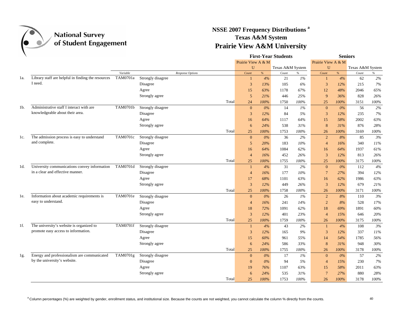

### **NSSE 2007 Frequency Distributions <sup>a</sup> Texas A&M System Prairie View A&M University**

| Prairie View A & M<br>Prairie View A & M<br>U<br>Texas A&M System<br>$\mathbf{U}$<br>Texas A&M System<br>Variable<br>%<br>$\%$<br>%<br>$\%$<br>Response Options<br>Count<br>Count<br>Count<br>Count<br>Library staff are helpful in finding the resources<br>TAM0701a<br>Strongly disagree<br>62<br>4%<br>21<br>$1\%$<br>4%<br>1a.<br>$\mathbf{1}$<br>I need.<br>Disagree<br>3<br>13%<br>105<br>6%<br>12%<br>215<br>3<br>Agree<br>15<br>63%<br>1178<br>67%<br>12<br>48%<br>2046<br>5<br>25%<br>828<br>Strongly agree<br>21%<br>446<br>9<br>36%<br>24<br>100%<br>1750<br>100%<br>25<br>100%<br>3151<br>Total<br>Administrative staff I interact with are<br>TAM0701b<br>Strongly disagree<br>$1\%$<br>14<br>56<br>1b.<br>$\mathbf{0}$<br>$0\%$<br>$\mathbf{0}$<br>$0\%$<br>knowledgeable about their area.<br>5%<br>235<br>Disagree<br>3<br>84<br>3<br>12%<br>12%<br>Agree<br>64%<br>58%<br>2002<br>64%<br>1117<br>15<br>16<br>Strongly agree<br>876<br>24%<br>538<br>31%<br>8<br>31%<br>6<br>Total<br>25<br>100%<br>1753<br>100%<br>100%<br>3169<br>26<br>The admission process is easy to understand<br>TAM0701c<br>Strongly disagree<br>$2\%$<br>85<br>$\mathbf{0}$<br>$0\%$<br>36<br>$\overline{2}$<br>8%<br>1c.<br>and complete.<br>Disagree<br>5<br>183<br>10%<br>16%<br>340<br>20%<br>$\overline{4}$<br>Agree<br>1084<br>62%<br>64%<br>1937<br>16<br>64%<br>16<br>Strongly agree<br>452<br>26%<br>3<br>12%<br>813<br>16%<br>$\overline{4}$<br>25<br>3175<br>Total<br>25<br>100%<br>1755<br>100%<br>100%<br>University communications convey information<br>TAM0701d<br>Strongly disagree<br>31<br>2%<br>1d.<br>4%<br>$\mathbf{0}$<br>$0\%$<br>112<br>$\mathbf{1}$<br>in a clear and effective manner.<br>10%<br>27%<br>394<br>Disagree<br>$\overline{4}$<br>16%<br>177<br>$7\phantom{.0}$<br>Agree<br>68%<br>1101<br>63%<br>16<br>62%<br>1986<br>17<br>679<br>Strongly agree<br>$\overline{3}$<br>12%<br>449<br>26%<br>3<br>12%<br>Total<br>100%<br>100%<br>26<br>100%<br>3171<br>25<br>1758<br>Information about academic requirements is<br>TAM0701e<br>Strongly disagree<br>$\mathbf{0}$<br>$0\%$<br>$26\,$<br>$1\%$<br>$\overline{2}$<br>$8\%$<br>110<br>le.<br>easy to understand.<br>Disagree<br>241<br>14%<br>$\overline{2}$<br>8%<br>528<br>$\overline{4}$<br>16%<br>62%<br>18<br>1891<br>Agree<br>72%<br>1091<br>69%<br>18<br>Strongly agree<br>$\overline{3}$<br>401<br>23%<br>15%<br>646<br>12%<br>$\overline{4}$<br>Total<br>25<br>100%<br>1759<br>100%<br>26<br>100%<br>3175<br>The university's website is organized to<br>$1f$ .<br><b>TAM0701f</b><br>Strongly disagree<br>43<br>2%<br>108<br>4%<br>4%<br>$\mathbf{1}$<br>$\overline{1}$<br>promote easy access to information.<br>337<br>Disagree<br>$\mathbf{3}$<br>12%<br>165<br>9%<br>$\mathfrak{Z}$<br>12%<br>Agree<br>15<br>60%<br>961<br>55%<br>14<br>54%<br>1785<br>586<br>33%<br>8<br>31%<br>948<br>Strongly agree<br>24%<br>6<br>100%<br>3178<br>Total<br>25<br>100%<br>1755<br>26<br>100%<br>Energy and professionalism are communicated<br>TAM0701g<br>Strongly disagree<br>17<br>57<br>$1\%$<br>$0\%$<br>$\overline{0}$<br>$0\%$<br>$\mathbf{0}$<br>1g.<br>by the university's website.<br>Disagree<br>5%<br>15%<br>230<br>$\overline{0}$<br>$0\%$<br>94<br>$\overline{4}$<br>Agree<br>63%<br>58%<br>2011<br>76%<br>1107<br>15<br>19<br>Strongly agree<br>$7\phantom{.0}$<br>27%<br>880<br>24%<br>535<br>31%<br>6<br>Total<br>1753<br>3178<br>25<br>100%<br>100%<br>26<br>100% |  |  |  |  | <b>First-Year Students</b> | <b>Seniors</b> |  |  |      |  |
|-------------------------------------------------------------------------------------------------------------------------------------------------------------------------------------------------------------------------------------------------------------------------------------------------------------------------------------------------------------------------------------------------------------------------------------------------------------------------------------------------------------------------------------------------------------------------------------------------------------------------------------------------------------------------------------------------------------------------------------------------------------------------------------------------------------------------------------------------------------------------------------------------------------------------------------------------------------------------------------------------------------------------------------------------------------------------------------------------------------------------------------------------------------------------------------------------------------------------------------------------------------------------------------------------------------------------------------------------------------------------------------------------------------------------------------------------------------------------------------------------------------------------------------------------------------------------------------------------------------------------------------------------------------------------------------------------------------------------------------------------------------------------------------------------------------------------------------------------------------------------------------------------------------------------------------------------------------------------------------------------------------------------------------------------------------------------------------------------------------------------------------------------------------------------------------------------------------------------------------------------------------------------------------------------------------------------------------------------------------------------------------------------------------------------------------------------------------------------------------------------------------------------------------------------------------------------------------------------------------------------------------------------------------------------------------------------------------------------------------------------------------------------------------------------------------------------------------------------------------------------------------------------------------------------------------------------------------------------------------------------------------------------------------------------------------------------------------------------------------------------------------------------------------------------------------------------------------------------------------------------------------------------------------------------------------------------------------------------------------------------------------------------------------------------------------------------------------------|--|--|--|--|----------------------------|----------------|--|--|------|--|
|                                                                                                                                                                                                                                                                                                                                                                                                                                                                                                                                                                                                                                                                                                                                                                                                                                                                                                                                                                                                                                                                                                                                                                                                                                                                                                                                                                                                                                                                                                                                                                                                                                                                                                                                                                                                                                                                                                                                                                                                                                                                                                                                                                                                                                                                                                                                                                                                                                                                                                                                                                                                                                                                                                                                                                                                                                                                                                                                                                                                                                                                                                                                                                                                                                                                                                                                                                                                                                                                   |  |  |  |  |                            |                |  |  |      |  |
|                                                                                                                                                                                                                                                                                                                                                                                                                                                                                                                                                                                                                                                                                                                                                                                                                                                                                                                                                                                                                                                                                                                                                                                                                                                                                                                                                                                                                                                                                                                                                                                                                                                                                                                                                                                                                                                                                                                                                                                                                                                                                                                                                                                                                                                                                                                                                                                                                                                                                                                                                                                                                                                                                                                                                                                                                                                                                                                                                                                                                                                                                                                                                                                                                                                                                                                                                                                                                                                                   |  |  |  |  |                            |                |  |  |      |  |
|                                                                                                                                                                                                                                                                                                                                                                                                                                                                                                                                                                                                                                                                                                                                                                                                                                                                                                                                                                                                                                                                                                                                                                                                                                                                                                                                                                                                                                                                                                                                                                                                                                                                                                                                                                                                                                                                                                                                                                                                                                                                                                                                                                                                                                                                                                                                                                                                                                                                                                                                                                                                                                                                                                                                                                                                                                                                                                                                                                                                                                                                                                                                                                                                                                                                                                                                                                                                                                                                   |  |  |  |  |                            |                |  |  |      |  |
|                                                                                                                                                                                                                                                                                                                                                                                                                                                                                                                                                                                                                                                                                                                                                                                                                                                                                                                                                                                                                                                                                                                                                                                                                                                                                                                                                                                                                                                                                                                                                                                                                                                                                                                                                                                                                                                                                                                                                                                                                                                                                                                                                                                                                                                                                                                                                                                                                                                                                                                                                                                                                                                                                                                                                                                                                                                                                                                                                                                                                                                                                                                                                                                                                                                                                                                                                                                                                                                                   |  |  |  |  |                            |                |  |  | 2%   |  |
|                                                                                                                                                                                                                                                                                                                                                                                                                                                                                                                                                                                                                                                                                                                                                                                                                                                                                                                                                                                                                                                                                                                                                                                                                                                                                                                                                                                                                                                                                                                                                                                                                                                                                                                                                                                                                                                                                                                                                                                                                                                                                                                                                                                                                                                                                                                                                                                                                                                                                                                                                                                                                                                                                                                                                                                                                                                                                                                                                                                                                                                                                                                                                                                                                                                                                                                                                                                                                                                                   |  |  |  |  |                            |                |  |  | 7%   |  |
|                                                                                                                                                                                                                                                                                                                                                                                                                                                                                                                                                                                                                                                                                                                                                                                                                                                                                                                                                                                                                                                                                                                                                                                                                                                                                                                                                                                                                                                                                                                                                                                                                                                                                                                                                                                                                                                                                                                                                                                                                                                                                                                                                                                                                                                                                                                                                                                                                                                                                                                                                                                                                                                                                                                                                                                                                                                                                                                                                                                                                                                                                                                                                                                                                                                                                                                                                                                                                                                                   |  |  |  |  |                            |                |  |  | 65%  |  |
|                                                                                                                                                                                                                                                                                                                                                                                                                                                                                                                                                                                                                                                                                                                                                                                                                                                                                                                                                                                                                                                                                                                                                                                                                                                                                                                                                                                                                                                                                                                                                                                                                                                                                                                                                                                                                                                                                                                                                                                                                                                                                                                                                                                                                                                                                                                                                                                                                                                                                                                                                                                                                                                                                                                                                                                                                                                                                                                                                                                                                                                                                                                                                                                                                                                                                                                                                                                                                                                                   |  |  |  |  |                            |                |  |  | 26%  |  |
|                                                                                                                                                                                                                                                                                                                                                                                                                                                                                                                                                                                                                                                                                                                                                                                                                                                                                                                                                                                                                                                                                                                                                                                                                                                                                                                                                                                                                                                                                                                                                                                                                                                                                                                                                                                                                                                                                                                                                                                                                                                                                                                                                                                                                                                                                                                                                                                                                                                                                                                                                                                                                                                                                                                                                                                                                                                                                                                                                                                                                                                                                                                                                                                                                                                                                                                                                                                                                                                                   |  |  |  |  |                            |                |  |  | 100% |  |
|                                                                                                                                                                                                                                                                                                                                                                                                                                                                                                                                                                                                                                                                                                                                                                                                                                                                                                                                                                                                                                                                                                                                                                                                                                                                                                                                                                                                                                                                                                                                                                                                                                                                                                                                                                                                                                                                                                                                                                                                                                                                                                                                                                                                                                                                                                                                                                                                                                                                                                                                                                                                                                                                                                                                                                                                                                                                                                                                                                                                                                                                                                                                                                                                                                                                                                                                                                                                                                                                   |  |  |  |  |                            |                |  |  | 2%   |  |
|                                                                                                                                                                                                                                                                                                                                                                                                                                                                                                                                                                                                                                                                                                                                                                                                                                                                                                                                                                                                                                                                                                                                                                                                                                                                                                                                                                                                                                                                                                                                                                                                                                                                                                                                                                                                                                                                                                                                                                                                                                                                                                                                                                                                                                                                                                                                                                                                                                                                                                                                                                                                                                                                                                                                                                                                                                                                                                                                                                                                                                                                                                                                                                                                                                                                                                                                                                                                                                                                   |  |  |  |  |                            |                |  |  | 7%   |  |
|                                                                                                                                                                                                                                                                                                                                                                                                                                                                                                                                                                                                                                                                                                                                                                                                                                                                                                                                                                                                                                                                                                                                                                                                                                                                                                                                                                                                                                                                                                                                                                                                                                                                                                                                                                                                                                                                                                                                                                                                                                                                                                                                                                                                                                                                                                                                                                                                                                                                                                                                                                                                                                                                                                                                                                                                                                                                                                                                                                                                                                                                                                                                                                                                                                                                                                                                                                                                                                                                   |  |  |  |  |                            |                |  |  | 63%  |  |
|                                                                                                                                                                                                                                                                                                                                                                                                                                                                                                                                                                                                                                                                                                                                                                                                                                                                                                                                                                                                                                                                                                                                                                                                                                                                                                                                                                                                                                                                                                                                                                                                                                                                                                                                                                                                                                                                                                                                                                                                                                                                                                                                                                                                                                                                                                                                                                                                                                                                                                                                                                                                                                                                                                                                                                                                                                                                                                                                                                                                                                                                                                                                                                                                                                                                                                                                                                                                                                                                   |  |  |  |  |                            |                |  |  | 28%  |  |
|                                                                                                                                                                                                                                                                                                                                                                                                                                                                                                                                                                                                                                                                                                                                                                                                                                                                                                                                                                                                                                                                                                                                                                                                                                                                                                                                                                                                                                                                                                                                                                                                                                                                                                                                                                                                                                                                                                                                                                                                                                                                                                                                                                                                                                                                                                                                                                                                                                                                                                                                                                                                                                                                                                                                                                                                                                                                                                                                                                                                                                                                                                                                                                                                                                                                                                                                                                                                                                                                   |  |  |  |  |                            |                |  |  | 100% |  |
|                                                                                                                                                                                                                                                                                                                                                                                                                                                                                                                                                                                                                                                                                                                                                                                                                                                                                                                                                                                                                                                                                                                                                                                                                                                                                                                                                                                                                                                                                                                                                                                                                                                                                                                                                                                                                                                                                                                                                                                                                                                                                                                                                                                                                                                                                                                                                                                                                                                                                                                                                                                                                                                                                                                                                                                                                                                                                                                                                                                                                                                                                                                                                                                                                                                                                                                                                                                                                                                                   |  |  |  |  |                            |                |  |  | 3%   |  |
|                                                                                                                                                                                                                                                                                                                                                                                                                                                                                                                                                                                                                                                                                                                                                                                                                                                                                                                                                                                                                                                                                                                                                                                                                                                                                                                                                                                                                                                                                                                                                                                                                                                                                                                                                                                                                                                                                                                                                                                                                                                                                                                                                                                                                                                                                                                                                                                                                                                                                                                                                                                                                                                                                                                                                                                                                                                                                                                                                                                                                                                                                                                                                                                                                                                                                                                                                                                                                                                                   |  |  |  |  |                            |                |  |  | 11%  |  |
|                                                                                                                                                                                                                                                                                                                                                                                                                                                                                                                                                                                                                                                                                                                                                                                                                                                                                                                                                                                                                                                                                                                                                                                                                                                                                                                                                                                                                                                                                                                                                                                                                                                                                                                                                                                                                                                                                                                                                                                                                                                                                                                                                                                                                                                                                                                                                                                                                                                                                                                                                                                                                                                                                                                                                                                                                                                                                                                                                                                                                                                                                                                                                                                                                                                                                                                                                                                                                                                                   |  |  |  |  |                            |                |  |  | 61%  |  |
|                                                                                                                                                                                                                                                                                                                                                                                                                                                                                                                                                                                                                                                                                                                                                                                                                                                                                                                                                                                                                                                                                                                                                                                                                                                                                                                                                                                                                                                                                                                                                                                                                                                                                                                                                                                                                                                                                                                                                                                                                                                                                                                                                                                                                                                                                                                                                                                                                                                                                                                                                                                                                                                                                                                                                                                                                                                                                                                                                                                                                                                                                                                                                                                                                                                                                                                                                                                                                                                                   |  |  |  |  |                            |                |  |  | 26%  |  |
|                                                                                                                                                                                                                                                                                                                                                                                                                                                                                                                                                                                                                                                                                                                                                                                                                                                                                                                                                                                                                                                                                                                                                                                                                                                                                                                                                                                                                                                                                                                                                                                                                                                                                                                                                                                                                                                                                                                                                                                                                                                                                                                                                                                                                                                                                                                                                                                                                                                                                                                                                                                                                                                                                                                                                                                                                                                                                                                                                                                                                                                                                                                                                                                                                                                                                                                                                                                                                                                                   |  |  |  |  |                            |                |  |  | 100% |  |
|                                                                                                                                                                                                                                                                                                                                                                                                                                                                                                                                                                                                                                                                                                                                                                                                                                                                                                                                                                                                                                                                                                                                                                                                                                                                                                                                                                                                                                                                                                                                                                                                                                                                                                                                                                                                                                                                                                                                                                                                                                                                                                                                                                                                                                                                                                                                                                                                                                                                                                                                                                                                                                                                                                                                                                                                                                                                                                                                                                                                                                                                                                                                                                                                                                                                                                                                                                                                                                                                   |  |  |  |  |                            |                |  |  | 4%   |  |
|                                                                                                                                                                                                                                                                                                                                                                                                                                                                                                                                                                                                                                                                                                                                                                                                                                                                                                                                                                                                                                                                                                                                                                                                                                                                                                                                                                                                                                                                                                                                                                                                                                                                                                                                                                                                                                                                                                                                                                                                                                                                                                                                                                                                                                                                                                                                                                                                                                                                                                                                                                                                                                                                                                                                                                                                                                                                                                                                                                                                                                                                                                                                                                                                                                                                                                                                                                                                                                                                   |  |  |  |  |                            |                |  |  | 12%  |  |
|                                                                                                                                                                                                                                                                                                                                                                                                                                                                                                                                                                                                                                                                                                                                                                                                                                                                                                                                                                                                                                                                                                                                                                                                                                                                                                                                                                                                                                                                                                                                                                                                                                                                                                                                                                                                                                                                                                                                                                                                                                                                                                                                                                                                                                                                                                                                                                                                                                                                                                                                                                                                                                                                                                                                                                                                                                                                                                                                                                                                                                                                                                                                                                                                                                                                                                                                                                                                                                                                   |  |  |  |  |                            |                |  |  | 63%  |  |
|                                                                                                                                                                                                                                                                                                                                                                                                                                                                                                                                                                                                                                                                                                                                                                                                                                                                                                                                                                                                                                                                                                                                                                                                                                                                                                                                                                                                                                                                                                                                                                                                                                                                                                                                                                                                                                                                                                                                                                                                                                                                                                                                                                                                                                                                                                                                                                                                                                                                                                                                                                                                                                                                                                                                                                                                                                                                                                                                                                                                                                                                                                                                                                                                                                                                                                                                                                                                                                                                   |  |  |  |  |                            |                |  |  | 21%  |  |
|                                                                                                                                                                                                                                                                                                                                                                                                                                                                                                                                                                                                                                                                                                                                                                                                                                                                                                                                                                                                                                                                                                                                                                                                                                                                                                                                                                                                                                                                                                                                                                                                                                                                                                                                                                                                                                                                                                                                                                                                                                                                                                                                                                                                                                                                                                                                                                                                                                                                                                                                                                                                                                                                                                                                                                                                                                                                                                                                                                                                                                                                                                                                                                                                                                                                                                                                                                                                                                                                   |  |  |  |  |                            |                |  |  | 100% |  |
|                                                                                                                                                                                                                                                                                                                                                                                                                                                                                                                                                                                                                                                                                                                                                                                                                                                                                                                                                                                                                                                                                                                                                                                                                                                                                                                                                                                                                                                                                                                                                                                                                                                                                                                                                                                                                                                                                                                                                                                                                                                                                                                                                                                                                                                                                                                                                                                                                                                                                                                                                                                                                                                                                                                                                                                                                                                                                                                                                                                                                                                                                                                                                                                                                                                                                                                                                                                                                                                                   |  |  |  |  |                            |                |  |  | 3%   |  |
|                                                                                                                                                                                                                                                                                                                                                                                                                                                                                                                                                                                                                                                                                                                                                                                                                                                                                                                                                                                                                                                                                                                                                                                                                                                                                                                                                                                                                                                                                                                                                                                                                                                                                                                                                                                                                                                                                                                                                                                                                                                                                                                                                                                                                                                                                                                                                                                                                                                                                                                                                                                                                                                                                                                                                                                                                                                                                                                                                                                                                                                                                                                                                                                                                                                                                                                                                                                                                                                                   |  |  |  |  |                            |                |  |  | 17%  |  |
|                                                                                                                                                                                                                                                                                                                                                                                                                                                                                                                                                                                                                                                                                                                                                                                                                                                                                                                                                                                                                                                                                                                                                                                                                                                                                                                                                                                                                                                                                                                                                                                                                                                                                                                                                                                                                                                                                                                                                                                                                                                                                                                                                                                                                                                                                                                                                                                                                                                                                                                                                                                                                                                                                                                                                                                                                                                                                                                                                                                                                                                                                                                                                                                                                                                                                                                                                                                                                                                                   |  |  |  |  |                            |                |  |  | 60%  |  |
|                                                                                                                                                                                                                                                                                                                                                                                                                                                                                                                                                                                                                                                                                                                                                                                                                                                                                                                                                                                                                                                                                                                                                                                                                                                                                                                                                                                                                                                                                                                                                                                                                                                                                                                                                                                                                                                                                                                                                                                                                                                                                                                                                                                                                                                                                                                                                                                                                                                                                                                                                                                                                                                                                                                                                                                                                                                                                                                                                                                                                                                                                                                                                                                                                                                                                                                                                                                                                                                                   |  |  |  |  |                            |                |  |  | 20%  |  |
|                                                                                                                                                                                                                                                                                                                                                                                                                                                                                                                                                                                                                                                                                                                                                                                                                                                                                                                                                                                                                                                                                                                                                                                                                                                                                                                                                                                                                                                                                                                                                                                                                                                                                                                                                                                                                                                                                                                                                                                                                                                                                                                                                                                                                                                                                                                                                                                                                                                                                                                                                                                                                                                                                                                                                                                                                                                                                                                                                                                                                                                                                                                                                                                                                                                                                                                                                                                                                                                                   |  |  |  |  |                            |                |  |  | 100% |  |
|                                                                                                                                                                                                                                                                                                                                                                                                                                                                                                                                                                                                                                                                                                                                                                                                                                                                                                                                                                                                                                                                                                                                                                                                                                                                                                                                                                                                                                                                                                                                                                                                                                                                                                                                                                                                                                                                                                                                                                                                                                                                                                                                                                                                                                                                                                                                                                                                                                                                                                                                                                                                                                                                                                                                                                                                                                                                                                                                                                                                                                                                                                                                                                                                                                                                                                                                                                                                                                                                   |  |  |  |  |                            |                |  |  | 3%   |  |
|                                                                                                                                                                                                                                                                                                                                                                                                                                                                                                                                                                                                                                                                                                                                                                                                                                                                                                                                                                                                                                                                                                                                                                                                                                                                                                                                                                                                                                                                                                                                                                                                                                                                                                                                                                                                                                                                                                                                                                                                                                                                                                                                                                                                                                                                                                                                                                                                                                                                                                                                                                                                                                                                                                                                                                                                                                                                                                                                                                                                                                                                                                                                                                                                                                                                                                                                                                                                                                                                   |  |  |  |  |                            |                |  |  | 11%  |  |
|                                                                                                                                                                                                                                                                                                                                                                                                                                                                                                                                                                                                                                                                                                                                                                                                                                                                                                                                                                                                                                                                                                                                                                                                                                                                                                                                                                                                                                                                                                                                                                                                                                                                                                                                                                                                                                                                                                                                                                                                                                                                                                                                                                                                                                                                                                                                                                                                                                                                                                                                                                                                                                                                                                                                                                                                                                                                                                                                                                                                                                                                                                                                                                                                                                                                                                                                                                                                                                                                   |  |  |  |  |                            |                |  |  | 56%  |  |
|                                                                                                                                                                                                                                                                                                                                                                                                                                                                                                                                                                                                                                                                                                                                                                                                                                                                                                                                                                                                                                                                                                                                                                                                                                                                                                                                                                                                                                                                                                                                                                                                                                                                                                                                                                                                                                                                                                                                                                                                                                                                                                                                                                                                                                                                                                                                                                                                                                                                                                                                                                                                                                                                                                                                                                                                                                                                                                                                                                                                                                                                                                                                                                                                                                                                                                                                                                                                                                                                   |  |  |  |  |                            |                |  |  | 30%  |  |
|                                                                                                                                                                                                                                                                                                                                                                                                                                                                                                                                                                                                                                                                                                                                                                                                                                                                                                                                                                                                                                                                                                                                                                                                                                                                                                                                                                                                                                                                                                                                                                                                                                                                                                                                                                                                                                                                                                                                                                                                                                                                                                                                                                                                                                                                                                                                                                                                                                                                                                                                                                                                                                                                                                                                                                                                                                                                                                                                                                                                                                                                                                                                                                                                                                                                                                                                                                                                                                                                   |  |  |  |  |                            |                |  |  | 100% |  |
|                                                                                                                                                                                                                                                                                                                                                                                                                                                                                                                                                                                                                                                                                                                                                                                                                                                                                                                                                                                                                                                                                                                                                                                                                                                                                                                                                                                                                                                                                                                                                                                                                                                                                                                                                                                                                                                                                                                                                                                                                                                                                                                                                                                                                                                                                                                                                                                                                                                                                                                                                                                                                                                                                                                                                                                                                                                                                                                                                                                                                                                                                                                                                                                                                                                                                                                                                                                                                                                                   |  |  |  |  |                            |                |  |  | 2%   |  |
|                                                                                                                                                                                                                                                                                                                                                                                                                                                                                                                                                                                                                                                                                                                                                                                                                                                                                                                                                                                                                                                                                                                                                                                                                                                                                                                                                                                                                                                                                                                                                                                                                                                                                                                                                                                                                                                                                                                                                                                                                                                                                                                                                                                                                                                                                                                                                                                                                                                                                                                                                                                                                                                                                                                                                                                                                                                                                                                                                                                                                                                                                                                                                                                                                                                                                                                                                                                                                                                                   |  |  |  |  |                            |                |  |  | 7%   |  |
|                                                                                                                                                                                                                                                                                                                                                                                                                                                                                                                                                                                                                                                                                                                                                                                                                                                                                                                                                                                                                                                                                                                                                                                                                                                                                                                                                                                                                                                                                                                                                                                                                                                                                                                                                                                                                                                                                                                                                                                                                                                                                                                                                                                                                                                                                                                                                                                                                                                                                                                                                                                                                                                                                                                                                                                                                                                                                                                                                                                                                                                                                                                                                                                                                                                                                                                                                                                                                                                                   |  |  |  |  |                            |                |  |  | 63%  |  |
|                                                                                                                                                                                                                                                                                                                                                                                                                                                                                                                                                                                                                                                                                                                                                                                                                                                                                                                                                                                                                                                                                                                                                                                                                                                                                                                                                                                                                                                                                                                                                                                                                                                                                                                                                                                                                                                                                                                                                                                                                                                                                                                                                                                                                                                                                                                                                                                                                                                                                                                                                                                                                                                                                                                                                                                                                                                                                                                                                                                                                                                                                                                                                                                                                                                                                                                                                                                                                                                                   |  |  |  |  |                            |                |  |  | 28%  |  |
|                                                                                                                                                                                                                                                                                                                                                                                                                                                                                                                                                                                                                                                                                                                                                                                                                                                                                                                                                                                                                                                                                                                                                                                                                                                                                                                                                                                                                                                                                                                                                                                                                                                                                                                                                                                                                                                                                                                                                                                                                                                                                                                                                                                                                                                                                                                                                                                                                                                                                                                                                                                                                                                                                                                                                                                                                                                                                                                                                                                                                                                                                                                                                                                                                                                                                                                                                                                                                                                                   |  |  |  |  |                            |                |  |  | 100% |  |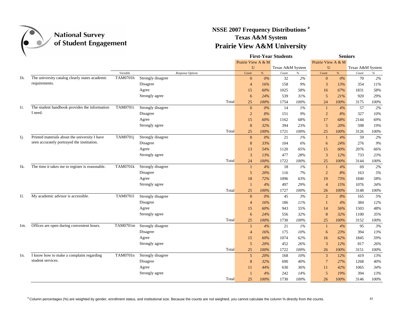

### **NSSE 2007 Frequency Distributions <sup>a</sup> Texas A&M System Prairie View A&M University**

|     |                                                 |                 |                   |                  |       |                    |       | <b>First-Year Students</b> |               | <b>Seniors</b>     |       |                  |       |  |
|-----|-------------------------------------------------|-----------------|-------------------|------------------|-------|--------------------|-------|----------------------------|---------------|--------------------|-------|------------------|-------|--|
|     |                                                 |                 |                   |                  |       | Prairie View A & M |       |                            |               | Prairie View A & M |       |                  |       |  |
|     |                                                 |                 |                   |                  |       | U                  |       | Texas A&M System           |               | U                  |       | Texas A&M System |       |  |
|     |                                                 | Variable        |                   | Response Options |       | Count              | %     | Count                      | $\frac{9}{6}$ | Count              | $\%$  | Count            | $\%$  |  |
| 1h. | The university catalog clearly states academic  | <b>TAM0701h</b> | Strongly disagree |                  |       | $\mathbf{0}$       | $0\%$ | 32                         | $2\%$         | $\mathbf{0}$       | $0\%$ | 70               | $2\%$ |  |
|     | requirements.                                   |                 | Disagree          |                  |       | $\overline{4}$     | 16%   | 158                        | 9%            | $\mathfrak{Z}$     | 13%   | 354              | 11%   |  |
|     |                                                 |                 | Agree             |                  |       | 15                 | 60%   | 1025                       | 58%           | 16                 | 67%   | 1831             | 58%   |  |
|     |                                                 |                 | Strongly agree    |                  |       | 6                  | 24%   | 539                        | 31%           | 5                  | 21%   | 920              | 29%   |  |
|     |                                                 |                 |                   |                  | Total | 25                 | 100%  | 1754                       | 100%          | 24                 | 100%  | 3175             | 100%  |  |
| 1i. | The student handbook provides the information   | TAM0701i        | Strongly disagree |                  |       | $\mathbf{0}$       | $0\%$ | 14                         | 1%            | $\mathbf{1}$       | 4%    | 57               | 2%    |  |
|     | I need.                                         |                 | Disagree          |                  |       | $\overline{2}$     | 8%    | 151                        | 9%            | $\overline{2}$     | 8%    | 327              | 10%   |  |
|     |                                                 |                 | Agree             |                  |       | 15                 | 60%   | 1162                       | 68%           | 17                 | 68%   | 2144             | 69%   |  |
|     |                                                 |                 | Strongly agree    |                  |       | 8                  | 32%   | 394                        | 23%           | 5                  | 20%   | 598              | 19%   |  |
|     |                                                 |                 |                   |                  | Total | 25                 | 100%  | 1721                       | 100%          | 25                 | 100%  | 3126             | 100%  |  |
| 1j. | Printed materials about the university I have   | TAM0701j        | Strongly disagree |                  |       | $\mathbf{0}$       | 0%    | 21                         | 1%            | $\mathbf{1}$       | 4%    | 59               | 2%    |  |
|     | seen accurately portrayed the institution.      |                 | Disagree          |                  |       | 8                  | 33%   | 104                        | 6%            | 6                  | 24%   | 276              | 9%    |  |
|     |                                                 |                 | Agree             |                  |       | 13                 | 54%   | 1120                       | 65%           | 15                 | 60%   | 2076             | 66%   |  |
|     |                                                 |                 | Strongly agree    |                  |       | 3                  | 13%   | 477                        | 28%           | $\overline{3}$     | 12%   | 733              | 23%   |  |
|     |                                                 |                 |                   |                  | Total | 24                 | 100%  | 1722                       | 100%          | 25                 | 100%  | 3144             | 100%  |  |
| 1k. | The time it takes me to register is reasonable. | <b>TAM0701k</b> | Strongly disagree |                  |       | $\mathbf{1}$       | 4%    | 18                         | 1%            | $\mathbf{1}$       | 4%    | 69               | 2%    |  |
|     |                                                 |                 | Disagree          |                  |       | 5                  | 20%   | 116                        | 7%            | $\overline{2}$     | 8%    | 163              | 5%    |  |
|     |                                                 |                 | Agree             |                  |       | 18                 | 72%   | 1096                       | 63%           | 19                 | 73%   | 1840             | 58%   |  |
|     |                                                 |                 | Strongly agree    |                  |       | $\overline{1}$     | 4%    | 497                        | 29%           | $\overline{4}$     | 15%   | 1076             | 34%   |  |
|     |                                                 |                 |                   |                  | Total | 25                 | 100%  | 1727                       | $100\%$       | 26                 | 100%  | 3148             | 100%  |  |
| 11. | My academic advisor is accessible.              | <b>TAM07011</b> | Strongly disagree |                  |       | $\mathbf{0}$       | $0\%$ | 45                         | 3%            | $\overline{2}$     | 8%    | 165              | 5%    |  |
|     |                                                 |                 | Disagree          |                  |       | $\overline{4}$     | 16%   | 186                        | 11%           | $\mathbf{1}$       | 4%    | 384              | 12%   |  |
|     |                                                 |                 | Agree             |                  |       | 15                 | 60%   | 943                        | 55%           | 14                 | 56%   | 1503             | 48%   |  |
|     |                                                 |                 | Strongly agree    |                  |       | 6                  | 24%   | 556                        | 32%           | 8                  | 32%   | 1100             | 35%   |  |
|     |                                                 |                 |                   |                  | Total | 25                 | 100%  | 1730                       | 100%          | 25                 | 100%  | 3152             | 100%  |  |
| 1m. | Offices are open during convenient hours.       | TAM0701m        | Strongly disagree |                  |       | $\mathbf{1}$       | 4%    | 21                         | 1%            | $\mathbf{1}$       | 4%    | 95               | 3%    |  |
|     |                                                 |                 | Disagree          |                  |       | $\overline{4}$     | 16%   | 175                        | 10%           | 6                  | 23%   | 394              | 13%   |  |
|     |                                                 |                 | Agree             |                  |       | 15                 | 60%   | 1074                       | 62%           | 16                 | 62%   | 1845             | 59%   |  |
|     |                                                 |                 | Strongly agree    |                  |       | 5                  | 20%   | 452                        | 26%           | 3                  | 12%   | 817              | 26%   |  |
|     |                                                 |                 |                   |                  | Total | 25                 | 100%  | 1722                       | 100%          | 26                 | 100%  | 3151             | 100%  |  |
| 1n. | I know how to make a complaint regarding        | TAM0701n        | Strongly disagree |                  |       | 5                  | 20%   | 168                        | 10%           | 3                  | 12%   | 419              | 13%   |  |
|     | student services.                               |                 | Disagree          |                  |       | 8                  | 32%   | 690                        | 40%           | $\overline{7}$     | 27%   | 1268             | 40%   |  |
|     |                                                 |                 | Agree             |                  |       | 11                 | 44%   | 630                        | 36%           | 11                 | 42%   | 1065             | 34%   |  |
|     |                                                 |                 | Strongly agree    |                  |       |                    | 4%    | 242                        | 14%           | 5                  | 19%   | 394              | 13%   |  |
|     |                                                 |                 |                   |                  | Total | 25                 | 100%  | 1730                       | 100%          | 26                 | 100%  | 3146             | 100%  |  |